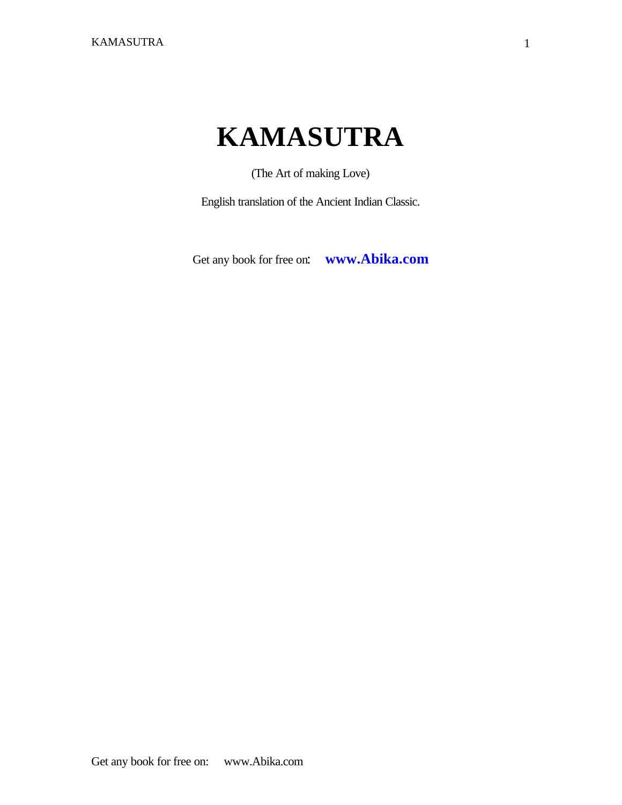# **KAMASUTRA**

(The Art of making Love)

English translation of the Ancient Indian Classic.

Get any book for free on: **www.Abika.com**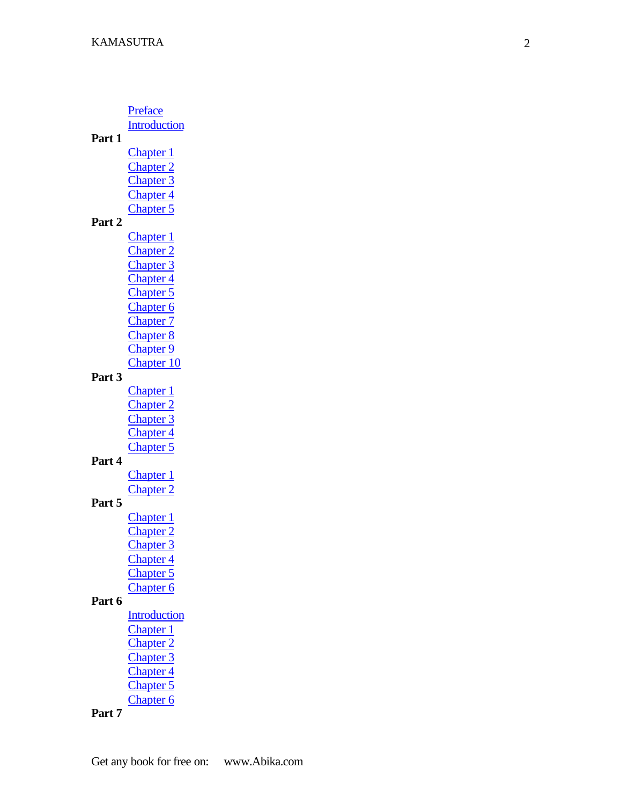Preface Introduction **Part 1** Chapter 1 Chapter 2 Chapter 3 Chapter 4 Chapter 5 **Part 2** Chapter 1 Chapter 2 Chapter 3 Chapter<sub>4</sub> Chapter 5 Chapter 6 Chapter 7 Chapter 8 Chapter 9 Chapter 10 **Part 3** Chapter 1 Chapter 2 Chapter 3 Chapter 4 Chapter 5

#### **Part 4**

Chapter 1 Chapter 2

#### **Part 5**

Chapter 1 Chapter 2 Chapter 3 Chapter 4 Chapter 5 Chapter 6

#### **Part 6**

Introduction Chapter 1 Chapter 2 Chapter 3 Chapter 4 Chapter 5 Chapter<sub>6</sub>

**Part 7**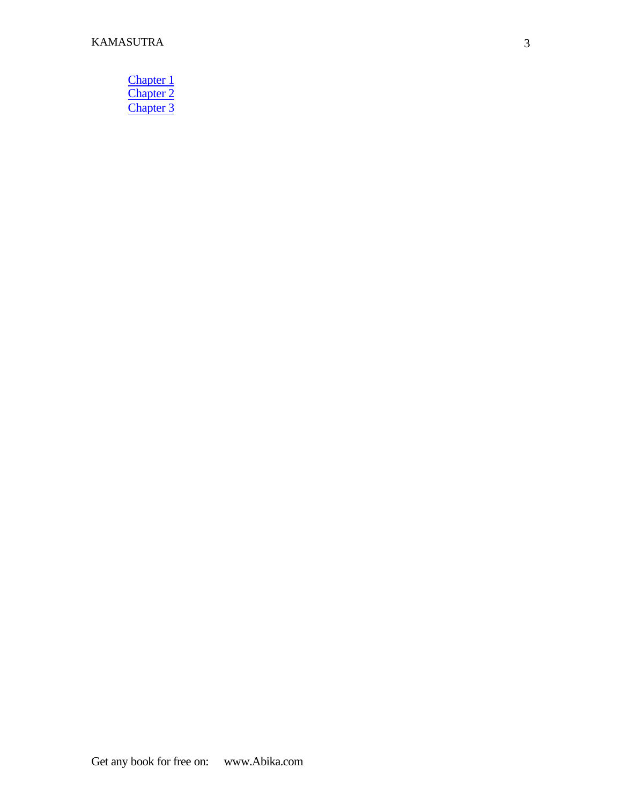Chapter 1 Chapter 2 Chapter 3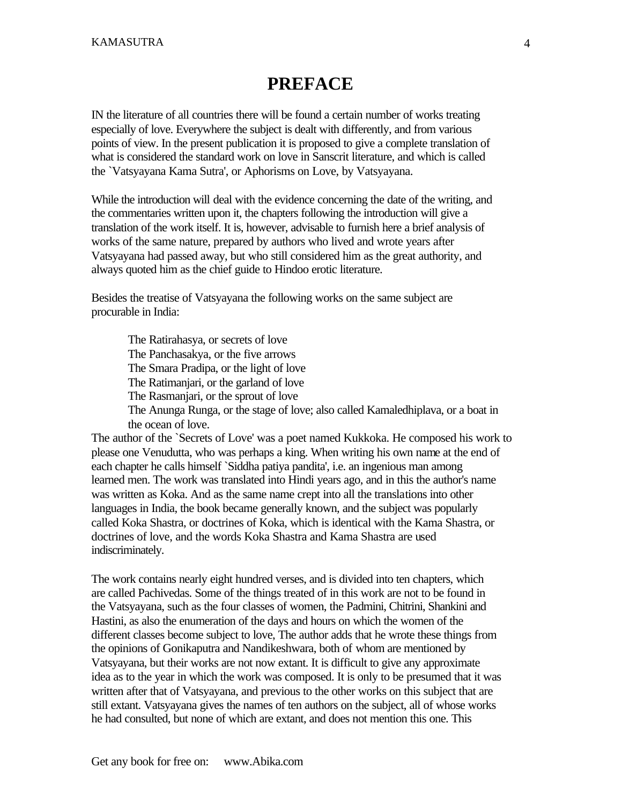## **PREFACE**

IN the literature of all countries there will be found a certain number of works treating especially of love. Everywhere the subject is dealt with differently, and from various points of view. In the present publication it is proposed to give a complete translation of what is considered the standard work on love in Sanscrit literature, and which is called the `Vatsyayana Kama Sutra', or Aphorisms on Love, by Vatsyayana.

While the introduction will deal with the evidence concerning the date of the writing, and the commentaries written upon it, the chapters following the introduction will give a translation of the work itself. It is, however, advisable to furnish here a brief analysis of works of the same nature, prepared by authors who lived and wrote years after Vatsyayana had passed away, but who still considered him as the great authority, and always quoted him as the chief guide to Hindoo erotic literature.

Besides the treatise of Vatsyayana the following works on the same subject are procurable in India:

The Ratirahasya, or secrets of love The Panchasakya, or the five arrows The Smara Pradipa, or the light of love The Ratimanjari, or the garland of love The Rasmanjari, or the sprout of love The Anunga Runga, or the stage of love; also called Kamaledhiplava, or a boat in the ocean of love.

The author of the `Secrets of Love' was a poet named Kukkoka. He composed his work to please one Venudutta, who was perhaps a king. When writing his own name at the end of each chapter he calls himself `Siddha patiya pandita', i.e. an ingenious man among learned men. The work was translated into Hindi years ago, and in this the author's name was written as Koka. And as the same name crept into all the translations into other languages in India, the book became generally known, and the subject was popularly called Koka Shastra, or doctrines of Koka, which is identical with the Kama Shastra, or doctrines of love, and the words Koka Shastra and Kama Shastra are used indiscriminately.

The work contains nearly eight hundred verses, and is divided into ten chapters, which are called Pachivedas. Some of the things treated of in this work are not to be found in the Vatsyayana, such as the four classes of women, the Padmini, Chitrini, Shankini and Hastini, as also the enumeration of the days and hours on which the women of the different classes become subject to love, The author adds that he wrote these things from the opinions of Gonikaputra and Nandikeshwara, both of whom are mentioned by Vatsyayana, but their works are not now extant. It is difficult to give any approximate idea as to the year in which the work was composed. It is only to be presumed that it was written after that of Vatsyayana, and previous to the other works on this subject that are still extant. Vatsyayana gives the names of ten authors on the subject, all of whose works he had consulted, but none of which are extant, and does not mention this one. This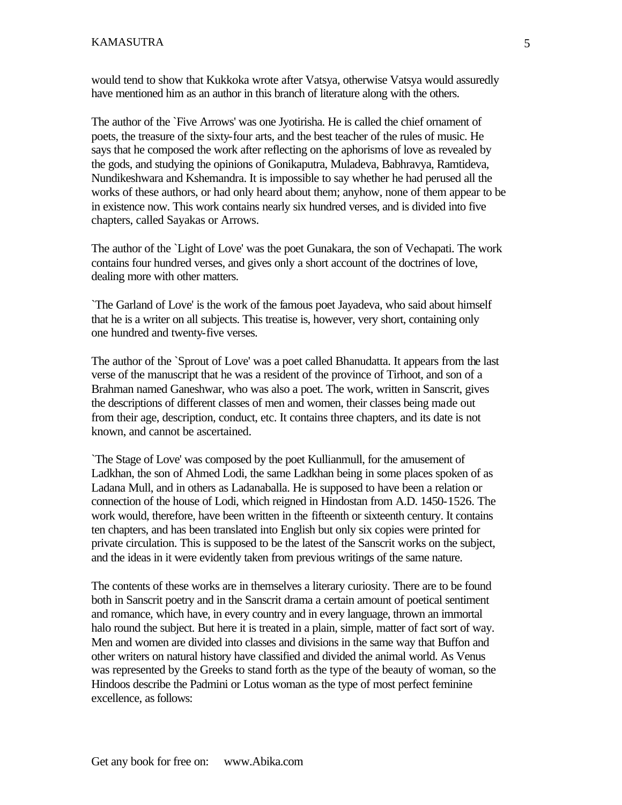would tend to show that Kukkoka wrote after Vatsya, otherwise Vatsya would assuredly have mentioned him as an author in this branch of literature along with the others.

The author of the `Five Arrows' was one Jyotirisha. He is called the chief ornament of poets, the treasure of the sixty-four arts, and the best teacher of the rules of music. He says that he composed the work after reflecting on the aphorisms of love as revealed by the gods, and studying the opinions of Gonikaputra, Muladeva, Babhravya, Ramtideva, Nundikeshwara and Kshemandra. It is impossible to say whether he had perused all the works of these authors, or had only heard about them; anyhow, none of them appear to be in existence now. This work contains nearly six hundred verses, and is divided into five chapters, called Sayakas or Arrows.

The author of the `Light of Love' was the poet Gunakara, the son of Vechapati. The work contains four hundred verses, and gives only a short account of the doctrines of love, dealing more with other matters.

`The Garland of Love' is the work of the famous poet Jayadeva, who said about himself that he is a writer on all subjects. This treatise is, however, very short, containing only one hundred and twenty-five verses.

The author of the `Sprout of Love' was a poet called Bhanudatta. It appears from the last verse of the manuscript that he was a resident of the province of Tirhoot, and son of a Brahman named Ganeshwar, who was also a poet. The work, written in Sanscrit, gives the descriptions of different classes of men and women, their classes being made out from their age, description, conduct, etc. It contains three chapters, and its date is not known, and cannot be ascertained.

`The Stage of Love' was composed by the poet Kullianmull, for the amusement of Ladkhan, the son of Ahmed Lodi, the same Ladkhan being in some places spoken of as Ladana Mull, and in others as Ladanaballa. He is supposed to have been a relation or connection of the house of Lodi, which reigned in Hindostan from A.D. 1450-1526. The work would, therefore, have been written in the fifteenth or sixteenth century. It contains ten chapters, and has been translated into English but only six copies were printed for private circulation. This is supposed to be the latest of the Sanscrit works on the subject, and the ideas in it were evidently taken from previous writings of the same nature.

The contents of these works are in themselves a literary curiosity. There are to be found both in Sanscrit poetry and in the Sanscrit drama a certain amount of poetical sentiment and romance, which have, in every country and in every language, thrown an immortal halo round the subject. But here it is treated in a plain, simple, matter of fact sort of way. Men and women are divided into classes and divisions in the same way that Buffon and other writers on natural history have classified and divided the animal world. As Venus was represented by the Greeks to stand forth as the type of the beauty of woman, so the Hindoos describe the Padmini or Lotus woman as the type of most perfect feminine excellence, as follows: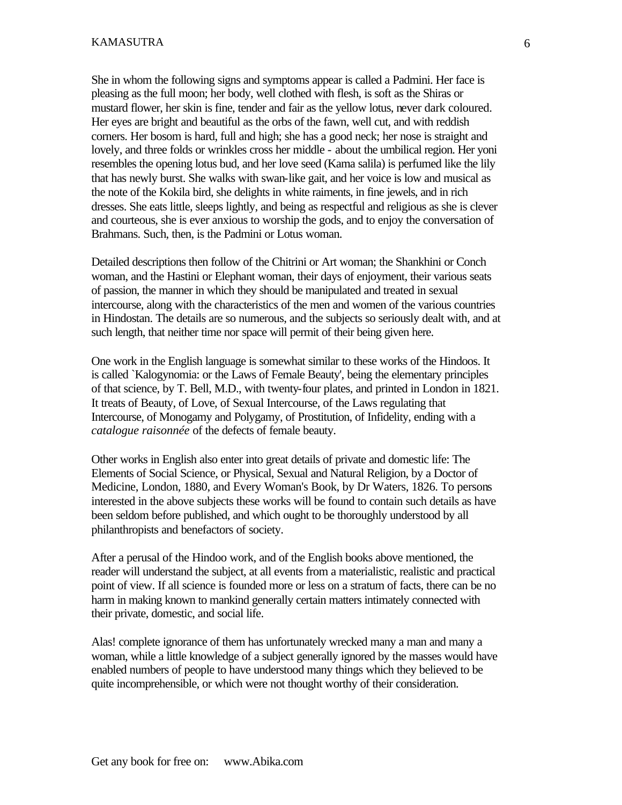She in whom the following signs and symptoms appear is called a Padmini. Her face is pleasing as the full moon; her body, well clothed with flesh, is soft as the Shiras or mustard flower, her skin is fine, tender and fair as the yellow lotus, never dark coloured. Her eyes are bright and beautiful as the orbs of the fawn, well cut, and with reddish corners. Her bosom is hard, full and high; she has a good neck; her nose is straight and lovely, and three folds or wrinkles cross her middle - about the umbilical region. Her yoni resembles the opening lotus bud, and her love seed (Kama salila) is perfumed like the lily that has newly burst. She walks with swan-like gait, and her voice is low and musical as the note of the Kokila bird, she delights in white raiments, in fine jewels, and in rich dresses. She eats little, sleeps lightly, and being as respectful and religious as she is clever and courteous, she is ever anxious to worship the gods, and to enjoy the conversation of Brahmans. Such, then, is the Padmini or Lotus woman.

Detailed descriptions then follow of the Chitrini or Art woman; the Shankhini or Conch woman, and the Hastini or Elephant woman, their days of enjoyment, their various seats of passion, the manner in which they should be manipulated and treated in sexual intercourse, along with the characteristics of the men and women of the various countries in Hindostan. The details are so numerous, and the subjects so seriously dealt with, and at such length, that neither time nor space will permit of their being given here.

One work in the English language is somewhat similar to these works of the Hindoos. It is called `Kalogynomia: or the Laws of Female Beauty', being the elementary principles of that science, by T. Bell, M.D., with twenty-four plates, and printed in London in 1821. It treats of Beauty, of Love, of Sexual Intercourse, of the Laws regulating that Intercourse, of Monogamy and Polygamy, of Prostitution, of Infidelity, ending with a *catalogue raisonnée* of the defects of female beauty.

Other works in English also enter into great details of private and domestic life: The Elements of Social Science, or Physical, Sexual and Natural Religion, by a Doctor of Medicine, London, 1880, and Every Woman's Book, by Dr Waters, 1826. To persons interested in the above subjects these works will be found to contain such details as have been seldom before published, and which ought to be thoroughly understood by all philanthropists and benefactors of society.

After a perusal of the Hindoo work, and of the English books above mentioned, the reader will understand the subject, at all events from a materialistic, realistic and practical point of view. If all science is founded more or less on a stratum of facts, there can be no harm in making known to mankind generally certain matters intimately connected with their private, domestic, and social life.

Alas! complete ignorance of them has unfortunately wrecked many a man and many a woman, while a little knowledge of a subject generally ignored by the masses would have enabled numbers of people to have understood many things which they believed to be quite incomprehensible, or which were not thought worthy of their consideration.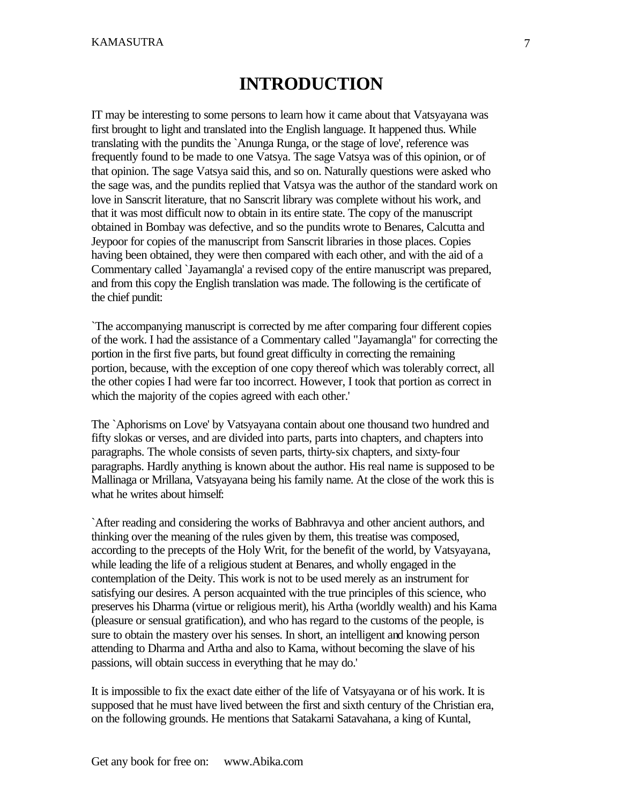## **INTRODUCTION**

IT may be interesting to some persons to learn how it came about that Vatsyayana was first brought to light and translated into the English language. It happened thus. While translating with the pundits the `Anunga Runga, or the stage of love', reference was frequently found to be made to one Vatsya. The sage Vatsya was of this opinion, or of that opinion. The sage Vatsya said this, and so on. Naturally questions were asked who the sage was, and the pundits replied that Vatsya was the author of the standard work on love in Sanscrit literature, that no Sanscrit library was complete without his work, and that it was most difficult now to obtain in its entire state. The copy of the manuscript obtained in Bombay was defective, and so the pundits wrote to Benares, Calcutta and Jeypoor for copies of the manuscript from Sanscrit libraries in those places. Copies having been obtained, they were then compared with each other, and with the aid of a Commentary called `Jayamangla' a revised copy of the entire manuscript was prepared, and from this copy the English translation was made. The following is the certificate of the chief pundit:

`The accompanying manuscript is corrected by me after comparing four different copies of the work. I had the assistance of a Commentary called "Jayamangla" for correcting the portion in the first five parts, but found great difficulty in correcting the remaining portion, because, with the exception of one copy thereof which was tolerably correct, all the other copies I had were far too incorrect. However, I took that portion as correct in which the majority of the copies agreed with each other.'

The `Aphorisms on Love' by Vatsyayana contain about one thousand two hundred and fifty slokas or verses, and are divided into parts, parts into chapters, and chapters into paragraphs. The whole consists of seven parts, thirty-six chapters, and sixty-four paragraphs. Hardly anything is known about the author. His real name is supposed to be Mallinaga or Mrillana, Vatsyayana being his family name. At the close of the work this is what he writes about himself:

`After reading and considering the works of Babhravya and other ancient authors, and thinking over the meaning of the rules given by them, this treatise was composed, according to the precepts of the Holy Writ, for the benefit of the world, by Vatsyayana, while leading the life of a religious student at Benares, and wholly engaged in the contemplation of the Deity. This work is not to be used merely as an instrument for satisfying our desires. A person acquainted with the true principles of this science, who preserves his Dharma (virtue or religious merit), his Artha (worldly wealth) and his Kama (pleasure or sensual gratification), and who has regard to the customs of the people, is sure to obtain the mastery over his senses. In short, an intelligent and knowing person attending to Dharma and Artha and also to Kama, without becoming the slave of his passions, will obtain success in everything that he may do.'

It is impossible to fix the exact date either of the life of Vatsyayana or of his work. It is supposed that he must have lived between the first and sixth century of the Christian era, on the following grounds. He mentions that Satakarni Satavahana, a king of Kuntal,

7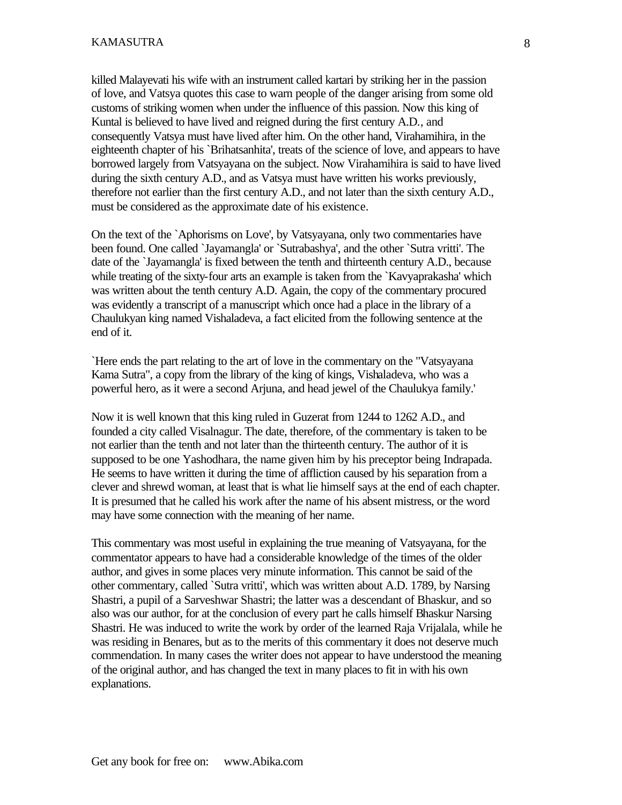killed Malayevati his wife with an instrument called kartari by striking her in the passion of love, and Vatsya quotes this case to warn people of the danger arising from some old customs of striking women when under the influence of this passion. Now this king of Kuntal is believed to have lived and reigned during the first century A.D., and consequently Vatsya must have lived after him. On the other hand, Virahamihira, in the eighteenth chapter of his `Brihatsanhita', treats of the science of love, and appears to have borrowed largely from Vatsyayana on the subject. Now Virahamihira is said to have lived during the sixth century A.D., and as Vatsya must have written his works previously, therefore not earlier than the first century A.D., and not later than the sixth century A.D., must be considered as the approximate date of his existence.

On the text of the `Aphorisms on Love', by Vatsyayana, only two commentaries have been found. One called `Jayamangla' or `Sutrabashya', and the other `Sutra vritti'. The date of the `Jayamangla' is fixed between the tenth and thirteenth century A.D., because while treating of the sixty-four arts an example is taken from the `Kavyaprakasha' which was written about the tenth century A.D. Again, the copy of the commentary procured was evidently a transcript of a manuscript which once had a place in the library of a Chaulukyan king named Vishaladeva, a fact elicited from the following sentence at the end of it.

`Here ends the part relating to the art of love in the commentary on the "Vatsyayana Kama Sutra", a copy from the library of the king of kings, Vishaladeva, who was a powerful hero, as it were a second Arjuna, and head jewel of the Chaulukya family.'

Now it is well known that this king ruled in Guzerat from 1244 to 1262 A.D., and founded a city called Visalnagur. The date, therefore, of the commentary is taken to be not earlier than the tenth and not later than the thirteenth century. The author of it is supposed to be one Yashodhara, the name given him by his preceptor being Indrapada. He seems to have written it during the time of affliction caused by his separation from a clever and shrewd woman, at least that is what lie himself says at the end of each chapter. It is presumed that he called his work after the name of his absent mistress, or the word may have some connection with the meaning of her name.

This commentary was most useful in explaining the true meaning of Vatsyayana, for the commentator appears to have had a considerable knowledge of the times of the older author, and gives in some places very minute information. This cannot be said of the other commentary, called `Sutra vritti', which was written about A.D. 1789, by Narsing Shastri, a pupil of a Sarveshwar Shastri; the latter was a descendant of Bhaskur, and so also was our author, for at the conclusion of every part he calls himself Bhaskur Narsing Shastri. He was induced to write the work by order of the learned Raja Vrijalala, while he was residing in Benares, but as to the merits of this commentary it does not deserve much commendation. In many cases the writer does not appear to have understood the meaning of the original author, and has changed the text in many places to fit in with his own explanations.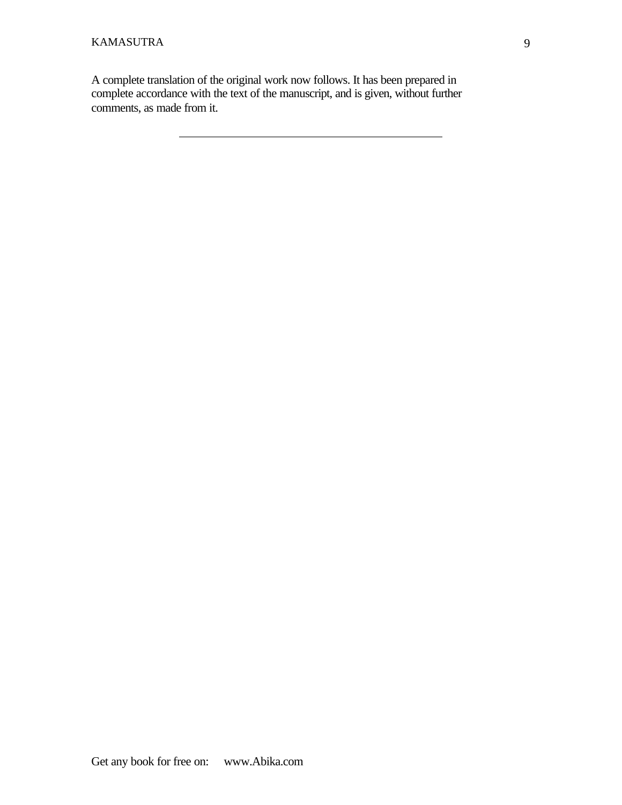A complete translation of the original work now follows. It has been prepared in complete accordance with the text of the manuscript, and is given, without further comments, as made from it.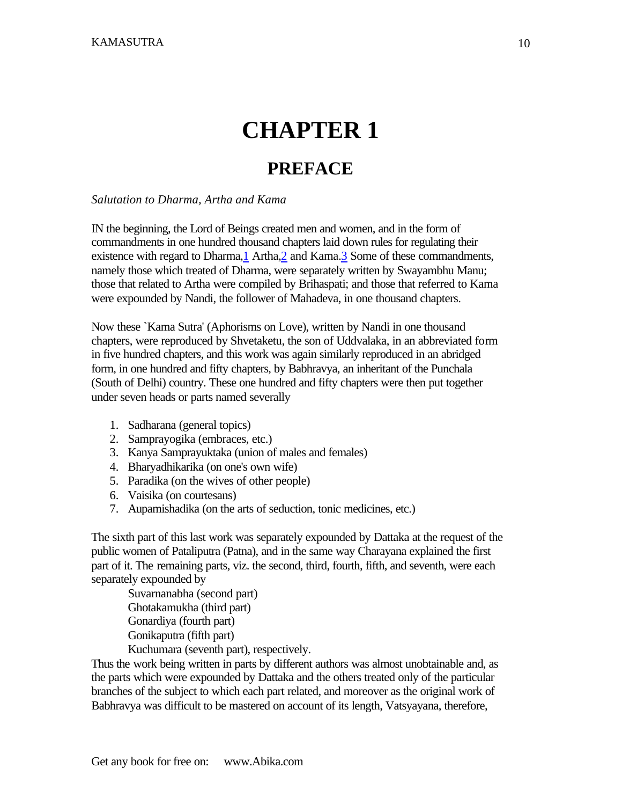# **CHAPTER 1**

## **PREFACE**

*Salutation to Dharma, Artha and Kama*

IN the beginning, the Lord of Beings created men and women, and in the form of commandments in one hundred thousand chapters laid down rules for regulating their existence with regard to Dharma, 1 Artha, 2 and Kama. 3 Some of these commandments, namely those which treated of Dharma, were separately written by Swayambhu Manu; those that related to Artha were compiled by Brihaspati; and those that referred to Kama were expounded by Nandi, the follower of Mahadeva, in one thousand chapters.

Now these `Kama Sutra' (Aphorisms on Love), written by Nandi in one thousand chapters, were reproduced by Shvetaketu, the son of Uddvalaka, in an abbreviated form in five hundred chapters, and this work was again similarly reproduced in an abridged form, in one hundred and fifty chapters, by Babhravya, an inheritant of the Punchala (South of Delhi) country. These one hundred and fifty chapters were then put together under seven heads or parts named severally

- 1. Sadharana (general topics)
- 2. Samprayogika (embraces, etc.)
- 3. Kanya Samprayuktaka (union of males and females)
- 4. Bharyadhikarika (on one's own wife)
- 5. Paradika (on the wives of other people)
- 6. Vaisika (on courtesans)
- 7. Aupamishadika (on the arts of seduction, tonic medicines, etc.)

The sixth part of this last work was separately expounded by Dattaka at the request of the public women of Pataliputra (Patna), and in the same way Charayana explained the first part of it. The remaining parts, viz. the second, third, fourth, fifth, and seventh, were each separately expounded by

Suvarnanabha (second part) Ghotakamukha (third part) Gonardiya (fourth part) Gonikaputra (fifth part) Kuchumara (seventh part), respectively.

Thus the work being written in parts by different authors was almost unobtainable and, as the parts which were expounded by Dattaka and the others treated only of the particular branches of the subject to which each part related, and moreover as the original work of Babhravya was difficult to be mastered on account of its length, Vatsyayana, therefore,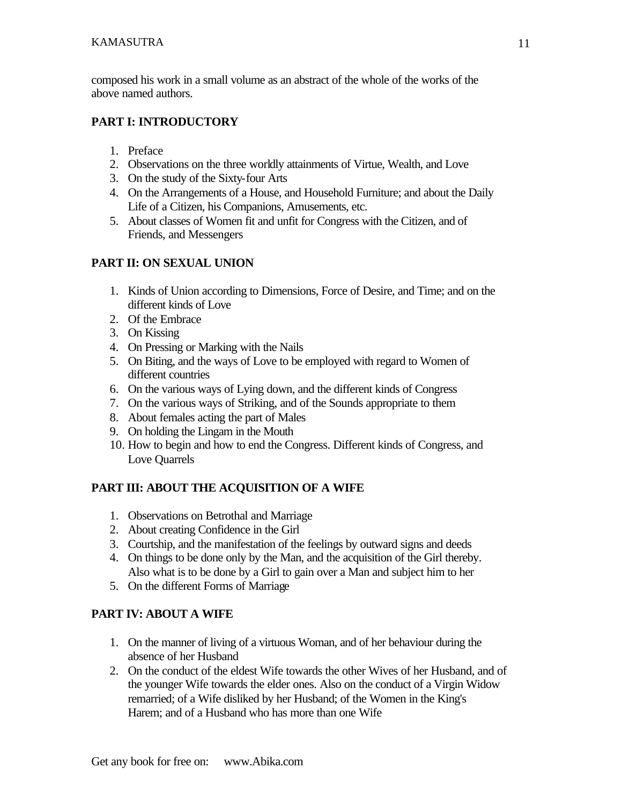composed his work in a small volume as an abstract of the whole of the works of the above named authors.

#### **PART I: INTRODUCTORY**

- 1. Preface
- 2. Observations on the three worldly attainments of Virtue, Wealth, and Love
- 3. On the study of the Sixty-four Arts
- 4. On the Arrangements of a House, and Household Furniture; and about the Daily Life of a Citizen, his Companions, Amusements, etc.
- 5. About classes of Women fit and unfit for Congress with the Citizen, and of Friends, and Messengers

#### **PART II: ON SEXUAL UNION**

- 1. Kinds of Union according to Dimensions, Force of Desire, and Time; and on the different kinds of Love
- 2. Of the Embrace
- 3. On Kissing
- 4. On Pressing or Marking with the Nails
- 5. On Biting, and the ways of Love to be employed with regard to Women of different countries
- 6. On the various ways of Lying down, and the different kinds of Congress
- 7. On the various ways of Striking, and of the Sounds appropriate to them
- 8. About females acting the part of Males
- 9. On holding the Lingam in the Mouth
- 10. How to begin and how to end the Congress. Different kinds of Congress, and Love Quarrels

#### **PART III: ABOUT THE ACQUISITION OF A WIFE**

- 1. Observations on Betrothal and Marriage
- 2. About creating Confidence in the Girl
- 3. Courtship, and the manifestation of the feelings by outward signs and deeds
- 4. On things to be done only by the Man, and the acquisition of the Girl thereby. Also what is to be done by a Girl to gain over a Man and subject him to her
- 5. On the different Forms of Marriage

#### **PART IV: ABOUT A WIFE**

- 1. On the manner of living of a virtuous Woman, and of her behaviour during the absence of her Husband
- 2. On the conduct of the eldest Wife towards the other Wives of her Husband, and of the younger Wife towards the elder ones. Also on the conduct of a Virgin Widow remarried; of a Wife disliked by her Husband; of the Women in the King's Harem; and of a Husband who has more than one Wife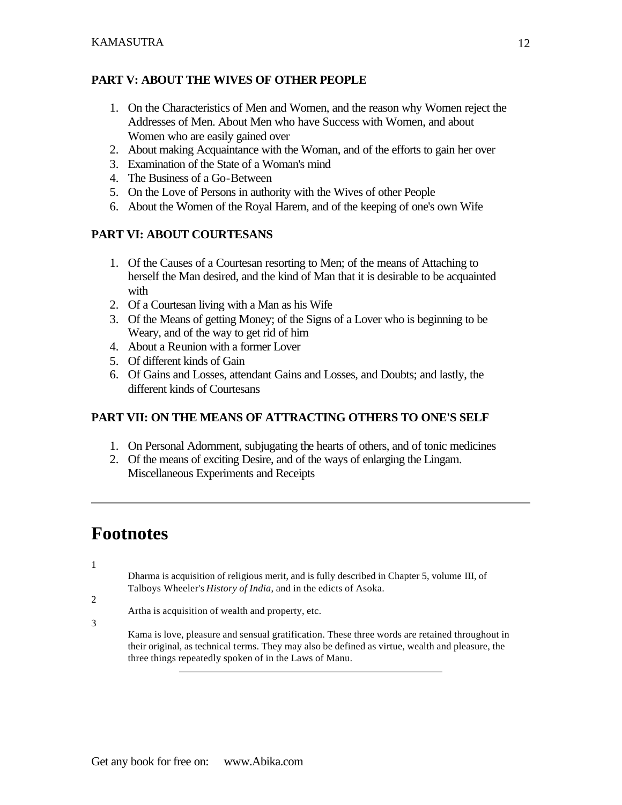#### **PART V: ABOUT THE WIVES OF OTHER PEOPLE**

- 1. On the Characteristics of Men and Women, and the reason why Women reject the Addresses of Men. About Men who have Success with Women, and about Women who are easily gained over
- 2. About making Acquaintance with the Woman, and of the efforts to gain her over
- 3. Examination of the State of a Woman's mind
- 4. The Business of a Go-Between
- 5. On the Love of Persons in authority with the Wives of other People
- 6. About the Women of the Royal Harem, and of the keeping of one's own Wife

#### **PART VI: ABOUT COURTESANS**

- 1. Of the Causes of a Courtesan resorting to Men; of the means of Attaching to herself the Man desired, and the kind of Man that it is desirable to be acquainted with
- 2. Of a Courtesan living with a Man as his Wife
- 3. Of the Means of getting Money; of the Signs of a Lover who is beginning to be Weary, and of the way to get rid of him
- 4. About a Reunion with a former Lover
- 5. Of different kinds of Gain
- 6. Of Gains and Losses, attendant Gains and Losses, and Doubts; and lastly, the different kinds of Courtesans

#### **PART VII: ON THE MEANS OF ATTRACTING OTHERS TO ONE'S SELF**

- 1. On Personal Adornment, subjugating the hearts of others, and of tonic medicines
- 2. Of the means of exciting Desire, and of the ways of enlarging the Lingam. Miscellaneous Experiments and Receipts

## **Footnotes**

| i |  |
|---|--|
|   |  |
| ٠ |  |
|   |  |

Dharma is acquisition of religious merit, and is fully described in Chapter 5, volume III, of Talboys Wheeler's *History of India*, and in the edicts of Asoka.

- $\overline{2}$ 3
- Artha is acquisition of wealth and property, etc.

Kama is love, pleasure and sensual gratification. These three words are retained throughout in their original, as technical terms. They may also be defined as virtue, wealth and pleasure, the three things repeatedly spoken of in the Laws of Manu.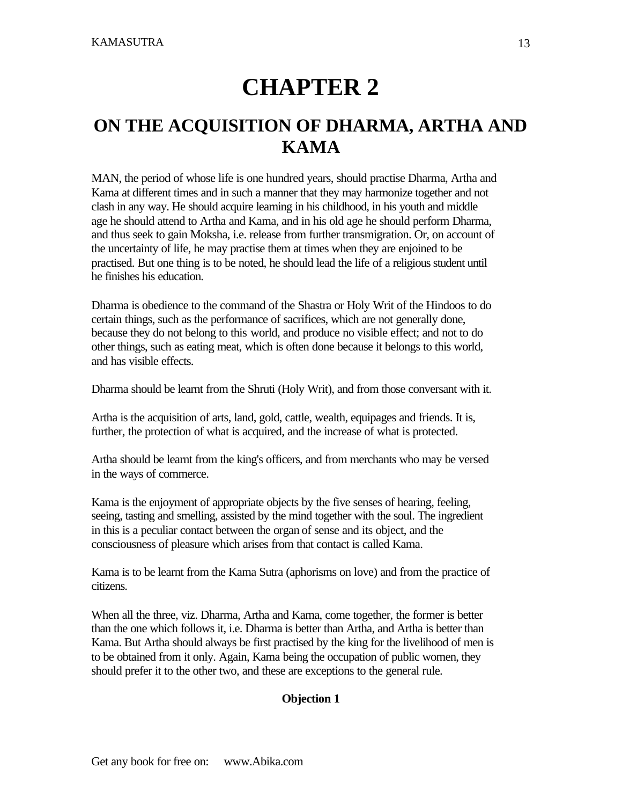# **CHAPTER 2**

## **ON THE ACQUISITION OF DHARMA, ARTHA AND KAMA**

MAN, the period of whose life is one hundred years, should practise Dharma, Artha and Kama at different times and in such a manner that they may harmonize together and not clash in any way. He should acquire learning in his childhood, in his youth and middle age he should attend to Artha and Kama, and in his old age he should perform Dharma, and thus seek to gain Moksha, i.e. release from further transmigration. Or, on account of the uncertainty of life, he may practise them at times when they are enjoined to be practised. But one thing is to be noted, he should lead the life of a religious student until he finishes his education.

Dharma is obedience to the command of the Shastra or Holy Writ of the Hindoos to do certain things, such as the performance of sacrifices, which are not generally done, because they do not belong to this world, and produce no visible effect; and not to do other things, such as eating meat, which is often done because it belongs to this world, and has visible effects.

Dharma should be learnt from the Shruti (Holy Writ), and from those conversant with it.

Artha is the acquisition of arts, land, gold, cattle, wealth, equipages and friends. It is, further, the protection of what is acquired, and the increase of what is protected.

Artha should be learnt from the king's officers, and from merchants who may be versed in the ways of commerce.

Kama is the enjoyment of appropriate objects by the five senses of hearing, feeling, seeing, tasting and smelling, assisted by the mind together with the soul. The ingredient in this is a peculiar contact between the organ of sense and its object, and the consciousness of pleasure which arises from that contact is called Kama.

Kama is to be learnt from the Kama Sutra (aphorisms on love) and from the practice of citizens.

When all the three, viz. Dharma, Artha and Kama, come together, the former is better than the one which follows it, i.e. Dharma is better than Artha, and Artha is better than Kama. But Artha should always be first practised by the king for the livelihood of men is to be obtained from it only. Again, Kama being the occupation of public women, they should prefer it to the other two, and these are exceptions to the general rule.

#### **Objection 1**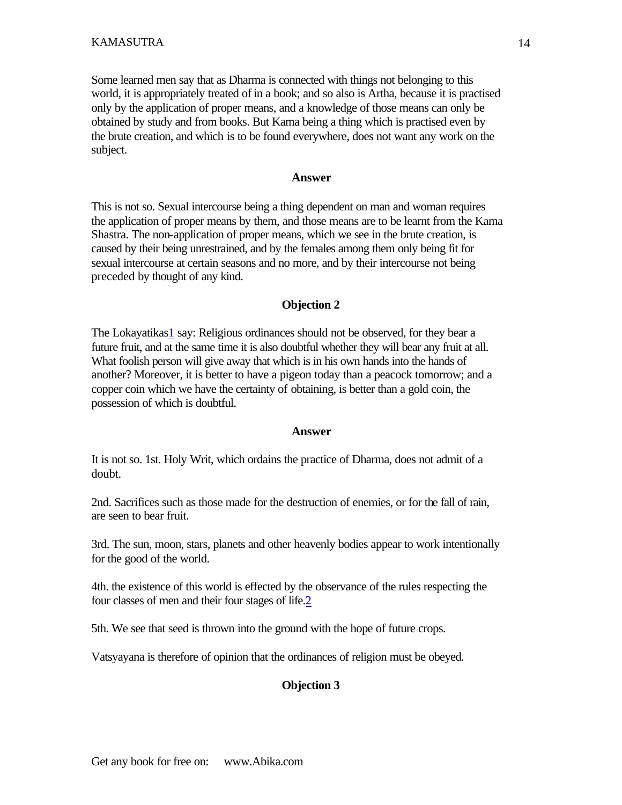Some learned men say that as Dharma is connected with things not belonging to this world, it is appropriately treated of in a book; and so also is Artha, because it is practised only by the application of proper means, and a knowledge of those means can only be obtained by study and from books. But Kama being a thing which is practised even by the brute creation, and which is to be found everywhere, does not want any work on the subject.

#### **Answer**

This is not so. Sexual intercourse being a thing dependent on man and woman requires the application of proper means by them, and those means are to be learnt from the Kama Shastra. The non-application of proper means, which we see in the brute creation, is caused by their being unrestrained, and by the females among them only being fit for sexual intercourse at certain seasons and no more, and by their intercourse not being preceded by thought of any kind.

#### **Objection 2**

The Lokayatikas1 say: Religious ordinances should not be observed, for they bear a future fruit, and at the same time it is also doubtful whether they will bear any fruit at all. What foolish person will give away that which is in his own hands into the hands of another? Moreover, it is better to have a pigeon today than a peacock tomorrow; and a copper coin which we have the certainty of obtaining, is better than a gold coin, the possession of which is doubtful.

#### **Answer**

It is not so. 1st. Holy Writ, which ordains the practice of Dharma, does not admit of a doubt.

2nd. Sacrifices such as those made for the destruction of enemies, or for the fall of rain, are seen to bear fruit.

3rd. The sun, moon, stars, planets and other heavenly bodies appear to work intentionally for the good of the world.

4th. the existence of this world is effected by the observance of the rules respecting the four classes of men and their four stages of life.2

5th. We see that seed is thrown into the ground with the hope of future crops.

Vatsyayana is therefore of opinion that the ordinances of religion must be obeyed.

#### **Objection 3**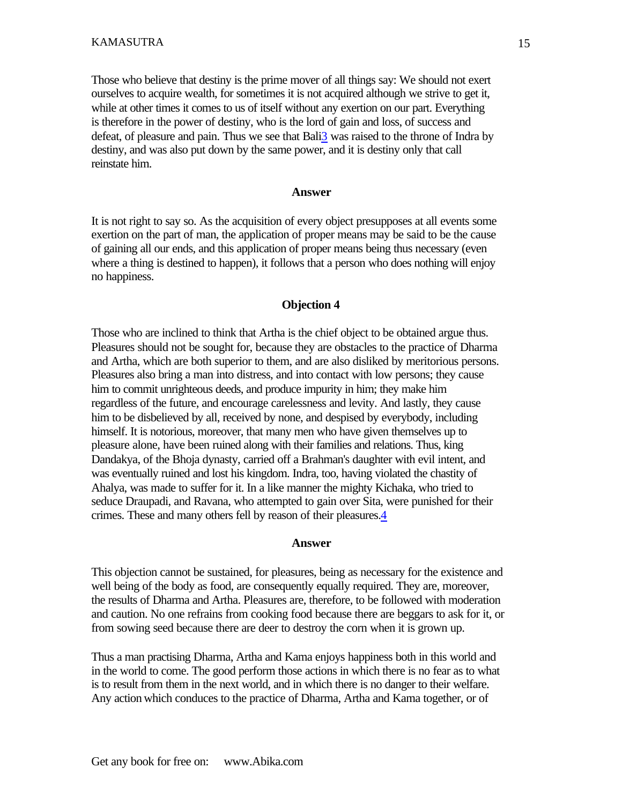Those who believe that destiny is the prime mover of all things say: We should not exert ourselves to acquire wealth, for sometimes it is not acquired although we strive to get it, while at other times it comes to us of itself without any exertion on our part. Everything is therefore in the power of destiny, who is the lord of gain and loss, of success and defeat, of pleasure and pain. Thus we see that Bali3 was raised to the throne of Indra by destiny, and was also put down by the same power, and it is destiny only that call reinstate him.

#### **Answer**

It is not right to say so. As the acquisition of every object presupposes at all events some exertion on the part of man, the application of proper means may be said to be the cause of gaining all our ends, and this application of proper means being thus necessary (even where a thing is destined to happen), it follows that a person who does nothing will enjoy no happiness.

#### **Objection 4**

Those who are inclined to think that Artha is the chief object to be obtained argue thus. Pleasures should not be sought for, because they are obstacles to the practice of Dharma and Artha, which are both superior to them, and are also disliked by meritorious persons. Pleasures also bring a man into distress, and into contact with low persons; they cause him to commit unrighteous deeds, and produce impurity in him; they make him regardless of the future, and encourage carelessness and levity. And lastly, they cause him to be disbelieved by all, received by none, and despised by everybody, including himself. It is notorious, moreover, that many men who have given themselves up to pleasure alone, have been ruined along with their families and relations. Thus, king Dandakya, of the Bhoja dynasty, carried off a Brahman's daughter with evil intent, and was eventually ruined and lost his kingdom. Indra, too, having violated the chastity of Ahalya, was made to suffer for it. In a like manner the mighty Kichaka, who tried to seduce Draupadi, and Ravana, who attempted to gain over Sita, were punished for their crimes. These and many others fell by reason of their pleasures.4

#### **Answer**

This objection cannot be sustained, for pleasures, being as necessary for the existence and well being of the body as food, are consequently equally required. They are, moreover, the results of Dharma and Artha. Pleasures are, therefore, to be followed with moderation and caution. No one refrains from cooking food because there are beggars to ask for it, or from sowing seed because there are deer to destroy the corn when it is grown up.

Thus a man practising Dharma, Artha and Kama enjoys happiness both in this world and in the world to come. The good perform those actions in which there is no fear as to what is to result from them in the next world, and in which there is no danger to their welfare. Any action which conduces to the practice of Dharma, Artha and Kama together, or of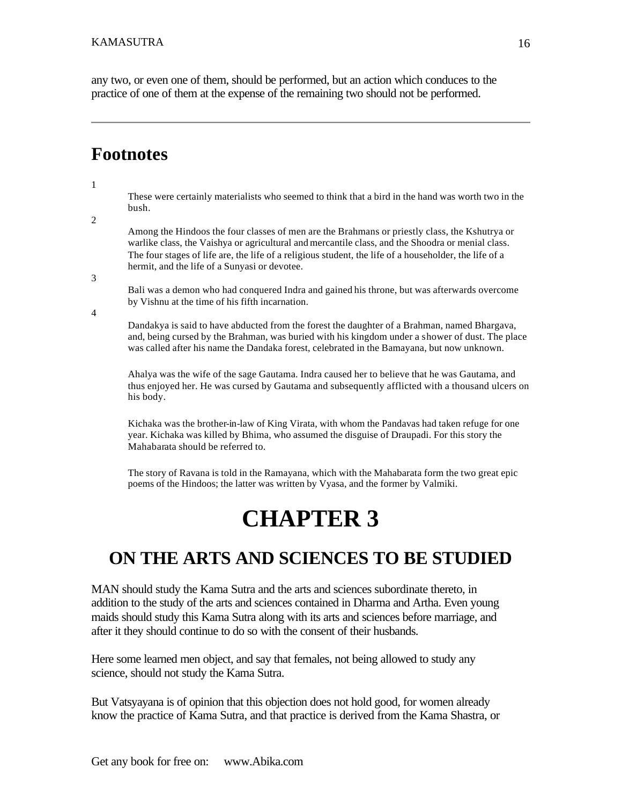any two, or even one of them, should be performed, but an action which conduces to the practice of one of them at the expense of the remaining two should not be performed.

## **Footnotes**

1

These were certainly materialists who seemed to think that a bird in the hand was worth two in the bush.

2

Among the Hindoos the four classes of men are the Brahmans or priestly class, the Kshutrya or warlike class, the Vaishya or agricultural and mercantile class, and the Shoodra or menial class. The four stages of life are, the life of a religious student, the life of a householder, the life of a hermit, and the life of a Sunyasi or devotee.

Bali was a demon who had conquered Indra and gained his throne, but was afterwards overcome by Vishnu at the time of his fifth incarnation.

4

3

Dandakya is said to have abducted from the forest the daughter of a Brahman, named Bhargava, and, being cursed by the Brahman, was buried with his kingdom under a shower of dust. The place was called after his name the Dandaka forest, celebrated in the Bamayana, but now unknown.

Ahalya was the wife of the sage Gautama. Indra caused her to believe that he was Gautama, and thus enjoyed her. He was cursed by Gautama and subsequently afflicted with a thousand ulcers on his body.

Kichaka was the brother-in-law of King Virata, with whom the Pandavas had taken refuge for one year. Kichaka was killed by Bhima, who assumed the disguise of Draupadi. For this story the Mahabarata should be referred to.

The story of Ravana is told in the Ramayana, which with the Mahabarata form the two great epic poems of the Hindoos; the latter was written by Vyasa, and the former by Valmiki.

# **CHAPTER 3**

## **ON THE ARTS AND SCIENCES TO BE STUDIED**

MAN should study the Kama Sutra and the arts and sciences subordinate thereto, in addition to the study of the arts and sciences contained in Dharma and Artha. Even young maids should study this Kama Sutra along with its arts and sciences before marriage, and after it they should continue to do so with the consent of their husbands.

Here some learned men object, and say that females, not being allowed to study any science, should not study the Kama Sutra.

But Vatsyayana is of opinion that this objection does not hold good, for women already know the practice of Kama Sutra, and that practice is derived from the Kama Shastra, or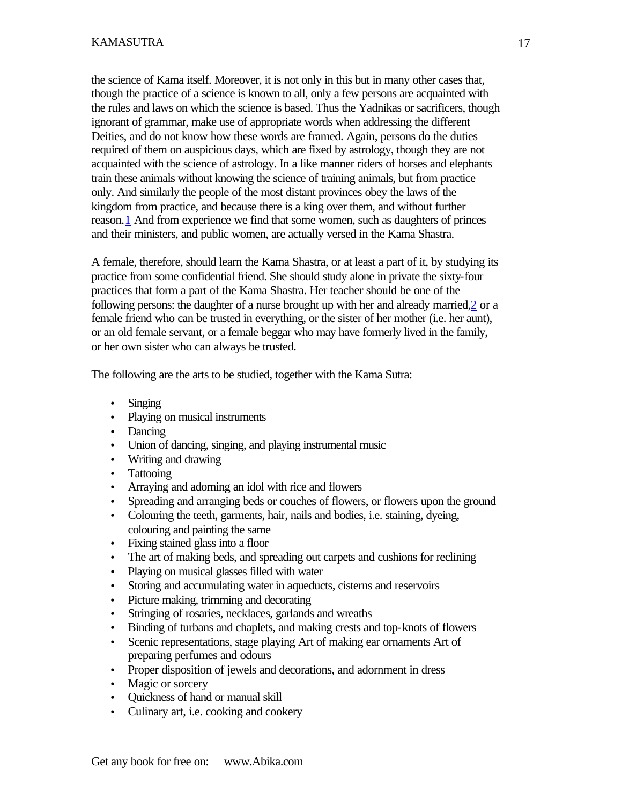the science of Kama itself. Moreover, it is not only in this but in many other cases that, though the practice of a science is known to all, only a few persons are acquainted with the rules and laws on which the science is based. Thus the Yadnikas or sacrificers, though ignorant of grammar, make use of appropriate words when addressing the different Deities, and do not know how these words are framed. Again, persons do the duties required of them on auspicious days, which are fixed by astrology, though they are not acquainted with the science of astrology. In a like manner riders of horses and elephants train these animals without knowing the science of training animals, but from practice only. And similarly the people of the most distant provinces obey the laws of the kingdom from practice, and because there is a king over them, and without further reason.1 And from experience we find that some women, such as daughters of princes and their ministers, and public women, are actually versed in the Kama Shastra.

A female, therefore, should learn the Kama Shastra, or at least a part of it, by studying its practice from some confidential friend. She should study alone in private the sixty-four practices that form a part of the Kama Shastra. Her teacher should be one of the following persons: the daughter of a nurse brought up with her and already married,2 or a female friend who can be trusted in everything, or the sister of her mother (i.e. her aunt), or an old female servant, or a female beggar who may have formerly lived in the family, or her own sister who can always be trusted.

The following are the arts to be studied, together with the Kama Sutra:

- Singing
- Playing on musical instruments
- Dancing
- Union of dancing, singing, and playing instrumental music
- Writing and drawing
- Tattooing
- Arraying and adorning an idol with rice and flowers
- Spreading and arranging beds or couches of flowers, or flowers upon the ground
- Colouring the teeth, garments, hair, nails and bodies, i.e. staining, dyeing, colouring and painting the same
- Fixing stained glass into a floor
- The art of making beds, and spreading out carpets and cushions for reclining
- Playing on musical glasses filled with water
- Storing and accumulating water in aqueducts, cisterns and reservoirs
- Picture making, trimming and decorating
- Stringing of rosaries, necklaces, garlands and wreaths
- Binding of turbans and chaplets, and making crests and top-knots of flowers
- Scenic representations, stage playing Art of making ear ornaments Art of preparing perfumes and odours
- Proper disposition of jewels and decorations, and adornment in dress
- Magic or sorcery
- Quickness of hand or manual skill
- Culinary art, i.e. cooking and cookery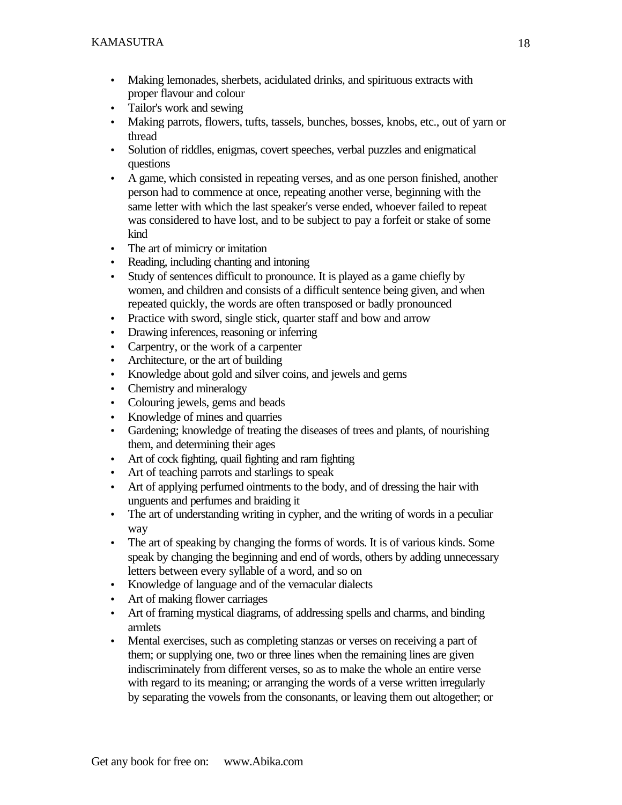- Making lemonades, sherbets, acidulated drinks, and spirituous extracts with proper flavour and colour
- Tailor's work and sewing
- Making parrots, flowers, tufts, tassels, bunches, bosses, knobs, etc., out of yarn or thread
- Solution of riddles, enigmas, covert speeches, verbal puzzles and enigmatical questions
- A game, which consisted in repeating verses, and as one person finished, another person had to commence at once, repeating another verse, beginning with the same letter with which the last speaker's verse ended, whoever failed to repeat was considered to have lost, and to be subject to pay a forfeit or stake of some kind
- The art of mimicry or imitation
- Reading, including chanting and intoning
- Study of sentences difficult to pronounce. It is played as a game chiefly by women, and children and consists of a difficult sentence being given, and when repeated quickly, the words are often transposed or badly pronounced
- Practice with sword, single stick, quarter staff and bow and arrow
- Drawing inferences, reasoning or inferring
- Carpentry, or the work of a carpenter
- Architecture, or the art of building
- Knowledge about gold and silver coins, and jewels and gems
- Chemistry and mineralogy
- Colouring jewels, gems and beads
- Knowledge of mines and quarries
- Gardening; knowledge of treating the diseases of trees and plants, of nourishing them, and determining their ages
- Art of cock fighting, quail fighting and ram fighting
- Art of teaching parrots and starlings to speak
- Art of applying perfumed ointments to the body, and of dressing the hair with unguents and perfumes and braiding it
- The art of understanding writing in cypher, and the writing of words in a peculiar way
- The art of speaking by changing the forms of words. It is of various kinds. Some speak by changing the beginning and end of words, others by adding unnecessary letters between every syllable of a word, and so on
- Knowledge of language and of the vernacular dialects
- Art of making flower carriages
- Art of framing mystical diagrams, of addressing spells and charms, and binding armlets
- Mental exercises, such as completing stanzas or verses on receiving a part of them; or supplying one, two or three lines when the remaining lines are given indiscriminately from different verses, so as to make the whole an entire verse with regard to its meaning; or arranging the words of a verse written irregularly by separating the vowels from the consonants, or leaving them out altogether; or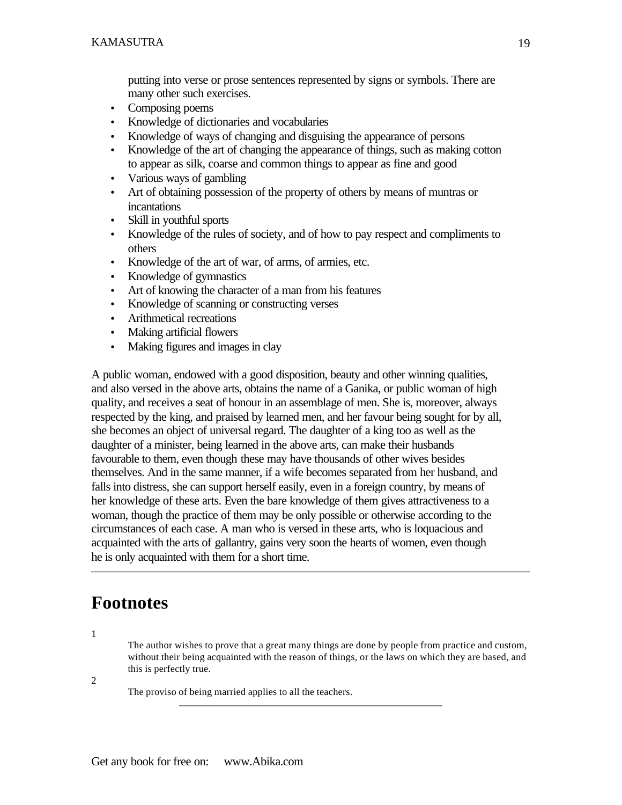putting into verse or prose sentences represented by signs or symbols. There are many other such exercises.

- Composing poems
- Knowledge of dictionaries and vocabularies
- Knowledge of ways of changing and disguising the appearance of persons
- Knowledge of the art of changing the appearance of things, such as making cotton to appear as silk, coarse and common things to appear as fine and good
- Various ways of gambling
- Art of obtaining possession of the property of others by means of muntras or incantations
- Skill in youthful sports
- Knowledge of the rules of society, and of how to pay respect and compliments to others
- Knowledge of the art of war, of arms, of armies, etc.
- Knowledge of gymnastics
- Art of knowing the character of a man from his features
- Knowledge of scanning or constructing verses
- Arithmetical recreations
- Making artificial flowers
- Making figures and images in clay

A public woman, endowed with a good disposition, beauty and other winning qualities, and also versed in the above arts, obtains the name of a Ganika, or public woman of high quality, and receives a seat of honour in an assemblage of men. She is, moreover, always respected by the king, and praised by learned men, and her favour being sought for by all, she becomes an object of universal regard. The daughter of a king too as well as the daughter of a minister, being learned in the above arts, can make their husbands favourable to them, even though these may have thousands of other wives besides themselves. And in the same manner, if a wife becomes separated from her husband, and falls into distress, she can support herself easily, even in a foreign country, by means of her knowledge of these arts. Even the bare knowledge of them gives attractiveness to a woman, though the practice of them may be only possible or otherwise according to the circumstances of each case. A man who is versed in these arts, who is loquacious and acquainted with the arts of gallantry, gains very soon the hearts of women, even though he is only acquainted with them for a short time.

## **Footnotes**

1

The author wishes to prove that a great many things are done by people from practice and custom, without their being acquainted with the reason of things, or the laws on which they are based, and this is perfectly true.

2

The proviso of being married applies to all the teachers.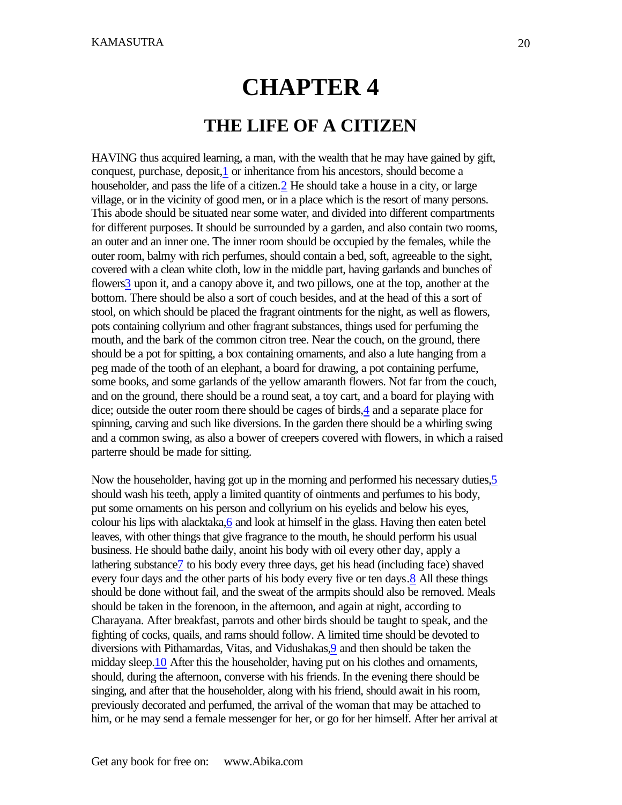## **CHAPTER 4**

### **THE LIFE OF A CITIZEN**

HAVING thus acquired learning, a man, with the wealth that he may have gained by gift, conquest, purchase, deposit,1 or inheritance from his ancestors, should become a householder, and pass the life of a citizen. 2 He should take a house in a city, or large village, or in the vicinity of good men, or in a place which is the resort of many persons. This abode should be situated near some water, and divided into different compartments for different purposes. It should be surrounded by a garden, and also contain two rooms, an outer and an inner one. The inner room should be occupied by the females, while the outer room, balmy with rich perfumes, should contain a bed, soft, agreeable to the sight, covered with a clean white cloth, low in the middle part, having garlands and bunches of flowers<sup>3</sup> upon it, and a canopy above it, and two pillows, one at the top, another at the bottom. There should be also a sort of couch besides, and at the head of this a sort of stool, on which should be placed the fragrant ointments for the night, as well as flowers, pots containing collyrium and other fragrant substances, things used for perfuming the mouth, and the bark of the common citron tree. Near the couch, on the ground, there should be a pot for spitting, a box containing ornaments, and also a lute hanging from a peg made of the tooth of an elephant, a board for drawing, a pot containing perfume, some books, and some garlands of the yellow amaranth flowers. Not far from the couch, and on the ground, there should be a round seat, a toy cart, and a board for playing with dice; outside the outer room there should be cages of birds,4 and a separate place for spinning, carving and such like diversions. In the garden there should be a whirling swing and a common swing, as also a bower of creepers covered with flowers, in which a raised parterre should be made for sitting.

Now the householder, having got up in the morning and performed his necessary duties,5 should wash his teeth, apply a limited quantity of ointments and perfumes to his body, put some ornaments on his person and collyrium on his eyelids and below his eyes, colour his lips with alacktaka,6 and look at himself in the glass. Having then eaten betel leaves, with other things that give fragrance to the mouth, he should perform his usual business. He should bathe daily, anoint his body with oil every other day, apply a lathering substance7 to his body every three days, get his head (including face) shaved every four days and the other parts of his body every five or ten days. 8 All these things should be done without fail, and the sweat of the armpits should also be removed. Meals should be taken in the forenoon, in the afternoon, and again at night, according to Charayana. After breakfast, parrots and other birds should be taught to speak, and the fighting of cocks, quails, and rams should follow. A limited time should be devoted to diversions with Pithamardas, Vitas, and Vidushakas,9 and then should be taken the midday sleep.10 After this the householder, having put on his clothes and ornaments, should, during the afternoon, converse with his friends. In the evening there should be singing, and after that the householder, along with his friend, should await in his room, previously decorated and perfumed, the arrival of the woman that may be attached to him, or he may send a female messenger for her, or go for her himself. After her arrival at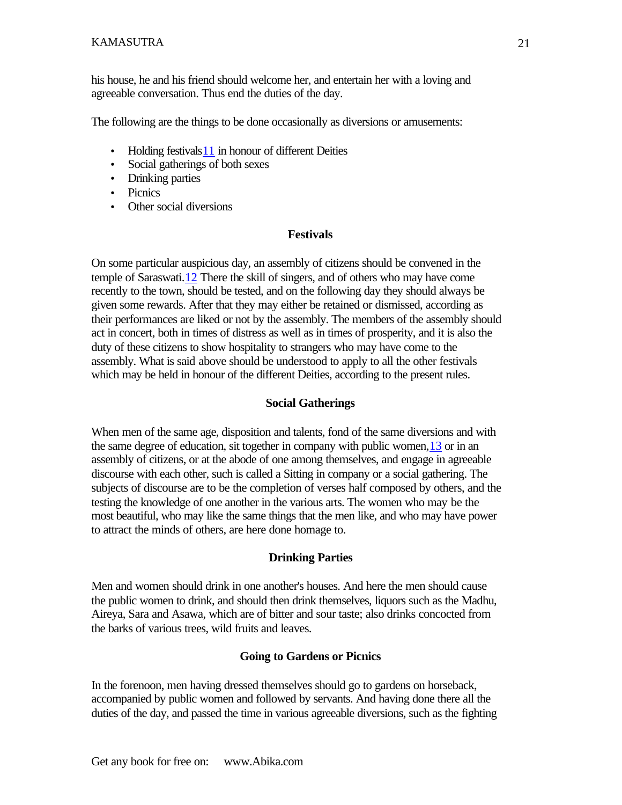his house, he and his friend should welcome her, and entertain her with a loving and agreeable conversation. Thus end the duties of the day.

The following are the things to be done occasionally as diversions or amusements:

- Holding festivals 11 in honour of different Deities
- Social gatherings of both sexes
- Drinking parties
- Picnics
- Other social diversions

#### **Festivals**

On some particular auspicious day, an assembly of citizens should be convened in the temple of Saraswati.12 There the skill of singers, and of others who may have come recently to the town, should be tested, and on the following day they should always be given some rewards. After that they may either be retained or dismissed, according as their performances are liked or not by the assembly. The members of the assembly should act in concert, both in times of distress as well as in times of prosperity, and it is also the duty of these citizens to show hospitality to strangers who may have come to the assembly. What is said above should be understood to apply to all the other festivals which may be held in honour of the different Deities, according to the present rules.

#### **Social Gatherings**

When men of the same age, disposition and talents, fond of the same diversions and with the same degree of education, sit together in company with public women,13 or in an assembly of citizens, or at the abode of one among themselves, and engage in agreeable discourse with each other, such is called a Sitting in company or a social gathering. The subjects of discourse are to be the completion of verses half composed by others, and the testing the knowledge of one another in the various arts. The women who may be the most beautiful, who may like the same things that the men like, and who may have power to attract the minds of others, are here done homage to.

#### **Drinking Parties**

Men and women should drink in one another's houses. And here the men should cause the public women to drink, and should then drink themselves, liquors such as the Madhu, Aireya, Sara and Asawa, which are of bitter and sour taste; also drinks concocted from the barks of various trees, wild fruits and leaves.

#### **Going to Gardens or Picnics**

In the forenoon, men having dressed themselves should go to gardens on horseback, accompanied by public women and followed by servants. And having done there all the duties of the day, and passed the time in various agreeable diversions, such as the fighting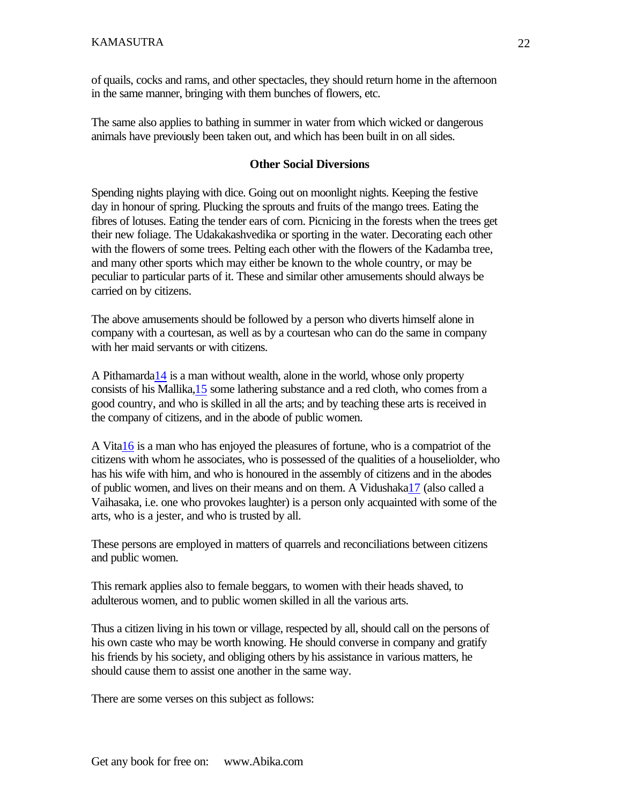of quails, cocks and rams, and other spectacles, they should return home in the afternoon in the same manner, bringing with them bunches of flowers, etc.

The same also applies to bathing in summer in water from which wicked or dangerous animals have previously been taken out, and which has been built in on all sides.

#### **Other Social Diversions**

Spending nights playing with dice. Going out on moonlight nights. Keeping the festive day in honour of spring. Plucking the sprouts and fruits of the mango trees. Eating the fibres of lotuses. Eating the tender ears of corn. Picnicing in the forests when the trees get their new foliage. The Udakakashvedika or sporting in the water. Decorating each other with the flowers of some trees. Pelting each other with the flowers of the Kadamba tree, and many other sports which may either be known to the whole country, or may be peculiar to particular parts of it. These and similar other amusements should always be carried on by citizens.

The above amusements should be followed by a person who diverts himself alone in company with a courtesan, as well as by a courtesan who can do the same in company with her maid servants or with citizens.

A Pithamarda14 is a man without wealth, alone in the world, whose only property consists of his Mallika,15 some lathering substance and a red cloth, who comes from a good country, and who is skilled in all the arts; and by teaching these arts is received in the company of citizens, and in the abode of public women.

A Vita16 is a man who has enjoyed the pleasures of fortune, who is a compatriot of the citizens with whom he associates, who is possessed of the qualities of a houseliolder, who has his wife with him, and who is honoured in the assembly of citizens and in the abodes of public women, and lives on their means and on them. A Vidushaka17 (also called a Vaihasaka, i.e. one who provokes laughter) is a person only acquainted with some of the arts, who is a jester, and who is trusted by all.

These persons are employed in matters of quarrels and reconciliations between citizens and public women.

This remark applies also to female beggars, to women with their heads shaved, to adulterous women, and to public women skilled in all the various arts.

Thus a citizen living in his town or village, respected by all, should call on the persons of his own caste who may be worth knowing. He should converse in company and gratify his friends by his society, and obliging others by his assistance in various matters, he should cause them to assist one another in the same way.

There are some verses on this subject as follows: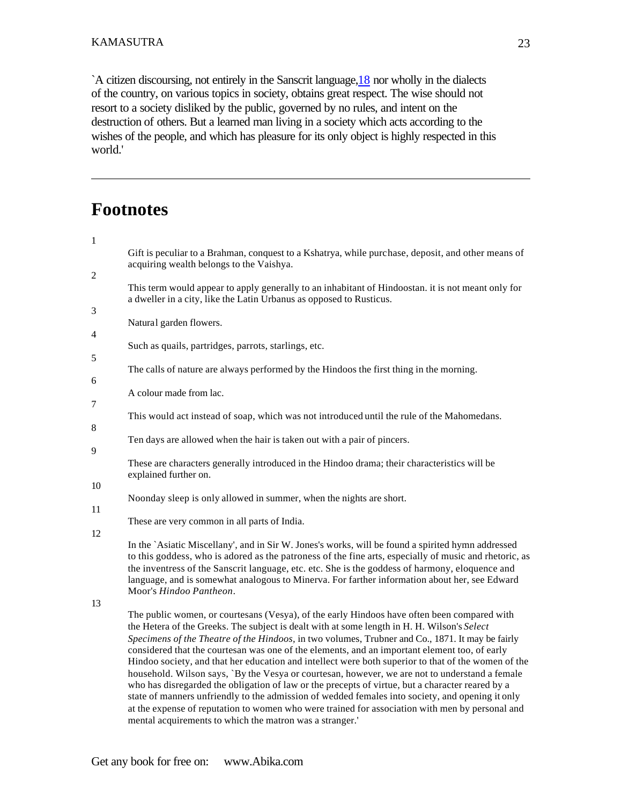`A citizen discoursing, not entirely in the Sanscrit language,18 nor wholly in the dialects of the country, on various topics in society, obtains great respect. The wise should not resort to a society disliked by the public, governed by no rules, and intent on the destruction of others. But a learned man living in a society which acts according to the wishes of the people, and which has pleasure for its only object is highly respected in this world.'

## **Footnotes**

| $\mathbf{1}$   |                                                                                                                                                                                                                                                                                                                                                                                                                                                                                                                                                                                                                                                                                                                                                                                                                      |
|----------------|----------------------------------------------------------------------------------------------------------------------------------------------------------------------------------------------------------------------------------------------------------------------------------------------------------------------------------------------------------------------------------------------------------------------------------------------------------------------------------------------------------------------------------------------------------------------------------------------------------------------------------------------------------------------------------------------------------------------------------------------------------------------------------------------------------------------|
|                | Gift is peculiar to a Brahman, conquest to a Kshatrya, while purchase, deposit, and other means of<br>acquiring wealth belongs to the Vaishya.                                                                                                                                                                                                                                                                                                                                                                                                                                                                                                                                                                                                                                                                       |
| $\overline{c}$ | This term would appear to apply generally to an inhabitant of Hindoostan. it is not meant only for<br>a dweller in a city, like the Latin Urbanus as opposed to Rusticus.                                                                                                                                                                                                                                                                                                                                                                                                                                                                                                                                                                                                                                            |
| 3              | Natural garden flowers.                                                                                                                                                                                                                                                                                                                                                                                                                                                                                                                                                                                                                                                                                                                                                                                              |
| 4<br>5         | Such as quails, partridges, parrots, starlings, etc.                                                                                                                                                                                                                                                                                                                                                                                                                                                                                                                                                                                                                                                                                                                                                                 |
| 6              | The calls of nature are always performed by the Hindoos the first thing in the morning.                                                                                                                                                                                                                                                                                                                                                                                                                                                                                                                                                                                                                                                                                                                              |
| 7              | A colour made from lac.                                                                                                                                                                                                                                                                                                                                                                                                                                                                                                                                                                                                                                                                                                                                                                                              |
| $8\,$          | This would act instead of soap, which was not introduced until the rule of the Mahomedans.                                                                                                                                                                                                                                                                                                                                                                                                                                                                                                                                                                                                                                                                                                                           |
| 9              | Ten days are allowed when the hair is taken out with a pair of pincers.                                                                                                                                                                                                                                                                                                                                                                                                                                                                                                                                                                                                                                                                                                                                              |
|                | These are characters generally introduced in the Hindoo drama; their characteristics will be<br>explained further on.                                                                                                                                                                                                                                                                                                                                                                                                                                                                                                                                                                                                                                                                                                |
| 10             | Noonday sleep is only allowed in summer, when the nights are short.                                                                                                                                                                                                                                                                                                                                                                                                                                                                                                                                                                                                                                                                                                                                                  |
| 11             | These are very common in all parts of India.                                                                                                                                                                                                                                                                                                                                                                                                                                                                                                                                                                                                                                                                                                                                                                         |
| 12             | In the `Asiatic Miscellany', and in Sir W. Jones's works, will be found a spirited hymn addressed<br>to this goddess, who is adored as the patroness of the fine arts, especially of music and rhetoric, as<br>the inventress of the Sanscrit language, etc. etc. She is the goddess of harmony, eloquence and<br>language, and is somewhat analogous to Minerva. For farther information about her, see Edward<br>Moor's Hindoo Pantheon.                                                                                                                                                                                                                                                                                                                                                                           |
| 13             | The public women, or courtesans (Vesya), of the early Hindoos have often been compared with                                                                                                                                                                                                                                                                                                                                                                                                                                                                                                                                                                                                                                                                                                                          |
|                | the Hetera of the Greeks. The subject is dealt with at some length in H. H. Wilson's Select<br>Specimens of the Theatre of the Hindoos, in two volumes, Trubner and Co., 1871. It may be fairly<br>considered that the courtesan was one of the elements, and an important element too, of early<br>Hindoo society, and that her education and intellect were both superior to that of the women of the<br>household. Wilson says, `By the Vesya or courtesan, however, we are not to understand a female<br>who has disregarded the obligation of law or the precepts of virtue, but a character reared by a<br>state of manners unfriendly to the admission of wedded females into society, and opening it only<br>at the expense of reputation to women who were trained for association with men by personal and |

mental acquirements to which the matron was a stranger.'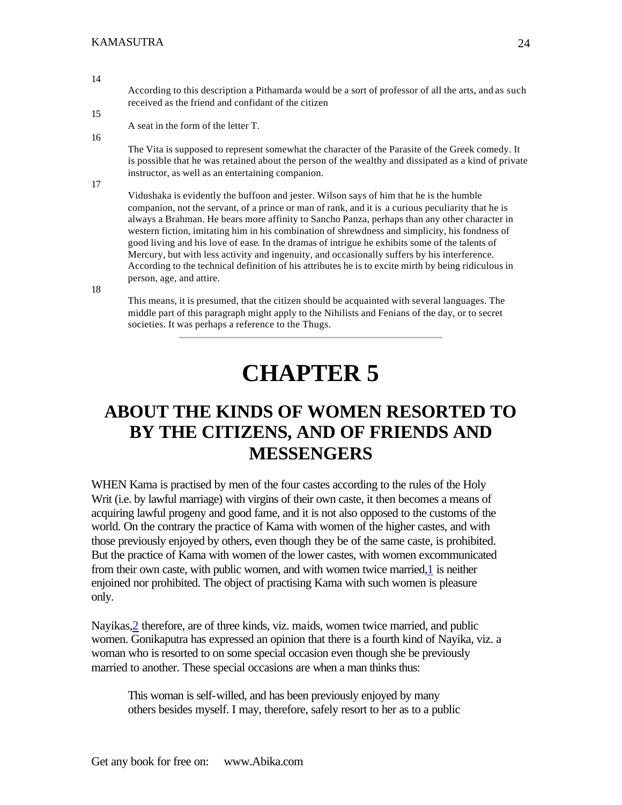According to this description a Pithamarda would be a sort of professor of all the arts, and as such received as the friend and confidant of the citizen

A seat in the form of the letter T.

The Vita is supposed to represent somewhat the character of the Parasite of the Greek comedy. It is possible that he was retained about the person of the wealthy and dissipated as a kind of private instructor, as well as an entertaining companion.

17

14

15

16

Vidushaka is evidently the buffoon and jester. Wilson says of him that he is the humble companion, not the servant, of a prince or man of rank, and it is a curious peculiarity that he is always a Brahman. He bears more affinity to Sancho Panza, perhaps than any other character in western fiction, imitating him in his combination of shrewdness and simplicity, his fondness of good living and his love of ease. In the dramas of intrigue he exhibits some of the talents of Mercury, but with less activity and ingenuity, and occasionally suffers by his interference. According to the technical definition of his attributes he is to excite mirth by being ridiculous in person, age, and attire.

18

This means, it is presumed, that the citizen should be acquainted with several languages. The middle part of this paragraph might apply to the Nihilists and Fenians of the day, or to secret societies. It was perhaps a reference to the Thugs.

# **CHAPTER 5**

## **ABOUT THE KINDS OF WOMEN RESORTED TO BY THE CITIZENS, AND OF FRIENDS AND MESSENGERS**

WHEN Kama is practised by men of the four castes according to the rules of the Holy Writ (i.e. by lawful marriage) with virgins of their own caste, it then becomes a means of acquiring lawful progeny and good fame, and it is not also opposed to the customs of the world. On the contrary the practice of Kama with women of the higher castes, and with those previously enjoyed by others, even though they be of the same caste, is prohibited. But the practice of Kama with women of the lower castes, with women excommunicated from their own caste, with public women, and with women twice married,1 is neither enjoined nor prohibited. The object of practising Kama with such women is pleasure only.

Nayikas,2 therefore, are of three kinds, viz. maids, women twice married, and public women. Gonikaputra has expressed an opinion that there is a fourth kind of Nayika, viz. a woman who is resorted to on some special occasion even though she be previously married to another. These special occasions are when a man thinks thus:

This woman is self-willed, and has been previously enjoyed by many others besides myself. I may, therefore, safely resort to her as to a public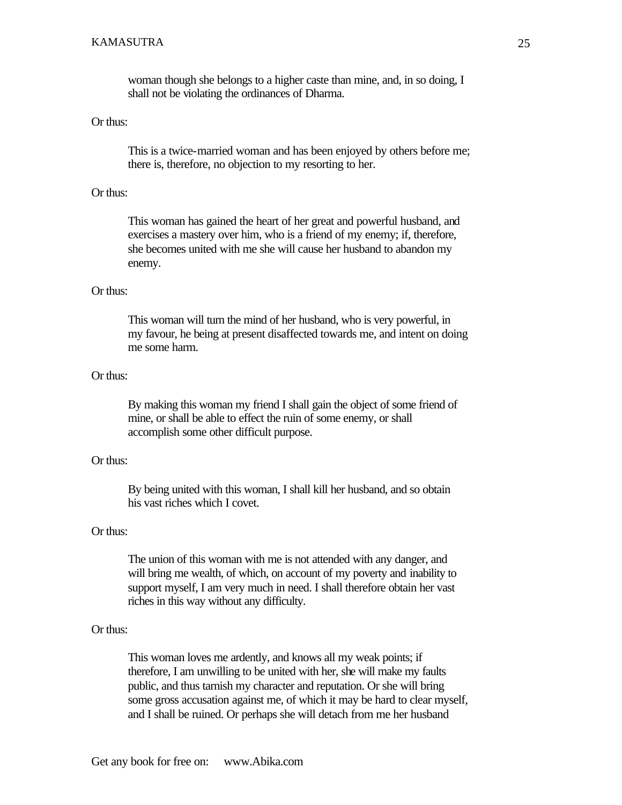woman though she belongs to a higher caste than mine, and, in so doing, I shall not be violating the ordinances of Dharma.

#### Or thus:

This is a twice-married woman and has been enjoyed by others before me; there is, therefore, no objection to my resorting to her.

#### Or thus:

This woman has gained the heart of her great and powerful husband, and exercises a mastery over him, who is a friend of my enemy; if, therefore, she becomes united with me she will cause her husband to abandon my enemy.

#### Or thus:

This woman will turn the mind of her husband, who is very powerful, in my favour, he being at present disaffected towards me, and intent on doing me some harm.

#### Or thus:

By making this woman my friend I shall gain the object of some friend of mine, or shall be able to effect the ruin of some enemy, or shall accomplish some other difficult purpose.

#### Or thus:

By being united with this woman, I shall kill her husband, and so obtain his vast riches which I covet.

#### Or thus:

The union of this woman with me is not attended with any danger, and will bring me wealth, of which, on account of my poverty and inability to support myself, I am very much in need. I shall therefore obtain her vast riches in this way without any difficulty.

#### Or thus:

This woman loves me ardently, and knows all my weak points; if therefore, I am unwilling to be united with her, she will make my faults public, and thus tarnish my character and reputation. Or she will bring some gross accusation against me, of which it may be hard to clear myself, and I shall be ruined. Or perhaps she will detach from me her husband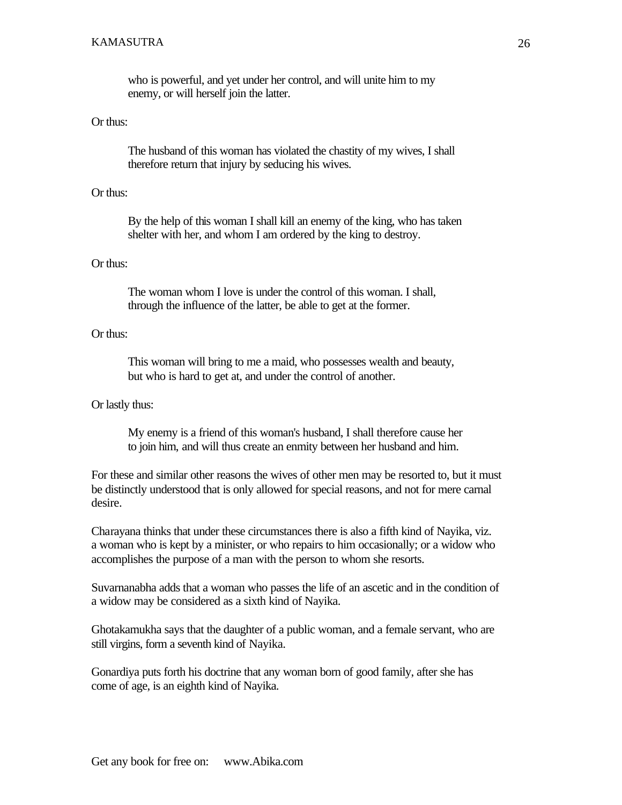who is powerful, and yet under her control, and will unite him to my enemy, or will herself join the latter.

#### Or thus:

The husband of this woman has violated the chastity of my wives, I shall therefore return that injury by seducing his wives.

#### Or thus:

By the help of this woman I shall kill an enemy of the king, who has taken shelter with her, and whom I am ordered by the king to destroy.

#### Or thus:

The woman whom I love is under the control of this woman. I shall, through the influence of the latter, be able to get at the former.

#### Or thus:

This woman will bring to me a maid, who possesses wealth and beauty, but who is hard to get at, and under the control of another.

Or lastly thus:

My enemy is a friend of this woman's husband, I shall therefore cause her to join him, and will thus create an enmity between her husband and him.

For these and similar other reasons the wives of other men may be resorted to, but it must be distinctly understood that is only allowed for special reasons, and not for mere carnal desire.

Charayana thinks that under these circumstances there is also a fifth kind of Nayika, viz. a woman who is kept by a minister, or who repairs to him occasionally; or a widow who accomplishes the purpose of a man with the person to whom she resorts.

Suvarnanabha adds that a woman who passes the life of an ascetic and in the condition of a widow may be considered as a sixth kind of Nayika.

Ghotakamukha says that the daughter of a public woman, and a female servant, who are still virgins, form a seventh kind of Nayika.

Gonardiya puts forth his doctrine that any woman born of good family, after she has come of age, is an eighth kind of Nayika.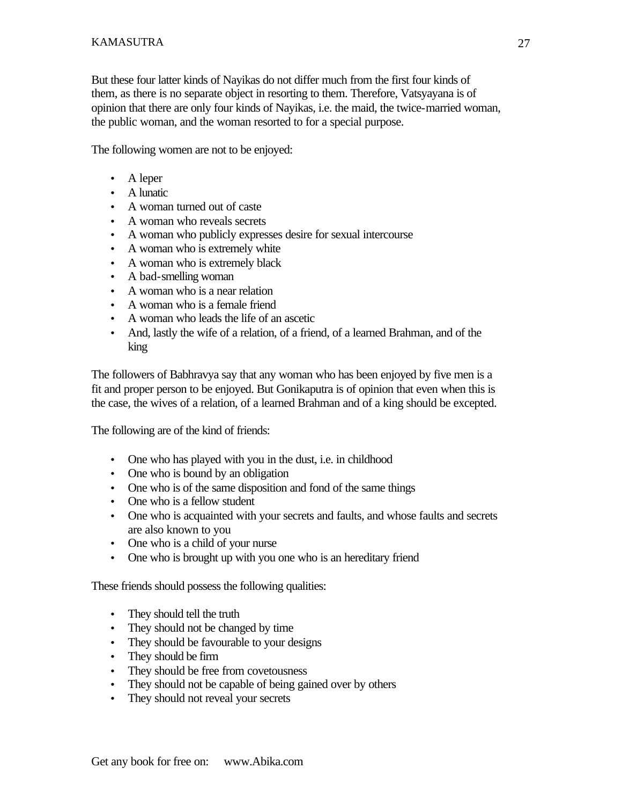But these four latter kinds of Nayikas do not differ much from the first four kinds of them, as there is no separate object in resorting to them. Therefore, Vatsyayana is of opinion that there are only four kinds of Nayikas, i.e. the maid, the twice-married woman, the public woman, and the woman resorted to for a special purpose.

The following women are not to be enjoyed:

- A leper
- A lunatic
- A woman turned out of caste
- A woman who reveals secrets
- A woman who publicly expresses desire for sexual intercourse
- A woman who is extremely white
- A woman who is extremely black
- A bad-smelling woman
- A woman who is a near relation
- A woman who is a female friend
- A woman who leads the life of an ascetic
- And, lastly the wife of a relation, of a friend, of a learned Brahman, and of the king

The followers of Babhravya say that any woman who has been enjoyed by five men is a fit and proper person to be enjoyed. But Gonikaputra is of opinion that even when this is the case, the wives of a relation, of a learned Brahman and of a king should be excepted.

The following are of the kind of friends:

- One who has played with you in the dust, i.e. in childhood
- One who is bound by an obligation
- One who is of the same disposition and fond of the same things
- One who is a fellow student
- One who is acquainted with your secrets and faults, and whose faults and secrets are also known to you
- One who is a child of your nurse
- One who is brought up with you one who is an hereditary friend

These friends should possess the following qualities:

- They should tell the truth
- They should not be changed by time
- They should be favourable to your designs
- They should be firm
- They should be free from covetousness
- They should not be capable of being gained over by others
- They should not reveal your secrets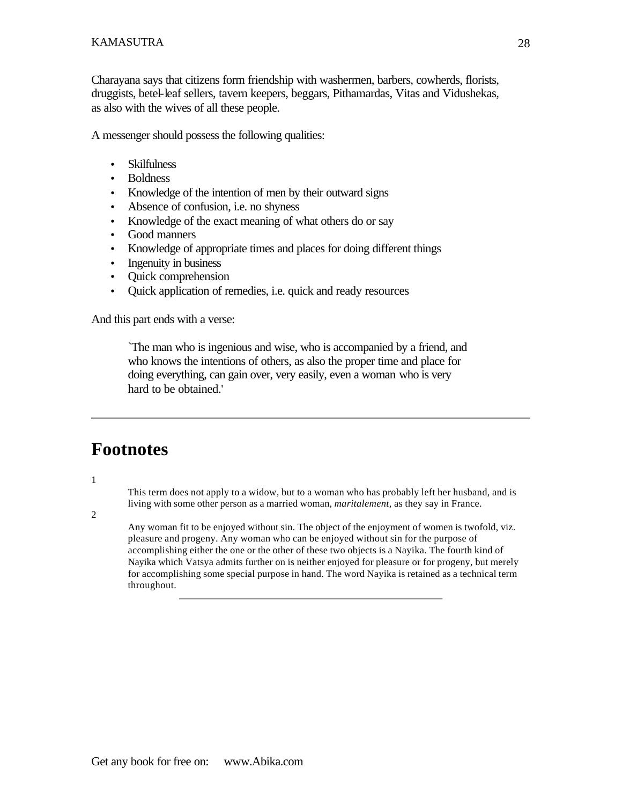Charayana says that citizens form friendship with washermen, barbers, cowherds, florists, druggists, betel-leaf sellers, tavern keepers, beggars, Pithamardas, Vitas and Vidushekas, as also with the wives of all these people.

A messenger should possess the following qualities:

- Skilfulness
- Boldness
- Knowledge of the intention of men by their outward signs
- Absence of confusion, i.e. no shyness
- Knowledge of the exact meaning of what others do or say
- Good manners
- Knowledge of appropriate times and places for doing different things
- Ingenuity in business
- Quick comprehension
- Quick application of remedies, i.e. quick and ready resources

And this part ends with a verse:

`The man who is ingenious and wise, who is accompanied by a friend, and who knows the intentions of others, as also the proper time and place for doing everything, can gain over, very easily, even a woman who is very hard to be obtained.'

## **Footnotes**

1

This term does not apply to a widow, but to a woman who has probably left her husband, and is living with some other person as a married woman, *maritalement*, as they say in France.

2

Any woman fit to be enjoyed without sin. The object of the enjoyment of women is twofold, viz. pleasure and progeny. Any woman who can be enjoyed without sin for the purpose of accomplishing either the one or the other of these two objects is a Nayika. The fourth kind of Nayika which Vatsya admits further on is neither enjoyed for pleasure or for progeny, but merely for accomplishing some special purpose in hand. The word Nayika is retained as a technical term throughout.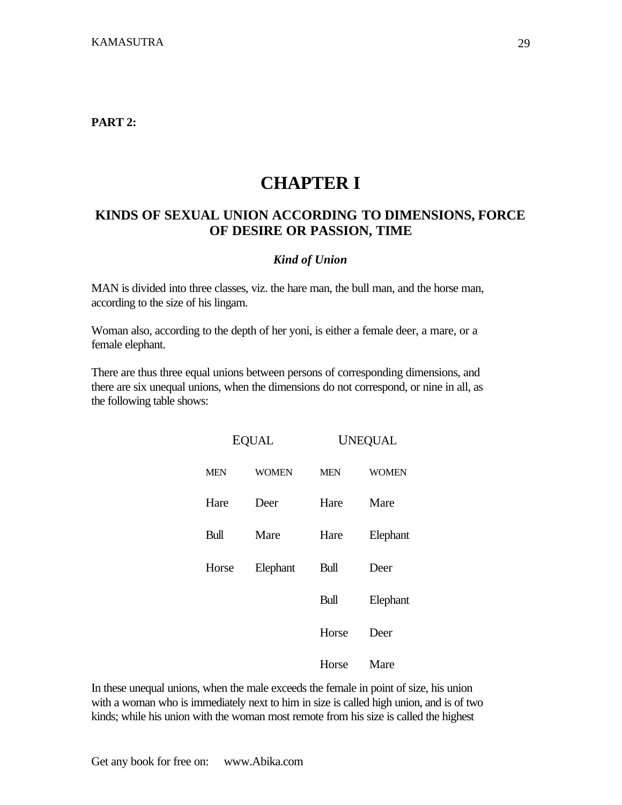**PART 2:**

## **CHAPTER I**

#### **KINDS OF SEXUAL UNION ACCORDING TO DIMENSIONS, FORCE OF DESIRE OR PASSION, TIME**

#### *Kind of Union*

MAN is divided into three classes, viz. the hare man, the bull man, and the horse man, according to the size of his lingam.

Woman also, according to the depth of her yoni, is either a female deer, a mare, or a female elephant.

There are thus three equal unions between persons of corresponding dimensions, and there are six unequal unions, when the dimensions do not correspond, or nine in all, as the following table shows:

| <b>EQUAL</b> |              | <b>UNEQUAL</b> |              |
|--------------|--------------|----------------|--------------|
| <b>MEN</b>   | <b>WOMEN</b> | <b>MEN</b>     | <b>WOMEN</b> |
| Hare         | Deer         | Hare           | Mare         |
| Bull         | Mare         | Hare           | Elephant     |
| Horse        | Elephant     | Bull           | Deer         |
|              |              | Bull           | Elephant     |
|              |              | Horse          | Deer         |
|              |              | Horse          | Mare         |

In these unequal unions, when the male exceeds the female in point of size, his union with a woman who is immediately next to him in size is called high union, and is of two kinds; while his union with the woman most remote from his size is called the highest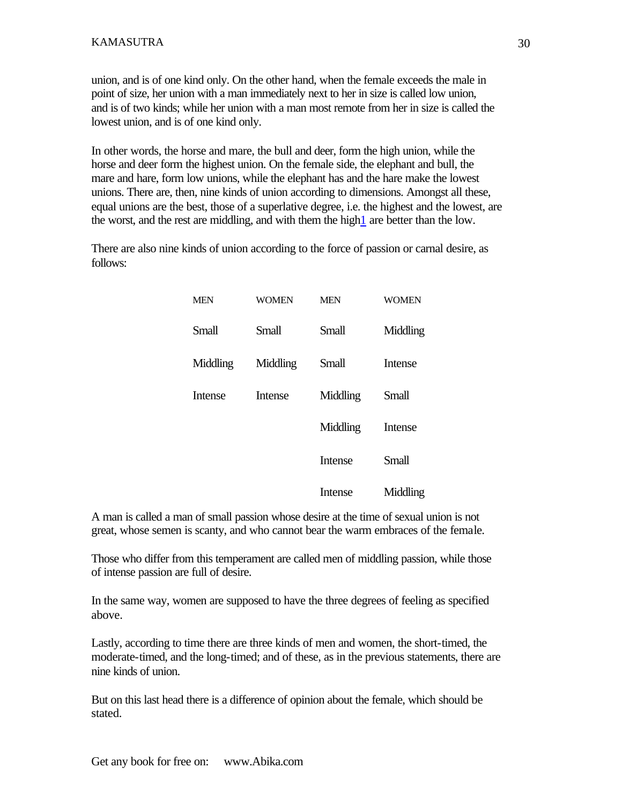union, and is of one kind only. On the other hand, when the female exceeds the male in point of size, her union with a man immediately next to her in size is called low union, and is of two kinds; while her union with a man most remote from her in size is called the lowest union, and is of one kind only.

In other words, the horse and mare, the bull and deer, form the high union, while the horse and deer form the highest union. On the female side, the elephant and bull, the mare and hare, form low unions, while the elephant has and the hare make the lowest unions. There are, then, nine kinds of union according to dimensions. Amongst all these, equal unions are the best, those of a superlative degree, i.e. the highest and the lowest, are the worst, and the rest are middling, and with them the high1 are better than the low.

There are also nine kinds of union according to the force of passion or carnal desire, as follows:

| <b>MEN</b> | WOMEN    | <b>MEN</b>     | WOMEN        |
|------------|----------|----------------|--------------|
| Small      | Small    | Small          | Middling     |
| Middling   | Middling | Small          | Intense      |
| Intense    | Intense  | Middling       | <b>Small</b> |
|            |          | Middling       | Intense      |
|            |          | <b>Intense</b> | Small        |
|            |          | <b>Intense</b> | Middling     |

A man is called a man of small passion whose desire at the time of sexual union is not great, whose semen is scanty, and who cannot bear the warm embraces of the female.

Those who differ from this temperament are called men of middling passion, while those of intense passion are full of desire.

In the same way, women are supposed to have the three degrees of feeling as specified above.

Lastly, according to time there are three kinds of men and women, the short-timed, the moderate-timed, and the long-timed; and of these, as in the previous statements, there are nine kinds of union.

But on this last head there is a difference of opinion about the female, which should be stated.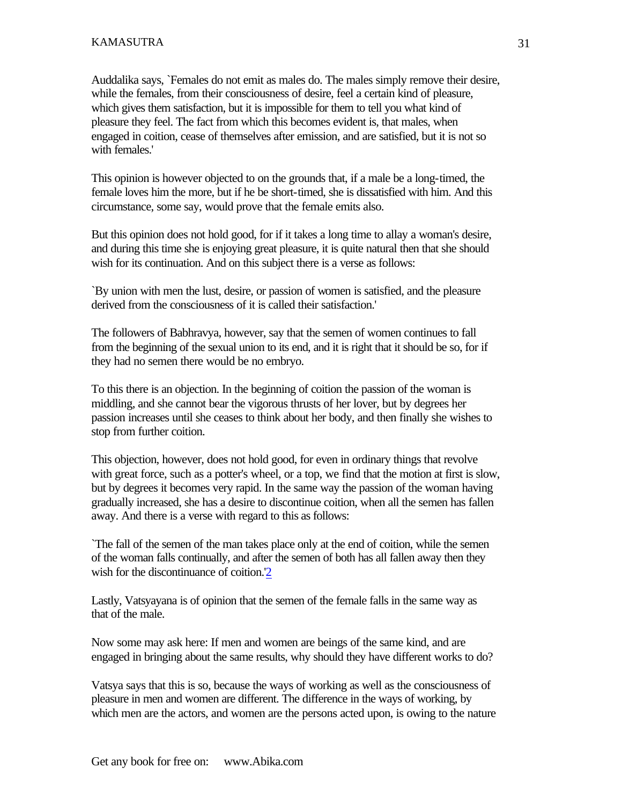Auddalika says, `Females do not emit as males do. The males simply remove their desire, while the females, from their consciousness of desire, feel a certain kind of pleasure, which gives them satisfaction, but it is impossible for them to tell you what kind of pleasure they feel. The fact from which this becomes evident is, that males, when engaged in coition, cease of themselves after emission, and are satisfied, but it is not so with females.'

This opinion is however objected to on the grounds that, if a male be a long-timed, the female loves him the more, but if he be short-timed, she is dissatisfied with him. And this circumstance, some say, would prove that the female emits also.

But this opinion does not hold good, for if it takes a long time to allay a woman's desire, and during this time she is enjoying great pleasure, it is quite natural then that she should wish for its continuation. And on this subject there is a verse as follows:

`By union with men the lust, desire, or passion of women is satisfied, and the pleasure derived from the consciousness of it is called their satisfaction.'

The followers of Babhravya, however, say that the semen of women continues to fall from the beginning of the sexual union to its end, and it is right that it should be so, for if they had no semen there would be no embryo.

To this there is an objection. In the beginning of coition the passion of the woman is middling, and she cannot bear the vigorous thrusts of her lover, but by degrees her passion increases until she ceases to think about her body, and then finally she wishes to stop from further coition.

This objection, however, does not hold good, for even in ordinary things that revolve with great force, such as a potter's wheel, or a top, we find that the motion at first is slow, but by degrees it becomes very rapid. In the same way the passion of the woman having gradually increased, she has a desire to discontinue coition, when all the semen has fallen away. And there is a verse with regard to this as follows:

`The fall of the semen of the man takes place only at the end of coition, while the semen of the woman falls continually, and after the semen of both has all fallen away then they wish for the discontinuance of coition.'2

Lastly, Vatsyayana is of opinion that the semen of the female falls in the same way as that of the male.

Now some may ask here: If men and women are beings of the same kind, and are engaged in bringing about the same results, why should they have different works to do?

Vatsya says that this is so, because the ways of working as well as the consciousness of pleasure in men and women are different. The difference in the ways of working, by which men are the actors, and women are the persons acted upon, is owing to the nature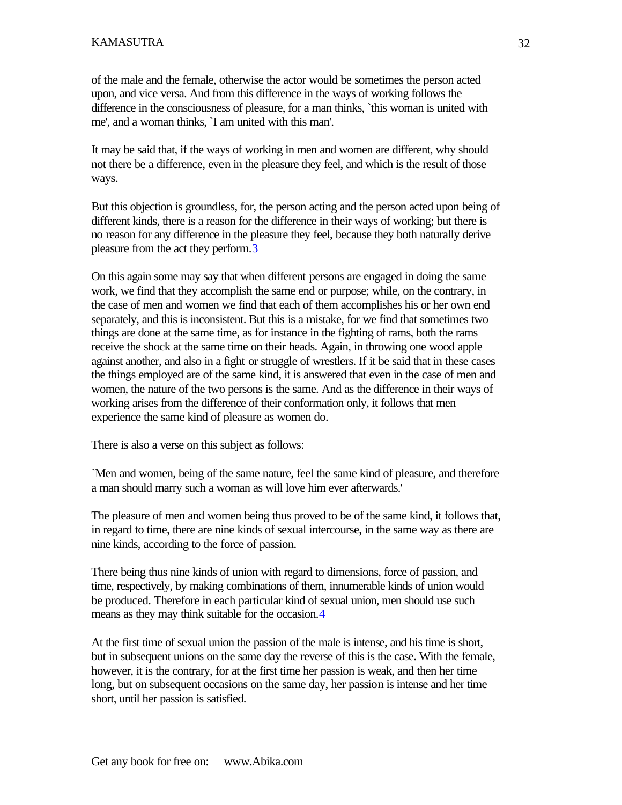of the male and the female, otherwise the actor would be sometimes the person acted upon, and vice versa. And from this difference in the ways of working follows the difference in the consciousness of pleasure, for a man thinks, `this woman is united with me', and a woman thinks, `I am united with this man'.

It may be said that, if the ways of working in men and women are different, why should not there be a difference, even in the pleasure they feel, and which is the result of those ways.

But this objection is groundless, for, the person acting and the person acted upon being of different kinds, there is a reason for the difference in their ways of working; but there is no reason for any difference in the pleasure they feel, because they both naturally derive pleasure from the act they perform.3

On this again some may say that when different persons are engaged in doing the same work, we find that they accomplish the same end or purpose; while, on the contrary, in the case of men and women we find that each of them accomplishes his or her own end separately, and this is inconsistent. But this is a mistake, for we find that sometimes two things are done at the same time, as for instance in the fighting of rams, both the rams receive the shock at the same time on their heads. Again, in throwing one wood apple against another, and also in a fight or struggle of wrestlers. If it be said that in these cases the things employed are of the same kind, it is answered that even in the case of men and women, the nature of the two persons is the same. And as the difference in their ways of working arises from the difference of their conformation only, it follows that men experience the same kind of pleasure as women do.

There is also a verse on this subject as follows:

`Men and women, being of the same nature, feel the same kind of pleasure, and therefore a man should marry such a woman as will love him ever afterwards.'

The pleasure of men and women being thus proved to be of the same kind, it follows that, in regard to time, there are nine kinds of sexual intercourse, in the same way as there are nine kinds, according to the force of passion.

There being thus nine kinds of union with regard to dimensions, force of passion, and time, respectively, by making combinations of them, innumerable kinds of union would be produced. Therefore in each particular kind of sexual union, men should use such means as they may think suitable for the occasion.4

At the first time of sexual union the passion of the male is intense, and his time is short, but in subsequent unions on the same day the reverse of this is the case. With the female, however, it is the contrary, for at the first time her passion is weak, and then her time long, but on subsequent occasions on the same day, her passion is intense and her time short, until her passion is satisfied.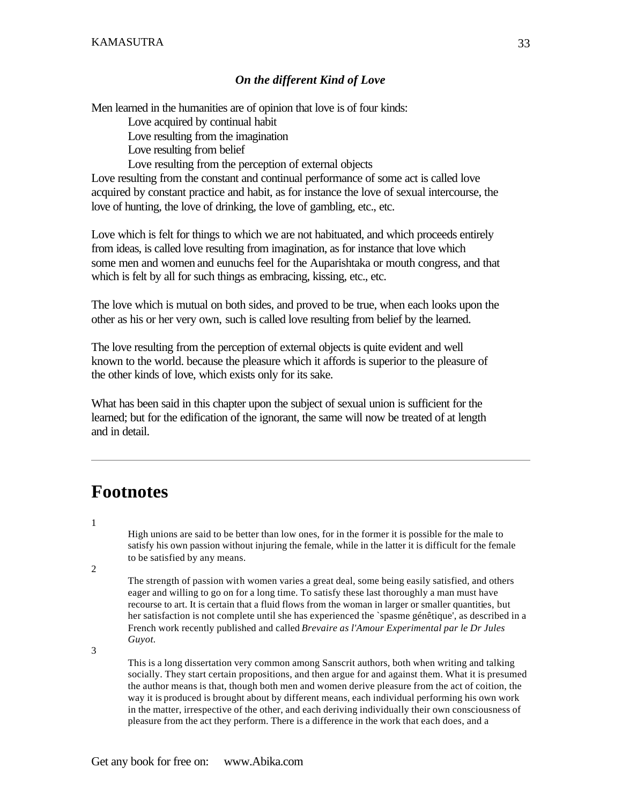#### *On the different Kind of Love*

Men learned in the humanities are of opinion that love is of four kinds:

Love acquired by continual habit

Love resulting from the imagination

Love resulting from belief

Love resulting from the perception of external objects

Love resulting from the constant and continual performance of some act is called love acquired by constant practice and habit, as for instance the love of sexual intercourse, the love of hunting, the love of drinking, the love of gambling, etc., etc.

Love which is felt for things to which we are not habituated, and which proceeds entirely from ideas, is called love resulting from imagination, as for instance that love which some men and women and eunuchs feel for the Auparishtaka or mouth congress, and that which is felt by all for such things as embracing, kissing, etc., etc.

The love which is mutual on both sides, and proved to be true, when each looks upon the other as his or her very own, such is called love resulting from belief by the learned.

The love resulting from the perception of external objects is quite evident and well known to the world. because the pleasure which it affords is superior to the pleasure of the other kinds of love, which exists only for its sake.

What has been said in this chapter upon the subject of sexual union is sufficient for the learned; but for the edification of the ignorant, the same will now be treated of at length and in detail.

## **Footnotes**

1

High unions are said to be better than low ones, for in the former it is possible for the male to satisfy his own passion without injuring the female, while in the latter it is difficult for the female to be satisfied by any means.

2

The strength of passion with women varies a great deal, some being easily satisfied, and others eager and willing to go on for a long time. To satisfy these last thoroughly a man must have recourse to art. It is certain that a fluid flows from the woman in larger or smaller quantities, but her satisfaction is not complete until she has experienced the `spasme génêtique', as described in a French work recently published and called *Brevaire as l'Amour Experimental par le Dr Jules Guyot.*

3

This is a long dissertation very common among Sanscrit authors, both when writing and talking socially. They start certain propositions, and then argue for and against them. What it is presumed the author means is that, though both men and women derive pleasure from the act of coition, the way it is produced is brought about by different means, each individual performing his own work in the matter, irrespective of the other, and each deriving individually their own consciousness of pleasure from the act they perform. There is a difference in the work that each does, and a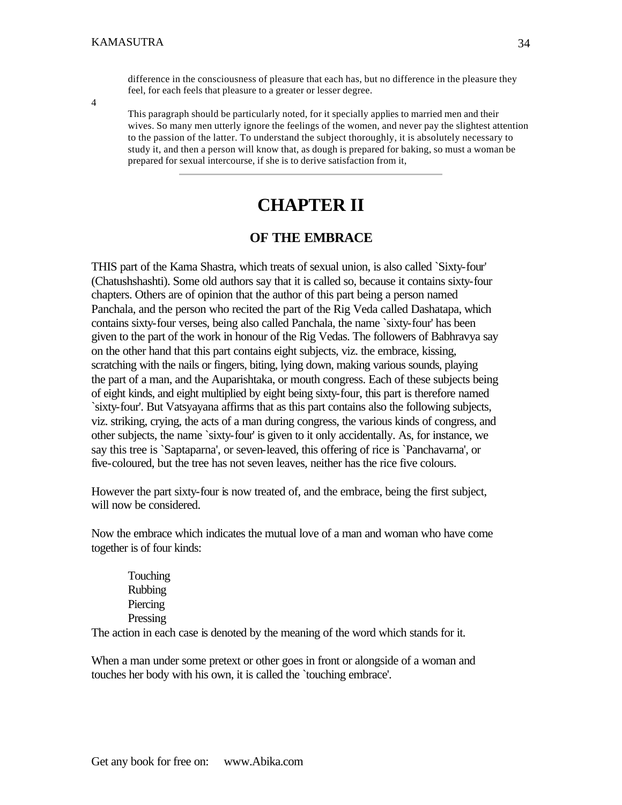difference in the consciousness of pleasure that each has, but no difference in the pleasure they feel, for each feels that pleasure to a greater or lesser degree.

4

This paragraph should be particularly noted, for it specially applies to married men and their wives. So many men utterly ignore the feelings of the women, and never pay the slightest attention to the passion of the latter. To understand the subject thoroughly, it is absolutely necessary to study it, and then a person will know that, as dough is prepared for baking, so must a woman be prepared for sexual intercourse, if she is to derive satisfaction from it,

## **CHAPTER II**

#### **OF THE EMBRACE**

THIS part of the Kama Shastra, which treats of sexual union, is also called `Sixty-four' (Chatushshashti). Some old authors say that it is called so, because it contains sixty-four chapters. Others are of opinion that the author of this part being a person named Panchala, and the person who recited the part of the Rig Veda called Dashatapa, which contains sixty-four verses, being also called Panchala, the name `sixty-four' has been given to the part of the work in honour of the Rig Vedas. The followers of Babhravya say on the other hand that this part contains eight subjects, viz. the embrace, kissing, scratching with the nails or fingers, biting, lying down, making various sounds, playing the part of a man, and the Auparishtaka, or mouth congress. Each of these subjects being of eight kinds, and eight multiplied by eight being sixty-four, this part is therefore named `sixty-four'. But Vatsyayana affirms that as this part contains also the following subjects, viz. striking, crying, the acts of a man during congress, the various kinds of congress, and other subjects, the name `sixty-four' is given to it only accidentally. As, for instance, we say this tree is `Saptaparna', or seven-leaved, this offering of rice is `Panchavarna', or five-coloured, but the tree has not seven leaves, neither has the rice five colours.

However the part sixty-four is now treated of, and the embrace, being the first subject, will now be considered.

Now the embrace which indicates the mutual love of a man and woman who have come together is of four kinds:

**Touching** Rubbing Piercing Pressing

The action in each case is denoted by the meaning of the word which stands for it.

When a man under some pretext or other goes in front or alongside of a woman and touches her body with his own, it is called the `touching embrace'.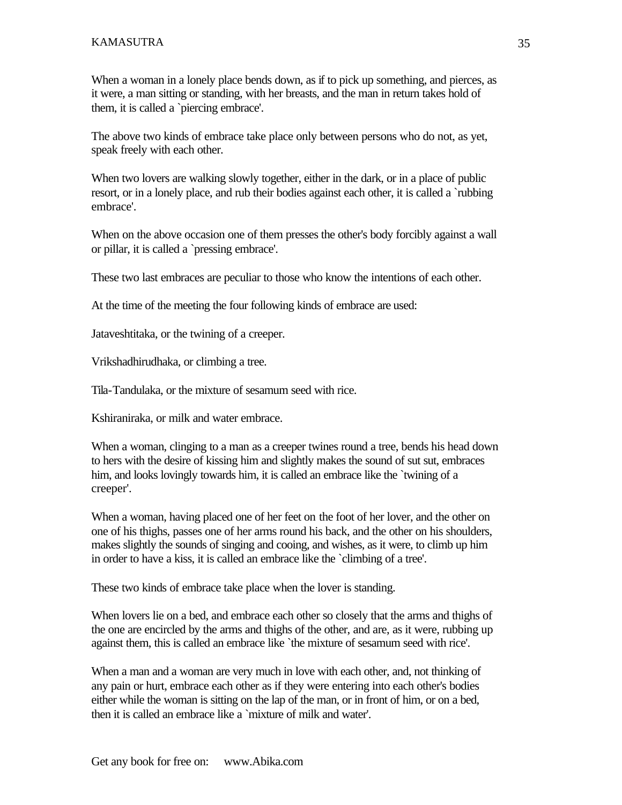When a woman in a lonely place bends down, as if to pick up something, and pierces, as it were, a man sitting or standing, with her breasts, and the man in return takes hold of them, it is called a `piercing embrace'.

The above two kinds of embrace take place only between persons who do not, as yet, speak freely with each other.

When two lovers are walking slowly together, either in the dark, or in a place of public resort, or in a lonely place, and rub their bodies against each other, it is called a `rubbing embrace'.

When on the above occasion one of them presses the other's body forcibly against a wall or pillar, it is called a `pressing embrace'.

These two last embraces are peculiar to those who know the intentions of each other.

At the time of the meeting the four following kinds of embrace are used:

Jataveshtitaka, or the twining of a creeper.

Vrikshadhirudhaka, or climbing a tree.

Tila-Tandulaka, or the mixture of sesamum seed with rice.

Kshiraniraka, or milk and water embrace.

When a woman, clinging to a man as a creeper twines round a tree, bends his head down to hers with the desire of kissing him and slightly makes the sound of sut sut, embraces him, and looks lovingly towards him, it is called an embrace like the `twining of a creeper'.

When a woman, having placed one of her feet on the foot of her lover, and the other on one of his thighs, passes one of her arms round his back, and the other on his shoulders, makes slightly the sounds of singing and cooing, and wishes, as it were, to climb up him in order to have a kiss, it is called an embrace like the `climbing of a tree'.

These two kinds of embrace take place when the lover is standing.

When lovers lie on a bed, and embrace each other so closely that the arms and thighs of the one are encircled by the arms and thighs of the other, and are, as it were, rubbing up against them, this is called an embrace like `the mixture of sesamum seed with rice'.

When a man and a woman are very much in love with each other, and, not thinking of any pain or hurt, embrace each other as if they were entering into each other's bodies either while the woman is sitting on the lap of the man, or in front of him, or on a bed, then it is called an embrace like a `mixture of milk and water'.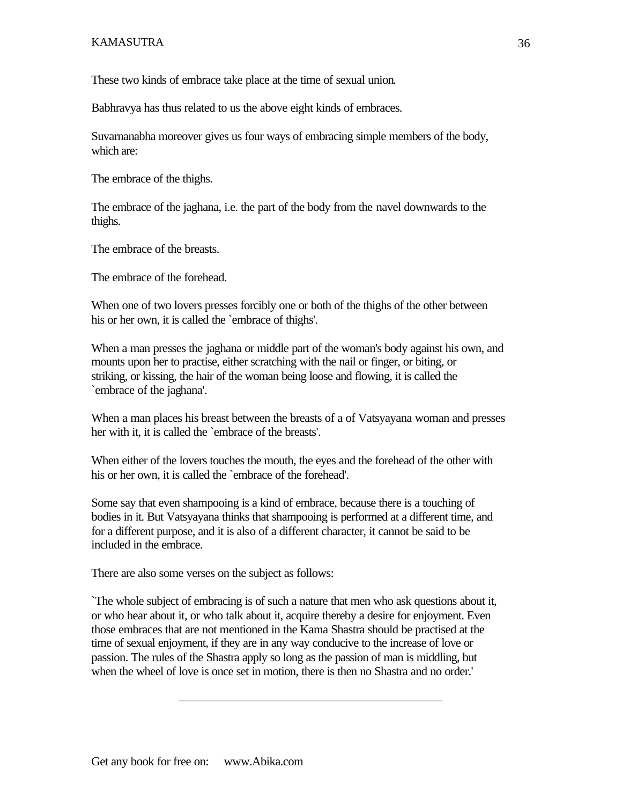These two kinds of embrace take place at the time of sexual union.

Babhravya has thus related to us the above eight kinds of embraces.

Suvarnanabha moreover gives us four ways of embracing simple members of the body, which are:

The embrace of the thighs.

The embrace of the jaghana, i.e. the part of the body from the navel downwards to the thighs.

The embrace of the breasts.

The embrace of the forehead.

When one of two lovers presses forcibly one or both of the thighs of the other between his or her own, it is called the `embrace of thighs'.

When a man presses the jaghana or middle part of the woman's body against his own, and mounts upon her to practise, either scratching with the nail or finger, or biting, or striking, or kissing, the hair of the woman being loose and flowing, it is called the `embrace of the jaghana'.

When a man places his breast between the breasts of a of Vatsyayana woman and presses her with it, it is called the `embrace of the breasts'.

When either of the lovers touches the mouth, the eyes and the forehead of the other with his or her own, it is called the `embrace of the forehead'.

Some say that even shampooing is a kind of embrace, because there is a touching of bodies in it. But Vatsyayana thinks that shampooing is performed at a different time, and for a different purpose, and it is also of a different character, it cannot be said to be included in the embrace.

There are also some verses on the subject as follows:

`The whole subject of embracing is of such a nature that men who ask questions about it, or who hear about it, or who talk about it, acquire thereby a desire for enjoyment. Even those embraces that are not mentioned in the Kama Shastra should be practised at the time of sexual enjoyment, if they are in any way conducive to the increase of love or passion. The rules of the Shastra apply so long as the passion of man is middling, but when the wheel of love is once set in motion, there is then no Shastra and no order.'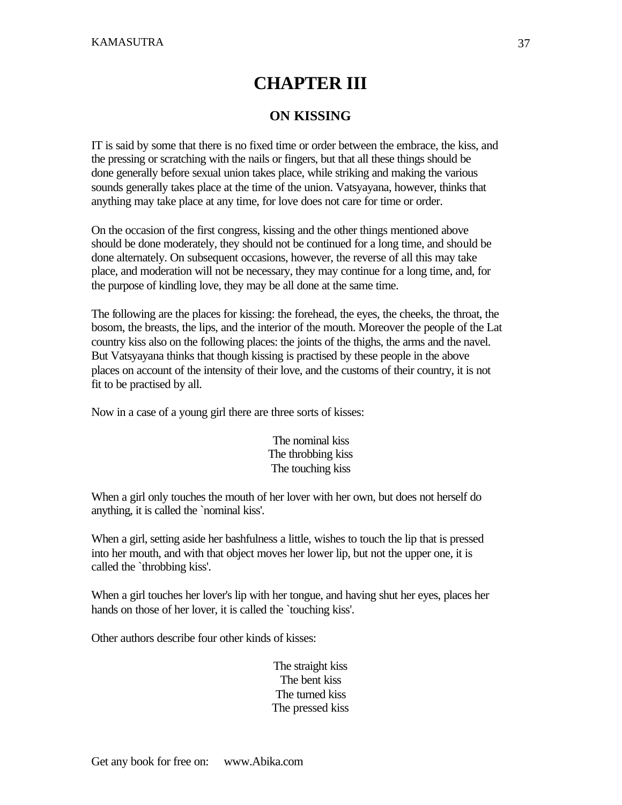## **CHAPTER III**

### **ON KISSING**

IT is said by some that there is no fixed time or order between the embrace, the kiss, and the pressing or scratching with the nails or fingers, but that all these things should be done generally before sexual union takes place, while striking and making the various sounds generally takes place at the time of the union. Vatsyayana, however, thinks that anything may take place at any time, for love does not care for time or order.

On the occasion of the first congress, kissing and the other things mentioned above should be done moderately, they should not be continued for a long time, and should be done alternately. On subsequent occasions, however, the reverse of all this may take place, and moderation will not be necessary, they may continue for a long time, and, for the purpose of kindling love, they may be all done at the same time.

The following are the places for kissing: the forehead, the eyes, the cheeks, the throat, the bosom, the breasts, the lips, and the interior of the mouth. Moreover the people of the Lat country kiss also on the following places: the joints of the thighs, the arms and the navel. But Vatsyayana thinks that though kissing is practised by these people in the above places on account of the intensity of their love, and the customs of their country, it is not fit to be practised by all.

Now in a case of a young girl there are three sorts of kisses:

The nominal kiss The throbbing kiss The touching kiss

When a girl only touches the mouth of her lover with her own, but does not herself do anything, it is called the `nominal kiss'.

When a girl, setting aside her bashfulness a little, wishes to touch the lip that is pressed into her mouth, and with that object moves her lower lip, but not the upper one, it is called the `throbbing kiss'.

When a girl touches her lover's lip with her tongue, and having shut her eyes, places her hands on those of her lover, it is called the `touching kiss'.

Other authors describe four other kinds of kisses:

The straight kiss The bent kiss The turned kiss The pressed kiss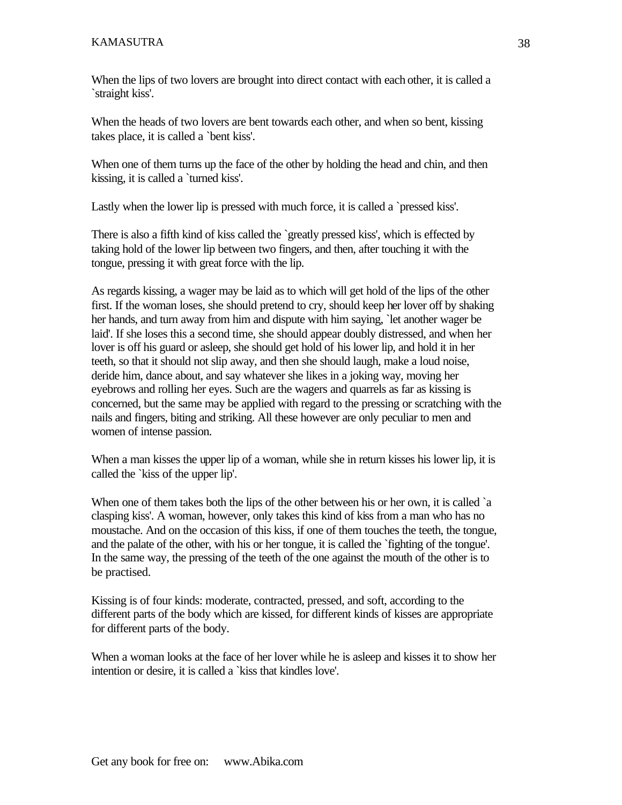When the lips of two lovers are brought into direct contact with each other, it is called a `straight kiss'.

When the heads of two lovers are bent towards each other, and when so bent, kissing takes place, it is called a `bent kiss'.

When one of them turns up the face of the other by holding the head and chin, and then kissing, it is called a `turned kiss'.

Lastly when the lower lip is pressed with much force, it is called a `pressed kiss'.

There is also a fifth kind of kiss called the `greatly pressed kiss', which is effected by taking hold of the lower lip between two fingers, and then, after touching it with the tongue, pressing it with great force with the lip.

As regards kissing, a wager may be laid as to which will get hold of the lips of the other first. If the woman loses, she should pretend to cry, should keep her lover off by shaking her hands, and turn away from him and dispute with him saying, `let another wager be laid'. If she loses this a second time, she should appear doubly distressed, and when her lover is off his guard or asleep, she should get hold of his lower lip, and hold it in her teeth, so that it should not slip away, and then she should laugh, make a loud noise, deride him, dance about, and say whatever she likes in a joking way, moving her eyebrows and rolling her eyes. Such are the wagers and quarrels as far as kissing is concerned, but the same may be applied with regard to the pressing or scratching with the nails and fingers, biting and striking. All these however are only peculiar to men and women of intense passion.

When a man kisses the upper lip of a woman, while she in return kisses his lower lip, it is called the `kiss of the upper lip'.

When one of them takes both the lips of the other between his or her own, it is called `a clasping kiss'. A woman, however, only takes this kind of kiss from a man who has no moustache. And on the occasion of this kiss, if one of them touches the teeth, the tongue, and the palate of the other, with his or her tongue, it is called the `fighting of the tongue'. In the same way, the pressing of the teeth of the one against the mouth of the other is to be practised.

Kissing is of four kinds: moderate, contracted, pressed, and soft, according to the different parts of the body which are kissed, for different kinds of kisses are appropriate for different parts of the body.

When a woman looks at the face of her lover while he is asleep and kisses it to show her intention or desire, it is called a `kiss that kindles love'.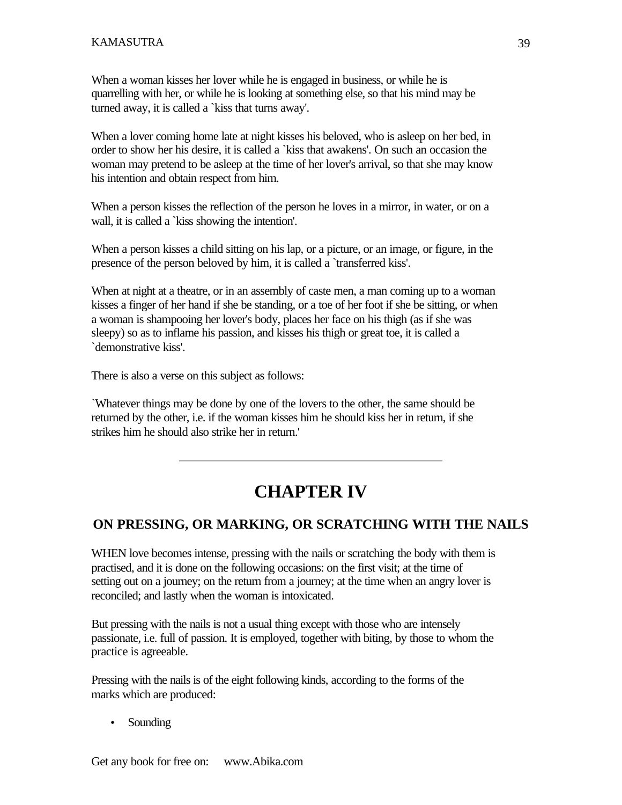When a woman kisses her lover while he is engaged in business, or while he is quarrelling with her, or while he is looking at something else, so that his mind may be turned away, it is called a `kiss that turns away'.

When a lover coming home late at night kisses his beloved, who is asleep on her bed, in order to show her his desire, it is called a `kiss that awakens'. On such an occasion the woman may pretend to be asleep at the time of her lover's arrival, so that she may know his intention and obtain respect from him.

When a person kisses the reflection of the person he loves in a mirror, in water, or on a wall, it is called a `kiss showing the intention'.

When a person kisses a child sitting on his lap, or a picture, or an image, or figure, in the presence of the person beloved by him, it is called a `transferred kiss'.

When at night at a theatre, or in an assembly of caste men, a man coming up to a woman kisses a finger of her hand if she be standing, or a toe of her foot if she be sitting, or when a woman is shampooing her lover's body, places her face on his thigh (as if she was sleepy) so as to inflame his passion, and kisses his thigh or great toe, it is called a `demonstrative kiss'.

There is also a verse on this subject as follows:

`Whatever things may be done by one of the lovers to the other, the same should be returned by the other, i.e. if the woman kisses him he should kiss her in return, if she strikes him he should also strike her in return.'

# **CHAPTER IV**

### **ON PRESSING, OR MARKING, OR SCRATCHING WITH THE NAILS**

WHEN love becomes intense, pressing with the nails or scratching the body with them is practised, and it is done on the following occasions: on the first visit; at the time of setting out on a journey; on the return from a journey; at the time when an angry lover is reconciled; and lastly when the woman is intoxicated.

But pressing with the nails is not a usual thing except with those who are intensely passionate, i.e. full of passion. It is employed, together with biting, by those to whom the practice is agreeable.

Pressing with the nails is of the eight following kinds, according to the forms of the marks which are produced:

• Sounding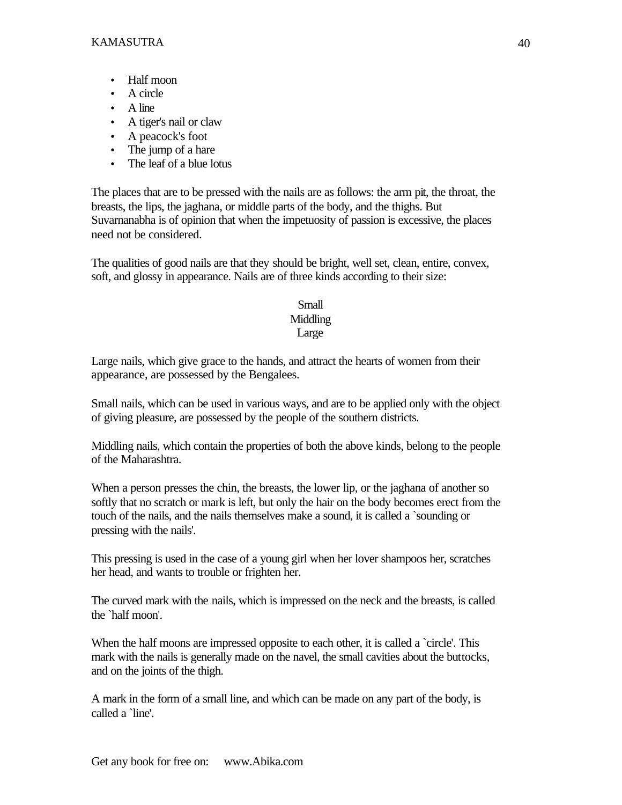- Half moon
- A circle
- A line
- A tiger's nail or claw
- A peacock's foot
- The jump of a hare
- The leaf of a blue lotus

The places that are to be pressed with the nails are as follows: the arm pit, the throat, the breasts, the lips, the jaghana, or middle parts of the body, and the thighs. But Suvarnanabha is of opinion that when the impetuosity of passion is excessive, the places need not be considered.

The qualities of good nails are that they should be bright, well set, clean, entire, convex, soft, and glossy in appearance. Nails are of three kinds according to their size:

### **Small Middling**

#### Large

Large nails, which give grace to the hands, and attract the hearts of women from their appearance, are possessed by the Bengalees.

Small nails, which can be used in various ways, and are to be applied only with the object of giving pleasure, are possessed by the people of the southern districts.

Middling nails, which contain the properties of both the above kinds, belong to the people of the Maharashtra.

When a person presses the chin, the breasts, the lower lip, or the jaghana of another so softly that no scratch or mark is left, but only the hair on the body becomes erect from the touch of the nails, and the nails themselves make a sound, it is called a `sounding or pressing with the nails'.

This pressing is used in the case of a young girl when her lover shampoos her, scratches her head, and wants to trouble or frighten her.

The curved mark with the nails, which is impressed on the neck and the breasts, is called the `half moon'.

When the half moons are impressed opposite to each other, it is called a 'circle'. This mark with the nails is generally made on the navel, the small cavities about the buttocks, and on the joints of the thigh.

A mark in the form of a small line, and which can be made on any part of the body, is called a `line'.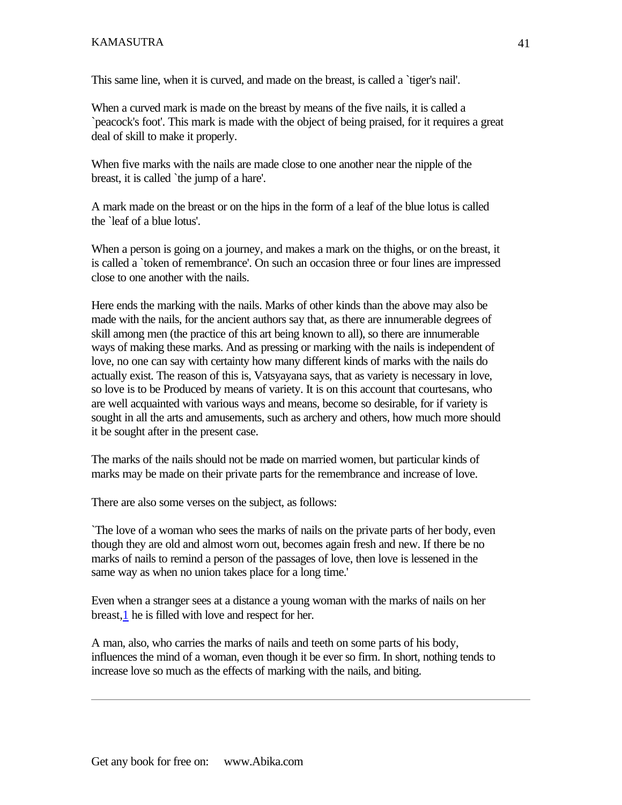This same line, when it is curved, and made on the breast, is called a `tiger's nail'.

When a curved mark is made on the breast by means of the five nails, it is called a `peacock's foot'. This mark is made with the object of being praised, for it requires a great deal of skill to make it properly.

When five marks with the nails are made close to one another near the nipple of the breast, it is called `the jump of a hare'.

A mark made on the breast or on the hips in the form of a leaf of the blue lotus is called the `leaf of a blue lotus'.

When a person is going on a journey, and makes a mark on the thighs, or on the breast, it is called a `token of remembrance'. On such an occasion three or four lines are impressed close to one another with the nails.

Here ends the marking with the nails. Marks of other kinds than the above may also be made with the nails, for the ancient authors say that, as there are innumerable degrees of skill among men (the practice of this art being known to all), so there are innumerable ways of making these marks. And as pressing or marking with the nails is independent of love, no one can say with certainty how many different kinds of marks with the nails do actually exist. The reason of this is, Vatsyayana says, that as variety is necessary in love, so love is to be Produced by means of variety. It is on this account that courtesans, who are well acquainted with various ways and means, become so desirable, for if variety is sought in all the arts and amusements, such as archery and others, how much more should it be sought after in the present case.

The marks of the nails should not be made on married women, but particular kinds of marks may be made on their private parts for the remembrance and increase of love.

There are also some verses on the subject, as follows:

`The love of a woman who sees the marks of nails on the private parts of her body, even though they are old and almost worn out, becomes again fresh and new. If there be no marks of nails to remind a person of the passages of love, then love is lessened in the same way as when no union takes place for a long time.'

Even when a stranger sees at a distance a young woman with the marks of nails on her breast,1 he is filled with love and respect for her.

A man, also, who carries the marks of nails and teeth on some parts of his body, influences the mind of a woman, even though it be ever so firm. In short, nothing tends to increase love so much as the effects of marking with the nails, and biting.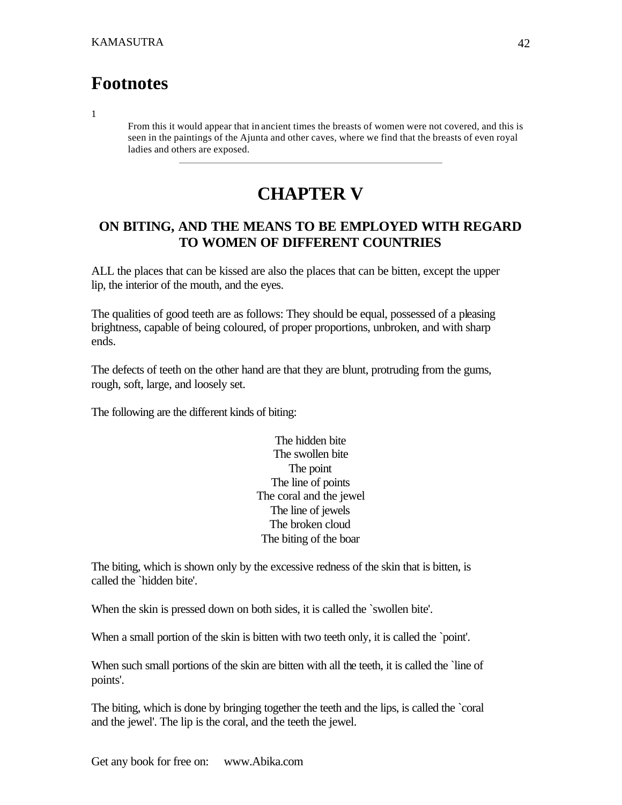# **Footnotes**

1

From this it would appear that in ancient times the breasts of women were not covered, and this is seen in the paintings of the Ajunta and other caves, where we find that the breasts of even royal ladies and others are exposed.

# **CHAPTER V**

### **ON BITING, AND THE MEANS TO BE EMPLOYED WITH REGARD TO WOMEN OF DIFFERENT COUNTRIES**

ALL the places that can be kissed are also the places that can be bitten, except the upper lip, the interior of the mouth, and the eyes.

The qualities of good teeth are as follows: They should be equal, possessed of a pleasing brightness, capable of being coloured, of proper proportions, unbroken, and with sharp ends.

The defects of teeth on the other hand are that they are blunt, protruding from the gums, rough, soft, large, and loosely set.

The following are the different kinds of biting:

The hidden bite The swollen bite The point The line of points The coral and the jewel The line of jewels The broken cloud The biting of the boar

The biting, which is shown only by the excessive redness of the skin that is bitten, is called the `hidden bite'.

When the skin is pressed down on both sides, it is called the `swollen bite'.

When a small portion of the skin is bitten with two teeth only, it is called the `point'.

When such small portions of the skin are bitten with all the teeth, it is called the `line of points'.

The biting, which is done by bringing together the teeth and the lips, is called the `coral and the jewel'. The lip is the coral, and the teeth the jewel.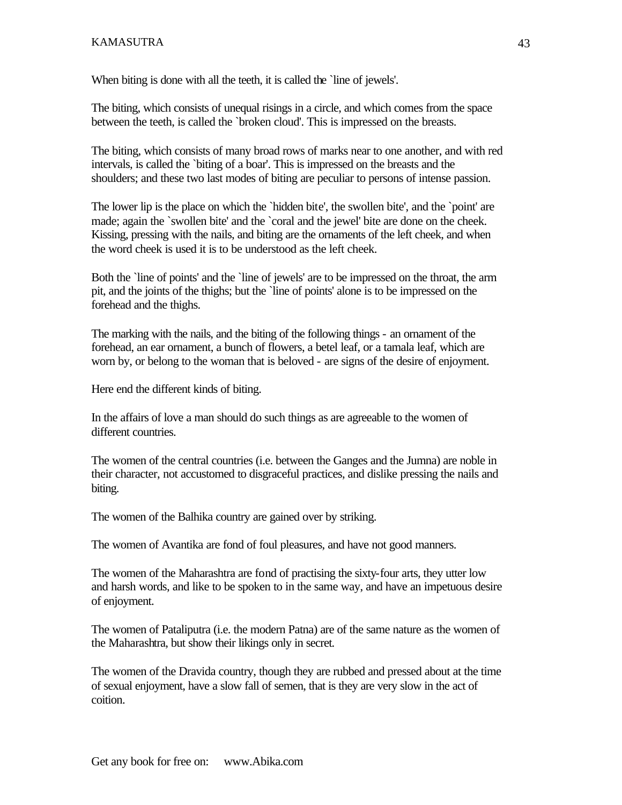When biting is done with all the teeth, it is called the `line of jewels'.

The biting, which consists of unequal risings in a circle, and which comes from the space between the teeth, is called the `broken cloud'. This is impressed on the breasts.

The biting, which consists of many broad rows of marks near to one another, and with red intervals, is called the `biting of a boar'. This is impressed on the breasts and the shoulders; and these two last modes of biting are peculiar to persons of intense passion.

The lower lip is the place on which the `hidden bite', the swollen bite', and the `point' are made; again the `swollen bite' and the `coral and the jewel' bite are done on the cheek. Kissing, pressing with the nails, and biting are the ornaments of the left cheek, and when the word cheek is used it is to be understood as the left cheek.

Both the `line of points' and the `line of jewels' are to be impressed on the throat, the arm pit, and the joints of the thighs; but the `line of points' alone is to be impressed on the forehead and the thighs.

The marking with the nails, and the biting of the following things - an ornament of the forehead, an ear ornament, a bunch of flowers, a betel leaf, or a tamala leaf, which are worn by, or belong to the woman that is beloved - are signs of the desire of enjoyment.

Here end the different kinds of biting.

In the affairs of love a man should do such things as are agreeable to the women of different countries.

The women of the central countries (i.e. between the Ganges and the Jumna) are noble in their character, not accustomed to disgraceful practices, and dislike pressing the nails and biting.

The women of the Balhika country are gained over by striking.

The women of Avantika are fond of foul pleasures, and have not good manners.

The women of the Maharashtra are fond of practising the sixty-four arts, they utter low and harsh words, and like to be spoken to in the same way, and have an impetuous desire of enjoyment.

The women of Pataliputra (i.e. the modern Patna) are of the same nature as the women of the Maharashtra, but show their likings only in secret.

The women of the Dravida country, though they are rubbed and pressed about at the time of sexual enjoyment, have a slow fall of semen, that is they are very slow in the act of coition.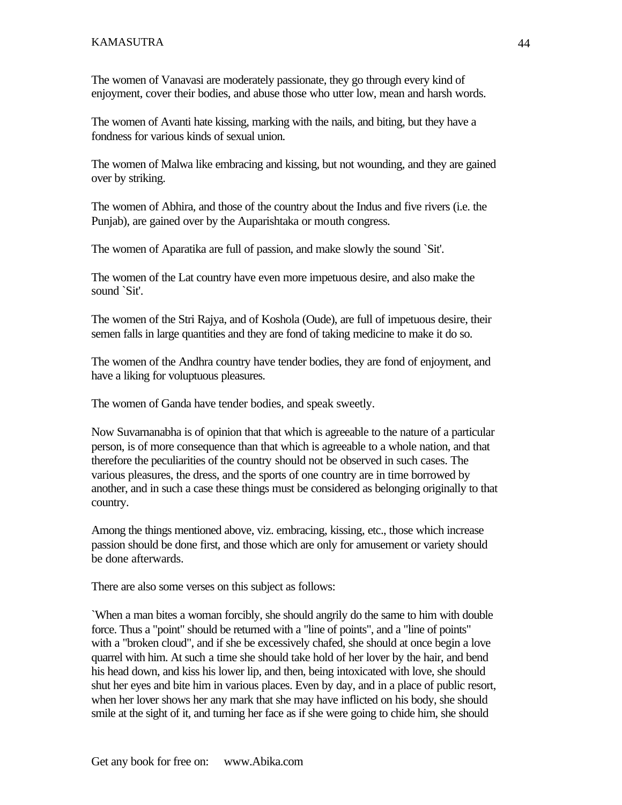The women of Vanavasi are moderately passionate, they go through every kind of enjoyment, cover their bodies, and abuse those who utter low, mean and harsh words.

The women of Avanti hate kissing, marking with the nails, and biting, but they have a fondness for various kinds of sexual union.

The women of Malwa like embracing and kissing, but not wounding, and they are gained over by striking.

The women of Abhira, and those of the country about the Indus and five rivers (i.e. the Punjab), are gained over by the Auparishtaka or mouth congress.

The women of Aparatika are full of passion, and make slowly the sound `Sit'.

The women of the Lat country have even more impetuous desire, and also make the sound `Sit'.

The women of the Stri Rajya, and of Koshola (Oude), are full of impetuous desire, their semen falls in large quantities and they are fond of taking medicine to make it do so.

The women of the Andhra country have tender bodies, they are fond of enjoyment, and have a liking for voluptuous pleasures.

The women of Ganda have tender bodies, and speak sweetly.

Now Suvarnanabha is of opinion that that which is agreeable to the nature of a particular person, is of more consequence than that which is agreeable to a whole nation, and that therefore the peculiarities of the country should not be observed in such cases. The various pleasures, the dress, and the sports of one country are in time borrowed by another, and in such a case these things must be considered as belonging originally to that country.

Among the things mentioned above, viz. embracing, kissing, etc., those which increase passion should be done first, and those which are only for amusement or variety should be done afterwards.

There are also some verses on this subject as follows:

`When a man bites a woman forcibly, she should angrily do the same to him with double force. Thus a "point" should be returned with a "line of points", and a "line of points" with a "broken cloud", and if she be excessively chafed, she should at once begin a love quarrel with him. At such a time she should take hold of her lover by the hair, and bend his head down, and kiss his lower lip, and then, being intoxicated with love, she should shut her eyes and bite him in various places. Even by day, and in a place of public resort, when her lover shows her any mark that she may have inflicted on his body, she should smile at the sight of it, and turning her face as if she were going to chide him, she should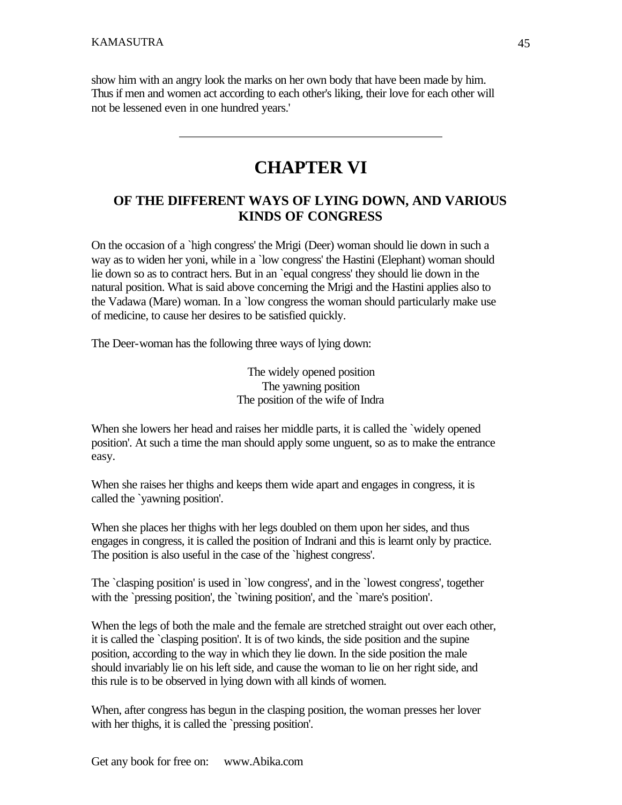show him with an angry look the marks on her own body that have been made by him. Thus if men and women act according to each other's liking, their love for each other will not be lessened even in one hundred years.'

# **CHAPTER VI**

### **OF THE DIFFERENT WAYS OF LYING DOWN, AND VARIOUS KINDS OF CONGRESS**

On the occasion of a `high congress' the Mrigi (Deer) woman should lie down in such a way as to widen her yoni, while in a `low congress' the Hastini (Elephant) woman should lie down so as to contract hers. But in an `equal congress' they should lie down in the natural position. What is said above concerning the Mrigi and the Hastini applies also to the Vadawa (Mare) woman. In a `low congress the woman should particularly make use of medicine, to cause her desires to be satisfied quickly.

The Deer-woman has the following three ways of lying down:

The widely opened position The yawning position The position of the wife of Indra

When she lowers her head and raises her middle parts, it is called the `widely opened position'. At such a time the man should apply some unguent, so as to make the entrance easy.

When she raises her thighs and keeps them wide apart and engages in congress, it is called the `yawning position'.

When she places her thighs with her legs doubled on them upon her sides, and thus engages in congress, it is called the position of Indrani and this is learnt only by practice. The position is also useful in the case of the `highest congress'.

The `clasping position' is used in `low congress', and in the `lowest congress', together with the `pressing position', the `twining position', and the `mare's position'.

When the legs of both the male and the female are stretched straight out over each other, it is called the `clasping position'. It is of two kinds, the side position and the supine position, according to the way in which they lie down. In the side position the male should invariably lie on his left side, and cause the woman to lie on her right side, and this rule is to be observed in lying down with all kinds of women.

When, after congress has begun in the clasping position, the woman presses her lover with her thighs, it is called the `pressing position'.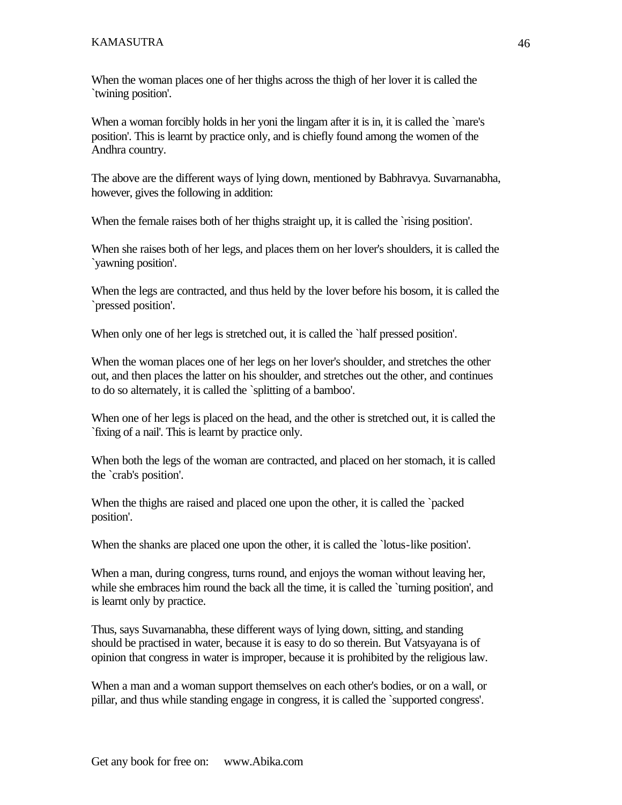When the woman places one of her thighs across the thigh of her lover it is called the `twining position'.

When a woman forcibly holds in her yoni the lingam after it is in, it is called the `mare's position'. This is learnt by practice only, and is chiefly found among the women of the Andhra country.

The above are the different ways of lying down, mentioned by Babhravya. Suvarnanabha, however, gives the following in addition:

When the female raises both of her thighs straight up, it is called the `rising position'.

When she raises both of her legs, and places them on her lover's shoulders, it is called the `yawning position'.

When the legs are contracted, and thus held by the lover before his bosom, it is called the `pressed position'.

When only one of her legs is stretched out, it is called the `half pressed position'.

When the woman places one of her legs on her lover's shoulder, and stretches the other out, and then places the latter on his shoulder, and stretches out the other, and continues to do so alternately, it is called the `splitting of a bamboo'.

When one of her legs is placed on the head, and the other is stretched out, it is called the `fixing of a nail'. This is learnt by practice only.

When both the legs of the woman are contracted, and placed on her stomach, it is called the `crab's position'.

When the thighs are raised and placed one upon the other, it is called the `packed position'.

When the shanks are placed one upon the other, it is called the `lotus-like position'.

When a man, during congress, turns round, and enjoys the woman without leaving her, while she embraces him round the back all the time, it is called the 'turning position', and is learnt only by practice.

Thus, says Suvarnanabha, these different ways of lying down, sitting, and standing should be practised in water, because it is easy to do so therein. But Vatsyayana is of opinion that congress in water is improper, because it is prohibited by the religious law.

When a man and a woman support themselves on each other's bodies, or on a wall, or pillar, and thus while standing engage in congress, it is called the `supported congress'.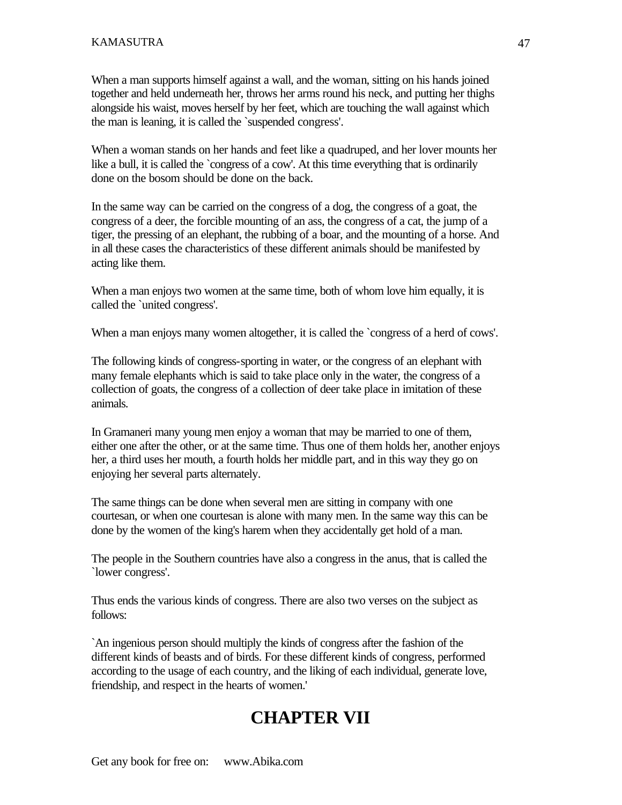When a man supports himself against a wall, and the woman, sitting on his hands joined together and held underneath her, throws her arms round his neck, and putting her thighs alongside his waist, moves herself by her feet, which are touching the wall against which the man is leaning, it is called the `suspended congress'.

When a woman stands on her hands and feet like a quadruped, and her lover mounts her like a bull, it is called the `congress of a cow'. At this time everything that is ordinarily done on the bosom should be done on the back.

In the same way can be carried on the congress of a dog, the congress of a goat, the congress of a deer, the forcible mounting of an ass, the congress of a cat, the jump of a tiger, the pressing of an elephant, the rubbing of a boar, and the mounting of a horse. And in all these cases the characteristics of these different animals should be manifested by acting like them.

When a man enjoys two women at the same time, both of whom love him equally, it is called the `united congress'.

When a man enjoys many women altogether, it is called the `congress of a herd of cows'.

The following kinds of congress-sporting in water, or the congress of an elephant with many female elephants which is said to take place only in the water, the congress of a collection of goats, the congress of a collection of deer take place in imitation of these animals.

In Gramaneri many young men enjoy a woman that may be married to one of them, either one after the other, or at the same time. Thus one of them holds her, another enjoys her, a third uses her mouth, a fourth holds her middle part, and in this way they go on enjoying her several parts alternately.

The same things can be done when several men are sitting in company with one courtesan, or when one courtesan is alone with many men. In the same way this can be done by the women of the king's harem when they accidentally get hold of a man.

The people in the Southern countries have also a congress in the anus, that is called the `lower congress'.

Thus ends the various kinds of congress. There are also two verses on the subject as follows:

`An ingenious person should multiply the kinds of congress after the fashion of the different kinds of beasts and of birds. For these different kinds of congress, performed according to the usage of each country, and the liking of each individual, generate love, friendship, and respect in the hearts of women.'

# **CHAPTER VII**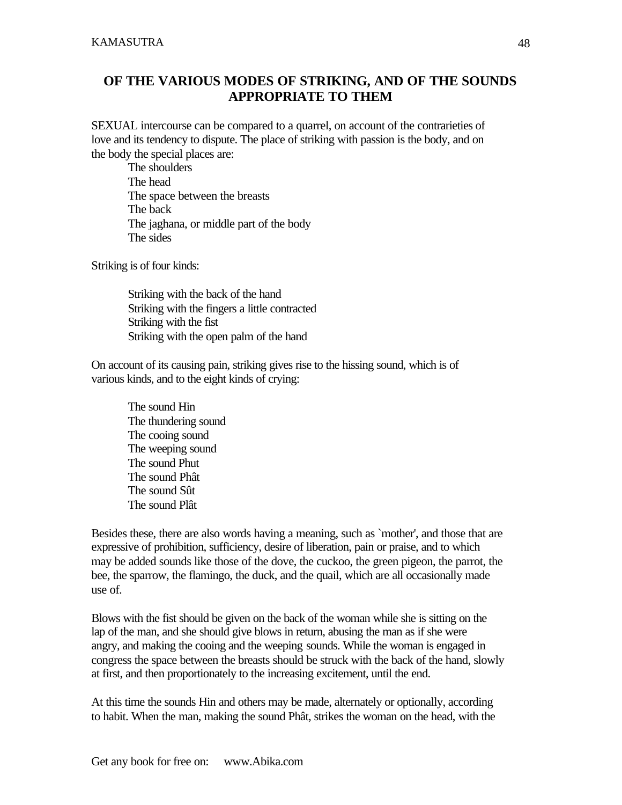#### **OF THE VARIOUS MODES OF STRIKING, AND OF THE SOUNDS APPROPRIATE TO THEM**

SEXUAL intercourse can be compared to a quarrel, on account of the contrarieties of love and its tendency to dispute. The place of striking with passion is the body, and on the body the special places are:

The shoulders The head The space between the breasts The back The jaghana, or middle part of the body The sides

Striking is of four kinds:

Striking with the back of the hand Striking with the fingers a little contracted Striking with the fist Striking with the open palm of the hand

On account of its causing pain, striking gives rise to the hissing sound, which is of various kinds, and to the eight kinds of crying:

The sound Hin The thundering sound The cooing sound The weeping sound The sound Phut The sound Phât The sound Sût The sound Plât

Besides these, there are also words having a meaning, such as `mother', and those that are expressive of prohibition, sufficiency, desire of liberation, pain or praise, and to which may be added sounds like those of the dove, the cuckoo, the green pigeon, the parrot, the bee, the sparrow, the flamingo, the duck, and the quail, which are all occasionally made use of.

Blows with the fist should be given on the back of the woman while she is sitting on the lap of the man, and she should give blows in return, abusing the man as if she were angry, and making the cooing and the weeping sounds. While the woman is engaged in congress the space between the breasts should be struck with the back of the hand, slowly at first, and then proportionately to the increasing excitement, until the end.

At this time the sounds Hin and others may be made, alternately or optionally, according to habit. When the man, making the sound Phât, strikes the woman on the head, with the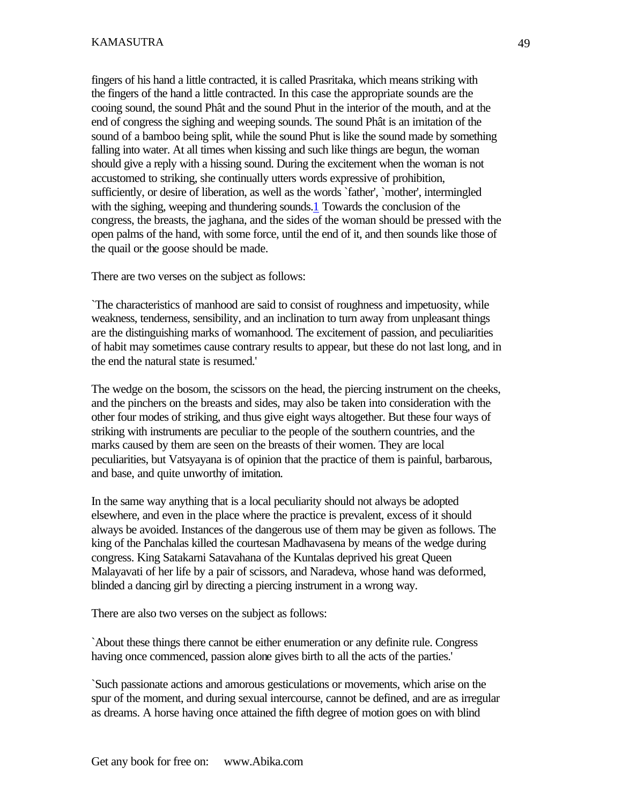fingers of his hand a little contracted, it is called Prasritaka, which means striking with the fingers of the hand a little contracted. In this case the appropriate sounds are the cooing sound, the sound Phât and the sound Phut in the interior of the mouth, and at the end of congress the sighing and weeping sounds. The sound Phât is an imitation of the sound of a bamboo being split, while the sound Phut is like the sound made by something falling into water. At all times when kissing and such like things are begun, the woman should give a reply with a hissing sound. During the excitement when the woman is not accustomed to striking, she continually utters words expressive of prohibition, sufficiently, or desire of liberation, as well as the words `father', `mother', intermingled with the sighing, weeping and thundering sounds.<sup>1</sup> Towards the conclusion of the congress, the breasts, the jaghana, and the sides of the woman should be pressed with the open palms of the hand, with some force, until the end of it, and then sounds like those of the quail or the goose should be made.

There are two verses on the subject as follows:

`The characteristics of manhood are said to consist of roughness and impetuosity, while weakness, tenderness, sensibility, and an inclination to turn away from unpleasant things are the distinguishing marks of womanhood. The excitement of passion, and peculiarities of habit may sometimes cause contrary results to appear, but these do not last long, and in the end the natural state is resumed.'

The wedge on the bosom, the scissors on the head, the piercing instrument on the cheeks, and the pinchers on the breasts and sides, may also be taken into consideration with the other four modes of striking, and thus give eight ways altogether. But these four ways of striking with instruments are peculiar to the people of the southern countries, and the marks caused by them are seen on the breasts of their women. They are local peculiarities, but Vatsyayana is of opinion that the practice of them is painful, barbarous, and base, and quite unworthy of imitation.

In the same way anything that is a local peculiarity should not always be adopted elsewhere, and even in the place where the practice is prevalent, excess of it should always be avoided. Instances of the dangerous use of them may be given as follows. The king of the Panchalas killed the courtesan Madhavasena by means of the wedge during congress. King Satakarni Satavahana of the Kuntalas deprived his great Queen Malayavati of her life by a pair of scissors, and Naradeva, whose hand was deformed, blinded a dancing girl by directing a piercing instrument in a wrong way.

There are also two verses on the subject as follows:

`About these things there cannot be either enumeration or any definite rule. Congress having once commenced, passion alone gives birth to all the acts of the parties.'

`Such passionate actions and amorous gesticulations or movements, which arise on the spur of the moment, and during sexual intercourse, cannot be defined, and are as irregular as dreams. A horse having once attained the fifth degree of motion goes on with blind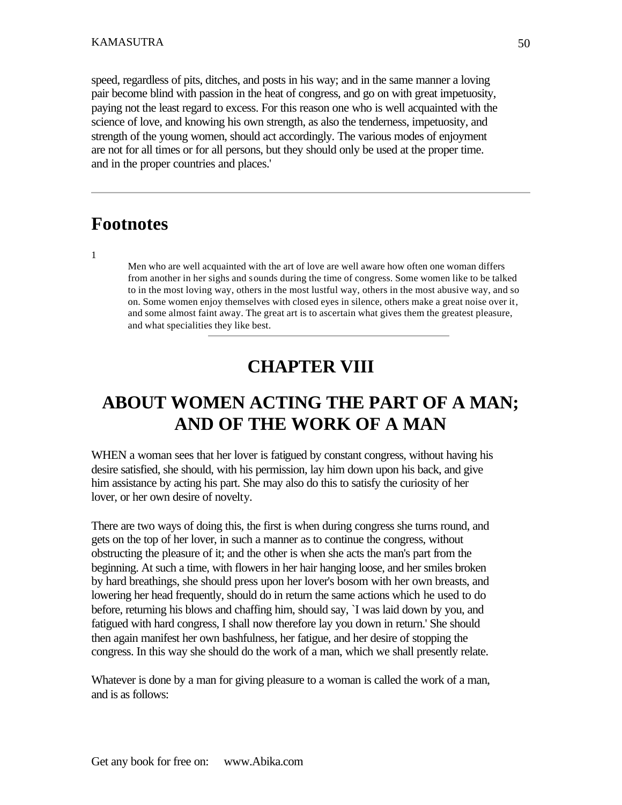speed, regardless of pits, ditches, and posts in his way; and in the same manner a loving pair become blind with passion in the heat of congress, and go on with great impetuosity, paying not the least regard to excess. For this reason one who is well acquainted with the science of love, and knowing his own strength, as also the tenderness, impetuosity, and strength of the young women, should act accordingly. The various modes of enjoyment are not for all times or for all persons, but they should only be used at the proper time. and in the proper countries and places.'

### **Footnotes**

1

Men who are well acquainted with the art of love are well aware how often one woman differs from another in her sighs and sounds during the time of congress. Some women like to be talked to in the most loving way, others in the most lustful way, others in the most abusive way, and so on. Some women enjoy themselves with closed eyes in silence, others make a great noise over it, and some almost faint away. The great art is to ascertain what gives them the greatest pleasure, and what specialities they like best.

## **CHAPTER VIII**

## **ABOUT WOMEN ACTING THE PART OF A MAN; AND OF THE WORK OF A MAN**

WHEN a woman sees that her lover is fatigued by constant congress, without having his desire satisfied, she should, with his permission, lay him down upon his back, and give him assistance by acting his part. She may also do this to satisfy the curiosity of her lover, or her own desire of novelty.

There are two ways of doing this, the first is when during congress she turns round, and gets on the top of her lover, in such a manner as to continue the congress, without obstructing the pleasure of it; and the other is when she acts the man's part from the beginning. At such a time, with flowers in her hair hanging loose, and her smiles broken by hard breathings, she should press upon her lover's bosom with her own breasts, and lowering her head frequently, should do in return the same actions which he used to do before, returning his blows and chaffing him, should say, `I was laid down by you, and fatigued with hard congress, I shall now therefore lay you down in return.' She should then again manifest her own bashfulness, her fatigue, and her desire of stopping the congress. In this way she should do the work of a man, which we shall presently relate.

Whatever is done by a man for giving pleasure to a woman is called the work of a man, and is as follows: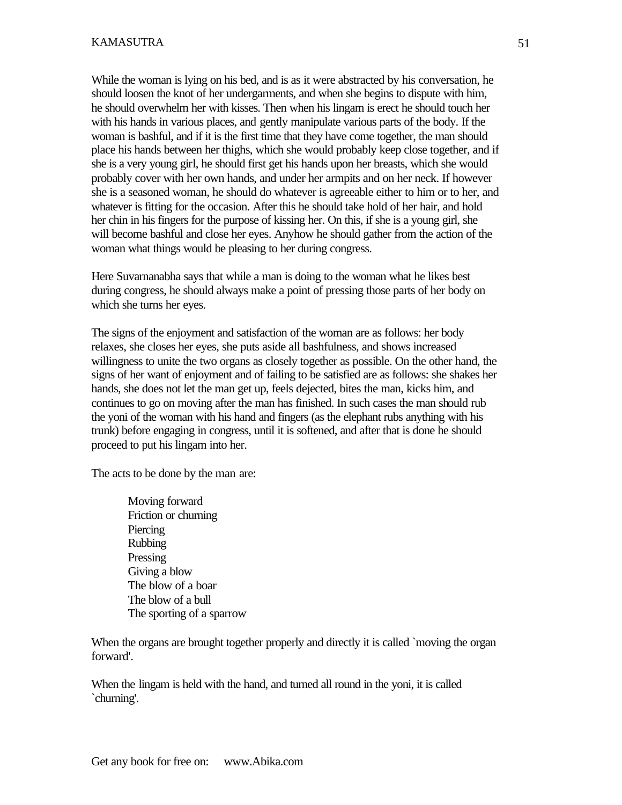While the woman is lying on his bed, and is as it were abstracted by his conversation, he should loosen the knot of her undergarments, and when she begins to dispute with him, he should overwhelm her with kisses. Then when his lingam is erect he should touch her with his hands in various places, and gently manipulate various parts of the body. If the woman is bashful, and if it is the first time that they have come together, the man should place his hands between her thighs, which she would probably keep close together, and if she is a very young girl, he should first get his hands upon her breasts, which she would probably cover with her own hands, and under her armpits and on her neck. If however she is a seasoned woman, he should do whatever is agreeable either to him or to her, and whatever is fitting for the occasion. After this he should take hold of her hair, and hold her chin in his fingers for the purpose of kissing her. On this, if she is a young girl, she will become bashful and close her eyes. Anyhow he should gather from the action of the woman what things would be pleasing to her during congress.

Here Suvarnanabha says that while a man is doing to the woman what he likes best during congress, he should always make a point of pressing those parts of her body on which she turns her eyes.

The signs of the enjoyment and satisfaction of the woman are as follows: her body relaxes, she closes her eyes, she puts aside all bashfulness, and shows increased willingness to unite the two organs as closely together as possible. On the other hand, the signs of her want of enjoyment and of failing to be satisfied are as follows: she shakes her hands, she does not let the man get up, feels dejected, bites the man, kicks him, and continues to go on moving after the man has finished. In such cases the man should rub the yoni of the woman with his hand and fingers (as the elephant rubs anything with his trunk) before engaging in congress, until it is softened, and after that is done he should proceed to put his lingam into her.

The acts to be done by the man are:

Moving forward Friction or churning Piercing Rubbing Pressing Giving a blow The blow of a boar The blow of a bull The sporting of a sparrow

When the organs are brought together properly and directly it is called `moving the organ forward'.

When the lingam is held with the hand, and turned all round in the yoni, it is called `churning'.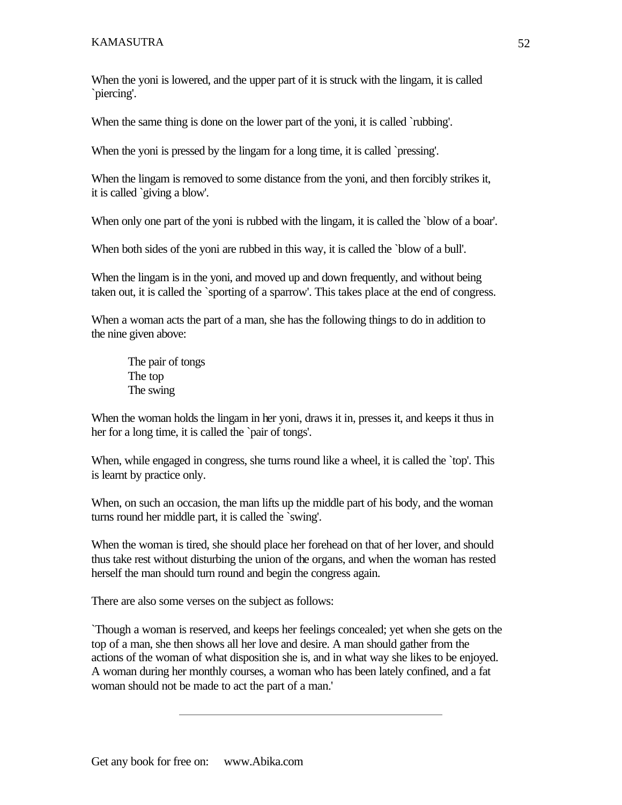When the yoni is lowered, and the upper part of it is struck with the lingam, it is called `piercing'.

When the same thing is done on the lower part of the yoni, it is called `rubbing'.

When the yoni is pressed by the lingam for a long time, it is called `pressing'.

When the lingam is removed to some distance from the yoni, and then forcibly strikes it, it is called `giving a blow'.

When only one part of the yoni is rubbed with the lingam, it is called the `blow of a boar'.

When both sides of the yoni are rubbed in this way, it is called the `blow of a bull'.

When the lingam is in the yoni, and moved up and down frequently, and without being taken out, it is called the `sporting of a sparrow'. This takes place at the end of congress.

When a woman acts the part of a man, she has the following things to do in addition to the nine given above:

The pair of tongs The top The swing

When the woman holds the lingam in her yoni, draws it in, presses it, and keeps it thus in her for a long time, it is called the `pair of tongs'.

When, while engaged in congress, she turns round like a wheel, it is called the `top'. This is learnt by practice only.

When, on such an occasion, the man lifts up the middle part of his body, and the woman turns round her middle part, it is called the `swing'.

When the woman is tired, she should place her forehead on that of her lover, and should thus take rest without disturbing the union of the organs, and when the woman has rested herself the man should turn round and begin the congress again.

There are also some verses on the subject as follows:

`Though a woman is reserved, and keeps her feelings concealed; yet when she gets on the top of a man, she then shows all her love and desire. A man should gather from the actions of the woman of what disposition she is, and in what way she likes to be enjoyed. A woman during her monthly courses, a woman who has been lately confined, and a fat woman should not be made to act the part of a man.'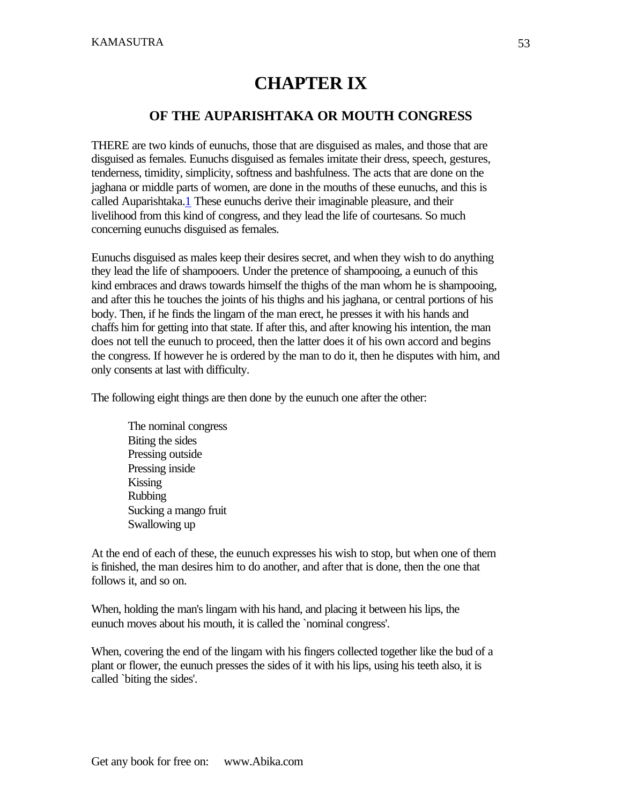# **CHAPTER IX**

#### **OF THE AUPARISHTAKA OR MOUTH CONGRESS**

THERE are two kinds of eunuchs, those that are disguised as males, and those that are disguised as females. Eunuchs disguised as females imitate their dress, speech, gestures, tenderness, timidity, simplicity, softness and bashfulness. The acts that are done on the jaghana or middle parts of women, are done in the mouths of these eunuchs, and this is called Auparishtaka.1 These eunuchs derive their imaginable pleasure, and their livelihood from this kind of congress, and they lead the life of courtesans. So much concerning eunuchs disguised as females.

Eunuchs disguised as males keep their desires secret, and when they wish to do anything they lead the life of shampooers. Under the pretence of shampooing, a eunuch of this kind embraces and draws towards himself the thighs of the man whom he is shampooing, and after this he touches the joints of his thighs and his jaghana, or central portions of his body. Then, if he finds the lingam of the man erect, he presses it with his hands and chaffs him for getting into that state. If after this, and after knowing his intention, the man does not tell the eunuch to proceed, then the latter does it of his own accord and begins the congress. If however he is ordered by the man to do it, then he disputes with him, and only consents at last with difficulty.

The following eight things are then done by the eunuch one after the other:

The nominal congress Biting the sides Pressing outside Pressing inside Kissing Rubbing Sucking a mango fruit Swallowing up

At the end of each of these, the eunuch expresses his wish to stop, but when one of them is finished, the man desires him to do another, and after that is done, then the one that follows it, and so on.

When, holding the man's lingam with his hand, and placing it between his lips, the eunuch moves about his mouth, it is called the `nominal congress'.

When, covering the end of the lingam with his fingers collected together like the bud of a plant or flower, the eunuch presses the sides of it with his lips, using his teeth also, it is called `biting the sides'.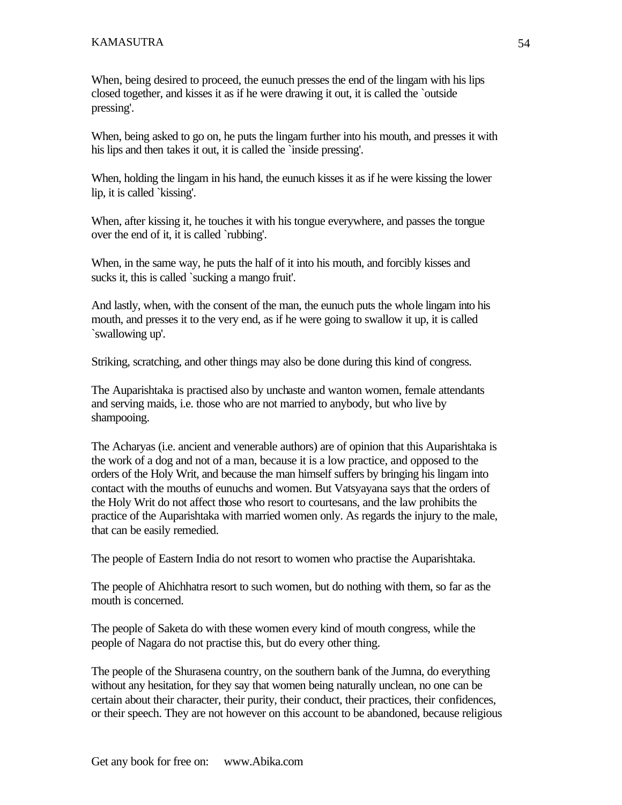When, being desired to proceed, the eunuch presses the end of the lingam with his lips closed together, and kisses it as if he were drawing it out, it is called the `outside pressing'.

When, being asked to go on, he puts the lingam further into his mouth, and presses it with his lips and then takes it out, it is called the `inside pressing'.

When, holding the lingam in his hand, the eunuch kisses it as if he were kissing the lower lip, it is called `kissing'.

When, after kissing it, he touches it with his tongue everywhere, and passes the tongue over the end of it, it is called `rubbing'.

When, in the same way, he puts the half of it into his mouth, and forcibly kisses and sucks it, this is called `sucking a mango fruit'.

And lastly, when, with the consent of the man, the eunuch puts the whole lingam into his mouth, and presses it to the very end, as if he were going to swallow it up, it is called `swallowing up'.

Striking, scratching, and other things may also be done during this kind of congress.

The Auparishtaka is practised also by unchaste and wanton women, female attendants and serving maids, i.e. those who are not married to anybody, but who live by shampooing.

The Acharyas (i.e. ancient and venerable authors) are of opinion that this Auparishtaka is the work of a dog and not of a man, because it is a low practice, and opposed to the orders of the Holy Writ, and because the man himself suffers by bringing his lingam into contact with the mouths of eunuchs and women. But Vatsyayana says that the orders of the Holy Writ do not affect those who resort to courtesans, and the law prohibits the practice of the Auparishtaka with married women only. As regards the injury to the male, that can be easily remedied.

The people of Eastern India do not resort to women who practise the Auparishtaka.

The people of Ahichhatra resort to such women, but do nothing with them, so far as the mouth is concerned.

The people of Saketa do with these women every kind of mouth congress, while the people of Nagara do not practise this, but do every other thing.

The people of the Shurasena country, on the southern bank of the Jumna, do everything without any hesitation, for they say that women being naturally unclean, no one can be certain about their character, their purity, their conduct, their practices, their confidences, or their speech. They are not however on this account to be abandoned, because religious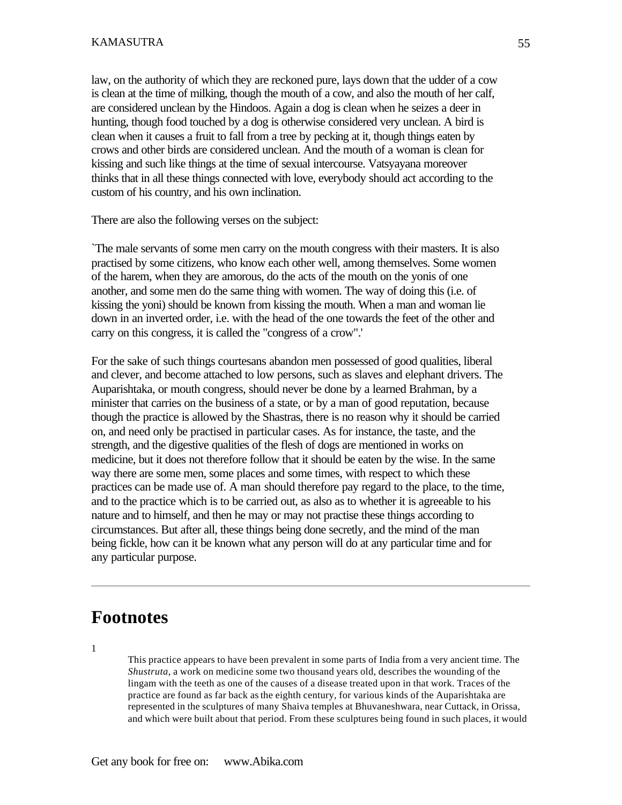law, on the authority of which they are reckoned pure, lays down that the udder of a cow is clean at the time of milking, though the mouth of a cow, and also the mouth of her calf, are considered unclean by the Hindoos. Again a dog is clean when he seizes a deer in hunting, though food touched by a dog is otherwise considered very unclean. A bird is clean when it causes a fruit to fall from a tree by pecking at it, though things eaten by crows and other birds are considered unclean. And the mouth of a woman is clean for kissing and such like things at the time of sexual intercourse. Vatsyayana moreover thinks that in all these things connected with love, everybody should act according to the custom of his country, and his own inclination.

There are also the following verses on the subject:

`The male servants of some men carry on the mouth congress with their masters. It is also practised by some citizens, who know each other well, among themselves. Some women of the harem, when they are amorous, do the acts of the mouth on the yonis of one another, and some men do the same thing with women. The way of doing this (i.e. of kissing the yoni) should be known from kissing the mouth. When a man and woman lie down in an inverted order, i.e. with the head of the one towards the feet of the other and carry on this congress, it is called the "congress of a crow".'

For the sake of such things courtesans abandon men possessed of good qualities, liberal and clever, and become attached to low persons, such as slaves and elephant drivers. The Auparishtaka, or mouth congress, should never be done by a learned Brahman, by a minister that carries on the business of a state, or by a man of good reputation, because though the practice is allowed by the Shastras, there is no reason why it should be carried on, and need only be practised in particular cases. As for instance, the taste, and the strength, and the digestive qualities of the flesh of dogs are mentioned in works on medicine, but it does not therefore follow that it should be eaten by the wise. In the same way there are some men, some places and some times, with respect to which these practices can be made use of. A man should therefore pay regard to the place, to the time, and to the practice which is to be carried out, as also as to whether it is agreeable to his nature and to himself, and then he may or may not practise these things according to circumstances. But after all, these things being done secretly, and the mind of the man being fickle, how can it be known what any person will do at any particular time and for any particular purpose.

## **Footnotes**

1

This practice appears to have been prevalent in some parts of India from a very ancient time. The *Shustruta*, a work on medicine some two thousand years old, describes the wounding of the lingam with the teeth as one of the causes of a disease treated upon in that work. Traces of the practice are found as far back as the eighth century, for various kinds of the Auparishtaka are represented in the sculptures of many Shaiva temples at Bhuvaneshwara, near Cuttack, in Orissa, and which were built about that period. From these sculptures being found in such places, it would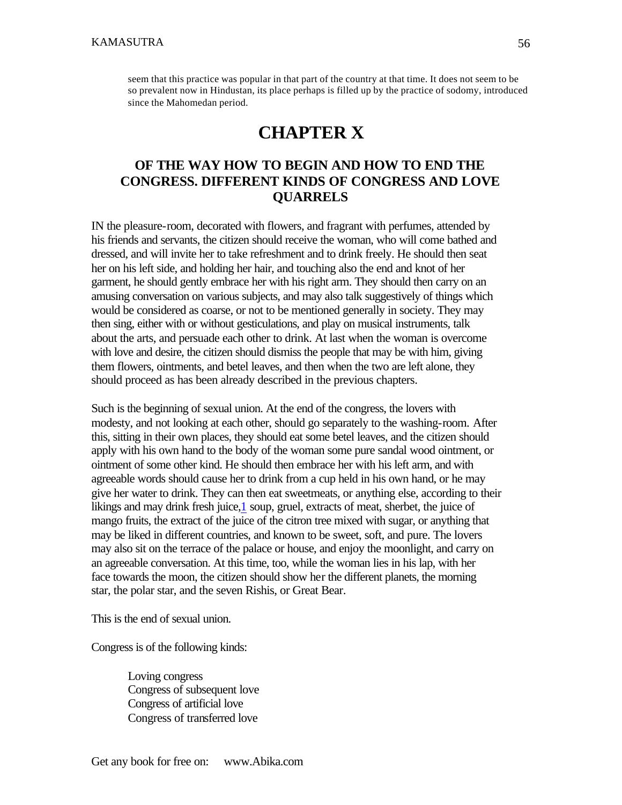seem that this practice was popular in that part of the country at that time. It does not seem to be so prevalent now in Hindustan, its place perhaps is filled up by the practice of sodomy, introduced since the Mahomedan period.

### **CHAPTER X**

### **OF THE WAY HOW TO BEGIN AND HOW TO END THE CONGRESS. DIFFERENT KINDS OF CONGRESS AND LOVE QUARRELS**

IN the pleasure-room, decorated with flowers, and fragrant with perfumes, attended by his friends and servants, the citizen should receive the woman, who will come bathed and dressed, and will invite her to take refreshment and to drink freely. He should then seat her on his left side, and holding her hair, and touching also the end and knot of her garment, he should gently embrace her with his right arm. They should then carry on an amusing conversation on various subjects, and may also talk suggestively of things which would be considered as coarse, or not to be mentioned generally in society. They may then sing, either with or without gesticulations, and play on musical instruments, talk about the arts, and persuade each other to drink. At last when the woman is overcome with love and desire, the citizen should dismiss the people that may be with him, giving them flowers, ointments, and betel leaves, and then when the two are left alone, they should proceed as has been already described in the previous chapters.

Such is the beginning of sexual union. At the end of the congress, the lovers with modesty, and not looking at each other, should go separately to the washing-room. After this, sitting in their own places, they should eat some betel leaves, and the citizen should apply with his own hand to the body of the woman some pure sandal wood ointment, or ointment of some other kind. He should then embrace her with his left arm, and with agreeable words should cause her to drink from a cup held in his own hand, or he may give her water to drink. They can then eat sweetmeats, or anything else, according to their likings and may drink fresh juice,1 soup, gruel, extracts of meat, sherbet, the juice of mango fruits, the extract of the juice of the citron tree mixed with sugar, or anything that may be liked in different countries, and known to be sweet, soft, and pure. The lovers may also sit on the terrace of the palace or house, and enjoy the moonlight, and carry on an agreeable conversation. At this time, too, while the woman lies in his lap, with her face towards the moon, the citizen should show her the different planets, the morning star, the polar star, and the seven Rishis, or Great Bear.

This is the end of sexual union.

Congress is of the following kinds:

Loving congress Congress of subsequent love Congress of artificial love Congress of transferred love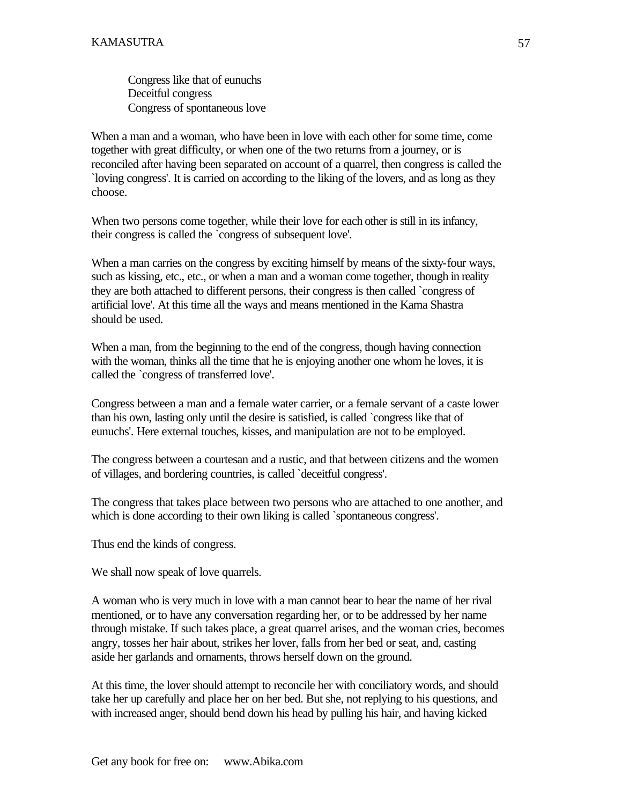Congress like that of eunuchs Deceitful congress Congress of spontaneous love

When a man and a woman, who have been in love with each other for some time, come together with great difficulty, or when one of the two returns from a journey, or is reconciled after having been separated on account of a quarrel, then congress is called the `loving congress'. It is carried on according to the liking of the lovers, and as long as they choose.

When two persons come together, while their love for each other is still in its infancy, their congress is called the `congress of subsequent love'.

When a man carries on the congress by exciting himself by means of the sixty-four ways, such as kissing, etc., etc., or when a man and a woman come together, though in reality they are both attached to different persons, their congress is then called `congress of artificial love'. At this time all the ways and means mentioned in the Kama Shastra should be used.

When a man, from the beginning to the end of the congress, though having connection with the woman, thinks all the time that he is enjoying another one whom he loves, it is called the `congress of transferred love'.

Congress between a man and a female water carrier, or a female servant of a caste lower than his own, lasting only until the desire is satisfied, is called `congress like that of eunuchs'. Here external touches, kisses, and manipulation are not to be employed.

The congress between a courtesan and a rustic, and that between citizens and the women of villages, and bordering countries, is called `deceitful congress'.

The congress that takes place between two persons who are attached to one another, and which is done according to their own liking is called `spontaneous congress'.

Thus end the kinds of congress.

We shall now speak of love quarrels.

A woman who is very much in love with a man cannot bear to hear the name of her rival mentioned, or to have any conversation regarding her, or to be addressed by her name through mistake. If such takes place, a great quarrel arises, and the woman cries, becomes angry, tosses her hair about, strikes her lover, falls from her bed or seat, and, casting aside her garlands and ornaments, throws herself down on the ground.

At this time, the lover should attempt to reconcile her with conciliatory words, and should take her up carefully and place her on her bed. But she, not replying to his questions, and with increased anger, should bend down his head by pulling his hair, and having kicked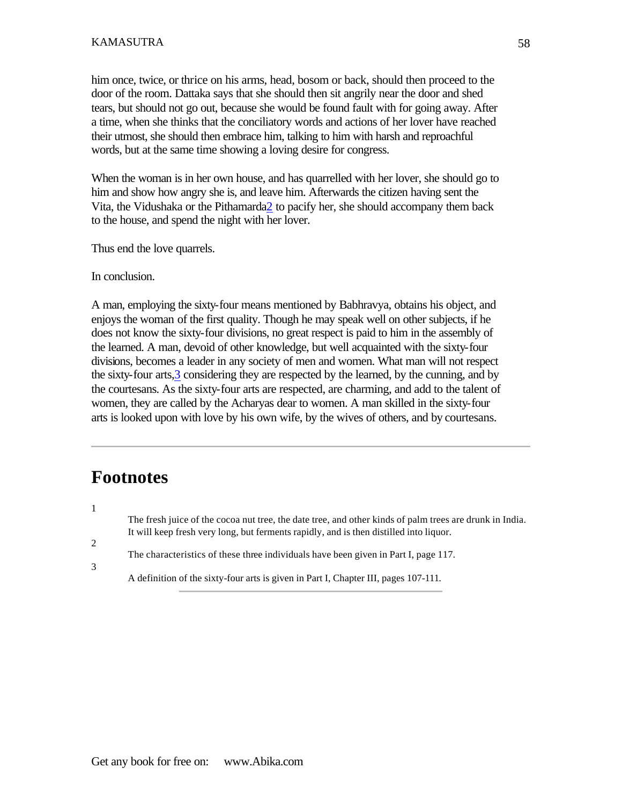him once, twice, or thrice on his arms, head, bosom or back, should then proceed to the door of the room. Dattaka says that she should then sit angrily near the door and shed tears, but should not go out, because she would be found fault with for going away. After a time, when she thinks that the conciliatory words and actions of her lover have reached their utmost, she should then embrace him, talking to him with harsh and reproachful words, but at the same time showing a loving desire for congress.

When the woman is in her own house, and has quarrelled with her lover, she should go to him and show how angry she is, and leave him. Afterwards the citizen having sent the Vita, the Vidushaka or the Pithamarda2 to pacify her, she should accompany them back to the house, and spend the night with her lover.

Thus end the love quarrels.

In conclusion.

A man, employing the sixty-four means mentioned by Babhravya, obtains his object, and enjoys the woman of the first quality. Though he may speak well on other subjects, if he does not know the sixty-four divisions, no great respect is paid to him in the assembly of the learned. A man, devoid of other knowledge, but well acquainted with the sixty-four divisions, becomes a leader in any society of men and women. What man will not respect the sixty-four arts,3 considering they are respected by the learned, by the cunning, and by the courtesans. As the sixty-four arts are respected, are charming, and add to the talent of women, they are called by the Acharyas dear to women. A man skilled in the sixty-four arts is looked upon with love by his own wife, by the wives of others, and by courtesans.

## **Footnotes**

1

The fresh juice of the cocoa nut tree, the date tree, and other kinds of palm trees are drunk in India. It will keep fresh very long, but ferments rapidly, and is then distilled into liquor.

2 3

The characteristics of these three individuals have been given in Part I, page 117.

A definition of the sixty-four arts is given in Part I, Chapter III, pages 107-111.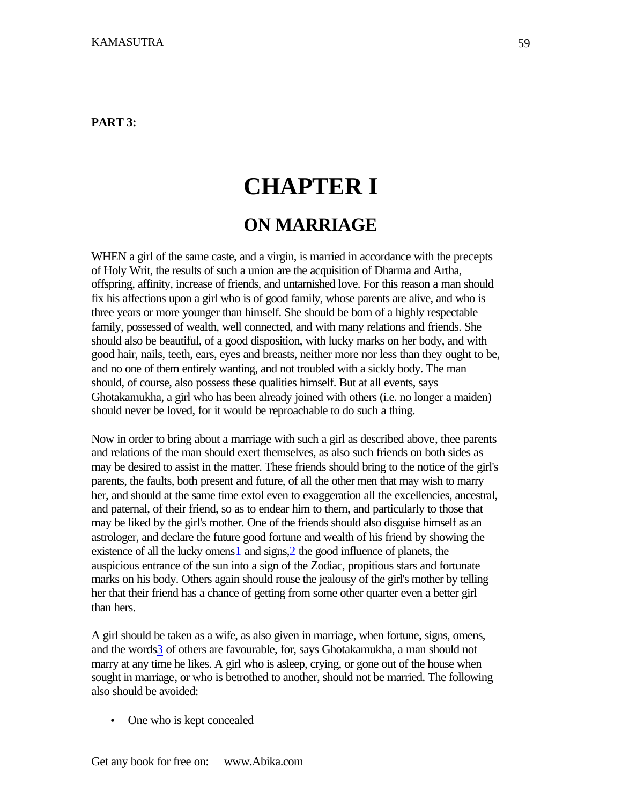#### **PART 3:**

# **CHAPTER I ON MARRIAGE**

WHEN a girl of the same caste, and a virgin, is married in accordance with the precepts of Holy Writ, the results of such a union are the acquisition of Dharma and Artha, offspring, affinity, increase of friends, and untarnished love. For this reason a man should fix his affections upon a girl who is of good family, whose parents are alive, and who is three years or more younger than himself. She should be born of a highly respectable family, possessed of wealth, well connected, and with many relations and friends. She should also be beautiful, of a good disposition, with lucky marks on her body, and with good hair, nails, teeth, ears, eyes and breasts, neither more nor less than they ought to be, and no one of them entirely wanting, and not troubled with a sickly body. The man should, of course, also possess these qualities himself. But at all events, says Ghotakamukha, a girl who has been already joined with others (i.e. no longer a maiden) should never be loved, for it would be reproachable to do such a thing.

Now in order to bring about a marriage with such a girl as described above, thee parents and relations of the man should exert themselves, as also such friends on both sides as may be desired to assist in the matter. These friends should bring to the notice of the girl's parents, the faults, both present and future, of all the other men that may wish to marry her, and should at the same time extol even to exaggeration all the excellencies, ancestral, and paternal, of their friend, so as to endear him to them, and particularly to those that may be liked by the girl's mother. One of the friends should also disguise himself as an astrologer, and declare the future good fortune and wealth of his friend by showing the existence of all the lucky omens1 and signs,2 the good influence of planets, the auspicious entrance of the sun into a sign of the Zodiac, propitious stars and fortunate marks on his body. Others again should rouse the jealousy of the girl's mother by telling her that their friend has a chance of getting from some other quarter even a better girl than hers.

A girl should be taken as a wife, as also given in marriage, when fortune, signs, omens, and the words3 of others are favourable, for, says Ghotakamukha, a man should not marry at any time he likes. A girl who is asleep, crying, or gone out of the house when sought in marriage, or who is betrothed to another, should not be married. The following also should be avoided:

• One who is kept concealed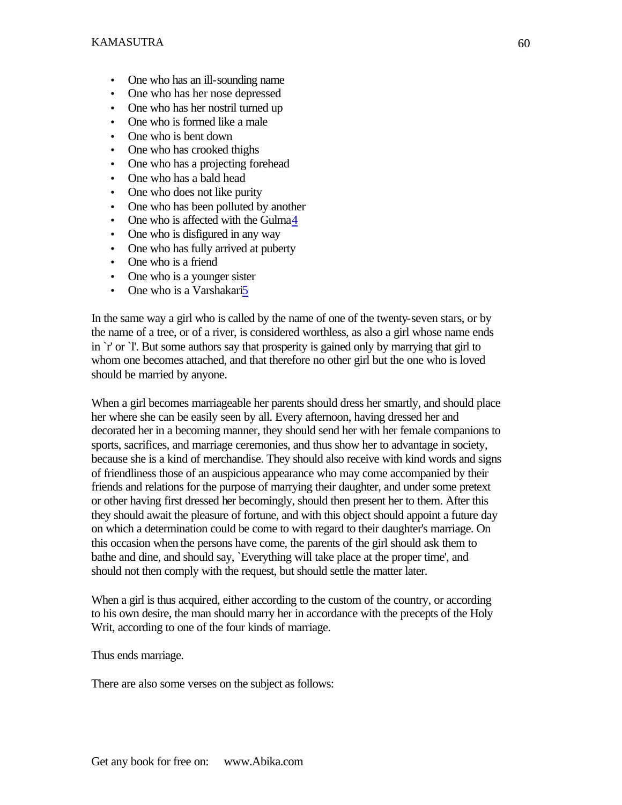- One who has an ill-sounding name
- One who has her nose depressed
- One who has her nostril turned up
- One who is formed like a male
- One who is bent down
- One who has crooked thighs
- One who has a projecting forehead
- One who has a bald head
- One who does not like purity
- One who has been polluted by another
- One who is affected with the Gulma4
- One who is disfigured in any way
- One who has fully arrived at puberty
- One who is a friend
- One who is a younger sister
- One who is a Varshakari5

In the same way a girl who is called by the name of one of the twenty-seven stars, or by the name of a tree, or of a river, is considered worthless, as also a girl whose name ends in `r' or `l'. But some authors say that prosperity is gained only by marrying that girl to whom one becomes attached, and that therefore no other girl but the one who is loved should be married by anyone.

When a girl becomes marriageable her parents should dress her smartly, and should place her where she can be easily seen by all. Every afternoon, having dressed her and decorated her in a becoming manner, they should send her with her female companions to sports, sacrifices, and marriage ceremonies, and thus show her to advantage in society, because she is a kind of merchandise. They should also receive with kind words and signs of friendliness those of an auspicious appearance who may come accompanied by their friends and relations for the purpose of marrying their daughter, and under some pretext or other having first dressed her becomingly, should then present her to them. After this they should await the pleasure of fortune, and with this object should appoint a future day on which a determination could be come to with regard to their daughter's marriage. On this occasion when the persons have come, the parents of the girl should ask them to bathe and dine, and should say, `Everything will take place at the proper time', and should not then comply with the request, but should settle the matter later.

When a girl is thus acquired, either according to the custom of the country, or according to his own desire, the man should marry her in accordance with the precepts of the Holy Writ, according to one of the four kinds of marriage.

Thus ends marriage.

There are also some verses on the subject as follows: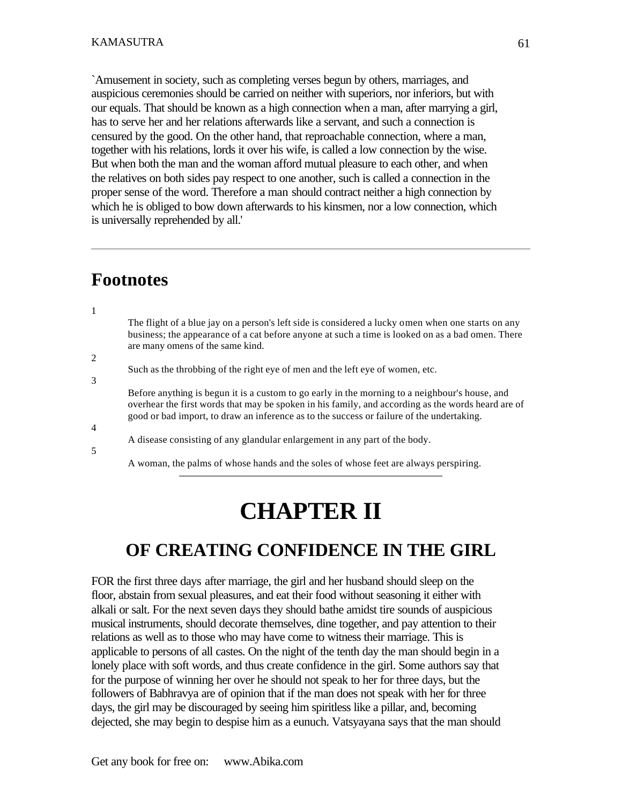`Amusement in society, such as completing verses begun by others, marriages, and auspicious ceremonies should be carried on neither with superiors, nor inferiors, but with our equals. That should be known as a high connection when a man, after marrying a girl, has to serve her and her relations afterwards like a servant, and such a connection is censured by the good. On the other hand, that reproachable connection, where a man, together with his relations, lords it over his wife, is called a low connection by the wise. But when both the man and the woman afford mutual pleasure to each other, and when the relatives on both sides pay respect to one another, such is called a connection in the proper sense of the word. Therefore a man should contract neither a high connection by which he is obliged to bow down afterwards to his kinsmen, nor a low connection, which is universally reprehended by all.'

## **Footnotes**

1

 $\overline{2}$ 

3

The flight of a blue jay on a person's left side is considered a lucky omen when one starts on any business; the appearance of a cat before anyone at such a time is looked on as a bad omen. There are many omens of the same kind.

Such as the throbbing of the right eye of men and the left eye of women, etc.

Before anything is begun it is a custom to go early in the morning to a neighbour's house, and overhear the first words that may be spoken in his family, and according as the words heard are of good or bad import, to draw an inference as to the success or failure of the undertaking.

4

5

A disease consisting of any glandular enlargement in any part of the body.

A woman, the palms of whose hands and the soles of whose feet are always perspiring.

# **CHAPTER II**

# **OF CREATING CONFIDENCE IN THE GIRL**

FOR the first three days after marriage, the girl and her husband should sleep on the floor, abstain from sexual pleasures, and eat their food without seasoning it either with alkali or salt. For the next seven days they should bathe amidst tire sounds of auspicious musical instruments, should decorate themselves, dine together, and pay attention to their relations as well as to those who may have come to witness their marriage. This is applicable to persons of all castes. On the night of the tenth day the man should begin in a lonely place with soft words, and thus create confidence in the girl. Some authors say that for the purpose of winning her over he should not speak to her for three days, but the followers of Babhravya are of opinion that if the man does not speak with her for three days, the girl may be discouraged by seeing him spiritless like a pillar, and, becoming dejected, she may begin to despise him as a eunuch. Vatsyayana says that the man should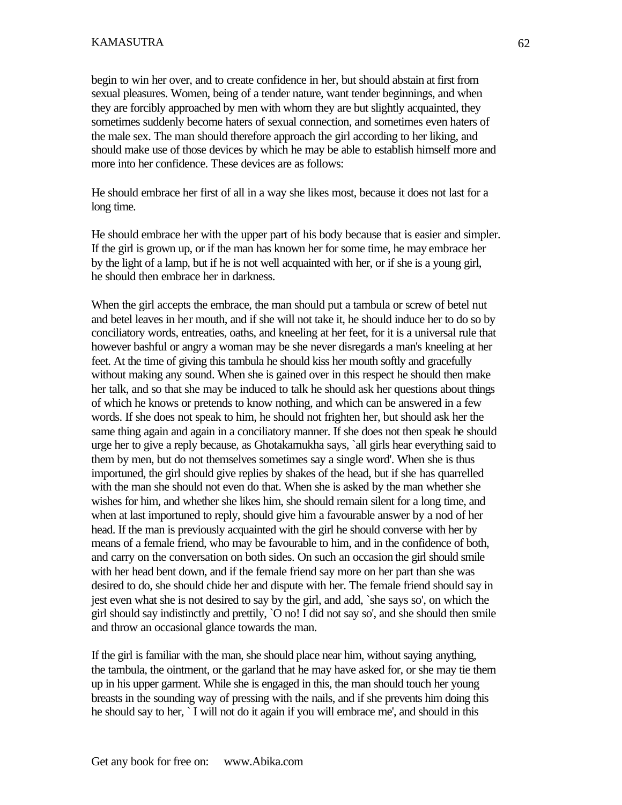begin to win her over, and to create confidence in her, but should abstain at first from sexual pleasures. Women, being of a tender nature, want tender beginnings, and when they are forcibly approached by men with whom they are but slightly acquainted, they sometimes suddenly become haters of sexual connection, and sometimes even haters of the male sex. The man should therefore approach the girl according to her liking, and should make use of those devices by which he may be able to establish himself more and more into her confidence. These devices are as follows:

He should embrace her first of all in a way she likes most, because it does not last for a long time.

He should embrace her with the upper part of his body because that is easier and simpler. If the girl is grown up, or if the man has known her for some time, he may embrace her by the light of a lamp, but if he is not well acquainted with her, or if she is a young girl, he should then embrace her in darkness.

When the girl accepts the embrace, the man should put a tambula or screw of betel nut and betel leaves in her mouth, and if she will not take it, he should induce her to do so by conciliatory words, entreaties, oaths, and kneeling at her feet, for it is a universal rule that however bashful or angry a woman may be she never disregards a man's kneeling at her feet. At the time of giving this tambula he should kiss her mouth softly and gracefully without making any sound. When she is gained over in this respect he should then make her talk, and so that she may be induced to talk he should ask her questions about things of which he knows or pretends to know nothing, and which can be answered in a few words. If she does not speak to him, he should not frighten her, but should ask her the same thing again and again in a conciliatory manner. If she does not then speak he should urge her to give a reply because, as Ghotakamukha says, `all girls hear everything said to them by men, but do not themselves sometimes say a single word'. When she is thus importuned, the girl should give replies by shakes of the head, but if she has quarrelled with the man she should not even do that. When she is asked by the man whether she wishes for him, and whether she likes him, she should remain silent for a long time, and when at last importuned to reply, should give him a favourable answer by a nod of her head. If the man is previously acquainted with the girl he should converse with her by means of a female friend, who may be favourable to him, and in the confidence of both, and carry on the conversation on both sides. On such an occasion the girl should smile with her head bent down, and if the female friend say more on her part than she was desired to do, she should chide her and dispute with her. The female friend should say in jest even what she is not desired to say by the girl, and add, `she says so', on which the girl should say indistinctly and prettily, `O no! I did not say so', and she should then smile and throw an occasional glance towards the man.

If the girl is familiar with the man, she should place near him, without saying anything, the tambula, the ointment, or the garland that he may have asked for, or she may tie them up in his upper garment. While she is engaged in this, the man should touch her young breasts in the sounding way of pressing with the nails, and if she prevents him doing this he should say to her, ` I will not do it again if you will embrace me', and should in this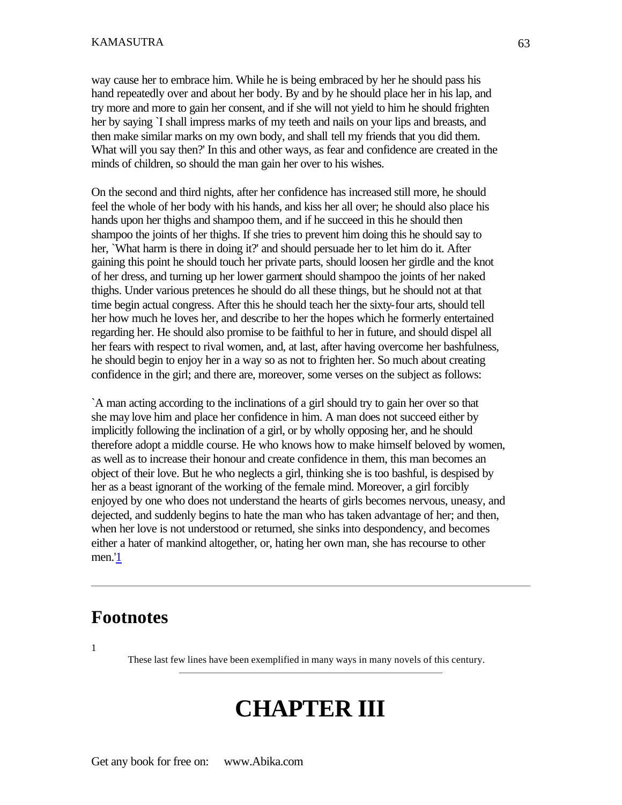way cause her to embrace him. While he is being embraced by her he should pass his hand repeatedly over and about her body. By and by he should place her in his lap, and try more and more to gain her consent, and if she will not yield to him he should frighten her by saying `I shall impress marks of my teeth and nails on your lips and breasts, and then make similar marks on my own body, and shall tell my friends that you did them. What will you say then?' In this and other ways, as fear and confidence are created in the minds of children, so should the man gain her over to his wishes.

On the second and third nights, after her confidence has increased still more, he should feel the whole of her body with his hands, and kiss her all over; he should also place his hands upon her thighs and shampoo them, and if he succeed in this he should then shampoo the joints of her thighs. If she tries to prevent him doing this he should say to her, `What harm is there in doing it?' and should persuade her to let him do it. After gaining this point he should touch her private parts, should loosen her girdle and the knot of her dress, and turning up her lower garment should shampoo the joints of her naked thighs. Under various pretences he should do all these things, but he should not at that time begin actual congress. After this he should teach her the sixty-four arts, should tell her how much he loves her, and describe to her the hopes which he formerly entertained regarding her. He should also promise to be faithful to her in future, and should dispel all her fears with respect to rival women, and, at last, after having overcome her bashfulness, he should begin to enjoy her in a way so as not to frighten her. So much about creating confidence in the girl; and there are, moreover, some verses on the subject as follows:

`A man acting according to the inclinations of a girl should try to gain her over so that she may love him and place her confidence in him. A man does not succeed either by implicitly following the inclination of a girl, or by wholly opposing her, and he should therefore adopt a middle course. He who knows how to make himself beloved by women, as well as to increase their honour and create confidence in them, this man becomes an object of their love. But he who neglects a girl, thinking she is too bashful, is despised by her as a beast ignorant of the working of the female mind. Moreover, a girl forcibly enjoyed by one who does not understand the hearts of girls becomes nervous, uneasy, and dejected, and suddenly begins to hate the man who has taken advantage of her; and then, when her love is not understood or returned, she sinks into despondency, and becomes either a hater of mankind altogether, or, hating her own man, she has recourse to other men.'1

## **Footnotes**

1

These last few lines have been exemplified in many ways in many novels of this century.

# **CHAPTER III**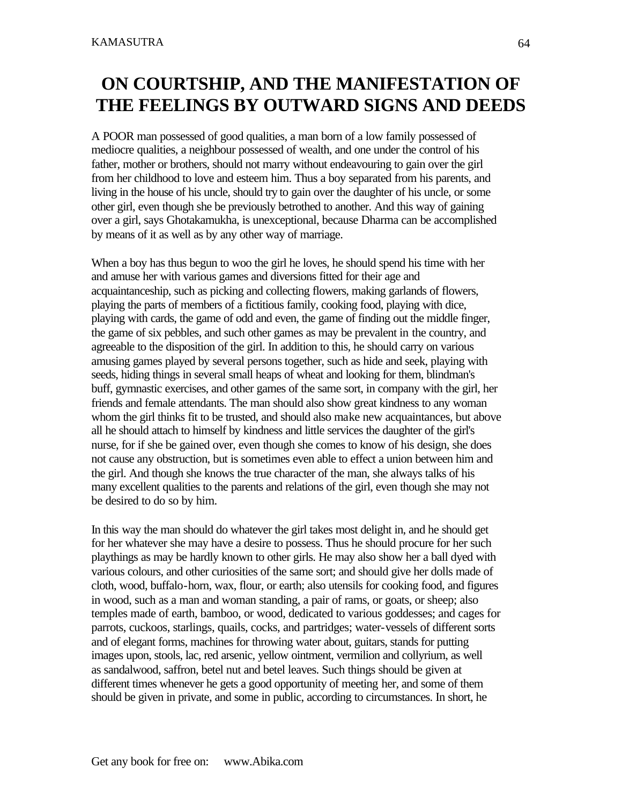# **ON COURTSHIP, AND THE MANIFESTATION OF THE FEELINGS BY OUTWARD SIGNS AND DEEDS**

A POOR man possessed of good qualities, a man born of a low family possessed of mediocre qualities, a neighbour possessed of wealth, and one under the control of his father, mother or brothers, should not marry without endeavouring to gain over the girl from her childhood to love and esteem him. Thus a boy separated from his parents, and living in the house of his uncle, should try to gain over the daughter of his uncle, or some other girl, even though she be previously betrothed to another. And this way of gaining over a girl, says Ghotakamukha, is unexceptional, because Dharma can be accomplished by means of it as well as by any other way of marriage.

When a boy has thus begun to woo the girl he loves, he should spend his time with her and amuse her with various games and diversions fitted for their age and acquaintanceship, such as picking and collecting flowers, making garlands of flowers, playing the parts of members of a fictitious family, cooking food, playing with dice, playing with cards, the game of odd and even, the game of finding out the middle finger, the game of six pebbles, and such other games as may be prevalent in the country, and agreeable to the disposition of the girl. In addition to this, he should carry on various amusing games played by several persons together, such as hide and seek, playing with seeds, hiding things in several small heaps of wheat and looking for them, blindman's buff, gymnastic exercises, and other games of the same sort, in company with the girl, her friends and female attendants. The man should also show great kindness to any woman whom the girl thinks fit to be trusted, and should also make new acquaintances, but above all he should attach to himself by kindness and little services the daughter of the girl's nurse, for if she be gained over, even though she comes to know of his design, she does not cause any obstruction, but is sometimes even able to effect a union between him and the girl. And though she knows the true character of the man, she always talks of his many excellent qualities to the parents and relations of the girl, even though she may not be desired to do so by him.

In this way the man should do whatever the girl takes most delight in, and he should get for her whatever she may have a desire to possess. Thus he should procure for her such playthings as may be hardly known to other girls. He may also show her a ball dyed with various colours, and other curiosities of the same sort; and should give her dolls made of cloth, wood, buffalo-horn, wax, flour, or earth; also utensils for cooking food, and figures in wood, such as a man and woman standing, a pair of rams, or goats, or sheep; also temples made of earth, bamboo, or wood, dedicated to various goddesses; and cages for parrots, cuckoos, starlings, quails, cocks, and partridges; water-vessels of different sorts and of elegant forms, machines for throwing water about, guitars, stands for putting images upon, stools, lac, red arsenic, yellow ointment, vermilion and collyrium, as well as sandalwood, saffron, betel nut and betel leaves. Such things should be given at different times whenever he gets a good opportunity of meeting her, and some of them should be given in private, and some in public, according to circumstances. In short, he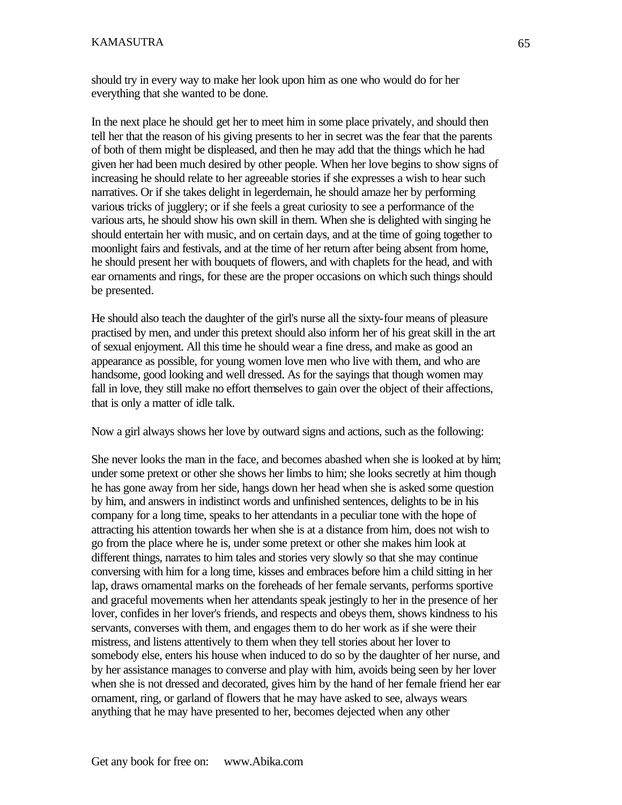#### KAMASUTRA

should try in every way to make her look upon him as one who would do for her everything that she wanted to be done.

In the next place he should get her to meet him in some place privately, and should then tell her that the reason of his giving presents to her in secret was the fear that the parents of both of them might be displeased, and then he may add that the things which he had given her had been much desired by other people. When her love begins to show signs of increasing he should relate to her agreeable stories if she expresses a wish to hear such narratives. Or if she takes delight in legerdemain, he should amaze her by performing various tricks of jugglery; or if she feels a great curiosity to see a performance of the various arts, he should show his own skill in them. When she is delighted with singing he should entertain her with music, and on certain days, and at the time of going together to moonlight fairs and festivals, and at the time of her return after being absent from home, he should present her with bouquets of flowers, and with chaplets for the head, and with ear ornaments and rings, for these are the proper occasions on which such things should be presented.

He should also teach the daughter of the girl's nurse all the sixty-four means of pleasure practised by men, and under this pretext should also inform her of his great skill in the art of sexual enjoyment. All this time he should wear a fine dress, and make as good an appearance as possible, for young women love men who live with them, and who are handsome, good looking and well dressed. As for the sayings that though women may fall in love, they still make no effort themselves to gain over the object of their affections, that is only a matter of idle talk.

Now a girl always shows her love by outward signs and actions, such as the following:

She never looks the man in the face, and becomes abashed when she is looked at by him; under some pretext or other she shows her limbs to him; she looks secretly at him though he has gone away from her side, hangs down her head when she is asked some question by him, and answers in indistinct words and unfinished sentences, delights to be in his company for a long time, speaks to her attendants in a peculiar tone with the hope of attracting his attention towards her when she is at a distance from him, does not wish to go from the place where he is, under some pretext or other she makes him look at different things, narrates to him tales and stories very slowly so that she may continue conversing with him for a long time, kisses and embraces before him a child sitting in her lap, draws ornamental marks on the foreheads of her female servants, performs sportive and graceful movements when her attendants speak jestingly to her in the presence of her lover, confides in her lover's friends, and respects and obeys them, shows kindness to his servants, converses with them, and engages them to do her work as if she were their mistress, and listens attentively to them when they tell stories about her lover to somebody else, enters his house when induced to do so by the daughter of her nurse, and by her assistance manages to converse and play with him, avoids being seen by her lover when she is not dressed and decorated, gives him by the hand of her female friend her ear ornament, ring, or garland of flowers that he may have asked to see, always wears anything that he may have presented to her, becomes dejected when any other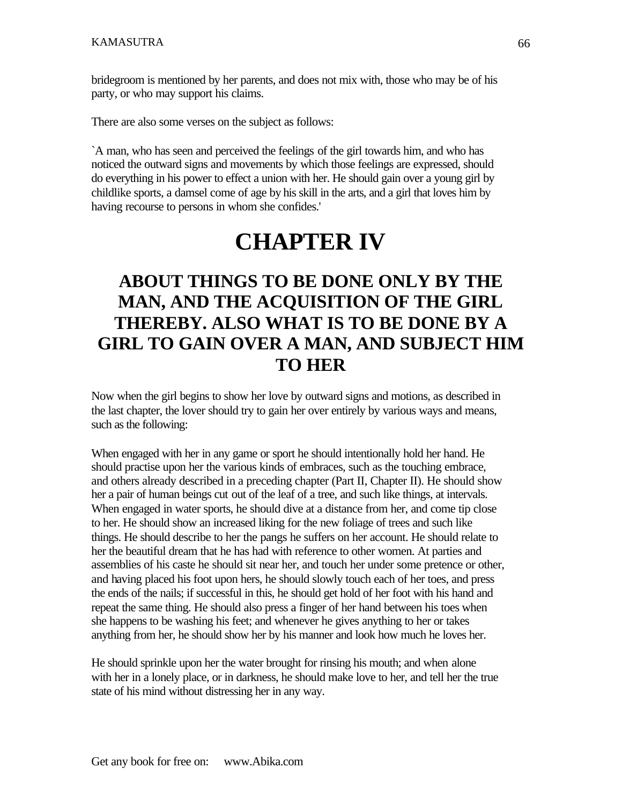bridegroom is mentioned by her parents, and does not mix with, those who may be of his party, or who may support his claims.

There are also some verses on the subject as follows:

`A man, who has seen and perceived the feelings of the girl towards him, and who has noticed the outward signs and movements by which those feelings are expressed, should do everything in his power to effect a union with her. He should gain over a young girl by childlike sports, a damsel come of age by his skill in the arts, and a girl that loves him by having recourse to persons in whom she confides.'

# **CHAPTER IV**

# **ABOUT THINGS TO BE DONE ONLY BY THE MAN, AND THE ACQUISITION OF THE GIRL THEREBY. ALSO WHAT IS TO BE DONE BY A GIRL TO GAIN OVER A MAN, AND SUBJECT HIM TO HER**

Now when the girl begins to show her love by outward signs and motions, as described in the last chapter, the lover should try to gain her over entirely by various ways and means, such as the following:

When engaged with her in any game or sport he should intentionally hold her hand. He should practise upon her the various kinds of embraces, such as the touching embrace, and others already described in a preceding chapter (Part II, Chapter II). He should show her a pair of human beings cut out of the leaf of a tree, and such like things, at intervals. When engaged in water sports, he should dive at a distance from her, and come tip close to her. He should show an increased liking for the new foliage of trees and such like things. He should describe to her the pangs he suffers on her account. He should relate to her the beautiful dream that he has had with reference to other women. At parties and assemblies of his caste he should sit near her, and touch her under some pretence or other, and having placed his foot upon hers, he should slowly touch each of her toes, and press the ends of the nails; if successful in this, he should get hold of her foot with his hand and repeat the same thing. He should also press a finger of her hand between his toes when she happens to be washing his feet; and whenever he gives anything to her or takes anything from her, he should show her by his manner and look how much he loves her.

He should sprinkle upon her the water brought for rinsing his mouth; and when alone with her in a lonely place, or in darkness, he should make love to her, and tell her the true state of his mind without distressing her in any way.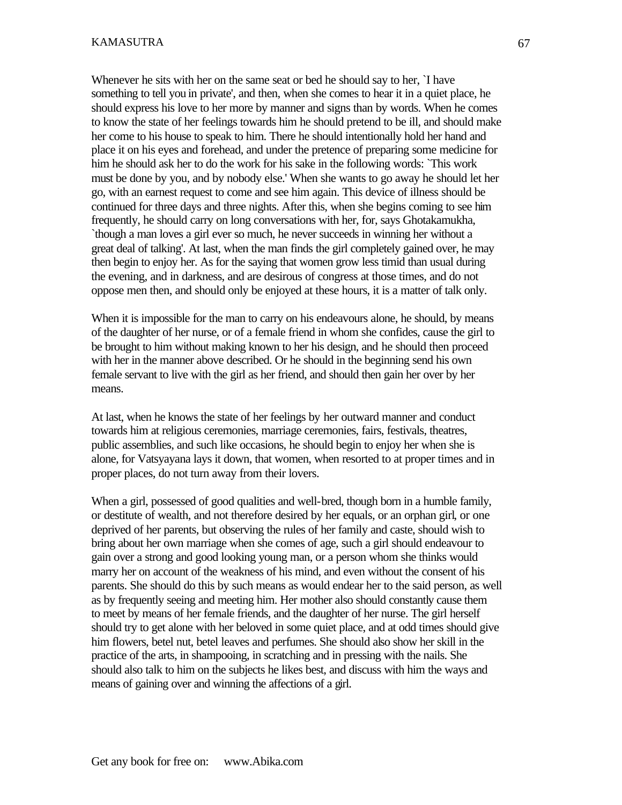Whenever he sits with her on the same seat or bed he should say to her, `I have something to tell you in private', and then, when she comes to hear it in a quiet place, he should express his love to her more by manner and signs than by words. When he comes to know the state of her feelings towards him he should pretend to be ill, and should make her come to his house to speak to him. There he should intentionally hold her hand and place it on his eyes and forehead, and under the pretence of preparing some medicine for him he should ask her to do the work for his sake in the following words: `This work must be done by you, and by nobody else.' When she wants to go away he should let her go, with an earnest request to come and see him again. This device of illness should be continued for three days and three nights. After this, when she begins coming to see him frequently, he should carry on long conversations with her, for, says Ghotakamukha, `though a man loves a girl ever so much, he never succeeds in winning her without a great deal of talking'. At last, when the man finds the girl completely gained over, he may then begin to enjoy her. As for the saying that women grow less timid than usual during the evening, and in darkness, and are desirous of congress at those times, and do not oppose men then, and should only be enjoyed at these hours, it is a matter of talk only.

When it is impossible for the man to carry on his endeavours alone, he should, by means of the daughter of her nurse, or of a female friend in whom she confides, cause the girl to be brought to him without making known to her his design, and he should then proceed with her in the manner above described. Or he should in the beginning send his own female servant to live with the girl as her friend, and should then gain her over by her means.

At last, when he knows the state of her feelings by her outward manner and conduct towards him at religious ceremonies, marriage ceremonies, fairs, festivals, theatres, public assemblies, and such like occasions, he should begin to enjoy her when she is alone, for Vatsyayana lays it down, that women, when resorted to at proper times and in proper places, do not turn away from their lovers.

When a girl, possessed of good qualities and well-bred, though born in a humble family, or destitute of wealth, and not therefore desired by her equals, or an orphan girl, or one deprived of her parents, but observing the rules of her family and caste, should wish to bring about her own marriage when she comes of age, such a girl should endeavour to gain over a strong and good looking young man, or a person whom she thinks would marry her on account of the weakness of his mind, and even without the consent of his parents. She should do this by such means as would endear her to the said person, as well as by frequently seeing and meeting him. Her mother also should constantly cause them to meet by means of her female friends, and the daughter of her nurse. The girl herself should try to get alone with her beloved in some quiet place, and at odd times should give him flowers, betel nut, betel leaves and perfumes. She should also show her skill in the practice of the arts, in shampooing, in scratching and in pressing with the nails. She should also talk to him on the subjects he likes best, and discuss with him the ways and means of gaining over and winning the affections of a girl.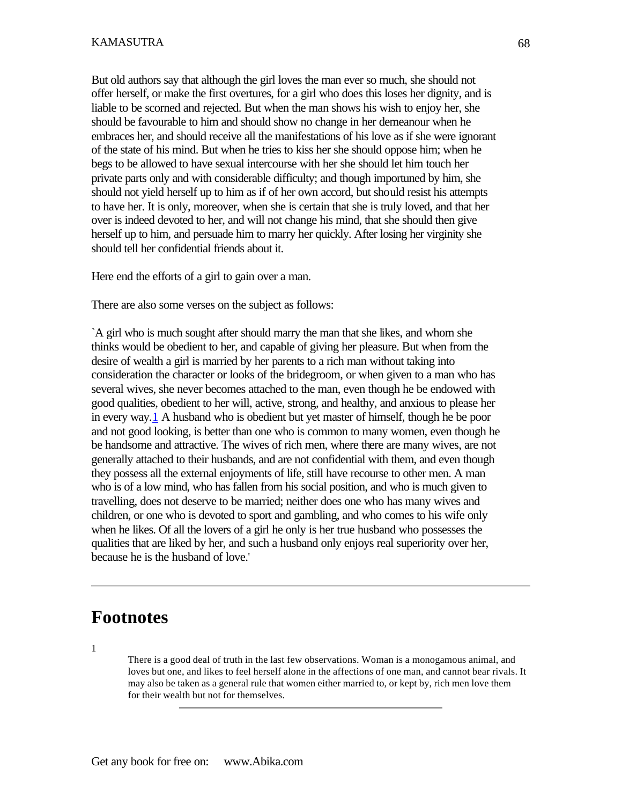But old authors say that although the girl loves the man ever so much, she should not offer herself, or make the first overtures, for a girl who does this loses her dignity, and is liable to be scorned and rejected. But when the man shows his wish to enjoy her, she should be favourable to him and should show no change in her demeanour when he embraces her, and should receive all the manifestations of his love as if she were ignorant of the state of his mind. But when he tries to kiss her she should oppose him; when he begs to be allowed to have sexual intercourse with her she should let him touch her private parts only and with considerable difficulty; and though importuned by him, she should not yield herself up to him as if of her own accord, but should resist his attempts to have her. It is only, moreover, when she is certain that she is truly loved, and that her over is indeed devoted to her, and will not change his mind, that she should then give herself up to him, and persuade him to marry her quickly. After losing her virginity she should tell her confidential friends about it.

Here end the efforts of a girl to gain over a man.

There are also some verses on the subject as follows:

`A girl who is much sought after should marry the man that she likes, and whom she thinks would be obedient to her, and capable of giving her pleasure. But when from the desire of wealth a girl is married by her parents to a rich man without taking into consideration the character or looks of the bridegroom, or when given to a man who has several wives, she never becomes attached to the man, even though he be endowed with good qualities, obedient to her will, active, strong, and healthy, and anxious to please her in every way.1 A husband who is obedient but yet master of himself, though he be poor and not good looking, is better than one who is common to many women, even though he be handsome and attractive. The wives of rich men, where there are many wives, are not generally attached to their husbands, and are not confidential with them, and even though they possess all the external enjoyments of life, still have recourse to other men. A man who is of a low mind, who has fallen from his social position, and who is much given to travelling, does not deserve to be married; neither does one who has many wives and children, or one who is devoted to sport and gambling, and who comes to his wife only when he likes. Of all the lovers of a girl he only is her true husband who possesses the qualities that are liked by her, and such a husband only enjoys real superiority over her, because he is the husband of love.'

## **Footnotes**

1

There is a good deal of truth in the last few observations. Woman is a monogamous animal, and loves but one, and likes to feel herself alone in the affections of one man, and cannot bear rivals. It may also be taken as a general rule that women either married to, or kept by, rich men love them for their wealth but not for themselves.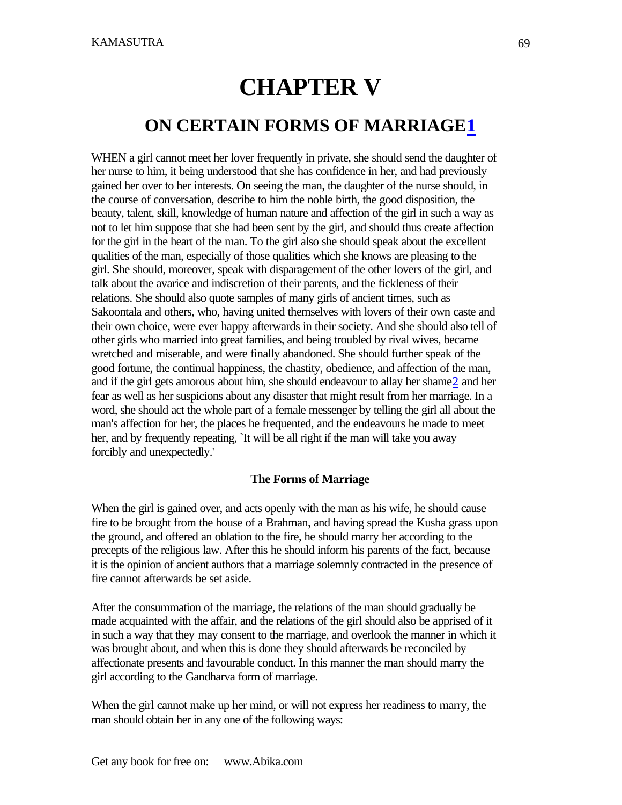# **CHAPTER V**

## **ON CERTAIN FORMS OF MARRIAGE1**

WHEN a girl cannot meet her lover frequently in private, she should send the daughter of her nurse to him, it being understood that she has confidence in her, and had previously gained her over to her interests. On seeing the man, the daughter of the nurse should, in the course of conversation, describe to him the noble birth, the good disposition, the beauty, talent, skill, knowledge of human nature and affection of the girl in such a way as not to let him suppose that she had been sent by the girl, and should thus create affection for the girl in the heart of the man. To the girl also she should speak about the excellent qualities of the man, especially of those qualities which she knows are pleasing to the girl. She should, moreover, speak with disparagement of the other lovers of the girl, and talk about the avarice and indiscretion of their parents, and the fickleness of their relations. She should also quote samples of many girls of ancient times, such as Sakoontala and others, who, having united themselves with lovers of their own caste and their own choice, were ever happy afterwards in their society. And she should also tell of other girls who married into great families, and being troubled by rival wives, became wretched and miserable, and were finally abandoned. She should further speak of the good fortune, the continual happiness, the chastity, obedience, and affection of the man, and if the girl gets amorous about him, she should endeavour to allay her shame2 and her fear as well as her suspicions about any disaster that might result from her marriage. In a word, she should act the whole part of a female messenger by telling the girl all about the man's affection for her, the places he frequented, and the endeavours he made to meet her, and by frequently repeating, `It will be all right if the man will take you away forcibly and unexpectedly.'

#### **The Forms of Marriage**

When the girl is gained over, and acts openly with the man as his wife, he should cause fire to be brought from the house of a Brahman, and having spread the Kusha grass upon the ground, and offered an oblation to the fire, he should marry her according to the precepts of the religious law. After this he should inform his parents of the fact, because it is the opinion of ancient authors that a marriage solemnly contracted in the presence of fire cannot afterwards be set aside.

After the consummation of the marriage, the relations of the man should gradually be made acquainted with the affair, and the relations of the girl should also be apprised of it in such a way that they may consent to the marriage, and overlook the manner in which it was brought about, and when this is done they should afterwards be reconciled by affectionate presents and favourable conduct. In this manner the man should marry the girl according to the Gandharva form of marriage.

When the girl cannot make up her mind, or will not express her readiness to marry, the man should obtain her in any one of the following ways: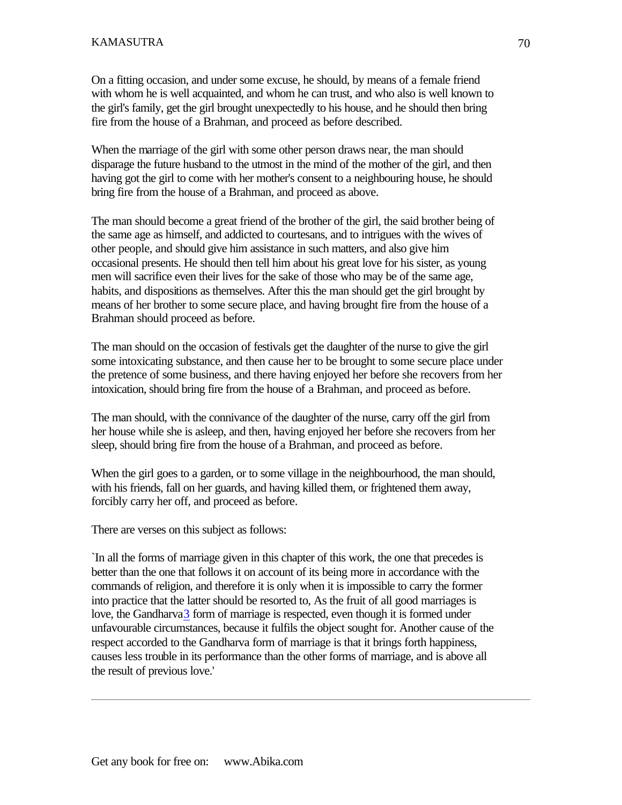On a fitting occasion, and under some excuse, he should, by means of a female friend with whom he is well acquainted, and whom he can trust, and who also is well known to the girl's family, get the girl brought unexpectedly to his house, and he should then bring fire from the house of a Brahman, and proceed as before described.

When the marriage of the girl with some other person draws near, the man should disparage the future husband to the utmost in the mind of the mother of the girl, and then having got the girl to come with her mother's consent to a neighbouring house, he should bring fire from the house of a Brahman, and proceed as above.

The man should become a great friend of the brother of the girl, the said brother being of the same age as himself, and addicted to courtesans, and to intrigues with the wives of other people, and should give him assistance in such matters, and also give him occasional presents. He should then tell him about his great love for his sister, as young men will sacrifice even their lives for the sake of those who may be of the same age, habits, and dispositions as themselves. After this the man should get the girl brought by means of her brother to some secure place, and having brought fire from the house of a Brahman should proceed as before.

The man should on the occasion of festivals get the daughter of the nurse to give the girl some intoxicating substance, and then cause her to be brought to some secure place under the pretence of some business, and there having enjoyed her before she recovers from her intoxication, should bring fire from the house of a Brahman, and proceed as before.

The man should, with the connivance of the daughter of the nurse, carry off the girl from her house while she is asleep, and then, having enjoyed her before she recovers from her sleep, should bring fire from the house of a Brahman, and proceed as before.

When the girl goes to a garden, or to some village in the neighbourhood, the man should, with his friends, fall on her guards, and having killed them, or frightened them away, forcibly carry her off, and proceed as before.

There are verses on this subject as follows:

`In all the forms of marriage given in this chapter of this work, the one that precedes is better than the one that follows it on account of its being more in accordance with the commands of religion, and therefore it is only when it is impossible to carry the former into practice that the latter should be resorted to, As the fruit of all good marriages is love, the Gandharva3 form of marriage is respected, even though it is formed under unfavourable circumstances, because it fulfils the object sought for. Another cause of the respect accorded to the Gandharva form of marriage is that it brings forth happiness, causes less trouble in its performance than the other forms of marriage, and is above all the result of previous love.'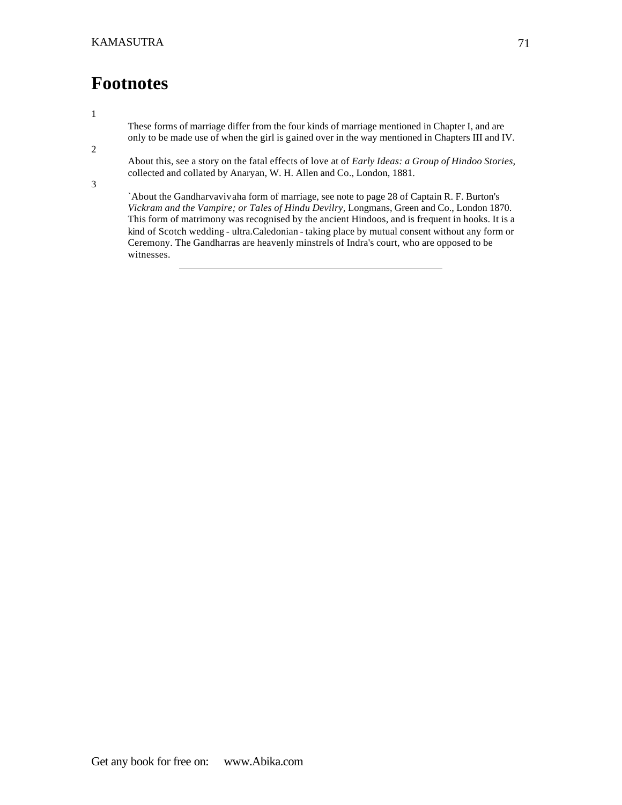# **Footnotes**

1

These forms of marriage differ from the four kinds of marriage mentioned in Chapter I, and are only to be made use of when the girl is gained over in the way mentioned in Chapters III and IV.

2

About this, see a story on the fatal effects of love at of *Early Ideas: a Group of Hindoo Stories,* collected and collated by Anaryan, W. H. Allen and Co., London, 1881.

3

`About the Gandharvavivaha form of marriage, see note to page 28 of Captain R. F. Burton's *Vickram and the Vampire; or Tales of Hindu Devilry,* Longmans, Green and Co., London 1870. This form of matrimony was recognised by the ancient Hindoos, and is frequent in hooks. It is a kind of Scotch wedding - ultra.Caledonian - taking place by mutual consent without any form or Ceremony. The Gandharras are heavenly minstrels of Indra's court, who are opposed to be witnesses.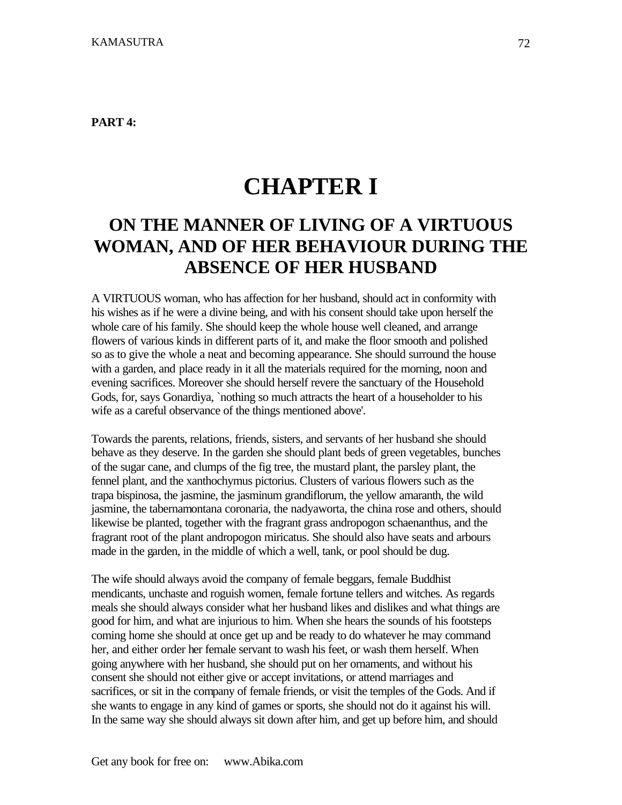**PART 4:**

# **CHAPTER I**

# **ON THE MANNER OF LIVING OF A VIRTUOUS WOMAN, AND OF HER BEHAVIOUR DURING THE ABSENCE OF HER HUSBAND**

A VIRTUOUS woman, who has affection for her husband, should act in conformity with his wishes as if he were a divine being, and with his consent should take upon herself the whole care of his family. She should keep the whole house well cleaned, and arrange flowers of various kinds in different parts of it, and make the floor smooth and polished so as to give the whole a neat and becoming appearance. She should surround the house with a garden, and place ready in it all the materials required for the morning, noon and evening sacrifices. Moreover she should herself revere the sanctuary of the Household Gods, for, says Gonardiya, `nothing so much attracts the heart of a householder to his wife as a careful observance of the things mentioned above'.

Towards the parents, relations, friends, sisters, and servants of her husband she should behave as they deserve. In the garden she should plant beds of green vegetables, bunches of the sugar cane, and clumps of the fig tree, the mustard plant, the parsley plant, the fennel plant, and the xanthochymus pictorius. Clusters of various flowers such as the trapa bispinosa, the jasmine, the jasminum grandiflorum, the yellow amaranth, the wild jasmine, the tabernamontana coronaria, the nadyaworta, the china rose and others, should likewise be planted, together with the fragrant grass andropogon schaenanthus, and the fragrant root of the plant andropogon miricatus. She should also have seats and arbours made in the garden, in the middle of which a well, tank, or pool should be dug.

The wife should always avoid the company of female beggars, female Buddhist mendicants, unchaste and roguish women, female fortune tellers and witches. As regards meals she should always consider what her husband likes and dislikes and what things are good for him, and what are injurious to him. When she hears the sounds of his footsteps coming home she should at once get up and be ready to do whatever he may command her, and either order her female servant to wash his feet, or wash them herself. When going anywhere with her husband, she should put on her ornaments, and without his consent she should not either give or accept invitations, or attend marriages and sacrifices, or sit in the company of female friends, or visit the temples of the Gods. And if she wants to engage in any kind of games or sports, she should not do it against his will. In the same way she should always sit down after him, and get up before him, and should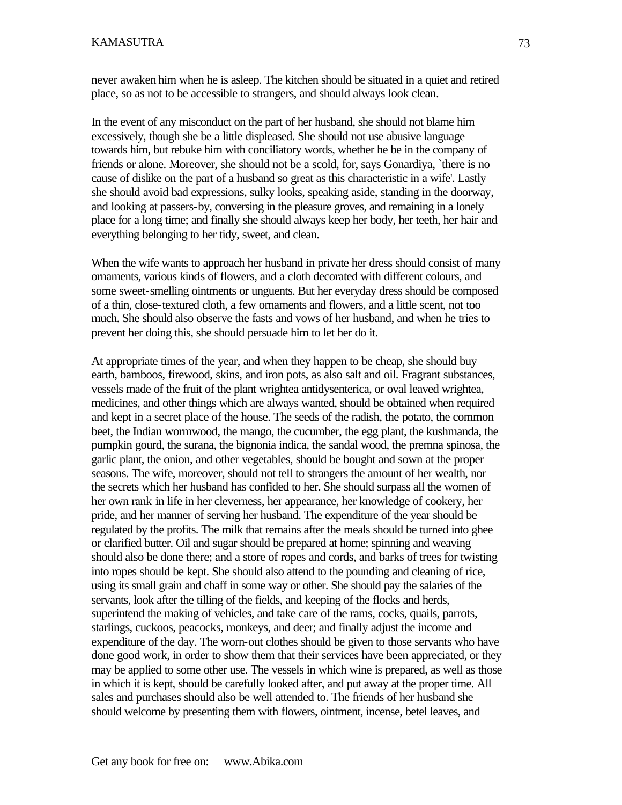never awaken him when he is asleep. The kitchen should be situated in a quiet and retired place, so as not to be accessible to strangers, and should always look clean.

In the event of any misconduct on the part of her husband, she should not blame him excessively, though she be a little displeased. She should not use abusive language towards him, but rebuke him with conciliatory words, whether he be in the company of friends or alone. Moreover, she should not be a scold, for, says Gonardiya, `there is no cause of dislike on the part of a husband so great as this characteristic in a wife'. Lastly she should avoid bad expressions, sulky looks, speaking aside, standing in the doorway, and looking at passers-by, conversing in the pleasure groves, and remaining in a lonely place for a long time; and finally she should always keep her body, her teeth, her hair and everything belonging to her tidy, sweet, and clean.

When the wife wants to approach her husband in private her dress should consist of many ornaments, various kinds of flowers, and a cloth decorated with different colours, and some sweet-smelling ointments or unguents. But her everyday dress should be composed of a thin, close-textured cloth, a few ornaments and flowers, and a little scent, not too much. She should also observe the fasts and vows of her husband, and when he tries to prevent her doing this, she should persuade him to let her do it.

At appropriate times of the year, and when they happen to be cheap, she should buy earth, bamboos, firewood, skins, and iron pots, as also salt and oil. Fragrant substances, vessels made of the fruit of the plant wrightea antidysenterica, or oval leaved wrightea, medicines, and other things which are always wanted, should be obtained when required and kept in a secret place of the house. The seeds of the radish, the potato, the common beet, the Indian wormwood, the mango, the cucumber, the egg plant, the kushmanda, the pumpkin gourd, the surana, the bignonia indica, the sandal wood, the premna spinosa, the garlic plant, the onion, and other vegetables, should be bought and sown at the proper seasons. The wife, moreover, should not tell to strangers the amount of her wealth, nor the secrets which her husband has confided to her. She should surpass all the women of her own rank in life in her cleverness, her appearance, her knowledge of cookery, her pride, and her manner of serving her husband. The expenditure of the year should be regulated by the profits. The milk that remains after the meals should be turned into ghee or clarified butter. Oil and sugar should be prepared at home; spinning and weaving should also be done there; and a store of ropes and cords, and barks of trees for twisting into ropes should be kept. She should also attend to the pounding and cleaning of rice, using its small grain and chaff in some way or other. She should pay the salaries of the servants, look after the tilling of the fields, and keeping of the flocks and herds, superintend the making of vehicles, and take care of the rams, cocks, quails, parrots, starlings, cuckoos, peacocks, monkeys, and deer; and finally adjust the income and expenditure of the day. The worn-out clothes should be given to those servants who have done good work, in order to show them that their services have been appreciated, or they may be applied to some other use. The vessels in which wine is prepared, as well as those in which it is kept, should be carefully looked after, and put away at the proper time. All sales and purchases should also be well attended to. The friends of her husband she should welcome by presenting them with flowers, ointment, incense, betel leaves, and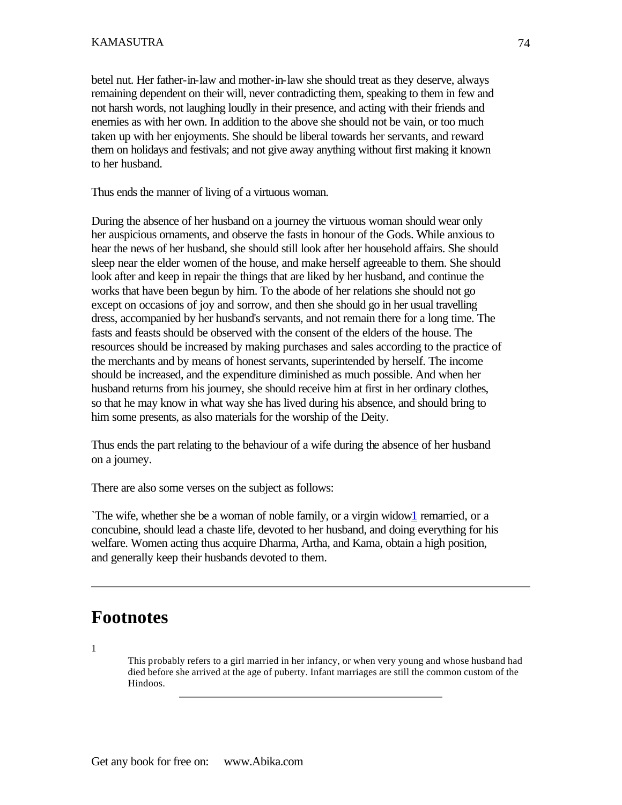betel nut. Her father-in-law and mother-in-law she should treat as they deserve, always remaining dependent on their will, never contradicting them, speaking to them in few and not harsh words, not laughing loudly in their presence, and acting with their friends and enemies as with her own. In addition to the above she should not be vain, or too much taken up with her enjoyments. She should be liberal towards her servants, and reward them on holidays and festivals; and not give away anything without first making it known to her husband.

Thus ends the manner of living of a virtuous woman.

During the absence of her husband on a journey the virtuous woman should wear only her auspicious ornaments, and observe the fasts in honour of the Gods. While anxious to hear the news of her husband, she should still look after her household affairs. She should sleep near the elder women of the house, and make herself agreeable to them. She should look after and keep in repair the things that are liked by her husband, and continue the works that have been begun by him. To the abode of her relations she should not go except on occasions of joy and sorrow, and then she should go in her usual travelling dress, accompanied by her husband's servants, and not remain there for a long time. The fasts and feasts should be observed with the consent of the elders of the house. The resources should be increased by making purchases and sales according to the practice of the merchants and by means of honest servants, superintended by herself. The income should be increased, and the expenditure diminished as much possible. And when her husband returns from his journey, she should receive him at first in her ordinary clothes, so that he may know in what way she has lived during his absence, and should bring to him some presents, as also materials for the worship of the Deity.

Thus ends the part relating to the behaviour of a wife during the absence of her husband on a journey.

There are also some verses on the subject as follows:

`The wife, whether she be a woman of noble family, or a virgin widow1 remarried, or a concubine, should lead a chaste life, devoted to her husband, and doing everything for his welfare. Women acting thus acquire Dharma, Artha, and Kama, obtain a high position, and generally keep their husbands devoted to them.

### **Footnotes**

1

This probably refers to a girl married in her infancy, or when very young and whose husband had died before she arrived at the age of puberty. Infant marriages are still the common custom of the Hindoos.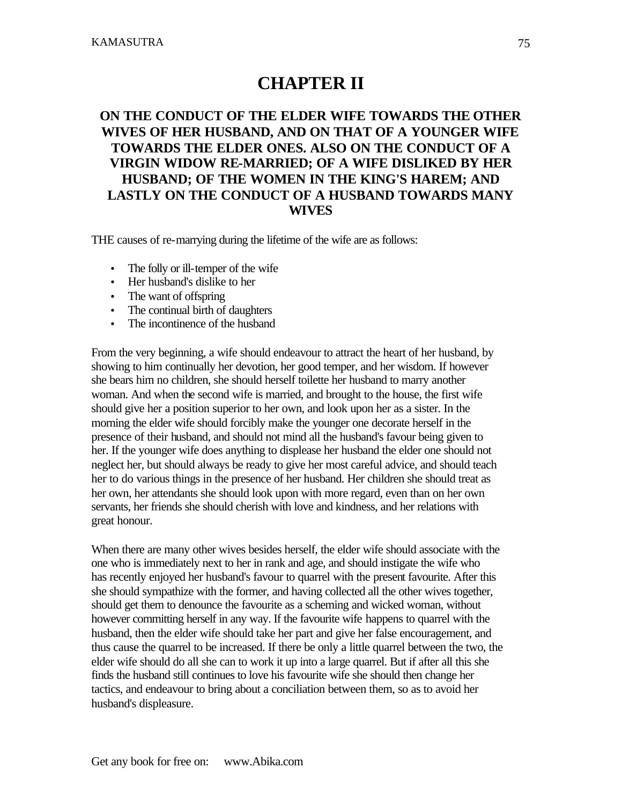### **CHAPTER II**

#### **ON THE CONDUCT OF THE ELDER WIFE TOWARDS THE OTHER WIVES OF HER HUSBAND, AND ON THAT OF A YOUNGER WIFE TOWARDS THE ELDER ONES. ALSO ON THE CONDUCT OF A VIRGIN WIDOW RE-MARRIED; OF A WIFE DISLIKED BY HER HUSBAND; OF THE WOMEN IN THE KING'S HAREM; AND LASTLY ON THE CONDUCT OF A HUSBAND TOWARDS MANY WIVES**

THE causes of re-marrying during the lifetime of the wife are as follows:

- The folly or ill-temper of the wife
- Her husband's dislike to her
- The want of offspring
- The continual birth of daughters
- The incontinence of the husband

From the very beginning, a wife should endeavour to attract the heart of her husband, by showing to him continually her devotion, her good temper, and her wisdom. If however she bears him no children, she should herself toilette her husband to marry another woman. And when the second wife is married, and brought to the house, the first wife should give her a position superior to her own, and look upon her as a sister. In the morning the elder wife should forcibly make the younger one decorate herself in the presence of their husband, and should not mind all the husband's favour being given to her. If the younger wife does anything to displease her husband the elder one should not neglect her, but should always be ready to give her most careful advice, and should teach her to do various things in the presence of her husband. Her children she should treat as her own, her attendants she should look upon with more regard, even than on her own servants, her friends she should cherish with love and kindness, and her relations with great honour.

When there are many other wives besides herself, the elder wife should associate with the one who is immediately next to her in rank and age, and should instigate the wife who has recently enjoyed her husband's favour to quarrel with the present favourite. After this she should sympathize with the former, and having collected all the other wives together, should get them to denounce the favourite as a scheming and wicked woman, without however committing herself in any way. If the favourite wife happens to quarrel with the husband, then the elder wife should take her part and give her false encouragement, and thus cause the quarrel to be increased. If there be only a little quarrel between the two, the elder wife should do all she can to work it up into a large quarrel. But if after all this she finds the husband still continues to love his favourite wife she should then change her tactics, and endeavour to bring about a conciliation between them, so as to avoid her husband's displeasure.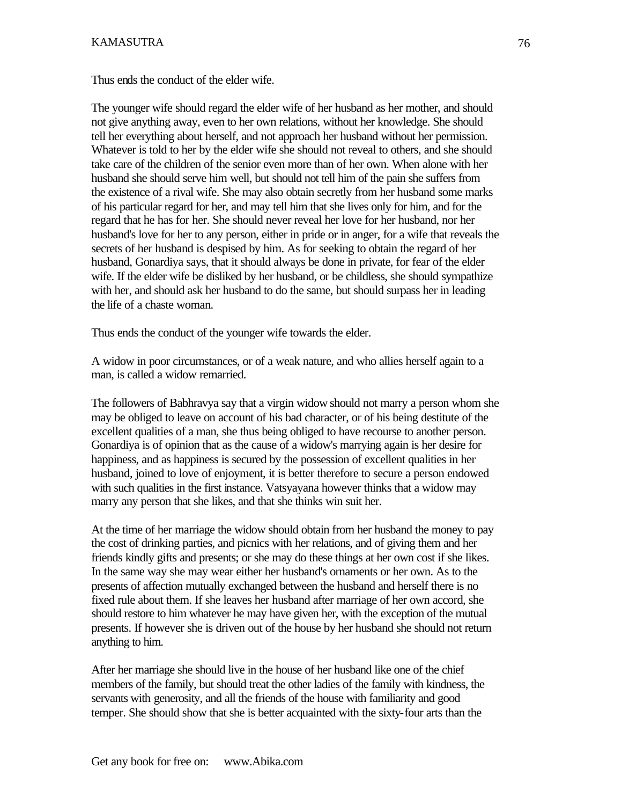#### KAMASUTRA

Thus ends the conduct of the elder wife.

The younger wife should regard the elder wife of her husband as her mother, and should not give anything away, even to her own relations, without her knowledge. She should tell her everything about herself, and not approach her husband without her permission. Whatever is told to her by the elder wife she should not reveal to others, and she should take care of the children of the senior even more than of her own. When alone with her husband she should serve him well, but should not tell him of the pain she suffers from the existence of a rival wife. She may also obtain secretly from her husband some marks of his particular regard for her, and may tell him that she lives only for him, and for the regard that he has for her. She should never reveal her love for her husband, nor her husband's love for her to any person, either in pride or in anger, for a wife that reveals the secrets of her husband is despised by him. As for seeking to obtain the regard of her husband, Gonardiya says, that it should always be done in private, for fear of the elder wife. If the elder wife be disliked by her husband, or be childless, she should sympathize with her, and should ask her husband to do the same, but should surpass her in leading the life of a chaste woman.

Thus ends the conduct of the younger wife towards the elder.

A widow in poor circumstances, or of a weak nature, and who allies herself again to a man, is called a widow remarried.

The followers of Babhravya say that a virgin widow should not marry a person whom she may be obliged to leave on account of his bad character, or of his being destitute of the excellent qualities of a man, she thus being obliged to have recourse to another person. Gonardiya is of opinion that as the cause of a widow's marrying again is her desire for happiness, and as happiness is secured by the possession of excellent qualities in her husband, joined to love of enjoyment, it is better therefore to secure a person endowed with such qualities in the first instance. Vatsyayana however thinks that a widow may marry any person that she likes, and that she thinks win suit her.

At the time of her marriage the widow should obtain from her husband the money to pay the cost of drinking parties, and picnics with her relations, and of giving them and her friends kindly gifts and presents; or she may do these things at her own cost if she likes. In the same way she may wear either her husband's ornaments or her own. As to the presents of affection mutually exchanged between the husband and herself there is no fixed rule about them. If she leaves her husband after marriage of her own accord, she should restore to him whatever he may have given her, with the exception of the mutual presents. If however she is driven out of the house by her husband she should not return anything to him.

After her marriage she should live in the house of her husband like one of the chief members of the family, but should treat the other ladies of the family with kindness, the servants with generosity, and all the friends of the house with familiarity and good temper. She should show that she is better acquainted with the sixty-four arts than the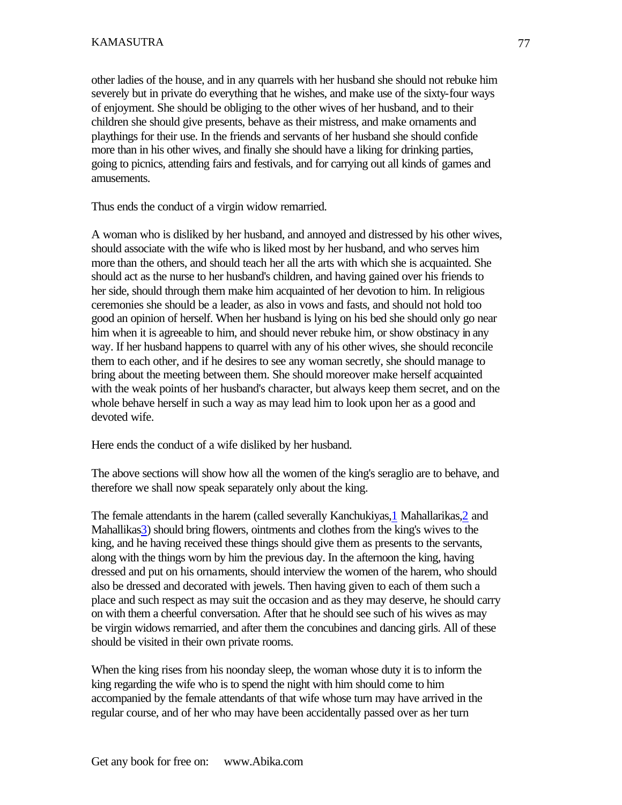other ladies of the house, and in any quarrels with her husband she should not rebuke him severely but in private do everything that he wishes, and make use of the sixty-four ways of enjoyment. She should be obliging to the other wives of her husband, and to their children she should give presents, behave as their mistress, and make ornaments and playthings for their use. In the friends and servants of her husband she should confide more than in his other wives, and finally she should have a liking for drinking parties, going to picnics, attending fairs and festivals, and for carrying out all kinds of games and amusements.

Thus ends the conduct of a virgin widow remarried.

A woman who is disliked by her husband, and annoyed and distressed by his other wives, should associate with the wife who is liked most by her husband, and who serves him more than the others, and should teach her all the arts with which she is acquainted. She should act as the nurse to her husband's children, and having gained over his friends to her side, should through them make him acquainted of her devotion to him. In religious ceremonies she should be a leader, as also in vows and fasts, and should not hold too good an opinion of herself. When her husband is lying on his bed she should only go near him when it is agreeable to him, and should never rebuke him, or show obstinacy in any way. If her husband happens to quarrel with any of his other wives, she should reconcile them to each other, and if he desires to see any woman secretly, she should manage to bring about the meeting between them. She should moreover make herself acquainted with the weak points of her husband's character, but always keep them secret, and on the whole behave herself in such a way as may lead him to look upon her as a good and devoted wife.

Here ends the conduct of a wife disliked by her husband.

The above sections will show how all the women of the king's seraglio are to behave, and therefore we shall now speak separately only about the king.

The female attendants in the harem (called severally Kanchukiyas,1 Mahallarikas,2 and Mahallikas3) should bring flowers, ointments and clothes from the king's wives to the king, and he having received these things should give them as presents to the servants, along with the things worn by him the previous day. In the afternoon the king, having dressed and put on his ornaments, should interview the women of the harem, who should also be dressed and decorated with jewels. Then having given to each of them such a place and such respect as may suit the occasion and as they may deserve, he should carry on with them a cheerful conversation. After that he should see such of his wives as may be virgin widows remarried, and after them the concubines and dancing girls. All of these should be visited in their own private rooms.

When the king rises from his noonday sleep, the woman whose duty it is to inform the king regarding the wife who is to spend the night with him should come to him accompanied by the female attendants of that wife whose turn may have arrived in the regular course, and of her who may have been accidentally passed over as her turn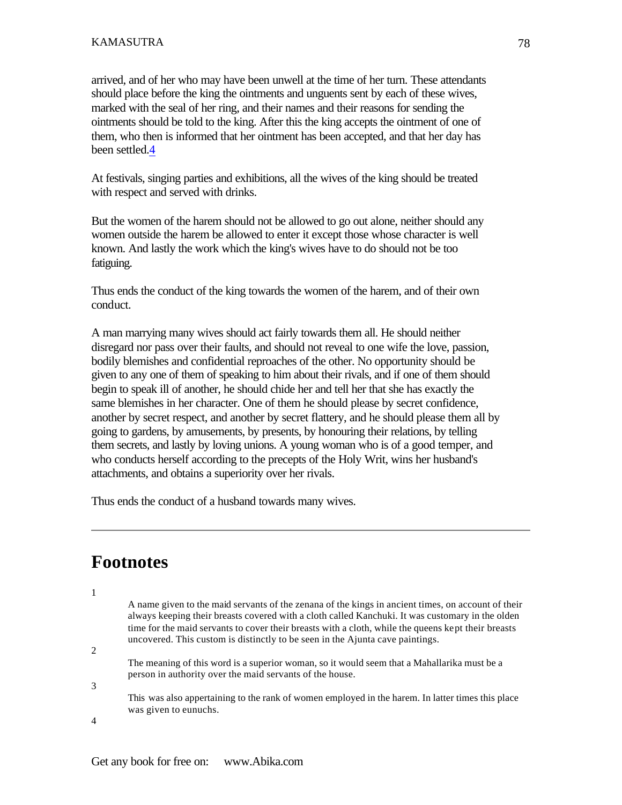arrived, and of her who may have been unwell at the time of her turn. These attendants should place before the king the ointments and unguents sent by each of these wives, marked with the seal of her ring, and their names and their reasons for sending the ointments should be told to the king. After this the king accepts the ointment of one of them, who then is informed that her ointment has been accepted, and that her day has been settled.4

At festivals, singing parties and exhibitions, all the wives of the king should be treated with respect and served with drinks.

But the women of the harem should not be allowed to go out alone, neither should any women outside the harem be allowed to enter it except those whose character is well known. And lastly the work which the king's wives have to do should not be too fatiguing.

Thus ends the conduct of the king towards the women of the harem, and of their own conduct.

A man marrying many wives should act fairly towards them all. He should neither disregard nor pass over their faults, and should not reveal to one wife the love, passion, bodily blemishes and confidential reproaches of the other. No opportunity should be given to any one of them of speaking to him about their rivals, and if one of them should begin to speak ill of another, he should chide her and tell her that she has exactly the same blemishes in her character. One of them he should please by secret confidence, another by secret respect, and another by secret flattery, and he should please them all by going to gardens, by amusements, by presents, by honouring their relations, by telling them secrets, and lastly by loving unions. A young woman who is of a good temper, and who conducts herself according to the precepts of the Holy Writ, wins her husband's attachments, and obtains a superiority over her rivals.

Thus ends the conduct of a husband towards many wives.

#### **Footnotes**

1

A name given to the maid servants of the zenana of the kings in ancient times, on account of their always keeping their breasts covered with a cloth called Kanchuki. It was customary in the olden time for the maid servants to cover their breasts with a cloth, while the queens kept their breasts uncovered. This custom is distinctly to be seen in the Ajunta cave paintings.

2

The meaning of this word is a superior woman, so it would seem that a Mahallarika must be a person in authority over the maid servants of the house.

3

This was also appertaining to the rank of women employed in the harem. In latter times this place was given to eunuchs.

4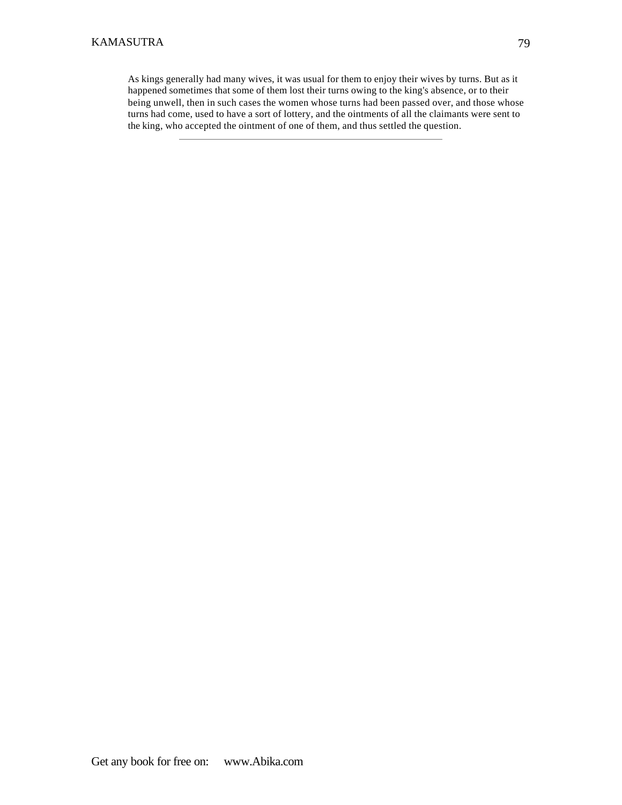As kings generally had many wives, it was usual for them to enjoy their wives by turns. But as it happened sometimes that some of them lost their turns owing to the king's absence, or to their being unwell, then in such cases the women whose turns had been passed over, and those whose turns had come, used to have a sort of lottery, and the ointments of all the claimants were sent to the king, who accepted the ointment of one of them, and thus settled the question.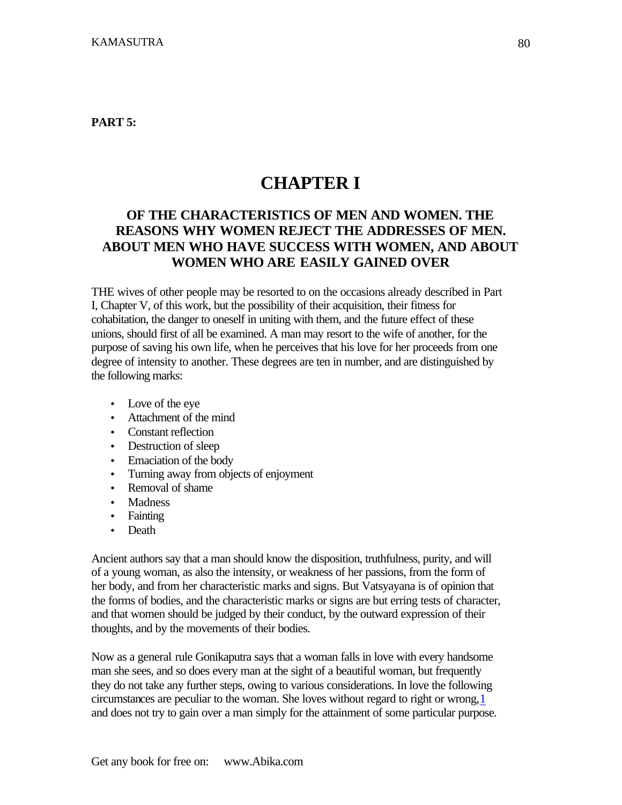#### **PART 5:**

#### **CHAPTER I**

#### **OF THE CHARACTERISTICS OF MEN AND WOMEN. THE REASONS WHY WOMEN REJECT THE ADDRESSES OF MEN. ABOUT MEN WHO HAVE SUCCESS WITH WOMEN, AND ABOUT WOMEN WHO ARE EASILY GAINED OVER**

THE wives of other people may be resorted to on the occasions already described in Part I, Chapter V, of this work, but the possibility of their acquisition, their fitness for cohabitation, the danger to oneself in uniting with them, and the future effect of these unions, should first of all be examined. A man may resort to the wife of another, for the purpose of saving his own life, when he perceives that his love for her proceeds from one degree of intensity to another. These degrees are ten in number, and are distinguished by the following marks:

- Love of the eye
- Attachment of the mind
- Constant reflection
- Destruction of sleep
- Emaciation of the body
- Turning away from objects of enjoyment
- Removal of shame
- Madness
- Fainting
- Death

Ancient authors say that a man should know the disposition, truthfulness, purity, and will of a young woman, as also the intensity, or weakness of her passions, from the form of her body, and from her characteristic marks and signs. But Vatsyayana is of opinion that the forms of bodies, and the characteristic marks or signs are but erring tests of character, and that women should be judged by their conduct, by the outward expression of their thoughts, and by the movements of their bodies.

Now as a general rule Gonikaputra says that a woman falls in love with every handsome man she sees, and so does every man at the sight of a beautiful woman, but frequently they do not take any further steps, owing to various considerations. In love the following circumstances are peculiar to the woman. She loves without regard to right or wrong,1 and does not try to gain over a man simply for the attainment of some particular purpose.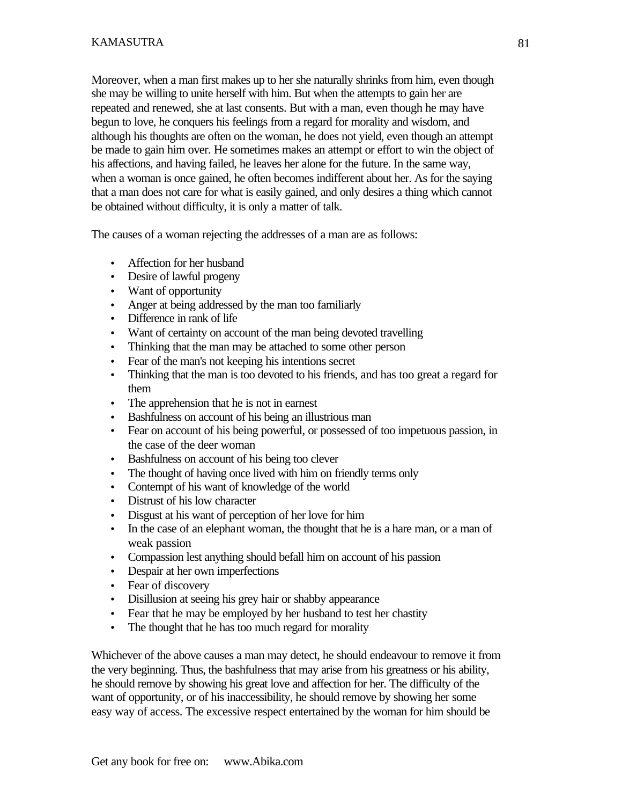Moreover, when a man first makes up to her she naturally shrinks from him, even though she may be willing to unite herself with him. But when the attempts to gain her are repeated and renewed, she at last consents. But with a man, even though he may have begun to love, he conquers his feelings from a regard for morality and wisdom, and although his thoughts are often on the woman, he does not yield, even though an attempt be made to gain him over. He sometimes makes an attempt or effort to win the object of his affections, and having failed, he leaves her alone for the future. In the same way, when a woman is once gained, he often becomes indifferent about her. As for the saying that a man does not care for what is easily gained, and only desires a thing which cannot be obtained without difficulty, it is only a matter of talk.

The causes of a woman rejecting the addresses of a man are as follows:

- Affection for her husband
- Desire of lawful progeny
- Want of opportunity
- Anger at being addressed by the man too familiarly
- Difference in rank of life
- Want of certainty on account of the man being devoted travelling
- Thinking that the man may be attached to some other person
- Fear of the man's not keeping his intentions secret
- Thinking that the man is too devoted to his friends, and has too great a regard for them
- The apprehension that he is not in earnest
- Bashfulness on account of his being an illustrious man
- Fear on account of his being powerful, or possessed of too impetuous passion, in the case of the deer woman
- Bashfulness on account of his being too clever
- The thought of having once lived with him on friendly terms only
- Contempt of his want of knowledge of the world
- Distrust of his low character
- Disgust at his want of perception of her love for him
- In the case of an elephant woman, the thought that he is a hare man, or a man of weak passion
- Compassion lest anything should befall him on account of his passion
- Despair at her own imperfections
- Fear of discovery
- Disillusion at seeing his grey hair or shabby appearance
- Fear that he may be employed by her husband to test her chastity
- The thought that he has too much regard for morality

Whichever of the above causes a man may detect, he should endeavour to remove it from the very beginning. Thus, the bashfulness that may arise from his greatness or his ability, he should remove by showing his great love and affection for her. The difficulty of the want of opportunity, or of his inaccessibility, he should remove by showing her some easy way of access. The excessive respect entertained by the woman for him should be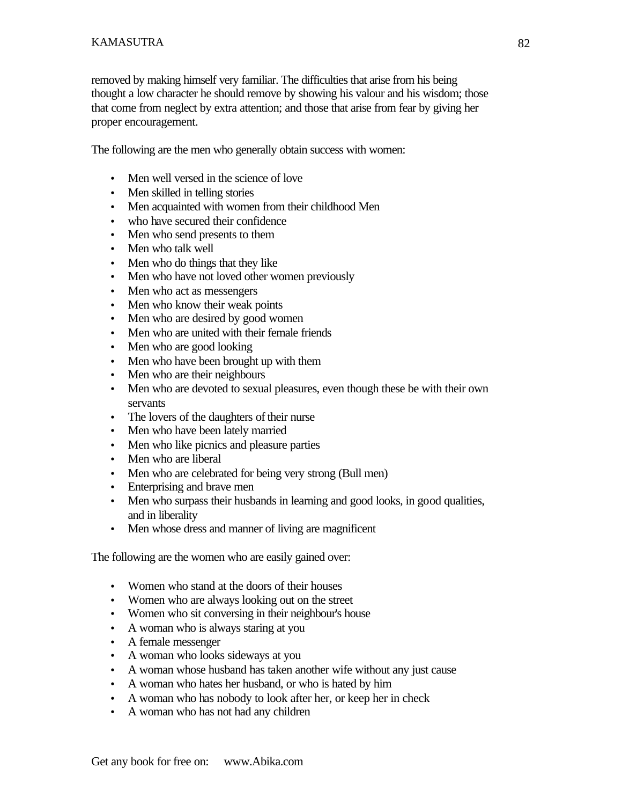removed by making himself very familiar. The difficulties that arise from his being thought a low character he should remove by showing his valour and his wisdom; those that come from neglect by extra attention; and those that arise from fear by giving her proper encouragement.

The following are the men who generally obtain success with women:

- Men well versed in the science of love
- Men skilled in telling stories
- Men acquainted with women from their childhood Men
- who have secured their confidence
- Men who send presents to them
- Men who talk well
- Men who do things that they like
- Men who have not loved other women previously
- Men who act as messengers
- Men who know their weak points
- Men who are desired by good women
- Men who are united with their female friends
- Men who are good looking
- Men who have been brought up with them
- Men who are their neighbours
- Men who are devoted to sexual pleasures, even though these be with their own servants
- The lovers of the daughters of their nurse
- Men who have been lately married
- Men who like picnics and pleasure parties
- Men who are liberal
- Men who are celebrated for being very strong (Bull men)
- Enterprising and brave men
- Men who surpass their husbands in learning and good looks, in good qualities, and in liberality
- Men whose dress and manner of living are magnificent

The following are the women who are easily gained over:

- Women who stand at the doors of their houses
- Women who are always looking out on the street
- Women who sit conversing in their neighbour's house
- A woman who is always staring at you
- A female messenger
- A woman who looks sideways at you
- A woman whose husband has taken another wife without any just cause
- A woman who hates her husband, or who is hated by him
- A woman who has nobody to look after her, or keep her in check
- A woman who has not had any children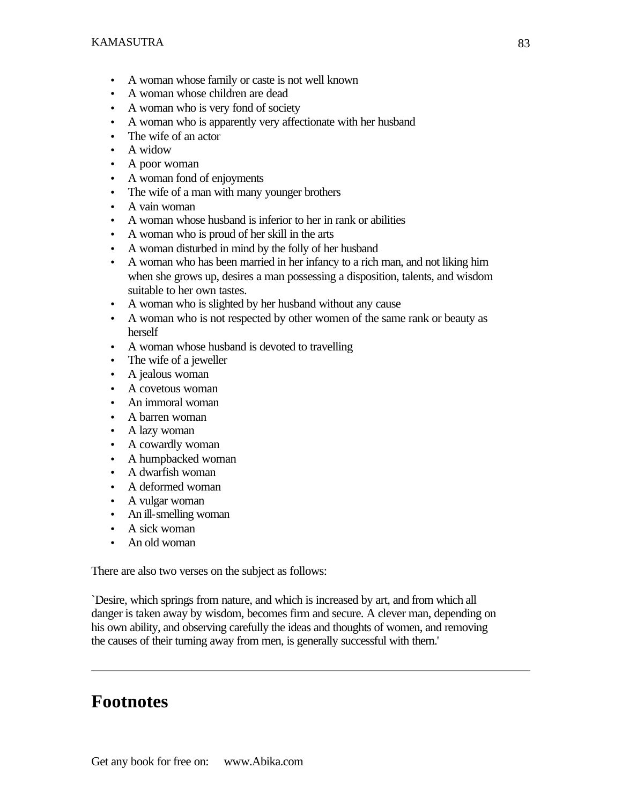- A woman whose family or caste is not well known
- A woman whose children are dead
- A woman who is very fond of society
- A woman who is apparently very affectionate with her husband
- The wife of an actor
- A widow
- A poor woman
- A woman fond of enjoyments
- The wife of a man with many younger brothers
- A vain woman
- A woman whose husband is inferior to her in rank or abilities
- A woman who is proud of her skill in the arts
- A woman disturbed in mind by the folly of her husband
- A woman who has been married in her infancy to a rich man, and not liking him when she grows up, desires a man possessing a disposition, talents, and wisdom suitable to her own tastes.
- A woman who is slighted by her husband without any cause
- A woman who is not respected by other women of the same rank or beauty as herself
- A woman whose husband is devoted to travelling
- The wife of a jeweller
- A jealous woman
- A covetous woman
- An immoral woman
- A barren woman
- A lazy woman
- A cowardly woman
- A humpbacked woman
- A dwarfish woman
- A deformed woman
- A vulgar woman
- An ill-smelling woman
- A sick woman
- An old woman

There are also two verses on the subject as follows:

`Desire, which springs from nature, and which is increased by art, and from which all danger is taken away by wisdom, becomes firm and secure. A clever man, depending on his own ability, and observing carefully the ideas and thoughts of women, and removing the causes of their turning away from men, is generally successful with them.'

# **Footnotes**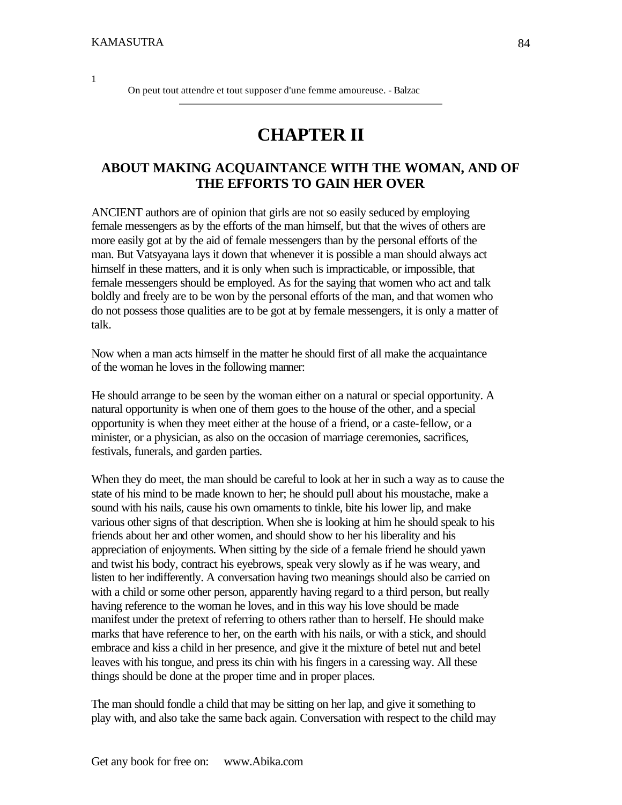On peut tout attendre et tout supposer d'une femme amoureuse. - Balzac

# **CHAPTER II**

#### **ABOUT MAKING ACQUAINTANCE WITH THE WOMAN, AND OF THE EFFORTS TO GAIN HER OVER**

ANCIENT authors are of opinion that girls are not so easily seduced by employing female messengers as by the efforts of the man himself, but that the wives of others are more easily got at by the aid of female messengers than by the personal efforts of the man. But Vatsyayana lays it down that whenever it is possible a man should always act himself in these matters, and it is only when such is impracticable, or impossible, that female messengers should be employed. As for the saying that women who act and talk boldly and freely are to be won by the personal efforts of the man, and that women who do not possess those qualities are to be got at by female messengers, it is only a matter of talk.

Now when a man acts himself in the matter he should first of all make the acquaintance of the woman he loves in the following manner:

He should arrange to be seen by the woman either on a natural or special opportunity. A natural opportunity is when one of them goes to the house of the other, and a special opportunity is when they meet either at the house of a friend, or a caste-fellow, or a minister, or a physician, as also on the occasion of marriage ceremonies, sacrifices, festivals, funerals, and garden parties.

When they do meet, the man should be careful to look at her in such a way as to cause the state of his mind to be made known to her; he should pull about his moustache, make a sound with his nails, cause his own ornaments to tinkle, bite his lower lip, and make various other signs of that description. When she is looking at him he should speak to his friends about her and other women, and should show to her his liberality and his appreciation of enjoyments. When sitting by the side of a female friend he should yawn and twist his body, contract his eyebrows, speak very slowly as if he was weary, and listen to her indifferently. A conversation having two meanings should also be carried on with a child or some other person, apparently having regard to a third person, but really having reference to the woman he loves, and in this way his love should be made manifest under the pretext of referring to others rather than to herself. He should make marks that have reference to her, on the earth with his nails, or with a stick, and should embrace and kiss a child in her presence, and give it the mixture of betel nut and betel leaves with his tongue, and press its chin with his fingers in a caressing way. All these things should be done at the proper time and in proper places.

The man should fondle a child that may be sitting on her lap, and give it something to play with, and also take the same back again. Conversation with respect to the child may

1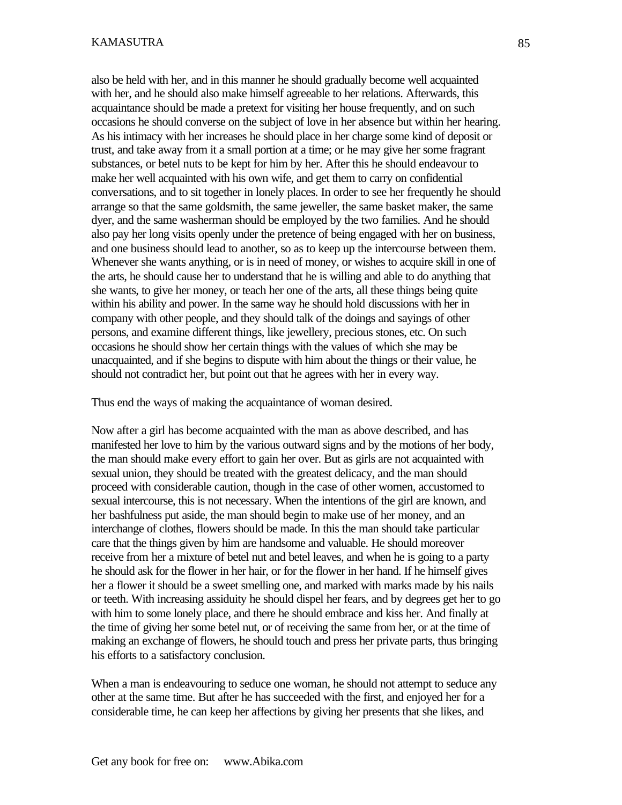also be held with her, and in this manner he should gradually become well acquainted with her, and he should also make himself agreeable to her relations. Afterwards, this acquaintance should be made a pretext for visiting her house frequently, and on such occasions he should converse on the subject of love in her absence but within her hearing. As his intimacy with her increases he should place in her charge some kind of deposit or trust, and take away from it a small portion at a time; or he may give her some fragrant substances, or betel nuts to be kept for him by her. After this he should endeavour to make her well acquainted with his own wife, and get them to carry on confidential conversations, and to sit together in lonely places. In order to see her frequently he should arrange so that the same goldsmith, the same jeweller, the same basket maker, the same dyer, and the same washerman should be employed by the two families. And he should also pay her long visits openly under the pretence of being engaged with her on business, and one business should lead to another, so as to keep up the intercourse between them. Whenever she wants anything, or is in need of money, or wishes to acquire skill in one of the arts, he should cause her to understand that he is willing and able to do anything that she wants, to give her money, or teach her one of the arts, all these things being quite within his ability and power. In the same way he should hold discussions with her in company with other people, and they should talk of the doings and sayings of other persons, and examine different things, like jewellery, precious stones, etc. On such occasions he should show her certain things with the values of which she may be unacquainted, and if she begins to dispute with him about the things or their value, he should not contradict her, but point out that he agrees with her in every way.

Thus end the ways of making the acquaintance of woman desired.

Now after a girl has become acquainted with the man as above described, and has manifested her love to him by the various outward signs and by the motions of her body, the man should make every effort to gain her over. But as girls are not acquainted with sexual union, they should be treated with the greatest delicacy, and the man should proceed with considerable caution, though in the case of other women, accustomed to sexual intercourse, this is not necessary. When the intentions of the girl are known, and her bashfulness put aside, the man should begin to make use of her money, and an interchange of clothes, flowers should be made. In this the man should take particular care that the things given by him are handsome and valuable. He should moreover receive from her a mixture of betel nut and betel leaves, and when he is going to a party he should ask for the flower in her hair, or for the flower in her hand. If he himself gives her a flower it should be a sweet smelling one, and marked with marks made by his nails or teeth. With increasing assiduity he should dispel her fears, and by degrees get her to go with him to some lonely place, and there he should embrace and kiss her. And finally at the time of giving her some betel nut, or of receiving the same from her, or at the time of making an exchange of flowers, he should touch and press her private parts, thus bringing his efforts to a satisfactory conclusion.

When a man is endeavouring to seduce one woman, he should not attempt to seduce any other at the same time. But after he has succeeded with the first, and enjoyed her for a considerable time, he can keep her affections by giving her presents that she likes, and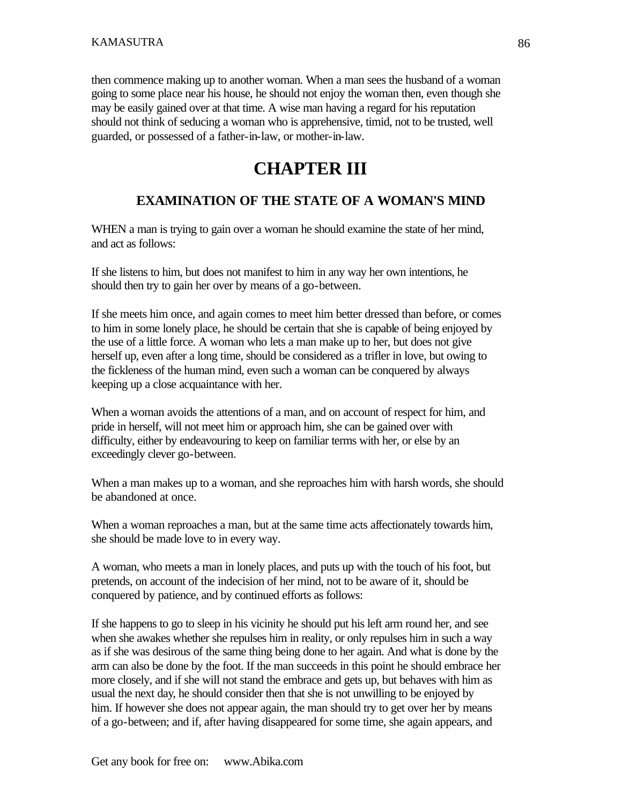then commence making up to another woman. When a man sees the husband of a woman going to some place near his house, he should not enjoy the woman then, even though she may be easily gained over at that time. A wise man having a regard for his reputation should not think of seducing a woman who is apprehensive, timid, not to be trusted, well guarded, or possessed of a father-in-law, or mother-in-law.

## **CHAPTER III**

#### **EXAMINATION OF THE STATE OF A WOMAN'S MIND**

WHEN a man is trying to gain over a woman he should examine the state of her mind, and act as follows:

If she listens to him, but does not manifest to him in any way her own intentions, he should then try to gain her over by means of a go-between.

If she meets him once, and again comes to meet him better dressed than before, or comes to him in some lonely place, he should be certain that she is capable of being enjoyed by the use of a little force. A woman who lets a man make up to her, but does not give herself up, even after a long time, should be considered as a trifler in love, but owing to the fickleness of the human mind, even such a woman can be conquered by always keeping up a close acquaintance with her.

When a woman avoids the attentions of a man, and on account of respect for him, and pride in herself, will not meet him or approach him, she can be gained over with difficulty, either by endeavouring to keep on familiar terms with her, or else by an exceedingly clever go-between.

When a man makes up to a woman, and she reproaches him with harsh words, she should be abandoned at once.

When a woman reproaches a man, but at the same time acts affectionately towards him, she should be made love to in every way.

A woman, who meets a man in lonely places, and puts up with the touch of his foot, but pretends, on account of the indecision of her mind, not to be aware of it, should be conquered by patience, and by continued efforts as follows:

If she happens to go to sleep in his vicinity he should put his left arm round her, and see when she awakes whether she repulses him in reality, or only repulses him in such a way as if she was desirous of the same thing being done to her again. And what is done by the arm can also be done by the foot. If the man succeeds in this point he should embrace her more closely, and if she will not stand the embrace and gets up, but behaves with him as usual the next day, he should consider then that she is not unwilling to be enjoyed by him. If however she does not appear again, the man should try to get over her by means of a go-between; and if, after having disappeared for some time, she again appears, and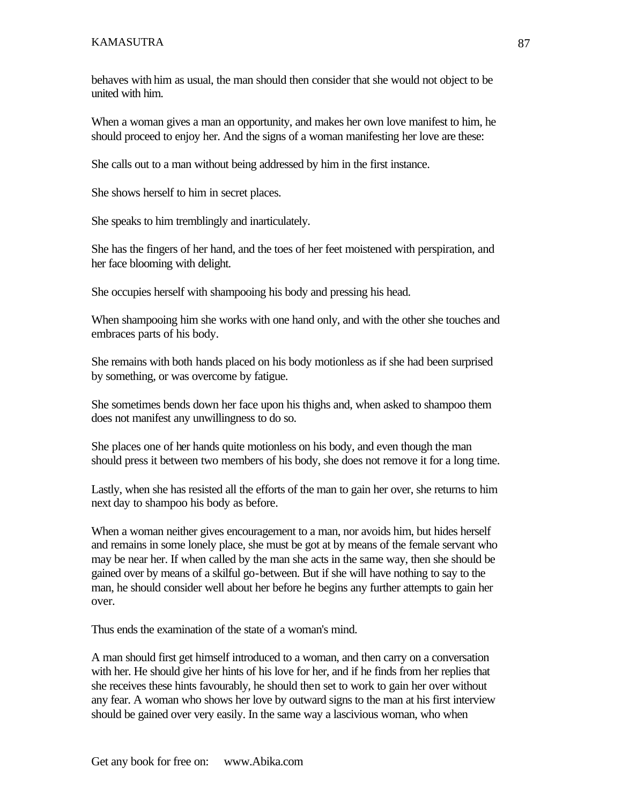behaves with him as usual, the man should then consider that she would not object to be united with him.

When a woman gives a man an opportunity, and makes her own love manifest to him, he should proceed to enjoy her. And the signs of a woman manifesting her love are these:

She calls out to a man without being addressed by him in the first instance.

She shows herself to him in secret places.

She speaks to him tremblingly and inarticulately.

She has the fingers of her hand, and the toes of her feet moistened with perspiration, and her face blooming with delight.

She occupies herself with shampooing his body and pressing his head.

When shampooing him she works with one hand only, and with the other she touches and embraces parts of his body.

She remains with both hands placed on his body motionless as if she had been surprised by something, or was overcome by fatigue.

She sometimes bends down her face upon his thighs and, when asked to shampoo them does not manifest any unwillingness to do so.

She places one of her hands quite motionless on his body, and even though the man should press it between two members of his body, she does not remove it for a long time.

Lastly, when she has resisted all the efforts of the man to gain her over, she returns to him next day to shampoo his body as before.

When a woman neither gives encouragement to a man, nor avoids him, but hides herself and remains in some lonely place, she must be got at by means of the female servant who may be near her. If when called by the man she acts in the same way, then she should be gained over by means of a skilful go-between. But if she will have nothing to say to the man, he should consider well about her before he begins any further attempts to gain her over.

Thus ends the examination of the state of a woman's mind.

A man should first get himself introduced to a woman, and then carry on a conversation with her. He should give her hints of his love for her, and if he finds from her replies that she receives these hints favourably, he should then set to work to gain her over without any fear. A woman who shows her love by outward signs to the man at his first interview should be gained over very easily. In the same way a lascivious woman, who when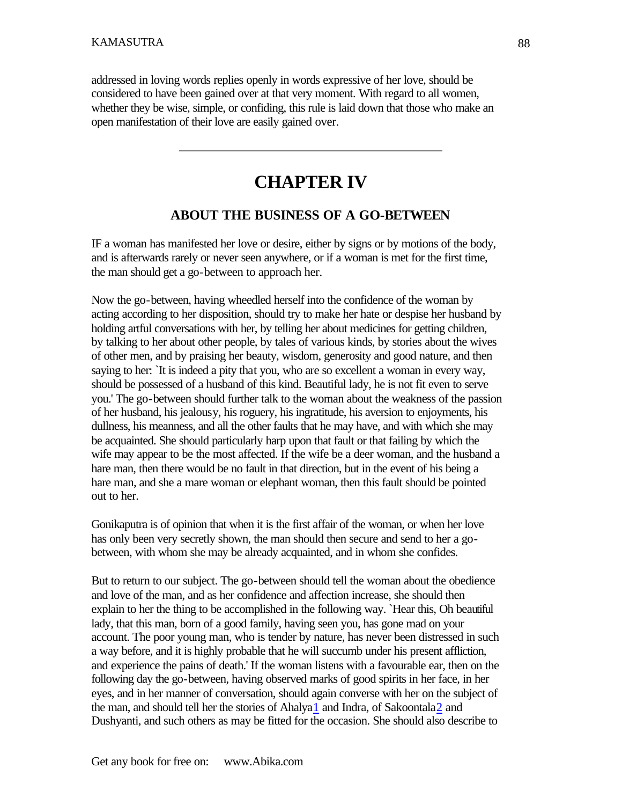addressed in loving words replies openly in words expressive of her love, should be considered to have been gained over at that very moment. With regard to all women, whether they be wise, simple, or confiding, this rule is laid down that those who make an open manifestation of their love are easily gained over.

#### **CHAPTER IV**

#### **ABOUT THE BUSINESS OF A GO-BETWEEN**

IF a woman has manifested her love or desire, either by signs or by motions of the body, and is afterwards rarely or never seen anywhere, or if a woman is met for the first time, the man should get a go-between to approach her.

Now the go-between, having wheedled herself into the confidence of the woman by acting according to her disposition, should try to make her hate or despise her husband by holding artful conversations with her, by telling her about medicines for getting children, by talking to her about other people, by tales of various kinds, by stories about the wives of other men, and by praising her beauty, wisdom, generosity and good nature, and then saying to her: `It is indeed a pity that you, who are so excellent a woman in every way, should be possessed of a husband of this kind. Beautiful lady, he is not fit even to serve you.' The go-between should further talk to the woman about the weakness of the passion of her husband, his jealousy, his roguery, his ingratitude, his aversion to enjoyments, his dullness, his meanness, and all the other faults that he may have, and with which she may be acquainted. She should particularly harp upon that fault or that failing by which the wife may appear to be the most affected. If the wife be a deer woman, and the husband a hare man, then there would be no fault in that direction, but in the event of his being a hare man, and she a mare woman or elephant woman, then this fault should be pointed out to her.

Gonikaputra is of opinion that when it is the first affair of the woman, or when her love has only been very secretly shown, the man should then secure and send to her a gobetween, with whom she may be already acquainted, and in whom she confides.

But to return to our subject. The go-between should tell the woman about the obedience and love of the man, and as her confidence and affection increase, she should then explain to her the thing to be accomplished in the following way. `Hear this, Oh beautiful lady, that this man, born of a good family, having seen you, has gone mad on your account. The poor young man, who is tender by nature, has never been distressed in such a way before, and it is highly probable that he will succumb under his present affliction, and experience the pains of death.' If the woman listens with a favourable ear, then on the following day the go-between, having observed marks of good spirits in her face, in her eyes, and in her manner of conversation, should again converse with her on the subject of the man, and should tell her the stories of Ahalya1 and Indra, of Sakoontala2 and Dushyanti, and such others as may be fitted for the occasion. She should also describe to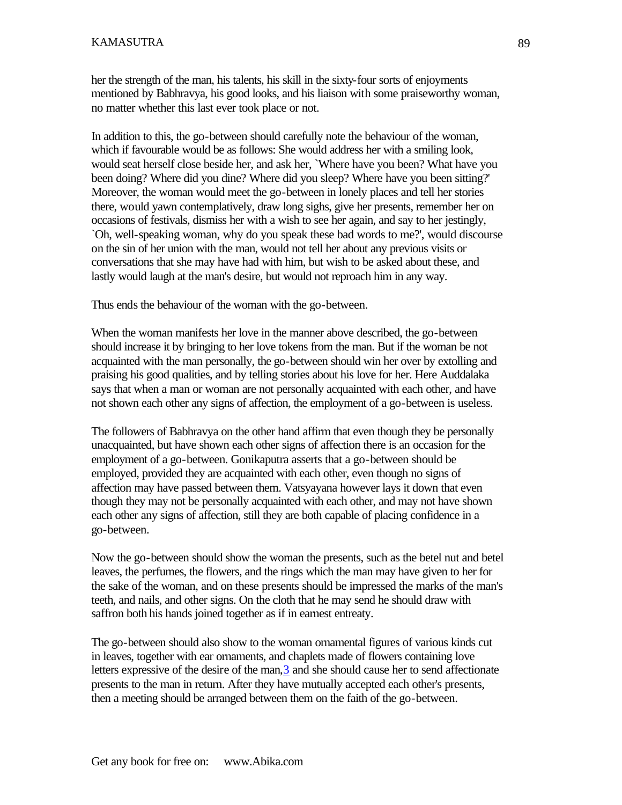her the strength of the man, his talents, his skill in the sixty-four sorts of enjoyments mentioned by Babhravya, his good looks, and his liaison with some praiseworthy woman, no matter whether this last ever took place or not.

In addition to this, the go-between should carefully note the behaviour of the woman, which if favourable would be as follows: She would address her with a smiling look, would seat herself close beside her, and ask her, `Where have you been? What have you been doing? Where did you dine? Where did you sleep? Where have you been sitting?' Moreover, the woman would meet the go-between in lonely places and tell her stories there, would yawn contemplatively, draw long sighs, give her presents, remember her on occasions of festivals, dismiss her with a wish to see her again, and say to her jestingly, `Oh, well-speaking woman, why do you speak these bad words to me?', would discourse on the sin of her union with the man, would not tell her about any previous visits or conversations that she may have had with him, but wish to be asked about these, and lastly would laugh at the man's desire, but would not reproach him in any way.

Thus ends the behaviour of the woman with the go-between.

When the woman manifests her love in the manner above described, the go-between should increase it by bringing to her love tokens from the man. But if the woman be not acquainted with the man personally, the go-between should win her over by extolling and praising his good qualities, and by telling stories about his love for her. Here Auddalaka says that when a man or woman are not personally acquainted with each other, and have not shown each other any signs of affection, the employment of a go-between is useless.

The followers of Babhravya on the other hand affirm that even though they be personally unacquainted, but have shown each other signs of affection there is an occasion for the employment of a go-between. Gonikaputra asserts that a go-between should be employed, provided they are acquainted with each other, even though no signs of affection may have passed between them. Vatsyayana however lays it down that even though they may not be personally acquainted with each other, and may not have shown each other any signs of affection, still they are both capable of placing confidence in a go-between.

Now the go-between should show the woman the presents, such as the betel nut and betel leaves, the perfumes, the flowers, and the rings which the man may have given to her for the sake of the woman, and on these presents should be impressed the marks of the man's teeth, and nails, and other signs. On the cloth that he may send he should draw with saffron both his hands joined together as if in earnest entreaty.

The go-between should also show to the woman ornamental figures of various kinds cut in leaves, together with ear ornaments, and chaplets made of flowers containing love letters expressive of the desire of the man, 3 and she should cause her to send affectionate presents to the man in return. After they have mutually accepted each other's presents, then a meeting should be arranged between them on the faith of the go-between.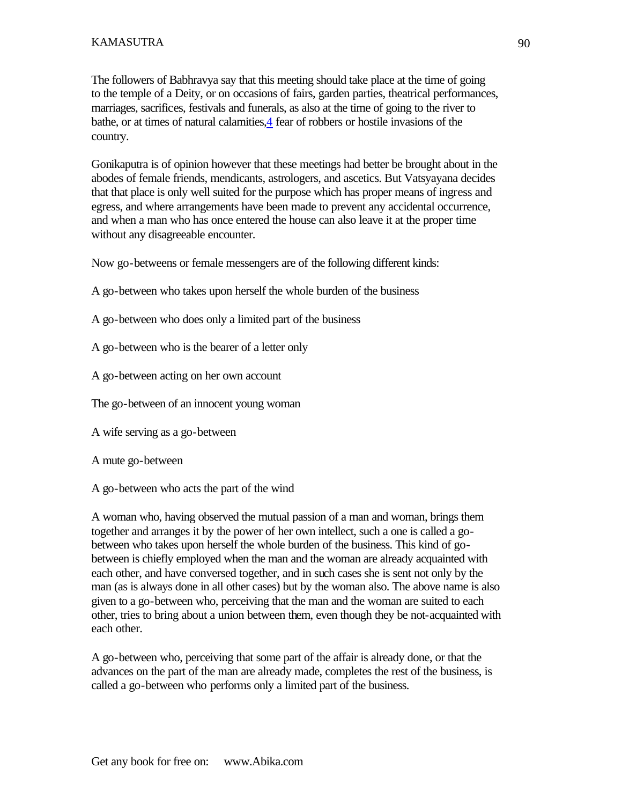The followers of Babhravya say that this meeting should take place at the time of going to the temple of a Deity, or on occasions of fairs, garden parties, theatrical performances, marriages, sacrifices, festivals and funerals, as also at the time of going to the river to bathe, or at times of natural calamities, 4 fear of robbers or hostile invasions of the country.

Gonikaputra is of opinion however that these meetings had better be brought about in the abodes of female friends, mendicants, astrologers, and ascetics. But Vatsyayana decides that that place is only well suited for the purpose which has proper means of ingress and egress, and where arrangements have been made to prevent any accidental occurrence, and when a man who has once entered the house can also leave it at the proper time without any disagreeable encounter.

Now go-betweens or female messengers are of the following different kinds:

A go-between who takes upon herself the whole burden of the business

A go-between who does only a limited part of the business

A go-between who is the bearer of a letter only

A go-between acting on her own account

The go-between of an innocent young woman

A wife serving as a go-between

A mute go-between

A go-between who acts the part of the wind

A woman who, having observed the mutual passion of a man and woman, brings them together and arranges it by the power of her own intellect, such a one is called a gobetween who takes upon herself the whole burden of the business. This kind of gobetween is chiefly employed when the man and the woman are already acquainted with each other, and have conversed together, and in such cases she is sent not only by the man (as is always done in all other cases) but by the woman also. The above name is also given to a go-between who, perceiving that the man and the woman are suited to each other, tries to bring about a union between them, even though they be not-acquainted with each other.

A go-between who, perceiving that some part of the affair is already done, or that the advances on the part of the man are already made, completes the rest of the business, is called a go-between who performs only a limited part of the business.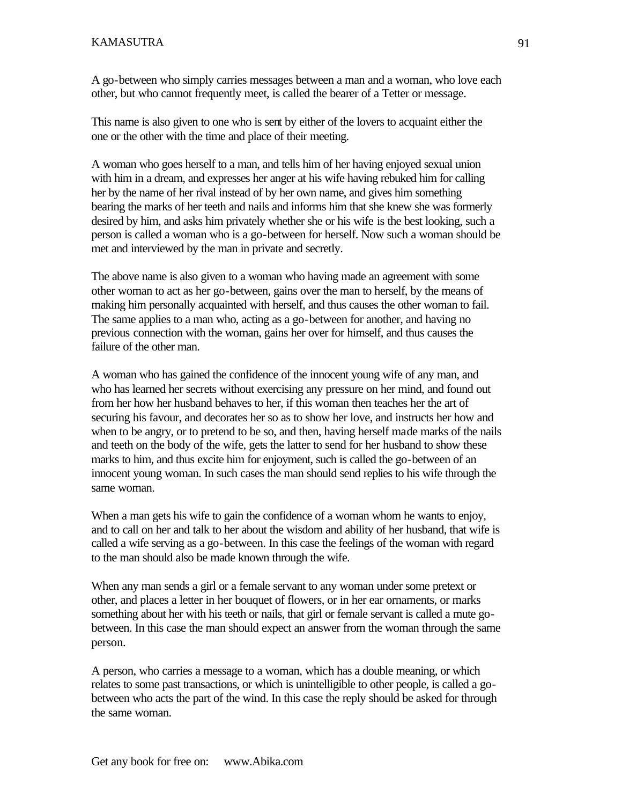A go-between who simply carries messages between a man and a woman, who love each other, but who cannot frequently meet, is called the bearer of a Tetter or message.

This name is also given to one who is sent by either of the lovers to acquaint either the one or the other with the time and place of their meeting.

A woman who goes herself to a man, and tells him of her having enjoyed sexual union with him in a dream, and expresses her anger at his wife having rebuked him for calling her by the name of her rival instead of by her own name, and gives him something bearing the marks of her teeth and nails and informs him that she knew she was formerly desired by him, and asks him privately whether she or his wife is the best looking, such a person is called a woman who is a go-between for herself. Now such a woman should be met and interviewed by the man in private and secretly.

The above name is also given to a woman who having made an agreement with some other woman to act as her go-between, gains over the man to herself, by the means of making him personally acquainted with herself, and thus causes the other woman to fail. The same applies to a man who, acting as a go-between for another, and having no previous connection with the woman, gains her over for himself, and thus causes the failure of the other man.

A woman who has gained the confidence of the innocent young wife of any man, and who has learned her secrets without exercising any pressure on her mind, and found out from her how her husband behaves to her, if this woman then teaches her the art of securing his favour, and decorates her so as to show her love, and instructs her how and when to be angry, or to pretend to be so, and then, having herself made marks of the nails and teeth on the body of the wife, gets the latter to send for her husband to show these marks to him, and thus excite him for enjoyment, such is called the go-between of an innocent young woman. In such cases the man should send replies to his wife through the same woman.

When a man gets his wife to gain the confidence of a woman whom he wants to enjoy, and to call on her and talk to her about the wisdom and ability of her husband, that wife is called a wife serving as a go-between. In this case the feelings of the woman with regard to the man should also be made known through the wife.

When any man sends a girl or a female servant to any woman under some pretext or other, and places a letter in her bouquet of flowers, or in her ear ornaments, or marks something about her with his teeth or nails, that girl or female servant is called a mute gobetween. In this case the man should expect an answer from the woman through the same person.

A person, who carries a message to a woman, which has a double meaning, or which relates to some past transactions, or which is unintelligible to other people, is called a gobetween who acts the part of the wind. In this case the reply should be asked for through the same woman.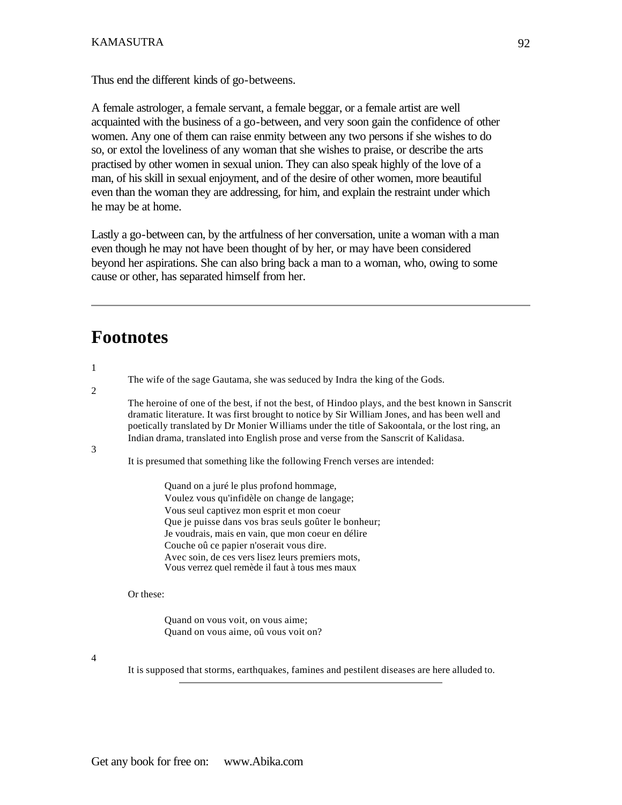Thus end the different kinds of go-betweens.

A female astrologer, a female servant, a female beggar, or a female artist are well acquainted with the business of a go-between, and very soon gain the confidence of other women. Any one of them can raise enmity between any two persons if she wishes to do so, or extol the loveliness of any woman that she wishes to praise, or describe the arts practised by other women in sexual union. They can also speak highly of the love of a man, of his skill in sexual enjoyment, and of the desire of other women, more beautiful even than the woman they are addressing, for him, and explain the restraint under which he may be at home.

Lastly a go-between can, by the artfulness of her conversation, unite a woman with a man even though he may not have been thought of by her, or may have been considered beyond her aspirations. She can also bring back a man to a woman, who, owing to some cause or other, has separated himself from her.

# **Footnotes**

1

The wife of the sage Gautama, she was seduced by Indra the king of the Gods.

 $\overline{2}$ 

The heroine of one of the best, if not the best, of Hindoo plays, and the best known in Sanscrit dramatic literature. It was first brought to notice by Sir William Jones, and has been well and poetically translated by Dr Monier Williams under the title of Sakoontala, or the lost ring, an Indian drama, translated into English prose and verse from the Sanscrit of Kalidasa.

3

It is presumed that something like the following French verses are intended:

Quand on a juré le plus profond hommage, Voulez vous qu'infidèle on change de langage; Vous seul captivez mon esprit et mon coeur Que je puisse dans vos bras seuls goûter le bonheur; Je voudrais, mais en vain, que mon coeur en délire Couche oû ce papier n'oserait vous dire. Avec soin, de ces vers lisez leurs premiers mots, Vous verrez quel remède il faut à tous mes maux

Or these:

Quand on vous voit, on vous aime; Quand on vous aime, oû vous voit on?

4

It is supposed that storms, earthquakes, famines and pestilent diseases are here alluded to.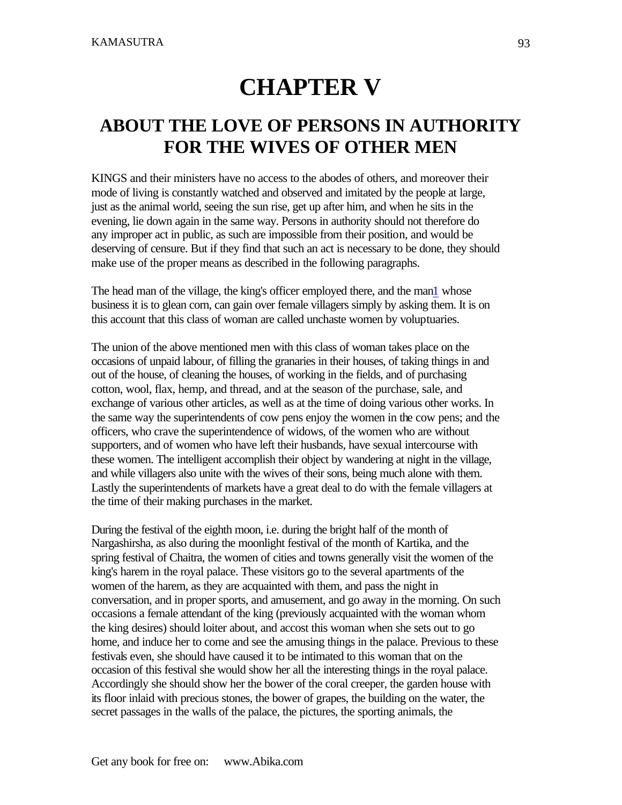# **CHAPTER V**

#### **ABOUT THE LOVE OF PERSONS IN AUTHORITY FOR THE WIVES OF OTHER MEN**

KINGS and their ministers have no access to the abodes of others, and moreover their mode of living is constantly watched and observed and imitated by the people at large, just as the animal world, seeing the sun rise, get up after him, and when he sits in the evening, lie down again in the same way. Persons in authority should not therefore do any improper act in public, as such are impossible from their position, and would be deserving of censure. But if they find that such an act is necessary to be done, they should make use of the proper means as described in the following paragraphs.

The head man of the village, the king's officer employed there, and the man1 whose business it is to glean corn, can gain over female villagers simply by asking them. It is on this account that this class of woman are called unchaste women by voluptuaries.

The union of the above mentioned men with this class of woman takes place on the occasions of unpaid labour, of filling the granaries in their houses, of taking things in and out of the house, of cleaning the houses, of working in the fields, and of purchasing cotton, wool, flax, hemp, and thread, and at the season of the purchase, sale, and exchange of various other articles, as well as at the time of doing various other works. In the same way the superintendents of cow pens enjoy the women in the cow pens; and the officers, who crave the superintendence of widows, of the women who are without supporters, and of women who have left their husbands, have sexual intercourse with these women. The intelligent accomplish their object by wandering at night in the village, and while villagers also unite with the wives of their sons, being much alone with them. Lastly the superintendents of markets have a great deal to do with the female villagers at the time of their making purchases in the market.

During the festival of the eighth moon, i.e. during the bright half of the month of Nargashirsha, as also during the moonlight festival of the month of Kartika, and the spring festival of Chaitra, the women of cities and towns generally visit the women of the king's harem in the royal palace. These visitors go to the several apartments of the women of the harem, as they are acquainted with them, and pass the night in conversation, and in proper sports, and amusement, and go away in the morning. On such occasions a female attendant of the king (previously acquainted with the woman whom the king desires) should loiter about, and accost this woman when she sets out to go home, and induce her to come and see the amusing things in the palace. Previous to these festivals even, she should have caused it to be intimated to this woman that on the occasion of this festival she would show her all the interesting things in the royal palace. Accordingly she should show her the bower of the coral creeper, the garden house with its floor inlaid with precious stones, the bower of grapes, the building on the water, the secret passages in the walls of the palace, the pictures, the sporting animals, the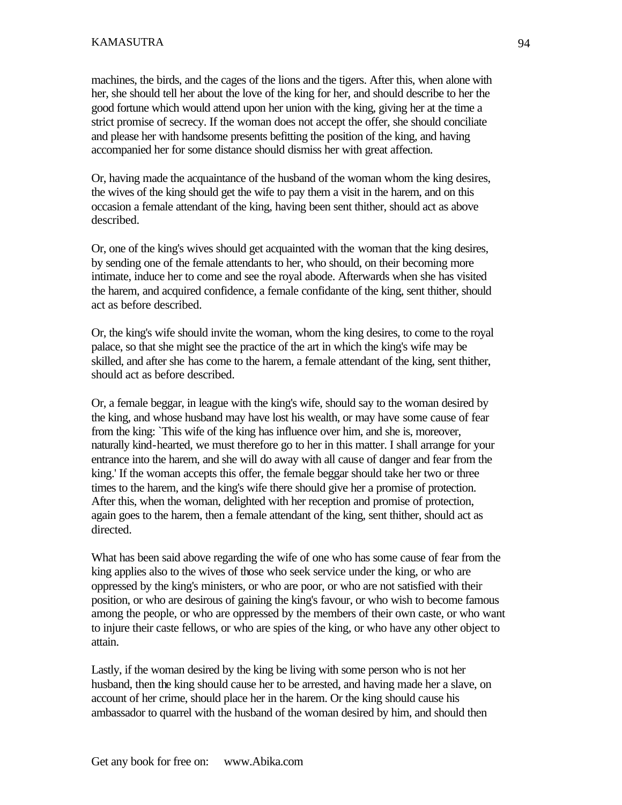machines, the birds, and the cages of the lions and the tigers. After this, when alone with her, she should tell her about the love of the king for her, and should describe to her the good fortune which would attend upon her union with the king, giving her at the time a strict promise of secrecy. If the woman does not accept the offer, she should conciliate and please her with handsome presents befitting the position of the king, and having accompanied her for some distance should dismiss her with great affection.

Or, having made the acquaintance of the husband of the woman whom the king desires, the wives of the king should get the wife to pay them a visit in the harem, and on this occasion a female attendant of the king, having been sent thither, should act as above described.

Or, one of the king's wives should get acquainted with the woman that the king desires, by sending one of the female attendants to her, who should, on their becoming more intimate, induce her to come and see the royal abode. Afterwards when she has visited the harem, and acquired confidence, a female confidante of the king, sent thither, should act as before described.

Or, the king's wife should invite the woman, whom the king desires, to come to the royal palace, so that she might see the practice of the art in which the king's wife may be skilled, and after she has come to the harem, a female attendant of the king, sent thither, should act as before described.

Or, a female beggar, in league with the king's wife, should say to the woman desired by the king, and whose husband may have lost his wealth, or may have some cause of fear from the king: `This wife of the king has influence over him, and she is, moreover, naturally kind-hearted, we must therefore go to her in this matter. I shall arrange for your entrance into the harem, and she will do away with all cause of danger and fear from the king.' If the woman accepts this offer, the female beggar should take her two or three times to the harem, and the king's wife there should give her a promise of protection. After this, when the woman, delighted with her reception and promise of protection, again goes to the harem, then a female attendant of the king, sent thither, should act as directed.

What has been said above regarding the wife of one who has some cause of fear from the king applies also to the wives of those who seek service under the king, or who are oppressed by the king's ministers, or who are poor, or who are not satisfied with their position, or who are desirous of gaining the king's favour, or who wish to become famous among the people, or who are oppressed by the members of their own caste, or who want to injure their caste fellows, or who are spies of the king, or who have any other object to attain.

Lastly, if the woman desired by the king be living with some person who is not her husband, then the king should cause her to be arrested, and having made her a slave, on account of her crime, should place her in the harem. Or the king should cause his ambassador to quarrel with the husband of the woman desired by him, and should then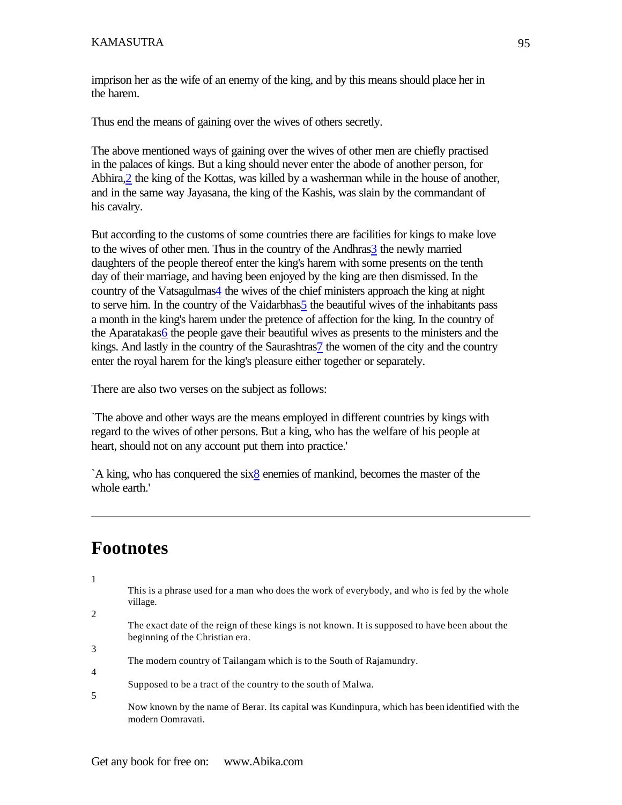imprison her as the wife of an enemy of the king, and by this means should place her in the harem.

Thus end the means of gaining over the wives of others secretly.

The above mentioned ways of gaining over the wives of other men are chiefly practised in the palaces of kings. But a king should never enter the abode of another person, for Abhira,2 the king of the Kottas, was killed by a washerman while in the house of another, and in the same way Jayasana, the king of the Kashis, was slain by the commandant of his cavalry.

But according to the customs of some countries there are facilities for kings to make love to the wives of other men. Thus in the country of the Andhras3 the newly married daughters of the people thereof enter the king's harem with some presents on the tenth day of their marriage, and having been enjoyed by the king are then dismissed. In the country of the Vatsagulmas4 the wives of the chief ministers approach the king at night to serve him. In the country of the Vaidarbhas<sup>5</sup> the beautiful wives of the inhabitants pass a month in the king's harem under the pretence of affection for the king. In the country of the Aparatakas6 the people gave their beautiful wives as presents to the ministers and the kings. And lastly in the country of the Saurashtras7 the women of the city and the country enter the royal harem for the king's pleasure either together or separately.

There are also two verses on the subject as follows:

`The above and other ways are the means employed in different countries by kings with regard to the wives of other persons. But a king, who has the welfare of his people at heart, should not on any account put them into practice.'

`A king, who has conquered the six8 enemies of mankind, becomes the master of the whole earth.'

### **Footnotes**

1

This is a phrase used for a man who does the work of everybody, and who is fed by the whole village.

2

The exact date of the reign of these kings is not known. It is supposed to have been about the beginning of the Christian era.

3

4

5

The modern country of Tailangam which is to the South of Rajamundry.

Supposed to be a tract of the country to the south of Malwa.

Now known by the name of Berar. Its capital was Kundinpura, which has been identified with the modern Oomravati.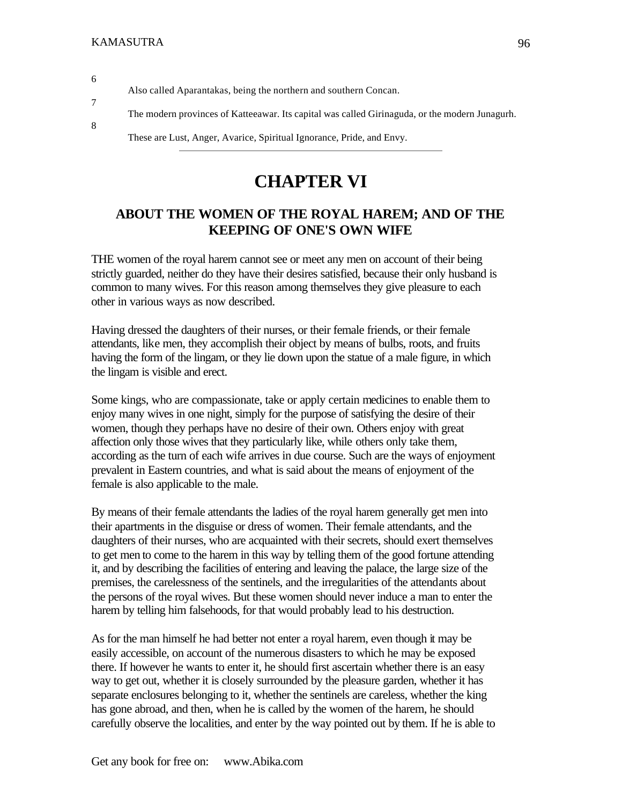Also called Aparantakas, being the northern and southern Concan.

The modern provinces of Katteeawar. Its capital was called Girinaguda, or the modern Junagurh.

7 8

6

These are Lust, Anger, Avarice, Spiritual Ignorance, Pride, and Envy.

# **CHAPTER VI**

#### **ABOUT THE WOMEN OF THE ROYAL HAREM; AND OF THE KEEPING OF ONE'S OWN WIFE**

THE women of the royal harem cannot see or meet any men on account of their being strictly guarded, neither do they have their desires satisfied, because their only husband is common to many wives. For this reason among themselves they give pleasure to each other in various ways as now described.

Having dressed the daughters of their nurses, or their female friends, or their female attendants, like men, they accomplish their object by means of bulbs, roots, and fruits having the form of the lingam, or they lie down upon the statue of a male figure, in which the lingam is visible and erect.

Some kings, who are compassionate, take or apply certain medicines to enable them to enjoy many wives in one night, simply for the purpose of satisfying the desire of their women, though they perhaps have no desire of their own. Others enjoy with great affection only those wives that they particularly like, while others only take them, according as the turn of each wife arrives in due course. Such are the ways of enjoyment prevalent in Eastern countries, and what is said about the means of enjoyment of the female is also applicable to the male.

By means of their female attendants the ladies of the royal harem generally get men into their apartments in the disguise or dress of women. Their female attendants, and the daughters of their nurses, who are acquainted with their secrets, should exert themselves to get men to come to the harem in this way by telling them of the good fortune attending it, and by describing the facilities of entering and leaving the palace, the large size of the premises, the carelessness of the sentinels, and the irregularities of the attendants about the persons of the royal wives. But these women should never induce a man to enter the harem by telling him falsehoods, for that would probably lead to his destruction.

As for the man himself he had better not enter a royal harem, even though it may be easily accessible, on account of the numerous disasters to which he may be exposed there. If however he wants to enter it, he should first ascertain whether there is an easy way to get out, whether it is closely surrounded by the pleasure garden, whether it has separate enclosures belonging to it, whether the sentinels are careless, whether the king has gone abroad, and then, when he is called by the women of the harem, he should carefully observe the localities, and enter by the way pointed out by them. If he is able to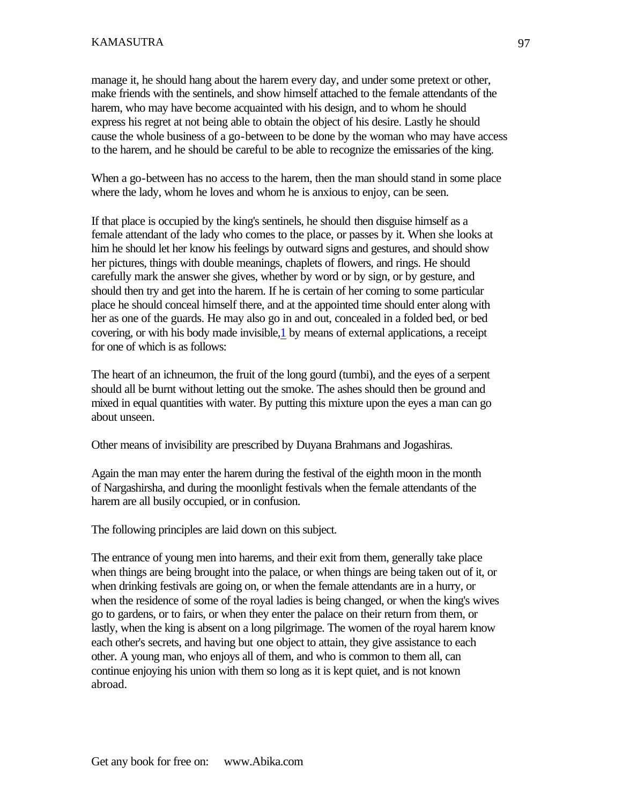manage it, he should hang about the harem every day, and under some pretext or other, make friends with the sentinels, and show himself attached to the female attendants of the harem, who may have become acquainted with his design, and to whom he should express his regret at not being able to obtain the object of his desire. Lastly he should cause the whole business of a go-between to be done by the woman who may have access to the harem, and he should be careful to be able to recognize the emissaries of the king.

When a go-between has no access to the harem, then the man should stand in some place where the lady, whom he loves and whom he is anxious to enjoy, can be seen.

If that place is occupied by the king's sentinels, he should then disguise himself as a female attendant of the lady who comes to the place, or passes by it. When she looks at him he should let her know his feelings by outward signs and gestures, and should show her pictures, things with double meanings, chaplets of flowers, and rings. He should carefully mark the answer she gives, whether by word or by sign, or by gesture, and should then try and get into the harem. If he is certain of her coming to some particular place he should conceal himself there, and at the appointed time should enter along with her as one of the guards. He may also go in and out, concealed in a folded bed, or bed covering, or with his body made invisible,1 by means of external applications, a receipt for one of which is as follows:

The heart of an ichneumon, the fruit of the long gourd (tumbi), and the eyes of a serpent should all be burnt without letting out the smoke. The ashes should then be ground and mixed in equal quantities with water. By putting this mixture upon the eyes a man can go about unseen.

Other means of invisibility are prescribed by Duyana Brahmans and Jogashiras.

Again the man may enter the harem during the festival of the eighth moon in the month of Nargashirsha, and during the moonlight festivals when the female attendants of the harem are all busily occupied, or in confusion.

The following principles are laid down on this subject.

The entrance of young men into harems, and their exit from them, generally take place when things are being brought into the palace, or when things are being taken out of it, or when drinking festivals are going on, or when the female attendants are in a hurry, or when the residence of some of the royal ladies is being changed, or when the king's wives go to gardens, or to fairs, or when they enter the palace on their return from them, or lastly, when the king is absent on a long pilgrimage. The women of the royal harem know each other's secrets, and having but one object to attain, they give assistance to each other. A young man, who enjoys all of them, and who is common to them all, can continue enjoying his union with them so long as it is kept quiet, and is not known abroad.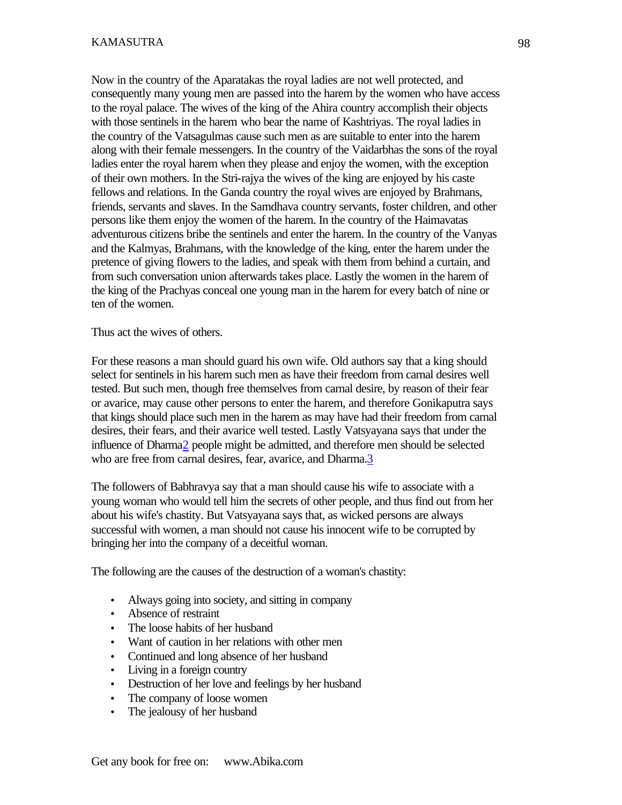Now in the country of the Aparatakas the royal ladies are not well protected, and consequently many young men are passed into the harem by the women who have access to the royal palace. The wives of the king of the Ahira country accomplish their objects with those sentinels in the harem who bear the name of Kashtriyas. The royal ladies in the country of the Vatsagulmas cause such men as are suitable to enter into the harem along with their female messengers. In the country of the Vaidarbhas the sons of the royal ladies enter the royal harem when they please and enjoy the women, with the exception of their own mothers. In the Stri-rajya the wives of the king are enjoyed by his caste fellows and relations. In the Ganda country the royal wives are enjoyed by Brahmans, friends, servants and slaves. In the Samdhava country servants, foster children, and other persons like them enjoy the women of the harem. In the country of the Haimavatas adventurous citizens bribe the sentinels and enter the harem. In the country of the Vanyas and the Kalmyas, Brahmans, with the knowledge of the king, enter the harem under the pretence of giving flowers to the ladies, and speak with them from behind a curtain, and from such conversation union afterwards takes place. Lastly the women in the harem of the king of the Prachyas conceal one young man in the harem for every batch of nine or ten of the women.

Thus act the wives of others.

For these reasons a man should guard his own wife. Old authors say that a king should select for sentinels in his harem such men as have their freedom from carnal desires well tested. But such men, though free themselves from carnal desire, by reason of their fear or avarice, may cause other persons to enter the harem, and therefore Gonikaputra says that kings should place such men in the harem as may have had their freedom from carnal desires, their fears, and their avarice well tested. Lastly Vatsyayana says that under the influence of Dharma2 people might be admitted, and therefore men should be selected who are free from carnal desires, fear, avarice, and Dharma.3

The followers of Babhravya say that a man should cause his wife to associate with a young woman who would tell him the secrets of other people, and thus find out from her about his wife's chastity. But Vatsyayana says that, as wicked persons are always successful with women, a man should not cause his innocent wife to be corrupted by bringing her into the company of a deceitful woman.

The following are the causes of the destruction of a woman's chastity:

- Always going into society, and sitting in company
- Absence of restraint
- The loose habits of her husband
- Want of caution in her relations with other men
- Continued and long absence of her husband
- Living in a foreign country
- Destruction of her love and feelings by her husband
- The company of loose women
- The jealousy of her husband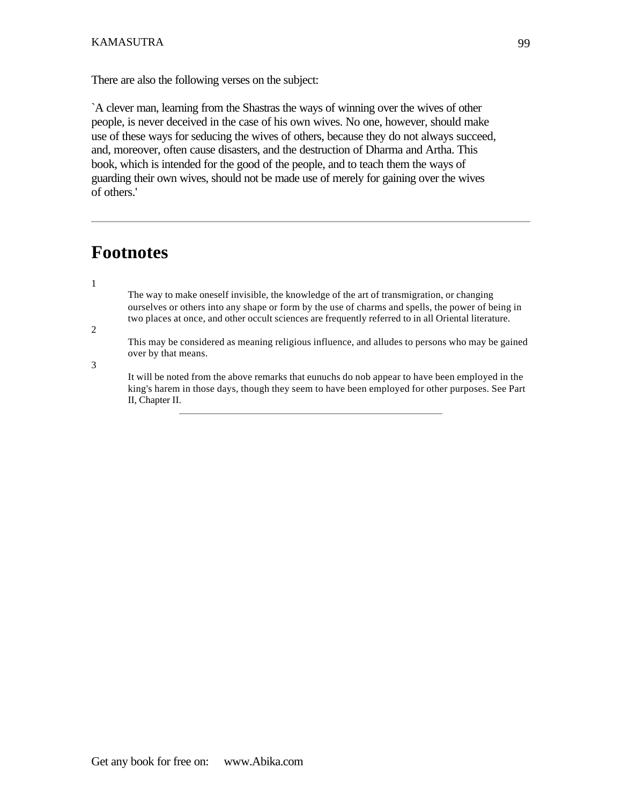There are also the following verses on the subject:

`A clever man, learning from the Shastras the ways of winning over the wives of other people, is never deceived in the case of his own wives. No one, however, should make use of these ways for seducing the wives of others, because they do not always succeed, and, moreover, often cause disasters, and the destruction of Dharma and Artha. This book, which is intended for the good of the people, and to teach them the ways of guarding their own wives, should not be made use of merely for gaining over the wives of others.'

# **Footnotes**

#### 1

The way to make oneself invisible, the knowledge of the art of transmigration, or changing ourselves or others into any shape or form by the use of charms and spells, the power of being in two places at once, and other occult sciences are frequently referred to in all Oriental literature.

2

This may be considered as meaning religious influence, and alludes to persons who may be gained over by that means.

3

It will be noted from the above remarks that eunuchs do nob appear to have been employed in the king's harem in those days, though they seem to have been employed for other purposes. See Part II, Chapter II.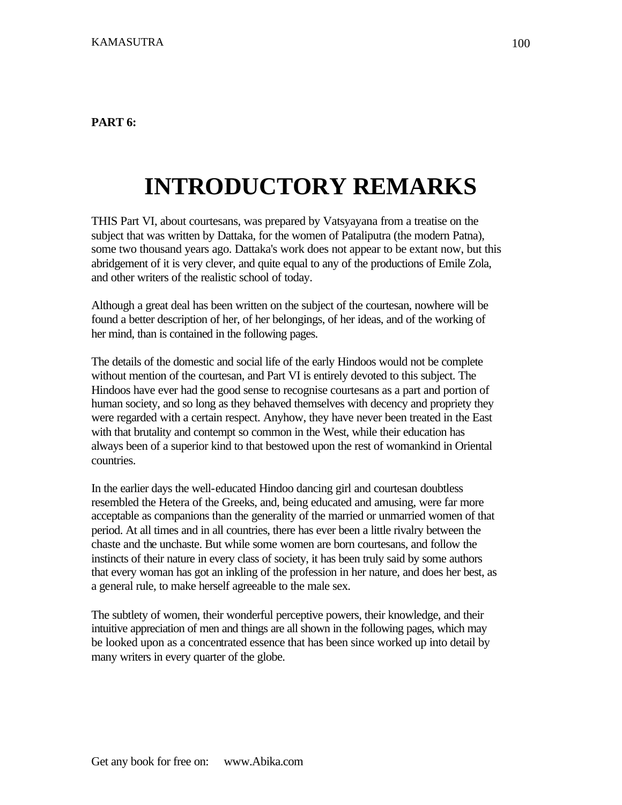#### **PART 6:**

# **INTRODUCTORY REMARKS**

THIS Part VI, about courtesans, was prepared by Vatsyayana from a treatise on the subject that was written by Dattaka, for the women of Pataliputra (the modern Patna), some two thousand years ago. Dattaka's work does not appear to be extant now, but this abridgement of it is very clever, and quite equal to any of the productions of Emile Zola, and other writers of the realistic school of today.

Although a great deal has been written on the subject of the courtesan, nowhere will be found a better description of her, of her belongings, of her ideas, and of the working of her mind, than is contained in the following pages.

The details of the domestic and social life of the early Hindoos would not be complete without mention of the courtesan, and Part VI is entirely devoted to this subject. The Hindoos have ever had the good sense to recognise courtesans as a part and portion of human society, and so long as they behaved themselves with decency and propriety they were regarded with a certain respect. Anyhow, they have never been treated in the East with that brutality and contempt so common in the West, while their education has always been of a superior kind to that bestowed upon the rest of womankind in Oriental countries.

In the earlier days the well-educated Hindoo dancing girl and courtesan doubtless resembled the Hetera of the Greeks, and, being educated and amusing, were far more acceptable as companions than the generality of the married or unmarried women of that period. At all times and in all countries, there has ever been a little rivalry between the chaste and the unchaste. But while some women are born courtesans, and follow the instincts of their nature in every class of society, it has been truly said by some authors that every woman has got an inkling of the profession in her nature, and does her best, as a general rule, to make herself agreeable to the male sex.

The subtlety of women, their wonderful perceptive powers, their knowledge, and their intuitive appreciation of men and things are all shown in the following pages, which may be looked upon as a concentrated essence that has been since worked up into detail by many writers in every quarter of the globe.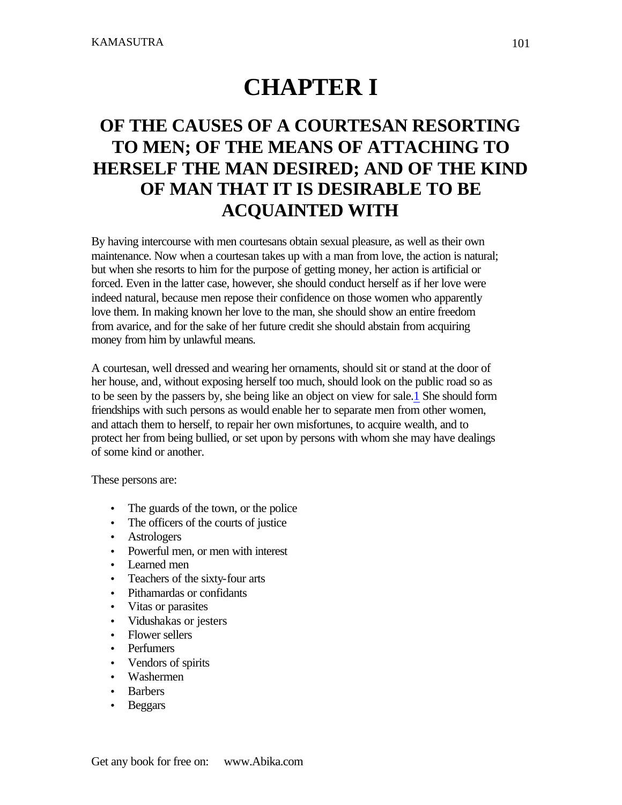# **CHAPTER I**

# **OF THE CAUSES OF A COURTESAN RESORTING TO MEN; OF THE MEANS OF ATTACHING TO HERSELF THE MAN DESIRED; AND OF THE KIND OF MAN THAT IT IS DESIRABLE TO BE ACQUAINTED WITH**

By having intercourse with men courtesans obtain sexual pleasure, as well as their own maintenance. Now when a courtesan takes up with a man from love, the action is natural; but when she resorts to him for the purpose of getting money, her action is artificial or forced. Even in the latter case, however, she should conduct herself as if her love were indeed natural, because men repose their confidence on those women who apparently love them. In making known her love to the man, she should show an entire freedom from avarice, and for the sake of her future credit she should abstain from acquiring money from him by unlawful means.

A courtesan, well dressed and wearing her ornaments, should sit or stand at the door of her house, and, without exposing herself too much, should look on the public road so as to be seen by the passers by, she being like an object on view for sale.1 She should form friendships with such persons as would enable her to separate men from other women, and attach them to herself, to repair her own misfortunes, to acquire wealth, and to protect her from being bullied, or set upon by persons with whom she may have dealings of some kind or another.

These persons are:

- The guards of the town, or the police
- The officers of the courts of justice
- Astrologers
- Powerful men, or men with interest
- Learned men
- Teachers of the sixty-four arts
- Pithamardas or confidants
- Vitas or parasites
- Vidushakas or jesters
- Flower sellers
- Perfumers
- Vendors of spirits
- Washermen
- **Barbers**
- Beggars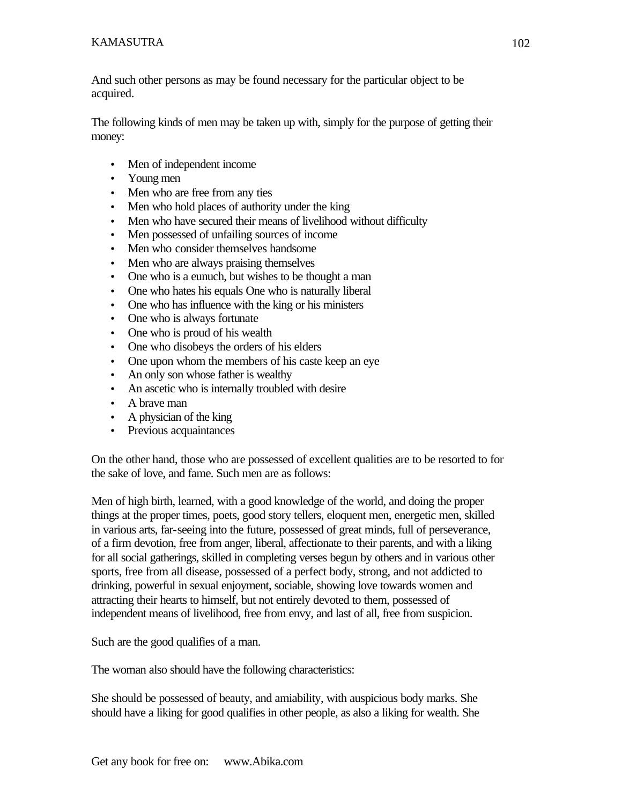And such other persons as may be found necessary for the particular object to be acquired.

The following kinds of men may be taken up with, simply for the purpose of getting their money:

- Men of independent income
- Young men
- Men who are free from any ties
- Men who hold places of authority under the king
- Men who have secured their means of livelihood without difficulty
- Men possessed of unfailing sources of income
- Men who consider themselves handsome
- Men who are always praising themselves
- One who is a eunuch, but wishes to be thought a man
- One who hates his equals One who is naturally liberal
- One who has influence with the king or his ministers
- One who is always fortunate
- One who is proud of his wealth
- One who disobeys the orders of his elders
- One upon whom the members of his caste keep an eye
- An only son whose father is wealthy
- An ascetic who is internally troubled with desire
- A brave man
- A physician of the king
- Previous acquaintances

On the other hand, those who are possessed of excellent qualities are to be resorted to for the sake of love, and fame. Such men are as follows:

Men of high birth, learned, with a good knowledge of the world, and doing the proper things at the proper times, poets, good story tellers, eloquent men, energetic men, skilled in various arts, far-seeing into the future, possessed of great minds, full of perseverance, of a firm devotion, free from anger, liberal, affectionate to their parents, and with a liking for all social gatherings, skilled in completing verses begun by others and in various other sports, free from all disease, possessed of a perfect body, strong, and not addicted to drinking, powerful in sexual enjoyment, sociable, showing love towards women and attracting their hearts to himself, but not entirely devoted to them, possessed of independent means of livelihood, free from envy, and last of all, free from suspicion.

Such are the good qualifies of a man.

The woman also should have the following characteristics:

She should be possessed of beauty, and amiability, with auspicious body marks. She should have a liking for good qualifies in other people, as also a liking for wealth. She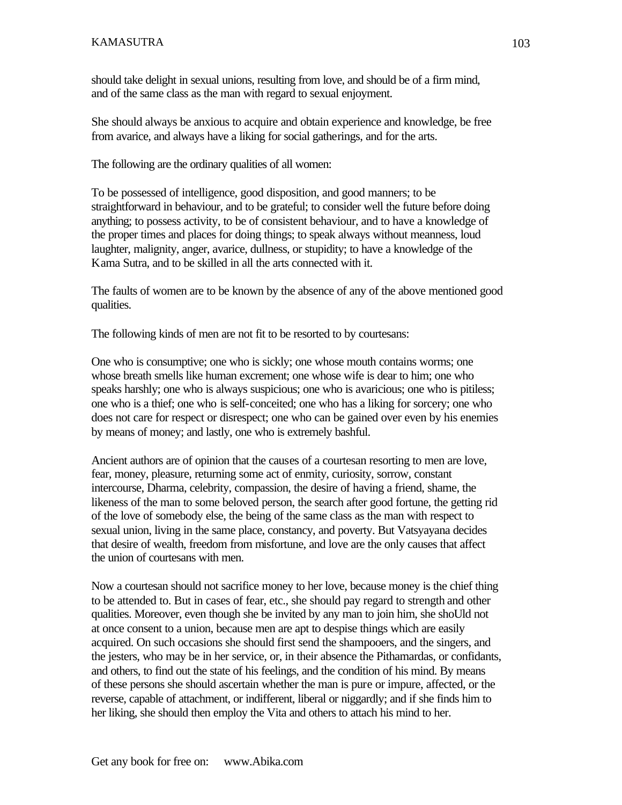should take delight in sexual unions, resulting from love, and should be of a firm mind, and of the same class as the man with regard to sexual enjoyment.

She should always be anxious to acquire and obtain experience and knowledge, be free from avarice, and always have a liking for social gatherings, and for the arts.

The following are the ordinary qualities of all women:

To be possessed of intelligence, good disposition, and good manners; to be straightforward in behaviour, and to be grateful; to consider well the future before doing anything; to possess activity, to be of consistent behaviour, and to have a knowledge of the proper times and places for doing things; to speak always without meanness, loud laughter, malignity, anger, avarice, dullness, or stupidity; to have a knowledge of the Kama Sutra, and to be skilled in all the arts connected with it.

The faults of women are to be known by the absence of any of the above mentioned good qualities.

The following kinds of men are not fit to be resorted to by courtesans:

One who is consumptive; one who is sickly; one whose mouth contains worms; one whose breath smells like human excrement; one whose wife is dear to him; one who speaks harshly; one who is always suspicious; one who is avaricious; one who is pitiless; one who is a thief; one who is self-conceited; one who has a liking for sorcery; one who does not care for respect or disrespect; one who can be gained over even by his enemies by means of money; and lastly, one who is extremely bashful.

Ancient authors are of opinion that the causes of a courtesan resorting to men are love, fear, money, pleasure, returning some act of enmity, curiosity, sorrow, constant intercourse, Dharma, celebrity, compassion, the desire of having a friend, shame, the likeness of the man to some beloved person, the search after good fortune, the getting rid of the love of somebody else, the being of the same class as the man with respect to sexual union, living in the same place, constancy, and poverty. But Vatsyayana decides that desire of wealth, freedom from misfortune, and love are the only causes that affect the union of courtesans with men.

Now a courtesan should not sacrifice money to her love, because money is the chief thing to be attended to. But in cases of fear, etc., she should pay regard to strength and other qualities. Moreover, even though she be invited by any man to join him, she shoUld not at once consent to a union, because men are apt to despise things which are easily acquired. On such occasions she should first send the shampooers, and the singers, and the jesters, who may be in her service, or, in their absence the Pithamardas, or confidants, and others, to find out the state of his feelings, and the condition of his mind. By means of these persons she should ascertain whether the man is pure or impure, affected, or the reverse, capable of attachment, or indifferent, liberal or niggardly; and if she finds him to her liking, she should then employ the Vita and others to attach his mind to her.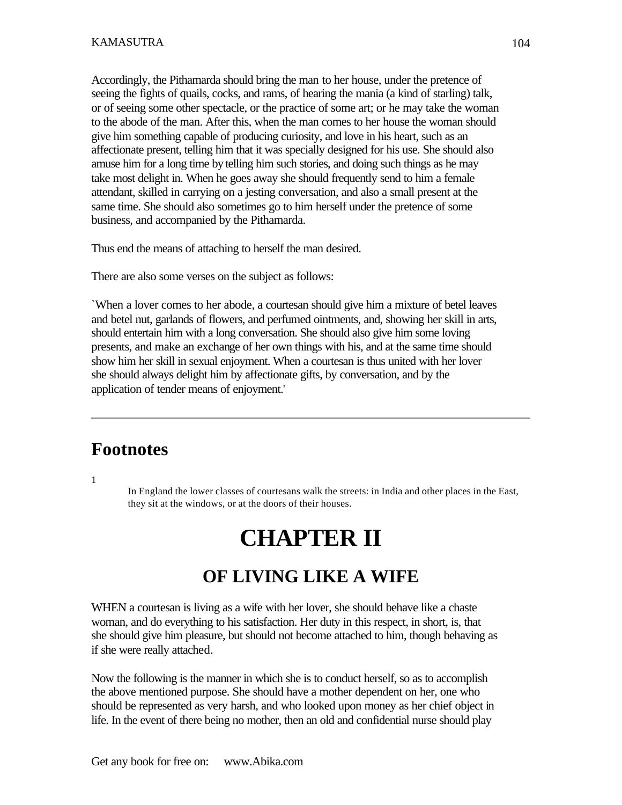Accordingly, the Pithamarda should bring the man to her house, under the pretence of seeing the fights of quails, cocks, and rams, of hearing the mania (a kind of starling) talk, or of seeing some other spectacle, or the practice of some art; or he may take the woman to the abode of the man. After this, when the man comes to her house the woman should give him something capable of producing curiosity, and love in his heart, such as an affectionate present, telling him that it was specially designed for his use. She should also amuse him for a long time by telling him such stories, and doing such things as he may take most delight in. When he goes away she should frequently send to him a female attendant, skilled in carrying on a jesting conversation, and also a small present at the same time. She should also sometimes go to him herself under the pretence of some business, and accompanied by the Pithamarda.

Thus end the means of attaching to herself the man desired.

There are also some verses on the subject as follows:

`When a lover comes to her abode, a courtesan should give him a mixture of betel leaves and betel nut, garlands of flowers, and perfumed ointments, and, showing her skill in arts, should entertain him with a long conversation. She should also give him some loving presents, and make an exchange of her own things with his, and at the same time should show him her skill in sexual enjoyment. When a courtesan is thus united with her lover she should always delight him by affectionate gifts, by conversation, and by the application of tender means of enjoyment.'

#### **Footnotes**

1

In England the lower classes of courtesans walk the streets: in India and other places in the East, they sit at the windows, or at the doors of their houses.

# **CHAPTER II**

### **OF LIVING LIKE A WIFE**

WHEN a courtesan is living as a wife with her lover, she should behave like a chaste woman, and do everything to his satisfaction. Her duty in this respect, in short, is, that she should give him pleasure, but should not become attached to him, though behaving as if she were really attached.

Now the following is the manner in which she is to conduct herself, so as to accomplish the above mentioned purpose. She should have a mother dependent on her, one who should be represented as very harsh, and who looked upon money as her chief object in life. In the event of there being no mother, then an old and confidential nurse should play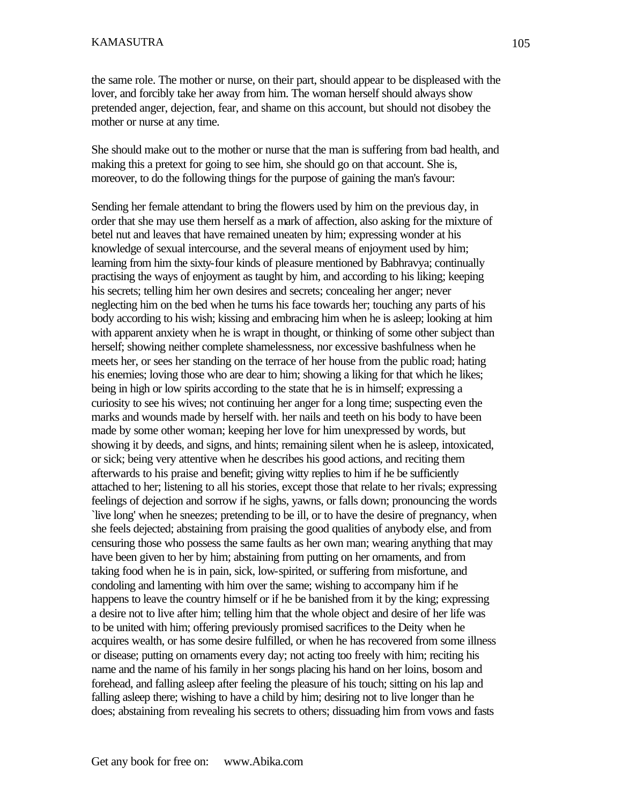the same role. The mother or nurse, on their part, should appear to be displeased with the lover, and forcibly take her away from him. The woman herself should always show pretended anger, dejection, fear, and shame on this account, but should not disobey the mother or nurse at any time.

She should make out to the mother or nurse that the man is suffering from bad health, and making this a pretext for going to see him, she should go on that account. She is, moreover, to do the following things for the purpose of gaining the man's favour:

Sending her female attendant to bring the flowers used by him on the previous day, in order that she may use them herself as a mark of affection, also asking for the mixture of betel nut and leaves that have remained uneaten by him; expressing wonder at his knowledge of sexual intercourse, and the several means of enjoyment used by him; learning from him the sixty-four kinds of pleasure mentioned by Babhravya; continually practising the ways of enjoyment as taught by him, and according to his liking; keeping his secrets; telling him her own desires and secrets; concealing her anger; never neglecting him on the bed when he turns his face towards her; touching any parts of his body according to his wish; kissing and embracing him when he is asleep; looking at him with apparent anxiety when he is wrapt in thought, or thinking of some other subject than herself; showing neither complete shamelessness, nor excessive bashfulness when he meets her, or sees her standing on the terrace of her house from the public road; hating his enemies; loving those who are dear to him; showing a liking for that which he likes; being in high or low spirits according to the state that he is in himself; expressing a curiosity to see his wives; not continuing her anger for a long time; suspecting even the marks and wounds made by herself with. her nails and teeth on his body to have been made by some other woman; keeping her love for him unexpressed by words, but showing it by deeds, and signs, and hints; remaining silent when he is asleep, intoxicated, or sick; being very attentive when he describes his good actions, and reciting them afterwards to his praise and benefit; giving witty replies to him if he be sufficiently attached to her; listening to all his stories, except those that relate to her rivals; expressing feelings of dejection and sorrow if he sighs, yawns, or falls down; pronouncing the words `live long' when he sneezes; pretending to be ill, or to have the desire of pregnancy, when she feels dejected; abstaining from praising the good qualities of anybody else, and from censuring those who possess the same faults as her own man; wearing anything that may have been given to her by him; abstaining from putting on her ornaments, and from taking food when he is in pain, sick, low-spirited, or suffering from misfortune, and condoling and lamenting with him over the same; wishing to accompany him if he happens to leave the country himself or if he be banished from it by the king; expressing a desire not to live after him; telling him that the whole object and desire of her life was to be united with him; offering previously promised sacrifices to the Deity when he acquires wealth, or has some desire fulfilled, or when he has recovered from some illness or disease; putting on ornaments every day; not acting too freely with him; reciting his name and the name of his family in her songs placing his hand on her loins, bosom and forehead, and falling asleep after feeling the pleasure of his touch; sitting on his lap and falling asleep there; wishing to have a child by him; desiring not to live longer than he does; abstaining from revealing his secrets to others; dissuading him from vows and fasts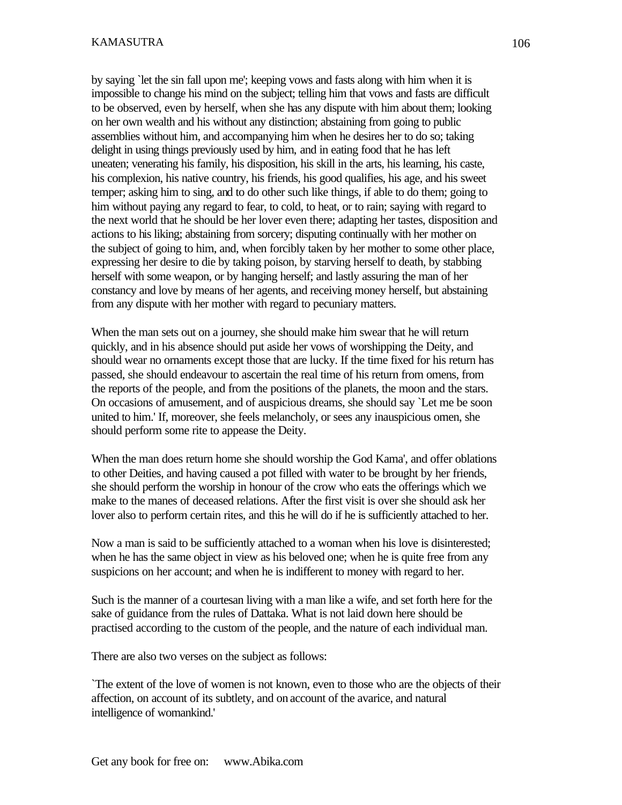by saying `let the sin fall upon me'; keeping vows and fasts along with him when it is impossible to change his mind on the subject; telling him that vows and fasts are difficult to be observed, even by herself, when she has any dispute with him about them; looking on her own wealth and his without any distinction; abstaining from going to public assemblies without him, and accompanying him when he desires her to do so; taking delight in using things previously used by him, and in eating food that he has left uneaten; venerating his family, his disposition, his skill in the arts, his learning, his caste, his complexion, his native country, his friends, his good qualifies, his age, and his sweet temper; asking him to sing, and to do other such like things, if able to do them; going to him without paying any regard to fear, to cold, to heat, or to rain; saying with regard to the next world that he should be her lover even there; adapting her tastes, disposition and actions to his liking; abstaining from sorcery; disputing continually with her mother on the subject of going to him, and, when forcibly taken by her mother to some other place, expressing her desire to die by taking poison, by starving herself to death, by stabbing herself with some weapon, or by hanging herself; and lastly assuring the man of her constancy and love by means of her agents, and receiving money herself, but abstaining from any dispute with her mother with regard to pecuniary matters.

When the man sets out on a journey, she should make him swear that he will return quickly, and in his absence should put aside her vows of worshipping the Deity, and should wear no ornaments except those that are lucky. If the time fixed for his return has passed, she should endeavour to ascertain the real time of his return from omens, from the reports of the people, and from the positions of the planets, the moon and the stars. On occasions of amusement, and of auspicious dreams, she should say `Let me be soon united to him.' If, moreover, she feels melancholy, or sees any inauspicious omen, she should perform some rite to appease the Deity.

When the man does return home she should worship the God Kama', and offer oblations to other Deities, and having caused a pot filled with water to be brought by her friends, she should perform the worship in honour of the crow who eats the offerings which we make to the manes of deceased relations. After the first visit is over she should ask her lover also to perform certain rites, and this he will do if he is sufficiently attached to her.

Now a man is said to be sufficiently attached to a woman when his love is disinterested; when he has the same object in view as his beloved one; when he is quite free from any suspicions on her account; and when he is indifferent to money with regard to her.

Such is the manner of a courtesan living with a man like a wife, and set forth here for the sake of guidance from the rules of Dattaka. What is not laid down here should be practised according to the custom of the people, and the nature of each individual man.

There are also two verses on the subject as follows:

`The extent of the love of women is not known, even to those who are the objects of their affection, on account of its subtlety, and on account of the avarice, and natural intelligence of womankind.'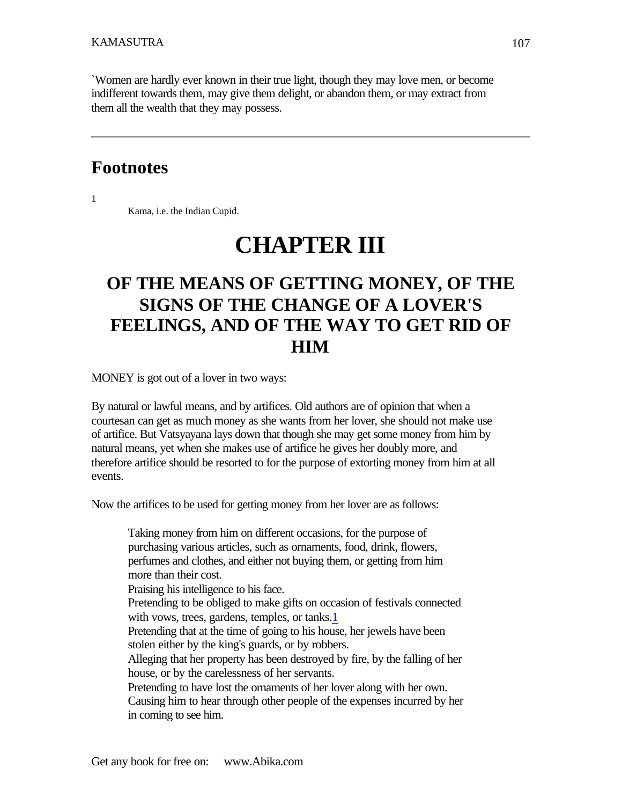`Women are hardly ever known in their true light, though they may love men, or become indifferent towards them, may give them delight, or abandon them, or may extract from them all the wealth that they may possess.

#### **Footnotes**

1

Kama, i.e. the Indian Cupid.

# **CHAPTER III**

## **OF THE MEANS OF GETTING MONEY, OF THE SIGNS OF THE CHANGE OF A LOVER'S FEELINGS, AND OF THE WAY TO GET RID OF HIM**

MONEY is got out of a lover in two ways:

By natural or lawful means, and by artifices. Old authors are of opinion that when a courtesan can get as much money as she wants from her lover, she should not make use of artifice. But Vatsyayana lays down that though she may get some money from him by natural means, yet when she makes use of artifice he gives her doubly more, and therefore artifice should be resorted to for the purpose of extorting money from him at all events.

Now the artifices to be used for getting money from her lover are as follows:

Taking money from him on different occasions, for the purpose of purchasing various articles, such as ornaments, food, drink, flowers, perfumes and clothes, and either not buying them, or getting from him more than their cost. Praising his intelligence to his face. Pretending to be obliged to make gifts on occasion of festivals connected with vows, trees, gardens, temples, or tanks. Pretending that at the time of going to his house, her jewels have been stolen either by the king's guards, or by robbers. Alleging that her property has been destroyed by fire, by the falling of her house, or by the carelessness of her servants. Pretending to have lost the ornaments of her lover along with her own. Causing him to hear through other people of the expenses incurred by her in coming to see him.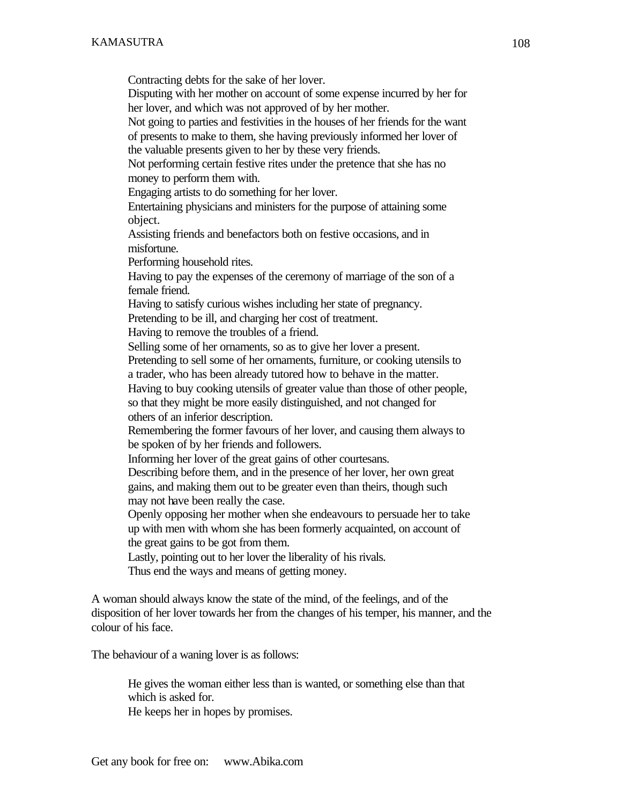Contracting debts for the sake of her lover. Disputing with her mother on account of some expense incurred by her for her lover, and which was not approved of by her mother. Not going to parties and festivities in the houses of her friends for the want of presents to make to them, she having previously informed her lover of the valuable presents given to her by these very friends. Not performing certain festive rites under the pretence that she has no money to perform them with. Engaging artists to do something for her lover. Entertaining physicians and ministers for the purpose of attaining some object. Assisting friends and benefactors both on festive occasions, and in misfortune. Performing household rites. Having to pay the expenses of the ceremony of marriage of the son of a female friend. Having to satisfy curious wishes including her state of pregnancy. Pretending to be ill, and charging her cost of treatment. Having to remove the troubles of a friend. Selling some of her ornaments, so as to give her lover a present. Pretending to sell some of her ornaments, furniture, or cooking utensils to a trader, who has been already tutored how to behave in the matter. Having to buy cooking utensils of greater value than those of other people, so that they might be more easily distinguished, and not changed for others of an inferior description. Remembering the former favours of her lover, and causing them always to be spoken of by her friends and followers. Informing her lover of the great gains of other courtesans. Describing before them, and in the presence of her lover, her own great gains, and making them out to be greater even than theirs, though such may not have been really the case. Openly opposing her mother when she endeavours to persuade her to take up with men with whom she has been formerly acquainted, on account of the great gains to be got from them. Lastly, pointing out to her lover the liberality of his rivals. Thus end the ways and means of getting money.

A woman should always know the state of the mind, of the feelings, and of the disposition of her lover towards her from the changes of his temper, his manner, and the colour of his face.

The behaviour of a waning lover is as follows:

He gives the woman either less than is wanted, or something else than that which is asked for.

He keeps her in hopes by promises.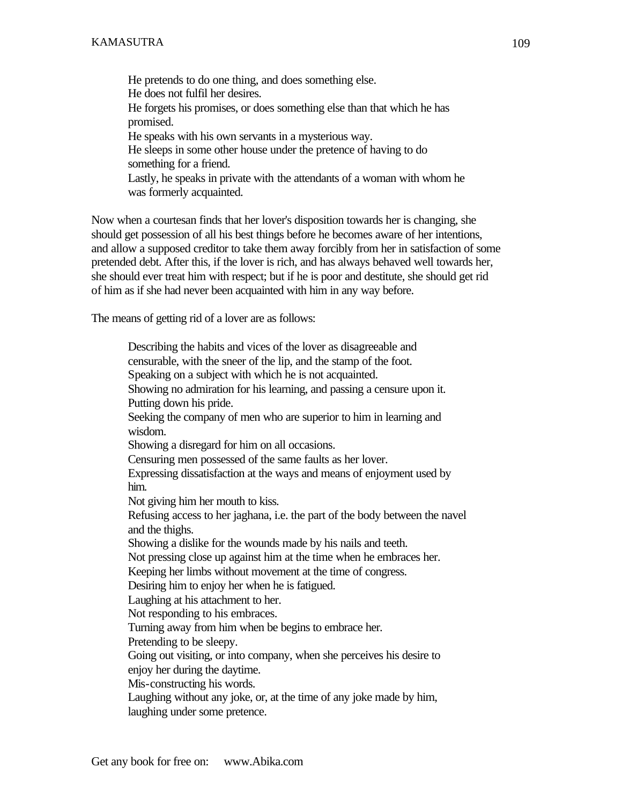He pretends to do one thing, and does something else. He does not fulfil her desires. He forgets his promises, or does something else than that which he has promised. He speaks with his own servants in a mysterious way. He sleeps in some other house under the pretence of having to do something for a friend. Lastly, he speaks in private with the attendants of a woman with whom he was formerly acquainted.

Now when a courtesan finds that her lover's disposition towards her is changing, she should get possession of all his best things before he becomes aware of her intentions, and allow a supposed creditor to take them away forcibly from her in satisfaction of some pretended debt. After this, if the lover is rich, and has always behaved well towards her, she should ever treat him with respect; but if he is poor and destitute, she should get rid of him as if she had never been acquainted with him in any way before.

The means of getting rid of a lover are as follows:

Describing the habits and vices of the lover as disagreeable and censurable, with the sneer of the lip, and the stamp of the foot. Speaking on a subject with which he is not acquainted. Showing no admiration for his learning, and passing a censure upon it. Putting down his pride. Seeking the company of men who are superior to him in learning and wisdom. Showing a disregard for him on all occasions. Censuring men possessed of the same faults as her lover. Expressing dissatisfaction at the ways and means of enjoyment used by him. Not giving him her mouth to kiss. Refusing access to her jaghana, i.e. the part of the body between the navel and the thighs. Showing a dislike for the wounds made by his nails and teeth. Not pressing close up against him at the time when he embraces her. Keeping her limbs without movement at the time of congress. Desiring him to enjoy her when he is fatigued. Laughing at his attachment to her. Not responding to his embraces. Turning away from him when be begins to embrace her. Pretending to be sleepy. Going out visiting, or into company, when she perceives his desire to enjoy her during the daytime. Mis-constructing his words. Laughing without any joke, or, at the time of any joke made by him, laughing under some pretence.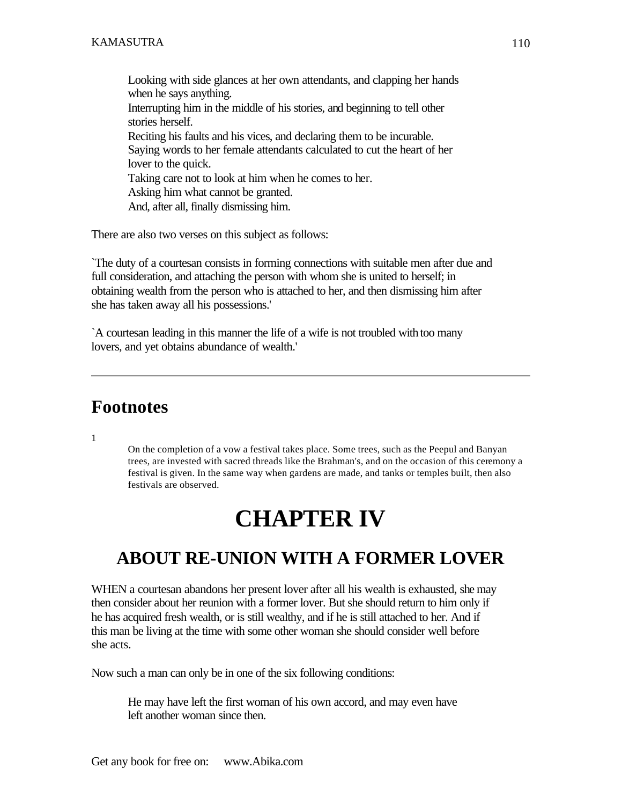Looking with side glances at her own attendants, and clapping her hands when he says anything. Interrupting him in the middle of his stories, and beginning to tell other stories herself. Reciting his faults and his vices, and declaring them to be incurable. Saying words to her female attendants calculated to cut the heart of her lover to the quick. Taking care not to look at him when he comes to her. Asking him what cannot be granted. And, after all, finally dismissing him.

There are also two verses on this subject as follows:

`The duty of a courtesan consists in forming connections with suitable men after due and full consideration, and attaching the person with whom she is united to herself; in obtaining wealth from the person who is attached to her, and then dismissing him after she has taken away all his possessions.'

`A courtesan leading in this manner the life of a wife is not troubled with too many lovers, and yet obtains abundance of wealth.'

#### **Footnotes**

1

On the completion of a vow a festival takes place. Some trees, such as the Peepul and Banyan trees, are invested with sacred threads like the Brahman's, and on the occasion of this ceremony a festival is given. In the same way when gardens are made, and tanks or temples built, then also festivals are observed.

### **CHAPTER IV**

### **ABOUT RE-UNION WITH A FORMER LOVER**

WHEN a courtesan abandons her present lover after all his wealth is exhausted, she may then consider about her reunion with a former lover. But she should return to him only if he has acquired fresh wealth, or is still wealthy, and if he is still attached to her. And if this man be living at the time with some other woman she should consider well before she acts.

Now such a man can only be in one of the six following conditions:

He may have left the first woman of his own accord, and may even have left another woman since then.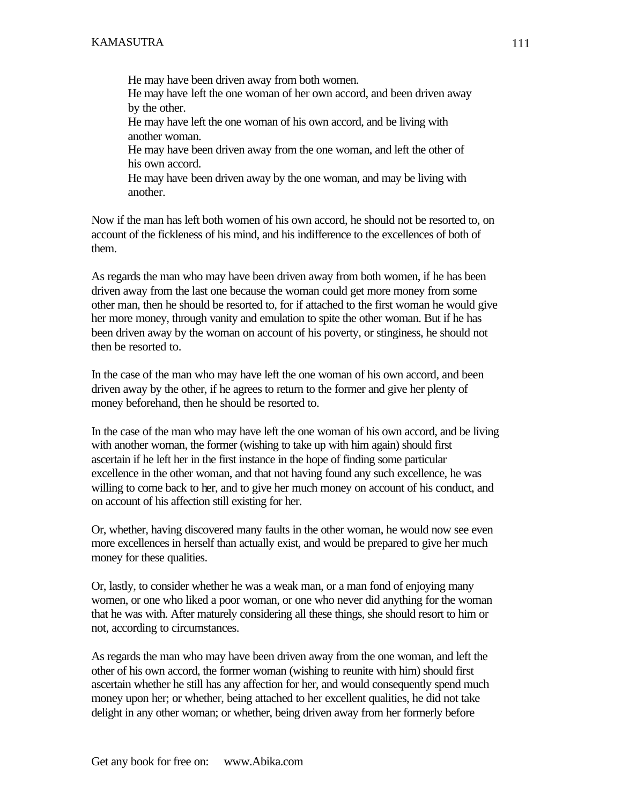He may have been driven away from both women. He may have left the one woman of her own accord, and been driven away by the other. He may have left the one woman of his own accord, and be living with another woman. He may have been driven away from the one woman, and left the other of his own accord. He may have been driven away by the one woman, and may be living with another.

Now if the man has left both women of his own accord, he should not be resorted to, on account of the fickleness of his mind, and his indifference to the excellences of both of them.

As regards the man who may have been driven away from both women, if he has been driven away from the last one because the woman could get more money from some other man, then he should be resorted to, for if attached to the first woman he would give her more money, through vanity and emulation to spite the other woman. But if he has been driven away by the woman on account of his poverty, or stinginess, he should not then be resorted to.

In the case of the man who may have left the one woman of his own accord, and been driven away by the other, if he agrees to return to the former and give her plenty of money beforehand, then he should be resorted to.

In the case of the man who may have left the one woman of his own accord, and be living with another woman, the former (wishing to take up with him again) should first ascertain if he left her in the first instance in the hope of finding some particular excellence in the other woman, and that not having found any such excellence, he was willing to come back to her, and to give her much money on account of his conduct, and on account of his affection still existing for her.

Or, whether, having discovered many faults in the other woman, he would now see even more excellences in herself than actually exist, and would be prepared to give her much money for these qualities.

Or, lastly, to consider whether he was a weak man, or a man fond of enjoying many women, or one who liked a poor woman, or one who never did anything for the woman that he was with. After maturely considering all these things, she should resort to him or not, according to circumstances.

As regards the man who may have been driven away from the one woman, and left the other of his own accord, the former woman (wishing to reunite with him) should first ascertain whether he still has any affection for her, and would consequently spend much money upon her; or whether, being attached to her excellent qualities, he did not take delight in any other woman; or whether, being driven away from her formerly before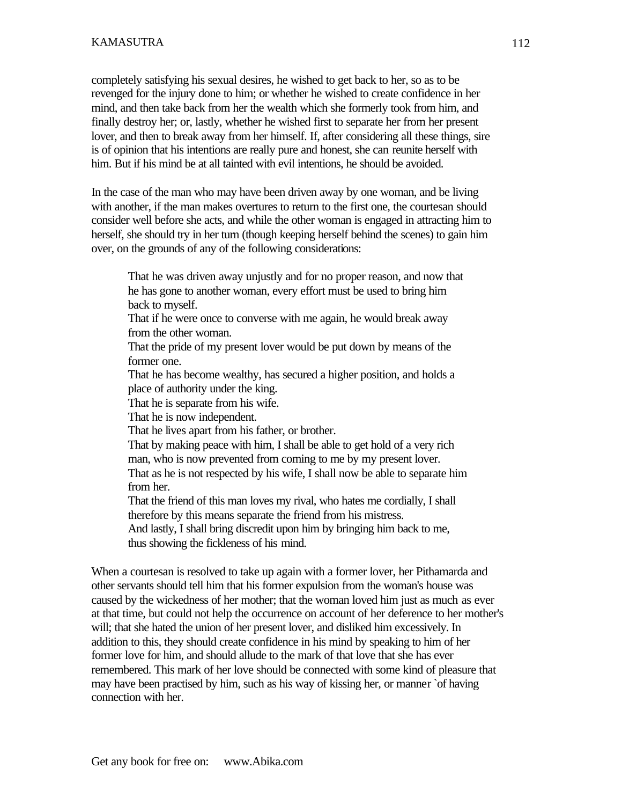completely satisfying his sexual desires, he wished to get back to her, so as to be revenged for the injury done to him; or whether he wished to create confidence in her mind, and then take back from her the wealth which she formerly took from him, and finally destroy her; or, lastly, whether he wished first to separate her from her present lover, and then to break away from her himself. If, after considering all these things, sire is of opinion that his intentions are really pure and honest, she can reunite herself with him. But if his mind be at all tainted with evil intentions, he should be avoided.

In the case of the man who may have been driven away by one woman, and be living with another, if the man makes overtures to return to the first one, the courtesan should consider well before she acts, and while the other woman is engaged in attracting him to herself, she should try in her turn (though keeping herself behind the scenes) to gain him over, on the grounds of any of the following considerations:

That he was driven away unjustly and for no proper reason, and now that he has gone to another woman, every effort must be used to bring him back to myself.

That if he were once to converse with me again, he would break away from the other woman.

That the pride of my present lover would be put down by means of the former one.

That he has become wealthy, has secured a higher position, and holds a place of authority under the king.

That he is separate from his wife.

That he is now independent.

That he lives apart from his father, or brother.

That by making peace with him, I shall be able to get hold of a very rich man, who is now prevented from coming to me by my present lover. That as he is not respected by his wife, I shall now be able to separate him from her.

That the friend of this man loves my rival, who hates me cordially, I shall therefore by this means separate the friend from his mistress.

And lastly, I shall bring discredit upon him by bringing him back to me, thus showing the fickleness of his mind.

When a courtesan is resolved to take up again with a former lover, her Pithamarda and other servants should tell him that his former expulsion from the woman's house was caused by the wickedness of her mother; that the woman loved him just as much as ever at that time, but could not help the occurrence on account of her deference to her mother's will; that she hated the union of her present lover, and disliked him excessively. In addition to this, they should create confidence in his mind by speaking to him of her former love for him, and should allude to the mark of that love that she has ever remembered. This mark of her love should be connected with some kind of pleasure that may have been practised by him, such as his way of kissing her, or manner `of having connection with her.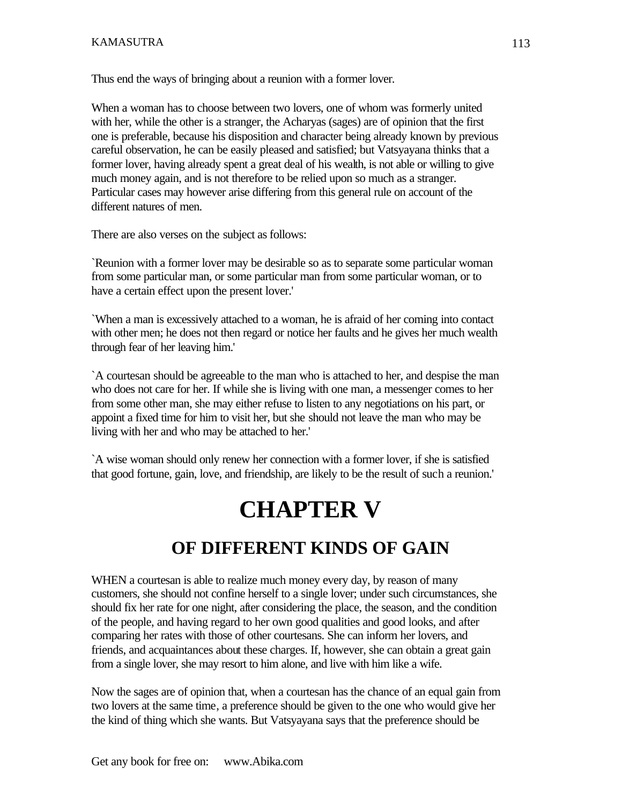Thus end the ways of bringing about a reunion with a former lover.

When a woman has to choose between two lovers, one of whom was formerly united with her, while the other is a stranger, the Acharyas (sages) are of opinion that the first one is preferable, because his disposition and character being already known by previous careful observation, he can be easily pleased and satisfied; but Vatsyayana thinks that a former lover, having already spent a great deal of his wealth, is not able or willing to give much money again, and is not therefore to be relied upon so much as a stranger. Particular cases may however arise differing from this general rule on account of the different natures of men.

There are also verses on the subject as follows:

`Reunion with a former lover may be desirable so as to separate some particular woman from some particular man, or some particular man from some particular woman, or to have a certain effect upon the present lover.'

`When a man is excessively attached to a woman, he is afraid of her coming into contact with other men; he does not then regard or notice her faults and he gives her much wealth through fear of her leaving him.'

`A courtesan should be agreeable to the man who is attached to her, and despise the man who does not care for her. If while she is living with one man, a messenger comes to her from some other man, she may either refuse to listen to any negotiations on his part, or appoint a fixed time for him to visit her, but she should not leave the man who may be living with her and who may be attached to her.'

`A wise woman should only renew her connection with a former lover, if she is satisfied that good fortune, gain, love, and friendship, are likely to be the result of such a reunion.'

# **CHAPTER V**

### **OF DIFFERENT KINDS OF GAIN**

WHEN a courtesan is able to realize much money every day, by reason of many customers, she should not confine herself to a single lover; under such circumstances, she should fix her rate for one night, after considering the place, the season, and the condition of the people, and having regard to her own good qualities and good looks, and after comparing her rates with those of other courtesans. She can inform her lovers, and friends, and acquaintances about these charges. If, however, she can obtain a great gain from a single lover, she may resort to him alone, and live with him like a wife.

Now the sages are of opinion that, when a courtesan has the chance of an equal gain from two lovers at the same time, a preference should be given to the one who would give her the kind of thing which she wants. But Vatsyayana says that the preference should be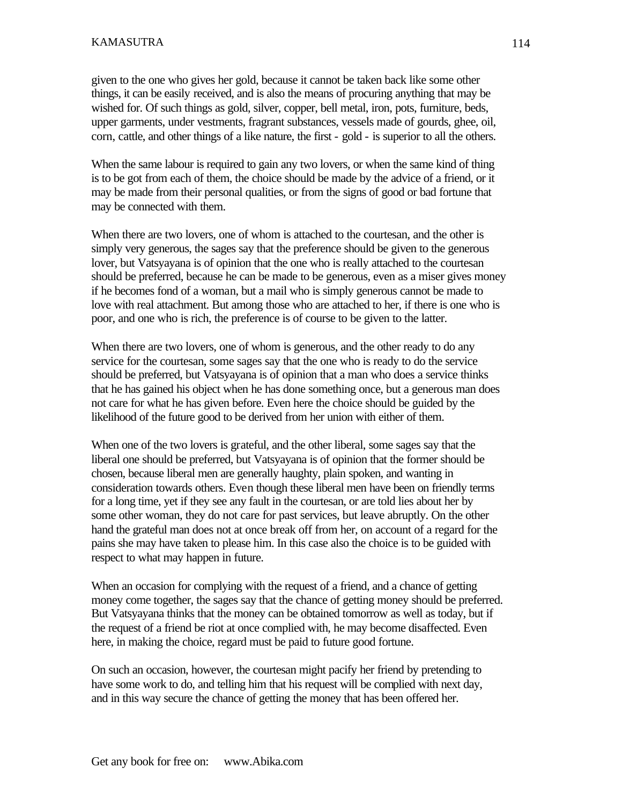given to the one who gives her gold, because it cannot be taken back like some other things, it can be easily received, and is also the means of procuring anything that may be wished for. Of such things as gold, silver, copper, bell metal, iron, pots, furniture, beds, upper garments, under vestments, fragrant substances, vessels made of gourds, ghee, oil, corn, cattle, and other things of a like nature, the first - gold - is superior to all the others.

When the same labour is required to gain any two lovers, or when the same kind of thing is to be got from each of them, the choice should be made by the advice of a friend, or it may be made from their personal qualities, or from the signs of good or bad fortune that may be connected with them.

When there are two lovers, one of whom is attached to the courtesan, and the other is simply very generous, the sages say that the preference should be given to the generous lover, but Vatsyayana is of opinion that the one who is really attached to the courtesan should be preferred, because he can be made to be generous, even as a miser gives money if he becomes fond of a woman, but a mail who is simply generous cannot be made to love with real attachment. But among those who are attached to her, if there is one who is poor, and one who is rich, the preference is of course to be given to the latter.

When there are two lovers, one of whom is generous, and the other ready to do any service for the courtesan, some sages say that the one who is ready to do the service should be preferred, but Vatsyayana is of opinion that a man who does a service thinks that he has gained his object when he has done something once, but a generous man does not care for what he has given before. Even here the choice should be guided by the likelihood of the future good to be derived from her union with either of them.

When one of the two lovers is grateful, and the other liberal, some sages say that the liberal one should be preferred, but Vatsyayana is of opinion that the former should be chosen, because liberal men are generally haughty, plain spoken, and wanting in consideration towards others. Even though these liberal men have been on friendly terms for a long time, yet if they see any fault in the courtesan, or are told lies about her by some other woman, they do not care for past services, but leave abruptly. On the other hand the grateful man does not at once break off from her, on account of a regard for the pains she may have taken to please him. In this case also the choice is to be guided with respect to what may happen in future.

When an occasion for complying with the request of a friend, and a chance of getting money come together, the sages say that the chance of getting money should be preferred. But Vatsyayana thinks that the money can be obtained tomorrow as well as today, but if the request of a friend be riot at once complied with, he may become disaffected. Even here, in making the choice, regard must be paid to future good fortune.

On such an occasion, however, the courtesan might pacify her friend by pretending to have some work to do, and telling him that his request will be complied with next day, and in this way secure the chance of getting the money that has been offered her.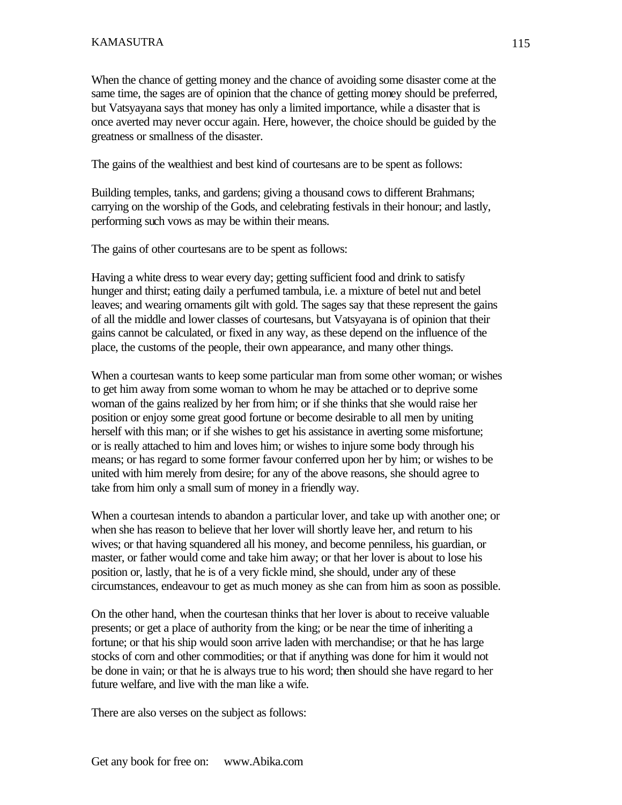When the chance of getting money and the chance of avoiding some disaster come at the same time, the sages are of opinion that the chance of getting money should be preferred, but Vatsyayana says that money has only a limited importance, while a disaster that is once averted may never occur again. Here, however, the choice should be guided by the greatness or smallness of the disaster.

The gains of the wealthiest and best kind of courtesans are to be spent as follows:

Building temples, tanks, and gardens; giving a thousand cows to different Brahmans; carrying on the worship of the Gods, and celebrating festivals in their honour; and lastly, performing such vows as may be within their means.

The gains of other courtesans are to be spent as follows:

Having a white dress to wear every day; getting sufficient food and drink to satisfy hunger and thirst; eating daily a perfumed tambula, i.e. a mixture of betel nut and betel leaves; and wearing ornaments gilt with gold. The sages say that these represent the gains of all the middle and lower classes of courtesans, but Vatsyayana is of opinion that their gains cannot be calculated, or fixed in any way, as these depend on the influence of the place, the customs of the people, their own appearance, and many other things.

When a courtesan wants to keep some particular man from some other woman; or wishes to get him away from some woman to whom he may be attached or to deprive some woman of the gains realized by her from him; or if she thinks that she would raise her position or enjoy some great good fortune or become desirable to all men by uniting herself with this man; or if she wishes to get his assistance in averting some misfortune; or is really attached to him and loves him; or wishes to injure some body through his means; or has regard to some former favour conferred upon her by him; or wishes to be united with him merely from desire; for any of the above reasons, she should agree to take from him only a small sum of money in a friendly way.

When a courtesan intends to abandon a particular lover, and take up with another one; or when she has reason to believe that her lover will shortly leave her, and return to his wives; or that having squandered all his money, and become penniless, his guardian, or master, or father would come and take him away; or that her lover is about to lose his position or, lastly, that he is of a very fickle mind, she should, under any of these circumstances, endeavour to get as much money as she can from him as soon as possible.

On the other hand, when the courtesan thinks that her lover is about to receive valuable presents; or get a place of authority from the king; or be near the time of inheriting a fortune; or that his ship would soon arrive laden with merchandise; or that he has large stocks of corn and other commodities; or that if anything was done for him it would not be done in vain; or that he is always true to his word; then should she have regard to her future welfare, and live with the man like a wife.

There are also verses on the subject as follows: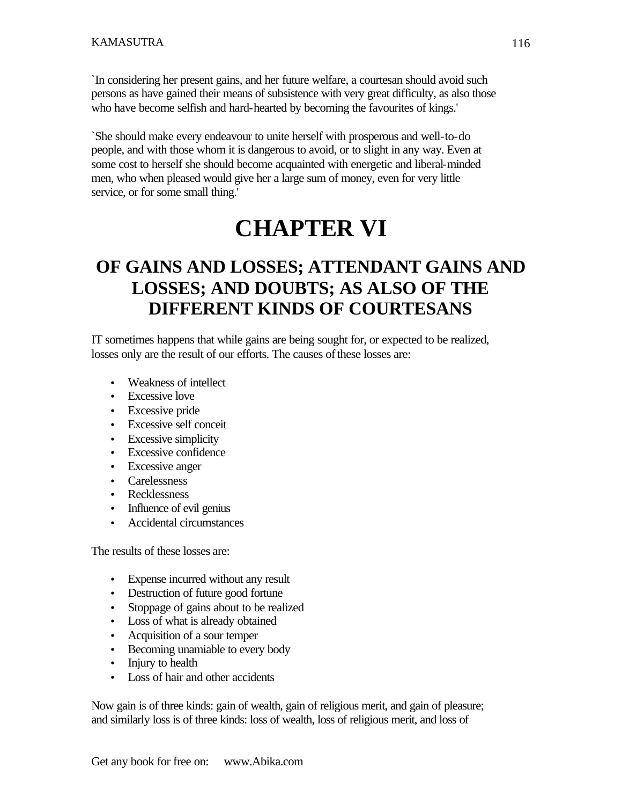`In considering her present gains, and her future welfare, a courtesan should avoid such persons as have gained their means of subsistence with very great difficulty, as also those who have become selfish and hard-hearted by becoming the favourites of kings.'

`She should make every endeavour to unite herself with prosperous and well-to-do people, and with those whom it is dangerous to avoid, or to slight in any way. Even at some cost to herself she should become acquainted with energetic and liberal-minded men, who when pleased would give her a large sum of money, even for very little service, or for some small thing.'

# **CHAPTER VI**

#### **OF GAINS AND LOSSES; ATTENDANT GAINS AND LOSSES; AND DOUBTS; AS ALSO OF THE DIFFERENT KINDS OF COURTESANS**

IT sometimes happens that while gains are being sought for, or expected to be realized, losses only are the result of our efforts. The causes of these losses are:

- Weakness of intellect
- Excessive love
- Excessive pride
- Excessive self conceit
- Excessive simplicity
- Excessive confidence
- Excessive anger
- Carelessness
- Recklessness
- Influence of evil genius
- Accidental circumstances

The results of these losses are:

- Expense incurred without any result
- Destruction of future good fortune
- Stoppage of gains about to be realized
- Loss of what is already obtained
- Acquisition of a sour temper
- Becoming unamiable to every body
- Injury to health
- Loss of hair and other accidents

Now gain is of three kinds: gain of wealth, gain of religious merit, and gain of pleasure; and similarly loss is of three kinds: loss of wealth, loss of religious merit, and loss of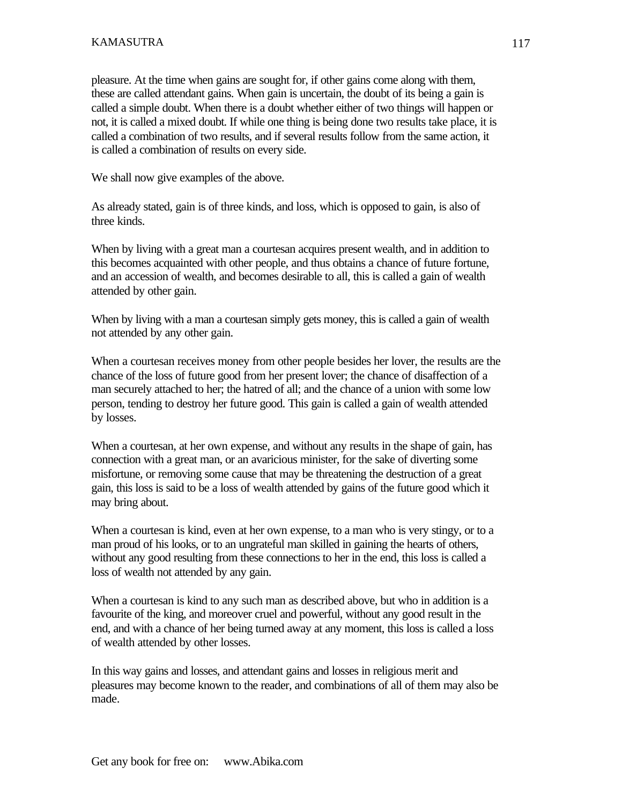pleasure. At the time when gains are sought for, if other gains come along with them, these are called attendant gains. When gain is uncertain, the doubt of its being a gain is called a simple doubt. When there is a doubt whether either of two things will happen or not, it is called a mixed doubt. If while one thing is being done two results take place, it is called a combination of two results, and if several results follow from the same action, it is called a combination of results on every side.

We shall now give examples of the above.

As already stated, gain is of three kinds, and loss, which is opposed to gain, is also of three kinds.

When by living with a great man a courtesan acquires present wealth, and in addition to this becomes acquainted with other people, and thus obtains a chance of future fortune, and an accession of wealth, and becomes desirable to all, this is called a gain of wealth attended by other gain.

When by living with a man a courtesan simply gets money, this is called a gain of wealth not attended by any other gain.

When a courtesan receives money from other people besides her lover, the results are the chance of the loss of future good from her present lover; the chance of disaffection of a man securely attached to her; the hatred of all; and the chance of a union with some low person, tending to destroy her future good. This gain is called a gain of wealth attended by losses.

When a courtesan, at her own expense, and without any results in the shape of gain, has connection with a great man, or an avaricious minister, for the sake of diverting some misfortune, or removing some cause that may be threatening the destruction of a great gain, this loss is said to be a loss of wealth attended by gains of the future good which it may bring about.

When a courtesan is kind, even at her own expense, to a man who is very stingy, or to a man proud of his looks, or to an ungrateful man skilled in gaining the hearts of others, without any good resulting from these connections to her in the end, this loss is called a loss of wealth not attended by any gain.

When a courtesan is kind to any such man as described above, but who in addition is a favourite of the king, and moreover cruel and powerful, without any good result in the end, and with a chance of her being turned away at any moment, this loss is called a loss of wealth attended by other losses.

In this way gains and losses, and attendant gains and losses in religious merit and pleasures may become known to the reader, and combinations of all of them may also be made.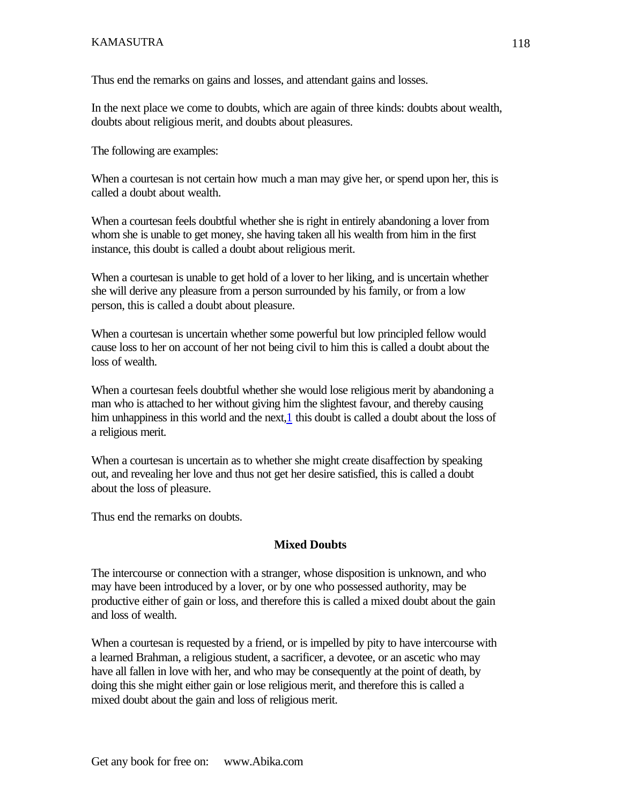Thus end the remarks on gains and losses, and attendant gains and losses.

In the next place we come to doubts, which are again of three kinds: doubts about wealth, doubts about religious merit, and doubts about pleasures.

The following are examples:

When a courtesan is not certain how much a man may give her, or spend upon her, this is called a doubt about wealth.

When a courtesan feels doubtful whether she is right in entirely abandoning a lover from whom she is unable to get money, she having taken all his wealth from him in the first instance, this doubt is called a doubt about religious merit.

When a courtesan is unable to get hold of a lover to her liking, and is uncertain whether she will derive any pleasure from a person surrounded by his family, or from a low person, this is called a doubt about pleasure.

When a courtesan is uncertain whether some powerful but low principled fellow would cause loss to her on account of her not being civil to him this is called a doubt about the loss of wealth.

When a courtesan feels doubtful whether she would lose religious merit by abandoning a man who is attached to her without giving him the slightest favour, and thereby causing him unhappiness in this world and the next, 1 this doubt is called a doubt about the loss of a religious merit.

When a courtesan is uncertain as to whether she might create disaffection by speaking out, and revealing her love and thus not get her desire satisfied, this is called a doubt about the loss of pleasure.

Thus end the remarks on doubts.

#### **Mixed Doubts**

The intercourse or connection with a stranger, whose disposition is unknown, and who may have been introduced by a lover, or by one who possessed authority, may be productive either of gain or loss, and therefore this is called a mixed doubt about the gain and loss of wealth.

When a courtesan is requested by a friend, or is impelled by pity to have intercourse with a learned Brahman, a religious student, a sacrificer, a devotee, or an ascetic who may have all fallen in love with her, and who may be consequently at the point of death, by doing this she might either gain or lose religious merit, and therefore this is called a mixed doubt about the gain and loss of religious merit.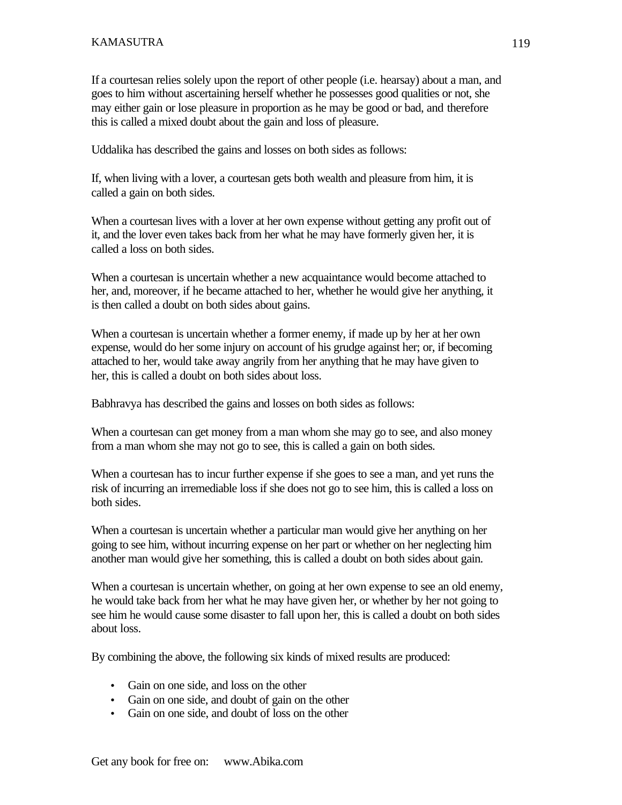If a courtesan relies solely upon the report of other people (i.e. hearsay) about a man, and goes to him without ascertaining herself whether he possesses good qualities or not, she may either gain or lose pleasure in proportion as he may be good or bad, and therefore this is called a mixed doubt about the gain and loss of pleasure.

Uddalika has described the gains and losses on both sides as follows:

If, when living with a lover, a courtesan gets both wealth and pleasure from him, it is called a gain on both sides.

When a courtesan lives with a lover at her own expense without getting any profit out of it, and the lover even takes back from her what he may have formerly given her, it is called a loss on both sides.

When a courtesan is uncertain whether a new acquaintance would become attached to her, and, moreover, if he became attached to her, whether he would give her anything, it is then called a doubt on both sides about gains.

When a courtesan is uncertain whether a former enemy, if made up by her at her own expense, would do her some injury on account of his grudge against her; or, if becoming attached to her, would take away angrily from her anything that he may have given to her, this is called a doubt on both sides about loss.

Babhravya has described the gains and losses on both sides as follows:

When a courtesan can get money from a man whom she may go to see, and also money from a man whom she may not go to see, this is called a gain on both sides.

When a courtesan has to incur further expense if she goes to see a man, and yet runs the risk of incurring an irremediable loss if she does not go to see him, this is called a loss on both sides.

When a courtesan is uncertain whether a particular man would give her anything on her going to see him, without incurring expense on her part or whether on her neglecting him another man would give her something, this is called a doubt on both sides about gain.

When a courtesan is uncertain whether, on going at her own expense to see an old enemy, he would take back from her what he may have given her, or whether by her not going to see him he would cause some disaster to fall upon her, this is called a doubt on both sides about loss.

By combining the above, the following six kinds of mixed results are produced:

- Gain on one side, and loss on the other
- Gain on one side, and doubt of gain on the other
- Gain on one side, and doubt of loss on the other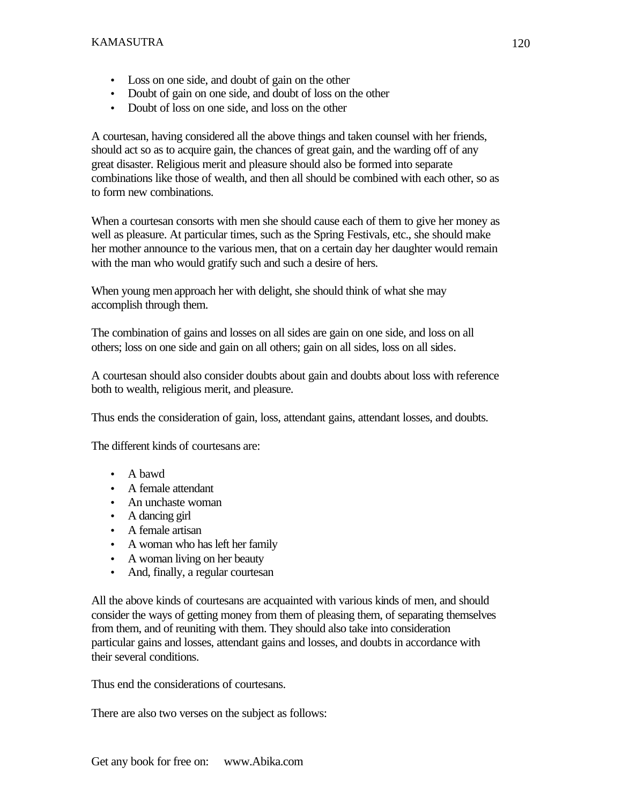- Loss on one side, and doubt of gain on the other
- Doubt of gain on one side, and doubt of loss on the other
- Doubt of loss on one side, and loss on the other

A courtesan, having considered all the above things and taken counsel with her friends, should act so as to acquire gain, the chances of great gain, and the warding off of any great disaster. Religious merit and pleasure should also be formed into separate combinations like those of wealth, and then all should be combined with each other, so as to form new combinations.

When a courtesan consorts with men she should cause each of them to give her money as well as pleasure. At particular times, such as the Spring Festivals, etc., she should make her mother announce to the various men, that on a certain day her daughter would remain with the man who would gratify such and such a desire of hers.

When young men approach her with delight, she should think of what she may accomplish through them.

The combination of gains and losses on all sides are gain on one side, and loss on all others; loss on one side and gain on all others; gain on all sides, loss on all sides.

A courtesan should also consider doubts about gain and doubts about loss with reference both to wealth, religious merit, and pleasure.

Thus ends the consideration of gain, loss, attendant gains, attendant losses, and doubts.

The different kinds of courtesans are:

- A bawd
- A female attendant
- An unchaste woman
- A dancing girl
- A female artisan
- A woman who has left her family
- A woman living on her beauty
- And, finally, a regular courtesan

All the above kinds of courtesans are acquainted with various kinds of men, and should consider the ways of getting money from them of pleasing them, of separating themselves from them, and of reuniting with them. They should also take into consideration particular gains and losses, attendant gains and losses, and doubts in accordance with their several conditions.

Thus end the considerations of courtesans.

There are also two verses on the subject as follows: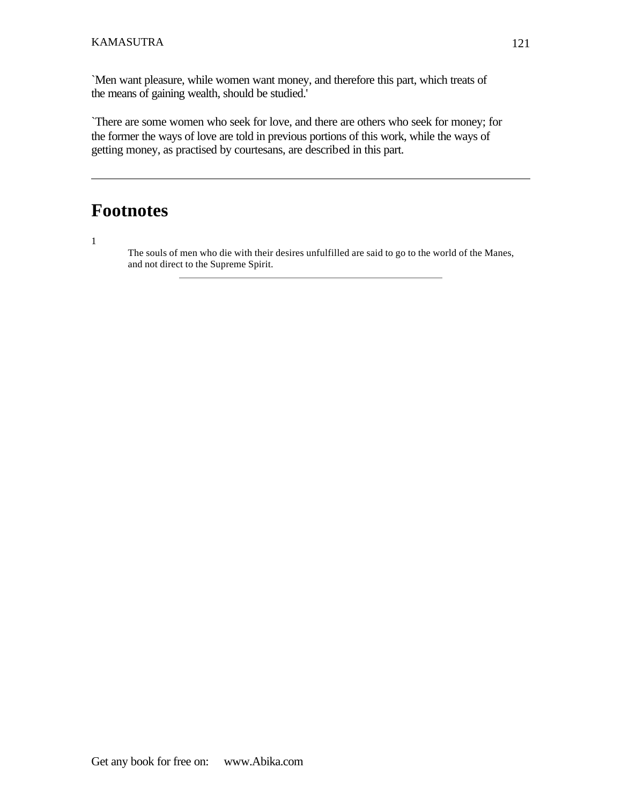`Men want pleasure, while women want money, and therefore this part, which treats of the means of gaining wealth, should be studied.'

`There are some women who seek for love, and there are others who seek for money; for the former the ways of love are told in previous portions of this work, while the ways of getting money, as practised by courtesans, are described in this part.

#### **Footnotes**

1

The souls of men who die with their desires unfulfilled are said to go to the world of the Manes, and not direct to the Supreme Spirit.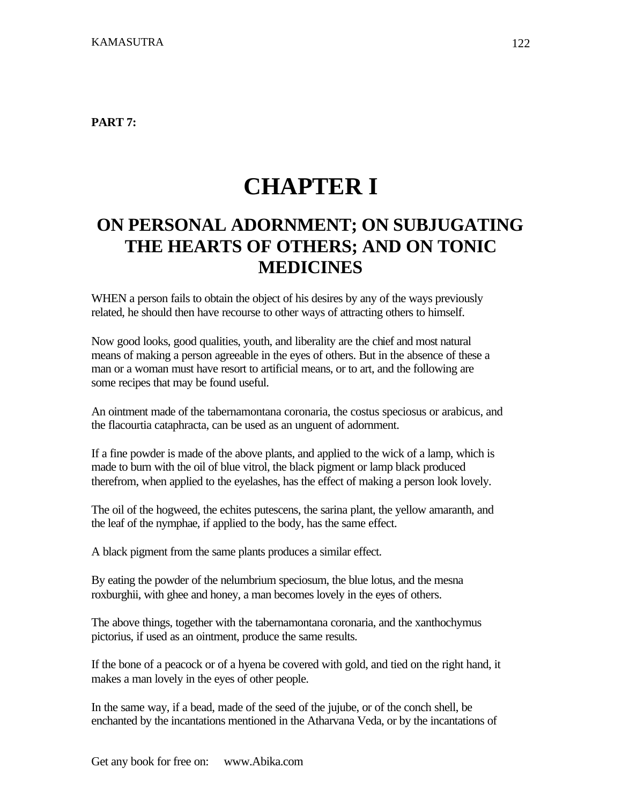**PART 7:**

### **CHAPTER I**

### **ON PERSONAL ADORNMENT; ON SUBJUGATING THE HEARTS OF OTHERS; AND ON TONIC MEDICINES**

WHEN a person fails to obtain the object of his desires by any of the ways previously related, he should then have recourse to other ways of attracting others to himself.

Now good looks, good qualities, youth, and liberality are the chief and most natural means of making a person agreeable in the eyes of others. But in the absence of these a man or a woman must have resort to artificial means, or to art, and the following are some recipes that may be found useful.

An ointment made of the tabernamontana coronaria, the costus speciosus or arabicus, and the flacourtia cataphracta, can be used as an unguent of adornment.

If a fine powder is made of the above plants, and applied to the wick of a lamp, which is made to burn with the oil of blue vitrol, the black pigment or lamp black produced therefrom, when applied to the eyelashes, has the effect of making a person look lovely.

The oil of the hogweed, the echites putescens, the sarina plant, the yellow amaranth, and the leaf of the nymphae, if applied to the body, has the same effect.

A black pigment from the same plants produces a similar effect.

By eating the powder of the nelumbrium speciosum, the blue lotus, and the mesna roxburghii, with ghee and honey, a man becomes lovely in the eyes of others.

The above things, together with the tabernamontana coronaria, and the xanthochymus pictorius, if used as an ointment, produce the same results.

If the bone of a peacock or of a hyena be covered with gold, and tied on the right hand, it makes a man lovely in the eyes of other people.

In the same way, if a bead, made of the seed of the jujube, or of the conch shell, be enchanted by the incantations mentioned in the Atharvana Veda, or by the incantations of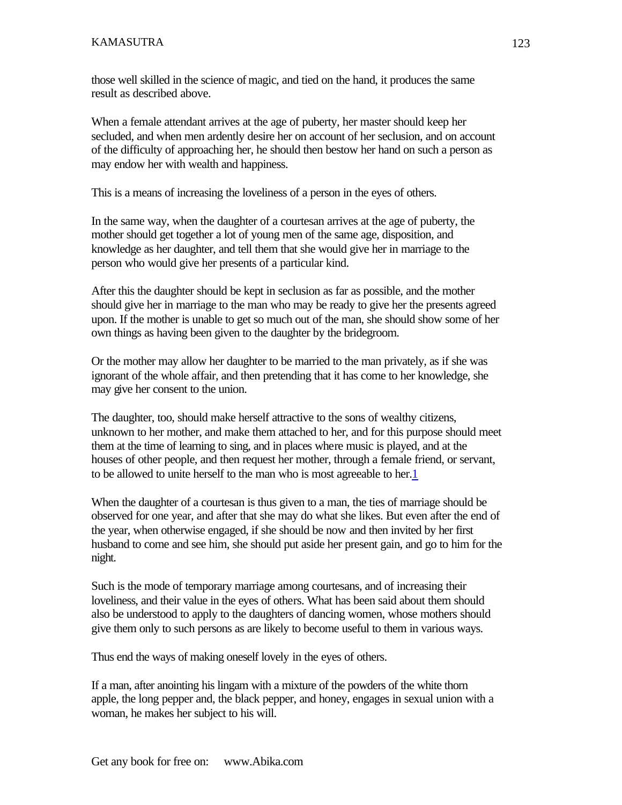those well skilled in the science of magic, and tied on the hand, it produces the same result as described above.

When a female attendant arrives at the age of puberty, her master should keep her secluded, and when men ardently desire her on account of her seclusion, and on account of the difficulty of approaching her, he should then bestow her hand on such a person as may endow her with wealth and happiness.

This is a means of increasing the loveliness of a person in the eyes of others.

In the same way, when the daughter of a courtesan arrives at the age of puberty, the mother should get together a lot of young men of the same age, disposition, and knowledge as her daughter, and tell them that she would give her in marriage to the person who would give her presents of a particular kind.

After this the daughter should be kept in seclusion as far as possible, and the mother should give her in marriage to the man who may be ready to give her the presents agreed upon. If the mother is unable to get so much out of the man, she should show some of her own things as having been given to the daughter by the bridegroom.

Or the mother may allow her daughter to be married to the man privately, as if she was ignorant of the whole affair, and then pretending that it has come to her knowledge, she may give her consent to the union.

The daughter, too, should make herself attractive to the sons of wealthy citizens, unknown to her mother, and make them attached to her, and for this purpose should meet them at the time of learning to sing, and in places where music is played, and at the houses of other people, and then request her mother, through a female friend, or servant, to be allowed to unite herself to the man who is most agreeable to her.1

When the daughter of a courtesan is thus given to a man, the ties of marriage should be observed for one year, and after that she may do what she likes. But even after the end of the year, when otherwise engaged, if she should be now and then invited by her first husband to come and see him, she should put aside her present gain, and go to him for the night.

Such is the mode of temporary marriage among courtesans, and of increasing their loveliness, and their value in the eyes of others. What has been said about them should also be understood to apply to the daughters of dancing women, whose mothers should give them only to such persons as are likely to become useful to them in various ways.

Thus end the ways of making oneself lovely in the eyes of others.

If a man, after anointing his lingam with a mixture of the powders of the white thorn apple, the long pepper and, the black pepper, and honey, engages in sexual union with a woman, he makes her subject to his will.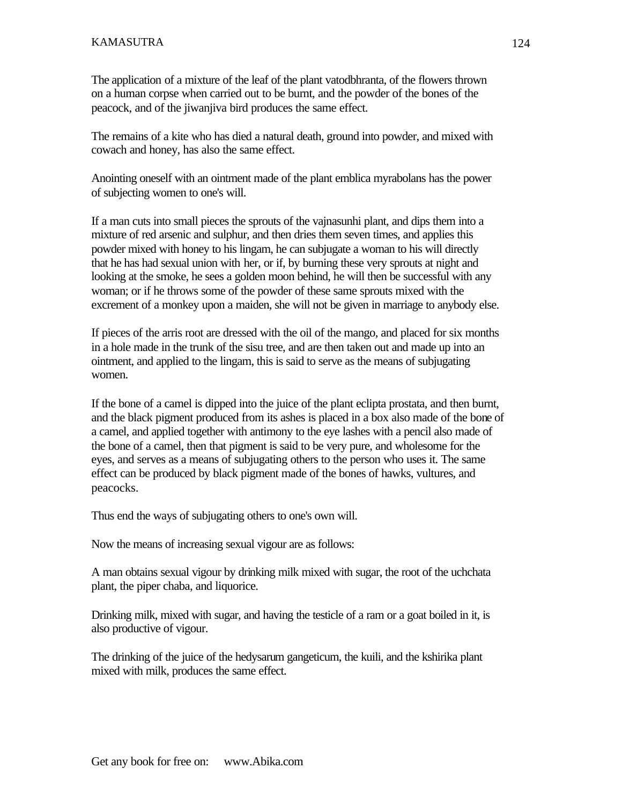The application of a mixture of the leaf of the plant vatodbhranta, of the flowers thrown on a human corpse when carried out to be burnt, and the powder of the bones of the peacock, and of the jiwanjiva bird produces the same effect.

The remains of a kite who has died a natural death, ground into powder, and mixed with cowach and honey, has also the same effect.

Anointing oneself with an ointment made of the plant emblica myrabolans has the power of subjecting women to one's will.

If a man cuts into small pieces the sprouts of the vajnasunhi plant, and dips them into a mixture of red arsenic and sulphur, and then dries them seven times, and applies this powder mixed with honey to his lingam, he can subjugate a woman to his will directly that he has had sexual union with her, or if, by burning these very sprouts at night and looking at the smoke, he sees a golden moon behind, he will then be successful with any woman; or if he throws some of the powder of these same sprouts mixed with the excrement of a monkey upon a maiden, she will not be given in marriage to anybody else.

If pieces of the arris root are dressed with the oil of the mango, and placed for six months in a hole made in the trunk of the sisu tree, and are then taken out and made up into an ointment, and applied to the lingam, this is said to serve as the means of subjugating women.

If the bone of a camel is dipped into the juice of the plant eclipta prostata, and then burnt, and the black pigment produced from its ashes is placed in a box also made of the bone of a camel, and applied together with antimony to the eye lashes with a pencil also made of the bone of a camel, then that pigment is said to be very pure, and wholesome for the eyes, and serves as a means of subjugating others to the person who uses it. The same effect can be produced by black pigment made of the bones of hawks, vultures, and peacocks.

Thus end the ways of subjugating others to one's own will.

Now the means of increasing sexual vigour are as follows:

A man obtains sexual vigour by drinking milk mixed with sugar, the root of the uchchata plant, the piper chaba, and liquorice.

Drinking milk, mixed with sugar, and having the testicle of a ram or a goat boiled in it, is also productive of vigour.

The drinking of the juice of the hedysarum gangeticum, the kuili, and the kshirika plant mixed with milk, produces the same effect.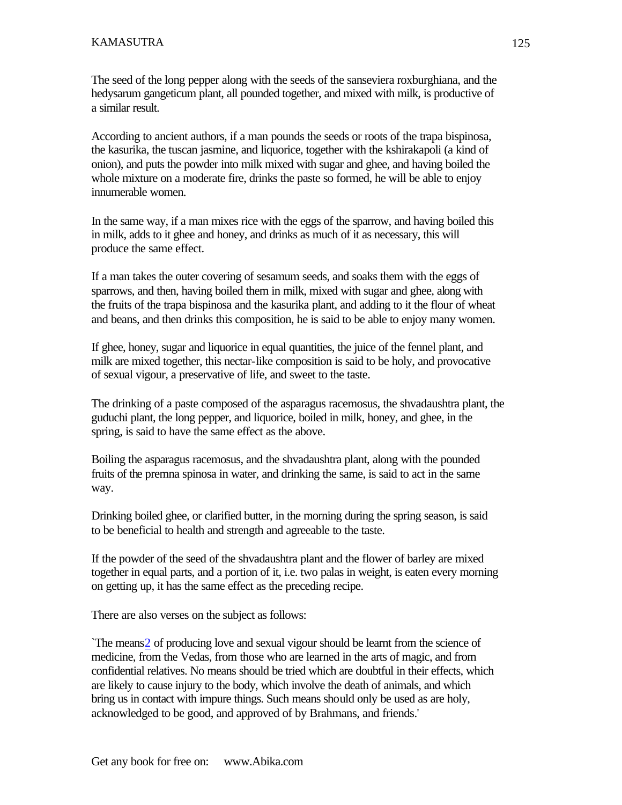The seed of the long pepper along with the seeds of the sanseviera roxburghiana, and the hedysarum gangeticum plant, all pounded together, and mixed with milk, is productive of a similar result.

According to ancient authors, if a man pounds the seeds or roots of the trapa bispinosa, the kasurika, the tuscan jasmine, and liquorice, together with the kshirakapoli (a kind of onion), and puts the powder into milk mixed with sugar and ghee, and having boiled the whole mixture on a moderate fire, drinks the paste so formed, he will be able to enjoy innumerable women.

In the same way, if a man mixes rice with the eggs of the sparrow, and having boiled this in milk, adds to it ghee and honey, and drinks as much of it as necessary, this will produce the same effect.

If a man takes the outer covering of sesamum seeds, and soaks them with the eggs of sparrows, and then, having boiled them in milk, mixed with sugar and ghee, along with the fruits of the trapa bispinosa and the kasurika plant, and adding to it the flour of wheat and beans, and then drinks this composition, he is said to be able to enjoy many women.

If ghee, honey, sugar and liquorice in equal quantities, the juice of the fennel plant, and milk are mixed together, this nectar-like composition is said to be holy, and provocative of sexual vigour, a preservative of life, and sweet to the taste.

The drinking of a paste composed of the asparagus racemosus, the shvadaushtra plant, the guduchi plant, the long pepper, and liquorice, boiled in milk, honey, and ghee, in the spring, is said to have the same effect as the above.

Boiling the asparagus racemosus, and the shvadaushtra plant, along with the pounded fruits of the premna spinosa in water, and drinking the same, is said to act in the same way.

Drinking boiled ghee, or clarified butter, in the morning during the spring season, is said to be beneficial to health and strength and agreeable to the taste.

If the powder of the seed of the shvadaushtra plant and the flower of barley are mixed together in equal parts, and a portion of it, i.e. two palas in weight, is eaten every morning on getting up, it has the same effect as the preceding recipe.

There are also verses on the subject as follows:

`The means2 of producing love and sexual vigour should be learnt from the science of medicine, from the Vedas, from those who are learned in the arts of magic, and from confidential relatives. No means should be tried which are doubtful in their effects, which are likely to cause injury to the body, which involve the death of animals, and which bring us in contact with impure things. Such means should only be used as are holy, acknowledged to be good, and approved of by Brahmans, and friends.'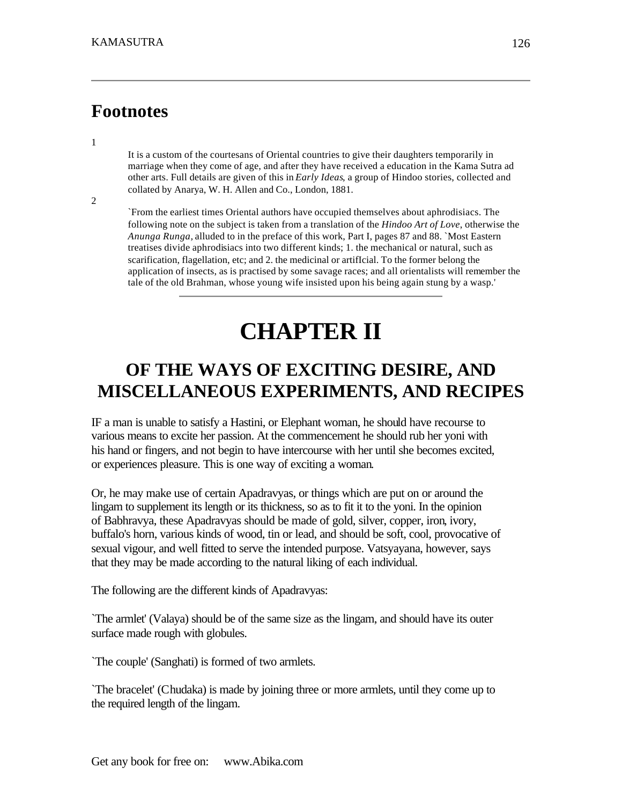#### **Footnotes**

1

It is a custom of the courtesans of Oriental countries to give their daughters temporarily in marriage when they come of age, and after they have received a education in the Kama Sutra ad other arts. Full details are given of this in *Early Ideas*, a group of Hindoo stories, collected and collated by Anarya, W. H. Allen and Co., London, 1881.

2

`From the earliest times Oriental authors have occupied themselves about aphrodisiacs. The following note on the subject is taken from a translation of the *Hindoo Art of Love*, otherwise the *Anunga Runga,* alluded to in the preface of this work, Part I, pages 87 and 88. `Most Eastern treatises divide aphrodisiacs into two different kinds; 1. the mechanical or natural, such as scarification, flagellation, etc; and 2. the medicinal or artifIcial. To the former belong the application of insects, as is practised by some savage races; and all orientalists will remember the tale of the old Brahman, whose young wife insisted upon his being again stung by a wasp.'

# **CHAPTER II**

### **OF THE WAYS OF EXCITING DESIRE, AND MISCELLANEOUS EXPERIMENTS, AND RECIPES**

IF a man is unable to satisfy a Hastini, or Elephant woman, he should have recourse to various means to excite her passion. At the commencement he should rub her yoni with his hand or fingers, and not begin to have intercourse with her until she becomes excited, or experiences pleasure. This is one way of exciting a woman.

Or, he may make use of certain Apadravyas, or things which are put on or around the lingam to supplement its length or its thickness, so as to fit it to the yoni. In the opinion of Babhravya, these Apadravyas should be made of gold, silver, copper, iron, ivory, buffalo's horn, various kinds of wood, tin or lead, and should be soft, cool, provocative of sexual vigour, and well fitted to serve the intended purpose. Vatsyayana, however, says that they may be made according to the natural liking of each individual.

The following are the different kinds of Apadravyas:

`The armlet' (Valaya) should be of the same size as the lingam, and should have its outer surface made rough with globules.

`The couple' (Sanghati) is formed of two armlets.

`The bracelet' (Chudaka) is made by joining three or more armlets, until they come up to the required length of the lingam.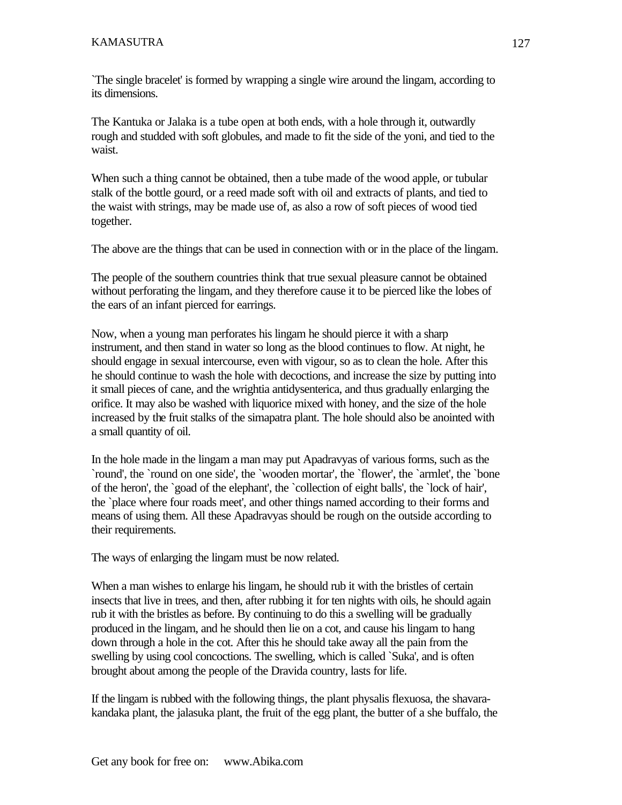`The single bracelet' is formed by wrapping a single wire around the lingam, according to its dimensions.

The Kantuka or Jalaka is a tube open at both ends, with a hole through it, outwardly rough and studded with soft globules, and made to fit the side of the yoni, and tied to the waist.

When such a thing cannot be obtained, then a tube made of the wood apple, or tubular stalk of the bottle gourd, or a reed made soft with oil and extracts of plants, and tied to the waist with strings, may be made use of, as also a row of soft pieces of wood tied together.

The above are the things that can be used in connection with or in the place of the lingam.

The people of the southern countries think that true sexual pleasure cannot be obtained without perforating the lingam, and they therefore cause it to be pierced like the lobes of the ears of an infant pierced for earrings.

Now, when a young man perforates his lingam he should pierce it with a sharp instrument, and then stand in water so long as the blood continues to flow. At night, he should engage in sexual intercourse, even with vigour, so as to clean the hole. After this he should continue to wash the hole with decoctions, and increase the size by putting into it small pieces of cane, and the wrightia antidysenterica, and thus gradually enlarging the orifice. It may also be washed with liquorice mixed with honey, and the size of the hole increased by the fruit stalks of the simapatra plant. The hole should also be anointed with a small quantity of oil.

In the hole made in the lingam a man may put Apadravyas of various forms, such as the `round', the `round on one side', the `wooden mortar', the `flower', the `armlet', the `bone of the heron', the `goad of the elephant', the `collection of eight balls', the `lock of hair', the `place where four roads meet', and other things named according to their forms and means of using them. All these Apadravyas should be rough on the outside according to their requirements.

The ways of enlarging the lingam must be now related.

When a man wishes to enlarge his lingam, he should rub it with the bristles of certain insects that live in trees, and then, after rubbing it for ten nights with oils, he should again rub it with the bristles as before. By continuing to do this a swelling will be gradually produced in the lingam, and he should then lie on a cot, and cause his lingam to hang down through a hole in the cot. After this he should take away all the pain from the swelling by using cool concoctions. The swelling, which is called `Suka', and is often brought about among the people of the Dravida country, lasts for life.

If the lingam is rubbed with the following things, the plant physalis flexuosa, the shavarakandaka plant, the jalasuka plant, the fruit of the egg plant, the butter of a she buffalo, the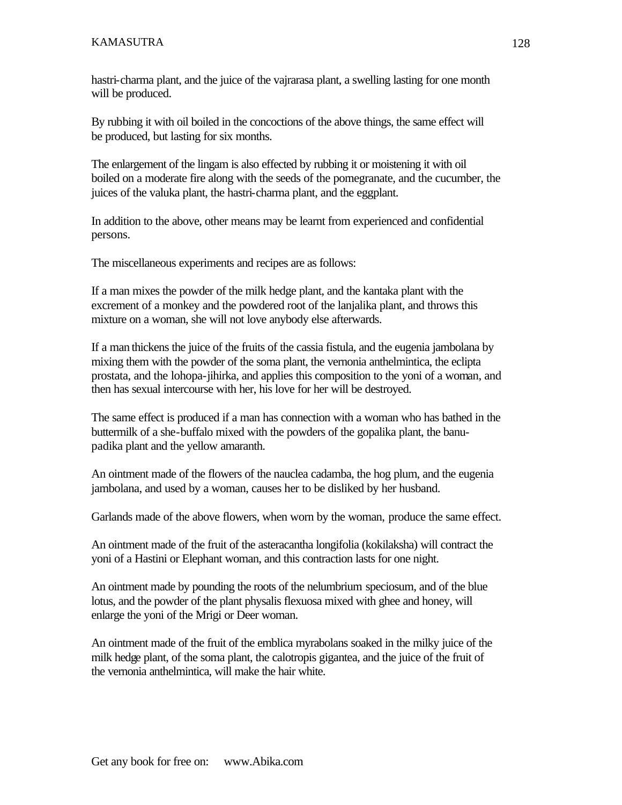hastri-charma plant, and the juice of the vajrarasa plant, a swelling lasting for one month will be produced.

By rubbing it with oil boiled in the concoctions of the above things, the same effect will be produced, but lasting for six months.

The enlargement of the lingam is also effected by rubbing it or moistening it with oil boiled on a moderate fire along with the seeds of the pomegranate, and the cucumber, the juices of the valuka plant, the hastri-charma plant, and the eggplant.

In addition to the above, other means may be learnt from experienced and confidential persons.

The miscellaneous experiments and recipes are as follows:

If a man mixes the powder of the milk hedge plant, and the kantaka plant with the excrement of a monkey and the powdered root of the lanjalika plant, and throws this mixture on a woman, she will not love anybody else afterwards.

If a man thickens the juice of the fruits of the cassia fistula, and the eugenia jambolana by mixing them with the powder of the soma plant, the vernonia anthelmintica, the eclipta prostata, and the lohopa-jihirka, and applies this composition to the yoni of a woman, and then has sexual intercourse with her, his love for her will be destroyed.

The same effect is produced if a man has connection with a woman who has bathed in the buttermilk of a she-buffalo mixed with the powders of the gopalika plant, the banupadika plant and the yellow amaranth.

An ointment made of the flowers of the nauclea cadamba, the hog plum, and the eugenia jambolana, and used by a woman, causes her to be disliked by her husband.

Garlands made of the above flowers, when worn by the woman, produce the same effect.

An ointment made of the fruit of the asteracantha longifolia (kokilaksha) will contract the yoni of a Hastini or Elephant woman, and this contraction lasts for one night.

An ointment made by pounding the roots of the nelumbrium speciosum, and of the blue lotus, and the powder of the plant physalis flexuosa mixed with ghee and honey, will enlarge the yoni of the Mrigi or Deer woman.

An ointment made of the fruit of the emblica myrabolans soaked in the milky juice of the milk hedge plant, of the soma plant, the calotropis gigantea, and the juice of the fruit of the vernonia anthelmintica, will make the hair white.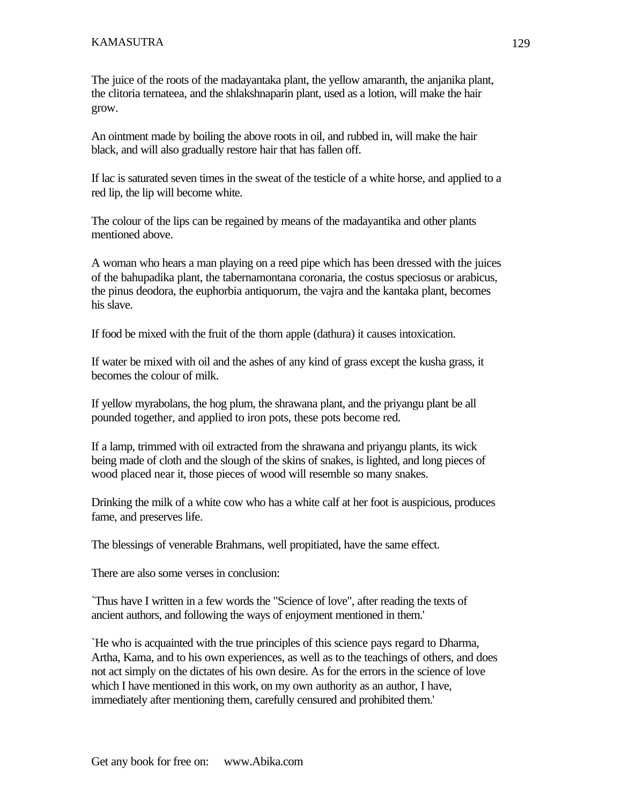The juice of the roots of the madayantaka plant, the yellow amaranth, the anjanika plant, the clitoria ternateea, and the shlakshnaparin plant, used as a lotion, will make the hair grow.

An ointment made by boiling the above roots in oil, and rubbed in, will make the hair black, and will also gradually restore hair that has fallen off.

If lac is saturated seven times in the sweat of the testicle of a white horse, and applied to a red lip, the lip will become white.

The colour of the lips can be regained by means of the madayantika and other plants mentioned above.

A woman who hears a man playing on a reed pipe which has been dressed with the juices of the bahupadika plant, the tabernamontana coronaria, the costus speciosus or arabicus, the pinus deodora, the euphorbia antiquorum, the vajra and the kantaka plant, becomes his slave.

If food be mixed with the fruit of the thorn apple (dathura) it causes intoxication.

If water be mixed with oil and the ashes of any kind of grass except the kusha grass, it becomes the colour of milk.

If yellow myrabolans, the hog plum, the shrawana plant, and the priyangu plant be all pounded together, and applied to iron pots, these pots become red.

If a lamp, trimmed with oil extracted from the shrawana and priyangu plants, its wick being made of cloth and the slough of the skins of snakes, is lighted, and long pieces of wood placed near it, those pieces of wood will resemble so many snakes.

Drinking the milk of a white cow who has a white calf at her foot is auspicious, produces fame, and preserves life.

The blessings of venerable Brahmans, well propitiated, have the same effect.

There are also some verses in conclusion:

`Thus have I written in a few words the "Science of love", after reading the texts of ancient authors, and following the ways of enjoyment mentioned in them.'

`He who is acquainted with the true principles of this science pays regard to Dharma, Artha, Kama, and to his own experiences, as well as to the teachings of others, and does not act simply on the dictates of his own desire. As for the errors in the science of love which I have mentioned in this work, on my own authority as an author, I have, immediately after mentioning them, carefully censured and prohibited them.'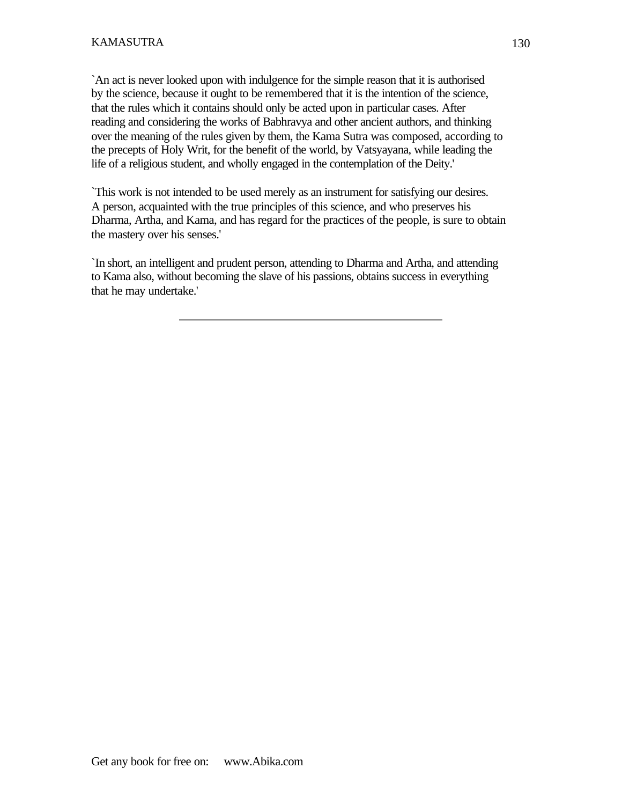`An act is never looked upon with indulgence for the simple reason that it is authorised by the science, because it ought to be remembered that it is the intention of the science, that the rules which it contains should only be acted upon in particular cases. After reading and considering the works of Babhravya and other ancient authors, and thinking over the meaning of the rules given by them, the Kama Sutra was composed, according to the precepts of Holy Writ, for the benefit of the world, by Vatsyayana, while leading the life of a religious student, and wholly engaged in the contemplation of the Deity.'

`This work is not intended to be used merely as an instrument for satisfying our desires. A person, acquainted with the true principles of this science, and who preserves his Dharma, Artha, and Kama, and has regard for the practices of the people, is sure to obtain the mastery over his senses.'

`In short, an intelligent and prudent person, attending to Dharma and Artha, and attending to Kama also, without becoming the slave of his passions, obtains success in everything that he may undertake.'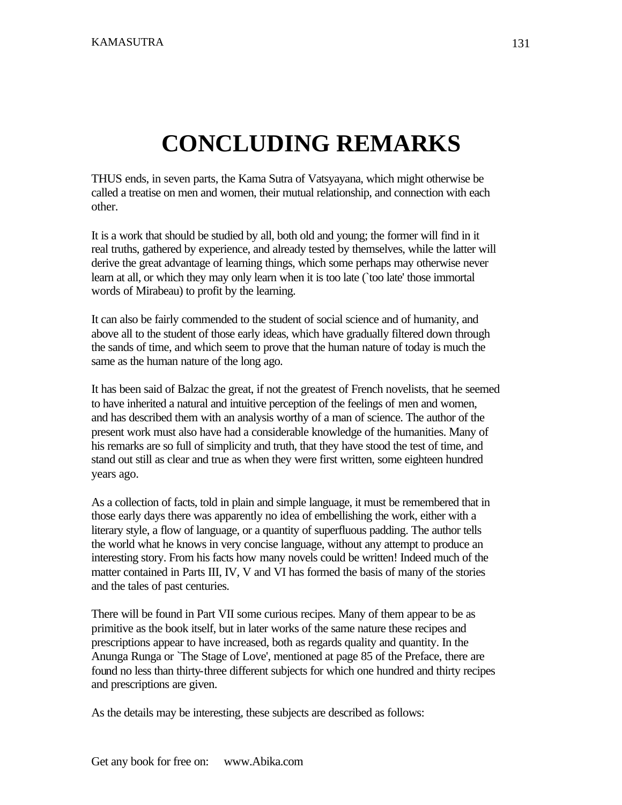# **CONCLUDING REMARKS**

THUS ends, in seven parts, the Kama Sutra of Vatsyayana, which might otherwise be called a treatise on men and women, their mutual relationship, and connection with each other.

It is a work that should be studied by all, both old and young; the former will find in it real truths, gathered by experience, and already tested by themselves, while the latter will derive the great advantage of learning things, which some perhaps may otherwise never learn at all, or which they may only learn when it is too late (`too late' those immortal words of Mirabeau) to profit by the learning.

It can also be fairly commended to the student of social science and of humanity, and above all to the student of those early ideas, which have gradually filtered down through the sands of time, and which seem to prove that the human nature of today is much the same as the human nature of the long ago.

It has been said of Balzac the great, if not the greatest of French novelists, that he seemed to have inherited a natural and intuitive perception of the feelings of men and women, and has described them with an analysis worthy of a man of science. The author of the present work must also have had a considerable knowledge of the humanities. Many of his remarks are so full of simplicity and truth, that they have stood the test of time, and stand out still as clear and true as when they were first written, some eighteen hundred years ago.

As a collection of facts, told in plain and simple language, it must be remembered that in those early days there was apparently no idea of embellishing the work, either with a literary style, a flow of language, or a quantity of superfluous padding. The author tells the world what he knows in very concise language, without any attempt to produce an interesting story. From his facts how many novels could be written! Indeed much of the matter contained in Parts III, IV, V and VI has formed the basis of many of the stories and the tales of past centuries.

There will be found in Part VII some curious recipes. Many of them appear to be as primitive as the book itself, but in later works of the same nature these recipes and prescriptions appear to have increased, both as regards quality and quantity. In the Anunga Runga or `The Stage of Love', mentioned at page 85 of the Preface, there are found no less than thirty-three different subjects for which one hundred and thirty recipes and prescriptions are given.

As the details may be interesting, these subjects are described as follows: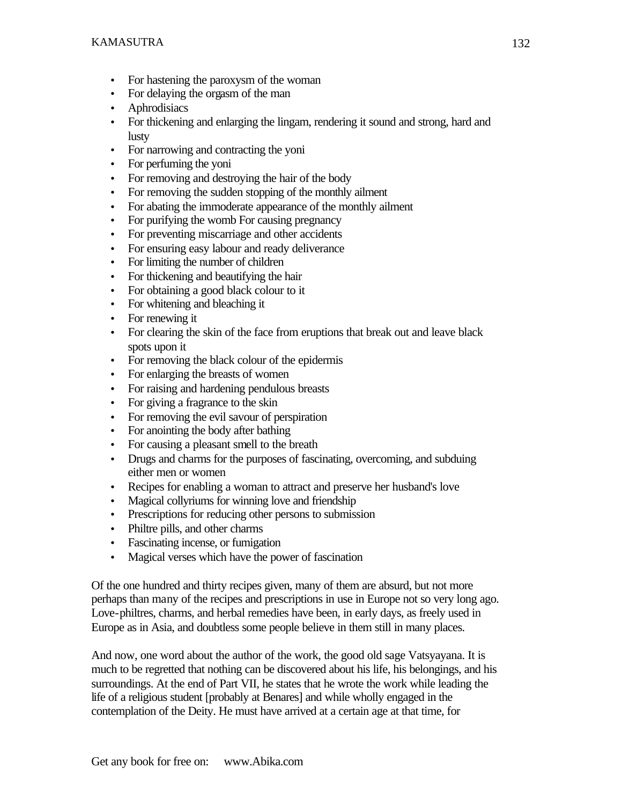- For hastening the paroxysm of the woman
- For delaying the orgasm of the man
- Aphrodisiacs
- For thickening and enlarging the lingam, rendering it sound and strong, hard and lusty
- For narrowing and contracting the yoni
- For perfuming the yoni
- For removing and destroying the hair of the body
- For removing the sudden stopping of the monthly ailment
- For abating the immoderate appearance of the monthly ailment
- For purifying the womb For causing pregnancy
- For preventing miscarriage and other accidents
- For ensuring easy labour and ready deliverance
- For limiting the number of children
- For thickening and beautifying the hair
- For obtaining a good black colour to it
- For whitening and bleaching it
- For renewing it
- For clearing the skin of the face from eruptions that break out and leave black spots upon it
- For removing the black colour of the epidermis
- For enlarging the breasts of women
- For raising and hardening pendulous breasts
- For giving a fragrance to the skin
- For removing the evil savour of perspiration
- For anointing the body after bathing
- For causing a pleasant smell to the breath
- Drugs and charms for the purposes of fascinating, overcoming, and subduing either men or women
- Recipes for enabling a woman to attract and preserve her husband's love
- Magical collyriums for winning love and friendship
- Prescriptions for reducing other persons to submission
- Philtre pills, and other charms
- Fascinating incense, or fumigation
- Magical verses which have the power of fascination

Of the one hundred and thirty recipes given, many of them are absurd, but not more perhaps than many of the recipes and prescriptions in use in Europe not so very long ago. Love-philtres, charms, and herbal remedies have been, in early days, as freely used in Europe as in Asia, and doubtless some people believe in them still in many places.

And now, one word about the author of the work, the good old sage Vatsyayana. It is much to be regretted that nothing can be discovered about his life, his belongings, and his surroundings. At the end of Part VII, he states that he wrote the work while leading the life of a religious student [probably at Benares] and while wholly engaged in the contemplation of the Deity. He must have arrived at a certain age at that time, for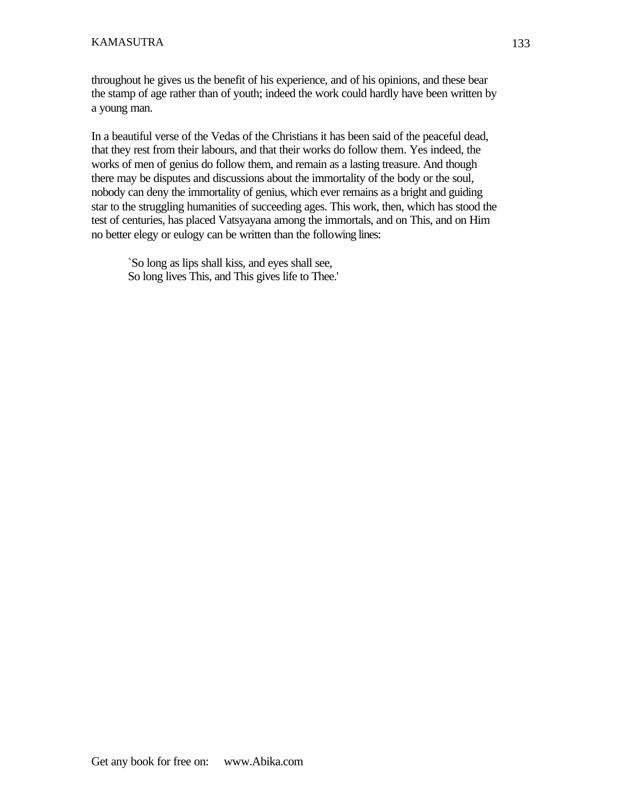throughout he gives us the benefit of his experience, and of his opinions, and these bear the stamp of age rather than of youth; indeed the work could hardly have been written by a young man.

In a beautiful verse of the Vedas of the Christians it has been said of the peaceful dead, that they rest from their labours, and that their works do follow them. Yes indeed, the works of men of genius do follow them, and remain as a lasting treasure. And though there may be disputes and discussions about the immortality of the body or the soul, nobody can deny the immortality of genius, which ever remains as a bright and guiding star to the struggling humanities of succeeding ages. This work, then, which has stood the test of centuries, has placed Vatsyayana among the immortals, and on This, and on Him no better elegy or eulogy can be written than the following lines:

`So long as lips shall kiss, and eyes shall see, So long lives This, and This gives life to Thee.'